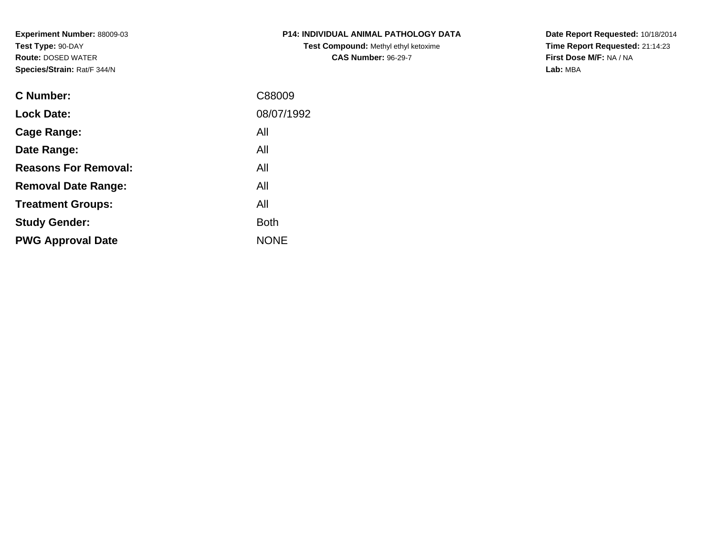**Experiment Number:** 88009-03**Test Type:** 90-DAY **Route:** DOSED WATER**Species/Strain:** Rat/F 344/N

| <b>P14: INDIVIDUAL ANIMAL PATHOLOGY DATA</b> |
|----------------------------------------------|
| <b>Test Compound: Methyl ethyl ketoxime</b>  |
| <b>CAS Number: 96-29-7</b>                   |

**Date Report Requested:** 10/18/2014 **Time Report Requested:** 21:14:23**First Dose M/F:** NA / NA**Lab:** MBA

| <b>C</b> Number:            | C88009      |
|-----------------------------|-------------|
| <b>Lock Date:</b>           | 08/07/1992  |
| Cage Range:                 | All         |
| Date Range:                 | All         |
| <b>Reasons For Removal:</b> | All         |
| <b>Removal Date Range:</b>  | All         |
| <b>Treatment Groups:</b>    | All         |
| <b>Study Gender:</b>        | <b>Both</b> |
| <b>PWG Approval Date</b>    | <b>NONE</b> |
|                             |             |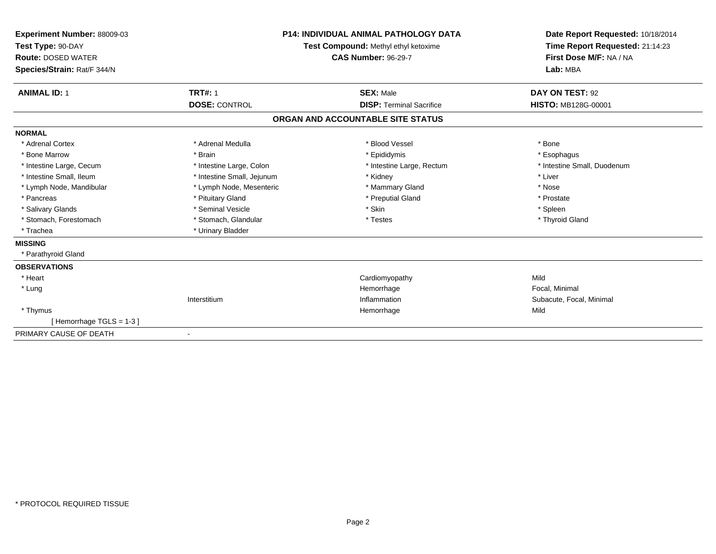| Experiment Number: 88009-03<br>Test Type: 90-DAY<br><b>Route: DOSED WATER</b><br>Species/Strain: Rat/F 344/N |                            | <b>P14: INDIVIDUAL ANIMAL PATHOLOGY DATA</b><br>Test Compound: Methyl ethyl ketoxime<br><b>CAS Number: 96-29-7</b> | Date Report Requested: 10/18/2014<br>Time Report Requested: 21:14:23<br>First Dose M/F: NA / NA<br>Lab: MBA |
|--------------------------------------------------------------------------------------------------------------|----------------------------|--------------------------------------------------------------------------------------------------------------------|-------------------------------------------------------------------------------------------------------------|
| <b>ANIMAL ID: 1</b>                                                                                          | <b>TRT#: 1</b>             | <b>SEX: Male</b>                                                                                                   | DAY ON TEST: 92                                                                                             |
|                                                                                                              | <b>DOSE: CONTROL</b>       | <b>DISP: Terminal Sacrifice</b>                                                                                    | <b>HISTO: MB128G-00001</b>                                                                                  |
|                                                                                                              |                            | ORGAN AND ACCOUNTABLE SITE STATUS                                                                                  |                                                                                                             |
| <b>NORMAL</b>                                                                                                |                            |                                                                                                                    |                                                                                                             |
| * Adrenal Cortex                                                                                             | * Adrenal Medulla          | * Blood Vessel                                                                                                     | * Bone                                                                                                      |
| * Bone Marrow                                                                                                | * Brain                    | * Epididymis                                                                                                       | * Esophagus                                                                                                 |
| * Intestine Large, Cecum                                                                                     | * Intestine Large, Colon   | * Intestine Large, Rectum                                                                                          | * Intestine Small, Duodenum                                                                                 |
| * Intestine Small, Ileum                                                                                     | * Intestine Small, Jejunum | * Kidney                                                                                                           | * Liver                                                                                                     |
| * Lymph Node, Mandibular                                                                                     | * Lymph Node, Mesenteric   | * Mammary Gland                                                                                                    | * Nose                                                                                                      |
| * Pancreas                                                                                                   | * Pituitary Gland          | * Preputial Gland                                                                                                  | * Prostate                                                                                                  |
| * Salivary Glands                                                                                            | * Seminal Vesicle          | * Skin                                                                                                             | * Spleen                                                                                                    |
| * Stomach, Forestomach                                                                                       | * Stomach, Glandular       | * Testes                                                                                                           | * Thyroid Gland                                                                                             |
| * Trachea                                                                                                    | * Urinary Bladder          |                                                                                                                    |                                                                                                             |
| <b>MISSING</b>                                                                                               |                            |                                                                                                                    |                                                                                                             |
| * Parathyroid Gland                                                                                          |                            |                                                                                                                    |                                                                                                             |
| <b>OBSERVATIONS</b>                                                                                          |                            |                                                                                                                    |                                                                                                             |
| * Heart                                                                                                      |                            | Cardiomyopathy                                                                                                     | Mild                                                                                                        |
| * Lung                                                                                                       |                            | Hemorrhage                                                                                                         | Focal, Minimal                                                                                              |
|                                                                                                              | Interstitium               | Inflammation                                                                                                       | Subacute, Focal, Minimal                                                                                    |
| * Thymus                                                                                                     |                            | Hemorrhage                                                                                                         | Mild                                                                                                        |
| [Hemorrhage TGLS = 1-3]                                                                                      |                            |                                                                                                                    |                                                                                                             |
| PRIMARY CAUSE OF DEATH                                                                                       |                            |                                                                                                                    |                                                                                                             |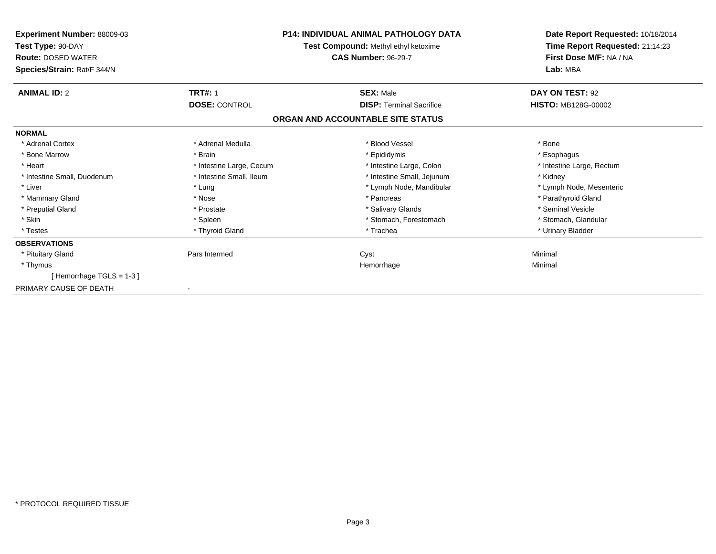| <b>Experiment Number: 88009-03</b><br>Test Type: 90-DAY<br><b>Route: DOSED WATER</b><br>Species/Strain: Rat/F 344/N | <b>P14: INDIVIDUAL ANIMAL PATHOLOGY DATA</b><br>Test Compound: Methyl ethyl ketoxime<br><b>CAS Number: 96-29-7</b> |                                   | Date Report Requested: 10/18/2014<br>Time Report Requested: 21:14:23<br>First Dose M/F: NA / NA<br>Lab: MBA |
|---------------------------------------------------------------------------------------------------------------------|--------------------------------------------------------------------------------------------------------------------|-----------------------------------|-------------------------------------------------------------------------------------------------------------|
| <b>ANIMAL ID: 2</b>                                                                                                 | <b>TRT#: 1</b>                                                                                                     | <b>SEX: Male</b>                  | DAY ON TEST: 92                                                                                             |
|                                                                                                                     | <b>DOSE: CONTROL</b>                                                                                               | <b>DISP: Terminal Sacrifice</b>   | <b>HISTO: MB128G-00002</b>                                                                                  |
|                                                                                                                     |                                                                                                                    | ORGAN AND ACCOUNTABLE SITE STATUS |                                                                                                             |
| <b>NORMAL</b>                                                                                                       |                                                                                                                    |                                   |                                                                                                             |
| * Adrenal Cortex                                                                                                    | * Adrenal Medulla                                                                                                  | * Blood Vessel                    | * Bone                                                                                                      |
| * Bone Marrow                                                                                                       | * Brain                                                                                                            | * Epididymis                      | * Esophagus                                                                                                 |
| * Heart                                                                                                             | * Intestine Large, Cecum                                                                                           | * Intestine Large, Colon          | * Intestine Large, Rectum                                                                                   |
| * Intestine Small, Duodenum                                                                                         | * Intestine Small. Ileum                                                                                           | * Intestine Small, Jejunum        | * Kidney                                                                                                    |
| * Liver                                                                                                             | * Lung                                                                                                             | * Lymph Node, Mandibular          | * Lymph Node, Mesenteric                                                                                    |
| * Mammary Gland                                                                                                     | * Nose                                                                                                             | * Pancreas                        | * Parathyroid Gland                                                                                         |
| * Preputial Gland                                                                                                   | * Prostate                                                                                                         | * Salivary Glands                 | * Seminal Vesicle                                                                                           |
| * Skin                                                                                                              | * Spleen                                                                                                           | * Stomach, Forestomach            | * Stomach, Glandular                                                                                        |
| * Testes                                                                                                            | * Thyroid Gland                                                                                                    | * Trachea                         | * Urinary Bladder                                                                                           |
| <b>OBSERVATIONS</b>                                                                                                 |                                                                                                                    |                                   |                                                                                                             |
| * Pituitary Gland                                                                                                   | Pars Intermed                                                                                                      | Cyst                              | Minimal                                                                                                     |
| * Thymus                                                                                                            |                                                                                                                    | Hemorrhage                        | Minimal                                                                                                     |
| [Hemorrhage $TGLS = 1-3$ ]                                                                                          |                                                                                                                    |                                   |                                                                                                             |
| PRIMARY CAUSE OF DEATH                                                                                              |                                                                                                                    |                                   |                                                                                                             |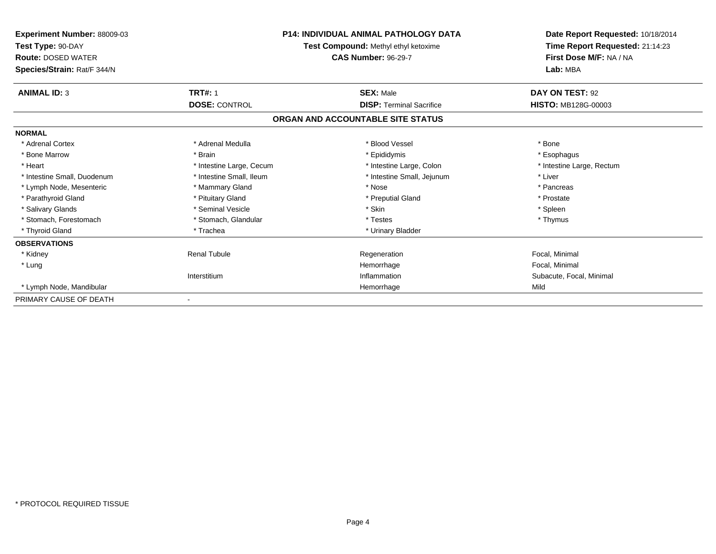| <b>Experiment Number: 88009-03</b><br>Test Type: 90-DAY  |                          | <b>P14: INDIVIDUAL ANIMAL PATHOLOGY DATA</b><br>Test Compound: Methyl ethyl ketoxime | Date Report Requested: 10/18/2014<br>Time Report Requested: 21:14:23 |  |
|----------------------------------------------------------|--------------------------|--------------------------------------------------------------------------------------|----------------------------------------------------------------------|--|
| <b>Route: DOSED WATER</b><br>Species/Strain: Rat/F 344/N |                          | <b>CAS Number: 96-29-7</b>                                                           | First Dose M/F: NA / NA<br>Lab: MBA                                  |  |
| <b>ANIMAL ID: 3</b>                                      | <b>TRT#: 1</b>           | <b>SEX: Male</b>                                                                     | DAY ON TEST: 92                                                      |  |
|                                                          | <b>DOSE: CONTROL</b>     | <b>DISP: Terminal Sacrifice</b>                                                      | HISTO: MB128G-00003                                                  |  |
|                                                          |                          | ORGAN AND ACCOUNTABLE SITE STATUS                                                    |                                                                      |  |
| <b>NORMAL</b>                                            |                          |                                                                                      |                                                                      |  |
| * Adrenal Cortex                                         | * Adrenal Medulla        | * Blood Vessel                                                                       | * Bone                                                               |  |
| * Bone Marrow                                            | * Brain                  | * Epididymis                                                                         | * Esophagus                                                          |  |
| * Heart                                                  | * Intestine Large, Cecum | * Intestine Large, Colon                                                             | * Intestine Large, Rectum                                            |  |
| * Intestine Small, Duodenum                              | * Intestine Small. Ileum | * Intestine Small, Jejunum                                                           | * Liver                                                              |  |
| * Lymph Node, Mesenteric                                 | * Mammary Gland          | * Nose                                                                               | * Pancreas                                                           |  |
| * Parathyroid Gland                                      | * Pituitary Gland        | * Preputial Gland                                                                    | * Prostate                                                           |  |
| * Salivary Glands                                        | * Seminal Vesicle        | * Skin                                                                               | * Spleen                                                             |  |
| * Stomach, Forestomach                                   | * Stomach, Glandular     | * Testes                                                                             | * Thymus                                                             |  |
| * Thyroid Gland                                          | * Trachea                | * Urinary Bladder                                                                    |                                                                      |  |
| <b>OBSERVATIONS</b>                                      |                          |                                                                                      |                                                                      |  |
| * Kidney                                                 | <b>Renal Tubule</b>      | Regeneration                                                                         | Focal, Minimal                                                       |  |
| * Lung                                                   |                          | Hemorrhage                                                                           | Focal, Minimal                                                       |  |
|                                                          | Interstitium             | Inflammation                                                                         | Subacute, Focal, Minimal                                             |  |
| * Lymph Node, Mandibular                                 |                          | Hemorrhage                                                                           | Mild                                                                 |  |
| PRIMARY CAUSE OF DEATH                                   |                          |                                                                                      |                                                                      |  |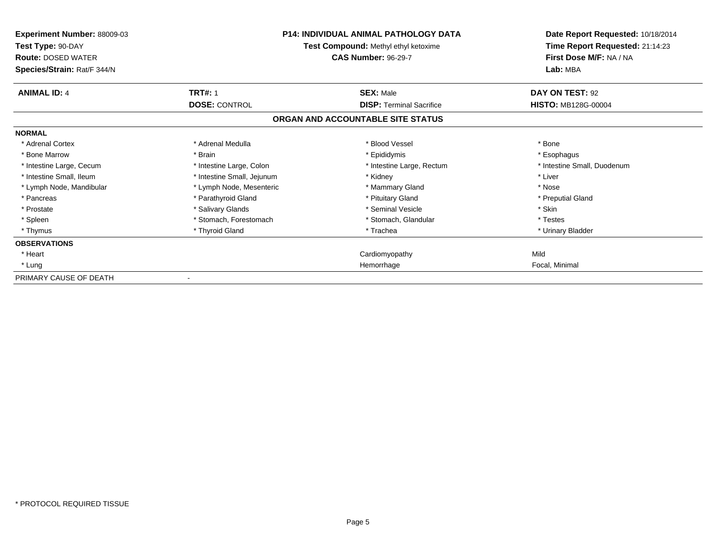| Experiment Number: 88009-03<br>Test Type: 90-DAY<br><b>Route: DOSED WATER</b><br>Species/Strain: Rat/F 344/N | <b>P14: INDIVIDUAL ANIMAL PATHOLOGY DATA</b><br>Test Compound: Methyl ethyl ketoxime<br><b>CAS Number: 96-29-7</b> |                                   | Date Report Requested: 10/18/2014<br>Time Report Requested: 21:14:23<br>First Dose M/F: NA / NA<br>Lab: MBA |
|--------------------------------------------------------------------------------------------------------------|--------------------------------------------------------------------------------------------------------------------|-----------------------------------|-------------------------------------------------------------------------------------------------------------|
| <b>ANIMAL ID: 4</b>                                                                                          | <b>TRT#: 1</b>                                                                                                     | <b>SEX: Male</b>                  | DAY ON TEST: 92                                                                                             |
|                                                                                                              | <b>DOSE: CONTROL</b>                                                                                               | <b>DISP: Terminal Sacrifice</b>   | <b>HISTO: MB128G-00004</b>                                                                                  |
|                                                                                                              |                                                                                                                    | ORGAN AND ACCOUNTABLE SITE STATUS |                                                                                                             |
| <b>NORMAL</b>                                                                                                |                                                                                                                    |                                   |                                                                                                             |
| * Adrenal Cortex                                                                                             | * Adrenal Medulla                                                                                                  | * Blood Vessel                    | * Bone                                                                                                      |
| * Bone Marrow                                                                                                | * Brain                                                                                                            | * Epididymis                      | * Esophagus                                                                                                 |
| * Intestine Large, Cecum                                                                                     | * Intestine Large, Colon                                                                                           | * Intestine Large, Rectum         | * Intestine Small, Duodenum                                                                                 |
| * Intestine Small, Ileum                                                                                     | * Intestine Small, Jejunum                                                                                         | * Kidney                          | * Liver                                                                                                     |
| * Lymph Node, Mandibular                                                                                     | * Lymph Node, Mesenteric                                                                                           | * Mammary Gland                   | * Nose                                                                                                      |
| * Pancreas                                                                                                   | * Parathyroid Gland                                                                                                | * Pituitary Gland                 | * Preputial Gland                                                                                           |
| * Prostate                                                                                                   | * Salivary Glands                                                                                                  | * Seminal Vesicle                 | * Skin                                                                                                      |
| * Spleen                                                                                                     | * Stomach, Forestomach                                                                                             | * Stomach, Glandular              | * Testes                                                                                                    |
| * Thymus                                                                                                     | * Thyroid Gland                                                                                                    | * Trachea                         | * Urinary Bladder                                                                                           |
| <b>OBSERVATIONS</b>                                                                                          |                                                                                                                    |                                   |                                                                                                             |
| * Heart                                                                                                      |                                                                                                                    | Cardiomyopathy                    | Mild                                                                                                        |
| * Lung                                                                                                       |                                                                                                                    | Hemorrhage                        | Focal, Minimal                                                                                              |
| PRIMARY CAUSE OF DEATH                                                                                       |                                                                                                                    |                                   |                                                                                                             |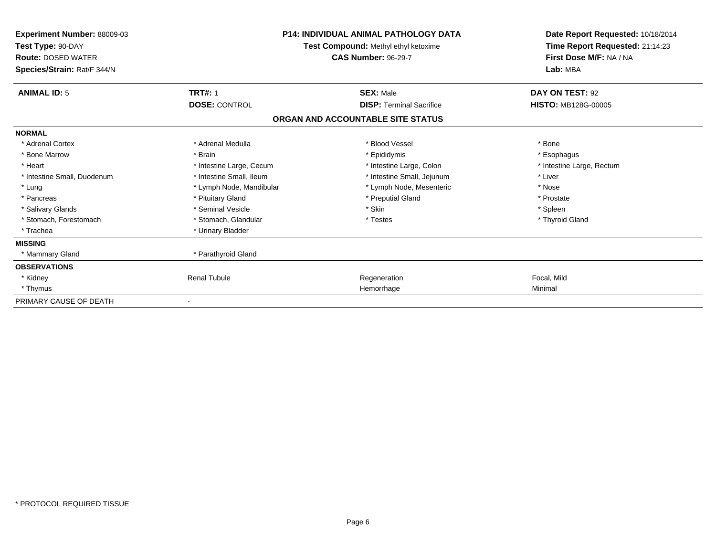| <b>Experiment Number: 88009-03</b><br>Test Type: 90-DAY<br><b>Route: DOSED WATER</b><br>Species/Strain: Rat/F 344/N | <b>P14: INDIVIDUAL ANIMAL PATHOLOGY DATA</b><br>Test Compound: Methyl ethyl ketoxime<br><b>CAS Number: 96-29-7</b> |                                   | Date Report Requested: 10/18/2014<br>Time Report Requested: 21:14:23<br>First Dose M/F: NA / NA<br>Lab: MBA |  |
|---------------------------------------------------------------------------------------------------------------------|--------------------------------------------------------------------------------------------------------------------|-----------------------------------|-------------------------------------------------------------------------------------------------------------|--|
| <b>ANIMAL ID: 5</b>                                                                                                 | <b>TRT#: 1</b>                                                                                                     | <b>SEX: Male</b>                  | DAY ON TEST: 92                                                                                             |  |
|                                                                                                                     | <b>DOSE: CONTROL</b>                                                                                               | <b>DISP: Terminal Sacrifice</b>   | <b>HISTO: MB128G-00005</b>                                                                                  |  |
|                                                                                                                     |                                                                                                                    | ORGAN AND ACCOUNTABLE SITE STATUS |                                                                                                             |  |
| <b>NORMAL</b>                                                                                                       |                                                                                                                    |                                   |                                                                                                             |  |
| * Adrenal Cortex                                                                                                    | * Adrenal Medulla                                                                                                  | * Blood Vessel                    | * Bone                                                                                                      |  |
| * Bone Marrow                                                                                                       | * Brain                                                                                                            | * Epididymis                      | * Esophagus                                                                                                 |  |
| * Heart                                                                                                             | * Intestine Large, Cecum                                                                                           | * Intestine Large, Colon          | * Intestine Large, Rectum                                                                                   |  |
| * Intestine Small, Duodenum                                                                                         | * Intestine Small, Ileum                                                                                           | * Intestine Small, Jejunum        | * Liver                                                                                                     |  |
| * Lung                                                                                                              | * Lymph Node, Mandibular                                                                                           | * Lymph Node, Mesenteric          | * Nose                                                                                                      |  |
| * Pancreas                                                                                                          | * Pituitary Gland                                                                                                  | * Preputial Gland                 | * Prostate                                                                                                  |  |
| * Salivary Glands                                                                                                   | * Seminal Vesicle                                                                                                  | * Skin                            | * Spleen                                                                                                    |  |
| * Stomach, Forestomach                                                                                              | * Stomach, Glandular                                                                                               | * Testes                          | * Thyroid Gland                                                                                             |  |
| * Trachea                                                                                                           | * Urinary Bladder                                                                                                  |                                   |                                                                                                             |  |
| <b>MISSING</b>                                                                                                      |                                                                                                                    |                                   |                                                                                                             |  |
| * Mammary Gland                                                                                                     | * Parathyroid Gland                                                                                                |                                   |                                                                                                             |  |
| <b>OBSERVATIONS</b>                                                                                                 |                                                                                                                    |                                   |                                                                                                             |  |
| * Kidney                                                                                                            | <b>Renal Tubule</b>                                                                                                | Regeneration                      | Focal, Mild                                                                                                 |  |
| * Thymus                                                                                                            |                                                                                                                    | Hemorrhage                        | Minimal                                                                                                     |  |
| PRIMARY CAUSE OF DEATH                                                                                              |                                                                                                                    |                                   |                                                                                                             |  |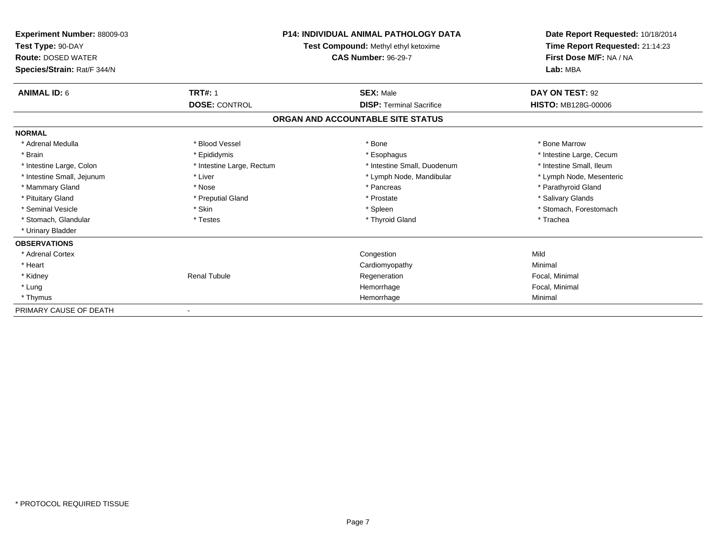| <b>Experiment Number: 88009-03</b><br>Test Type: 90-DAY<br><b>Route: DOSED WATER</b> | P14: INDIVIDUAL ANIMAL PATHOLOGY DATA<br>Test Compound: Methyl ethyl ketoxime<br><b>CAS Number: 96-29-7</b> |                                   | Date Report Requested: 10/18/2014<br>Time Report Requested: 21:14:23<br>First Dose M/F: NA / NA |  |
|--------------------------------------------------------------------------------------|-------------------------------------------------------------------------------------------------------------|-----------------------------------|-------------------------------------------------------------------------------------------------|--|
| Species/Strain: Rat/F 344/N                                                          |                                                                                                             |                                   | Lab: MBA                                                                                        |  |
| <b>ANIMAL ID: 6</b>                                                                  | <b>TRT#: 1</b>                                                                                              | <b>SEX: Male</b>                  | DAY ON TEST: 92                                                                                 |  |
|                                                                                      | <b>DOSE: CONTROL</b>                                                                                        | <b>DISP: Terminal Sacrifice</b>   | <b>HISTO: MB128G-00006</b>                                                                      |  |
|                                                                                      |                                                                                                             | ORGAN AND ACCOUNTABLE SITE STATUS |                                                                                                 |  |
| <b>NORMAL</b>                                                                        |                                                                                                             |                                   |                                                                                                 |  |
| * Adrenal Medulla                                                                    | * Blood Vessel                                                                                              | * Bone                            | * Bone Marrow                                                                                   |  |
| * Brain                                                                              | * Epididymis                                                                                                | * Esophagus                       | * Intestine Large, Cecum                                                                        |  |
| * Intestine Large, Colon                                                             | * Intestine Large, Rectum                                                                                   | * Intestine Small, Duodenum       | * Intestine Small. Ileum                                                                        |  |
| * Intestine Small, Jejunum                                                           | * Liver                                                                                                     | * Lymph Node, Mandibular          | * Lymph Node, Mesenteric                                                                        |  |
| * Mammary Gland                                                                      | * Nose                                                                                                      | * Pancreas                        | * Parathyroid Gland                                                                             |  |
| * Pituitary Gland                                                                    | * Preputial Gland                                                                                           | * Prostate                        | * Salivary Glands                                                                               |  |
| * Seminal Vesicle                                                                    | * Skin                                                                                                      | * Spleen                          | * Stomach, Forestomach                                                                          |  |
| * Stomach, Glandular                                                                 | * Testes                                                                                                    | * Thyroid Gland                   | * Trachea                                                                                       |  |
| * Urinary Bladder                                                                    |                                                                                                             |                                   |                                                                                                 |  |
| <b>OBSERVATIONS</b>                                                                  |                                                                                                             |                                   |                                                                                                 |  |
| * Adrenal Cortex                                                                     |                                                                                                             | Congestion                        | Mild                                                                                            |  |
| * Heart                                                                              |                                                                                                             | Cardiomyopathy                    | Minimal                                                                                         |  |
| * Kidney                                                                             | <b>Renal Tubule</b>                                                                                         | Regeneration                      | Focal, Minimal                                                                                  |  |
| * Lung                                                                               |                                                                                                             | Hemorrhage                        | Focal, Minimal                                                                                  |  |
| * Thymus                                                                             |                                                                                                             | Hemorrhage                        | Minimal                                                                                         |  |
| PRIMARY CAUSE OF DEATH                                                               |                                                                                                             |                                   |                                                                                                 |  |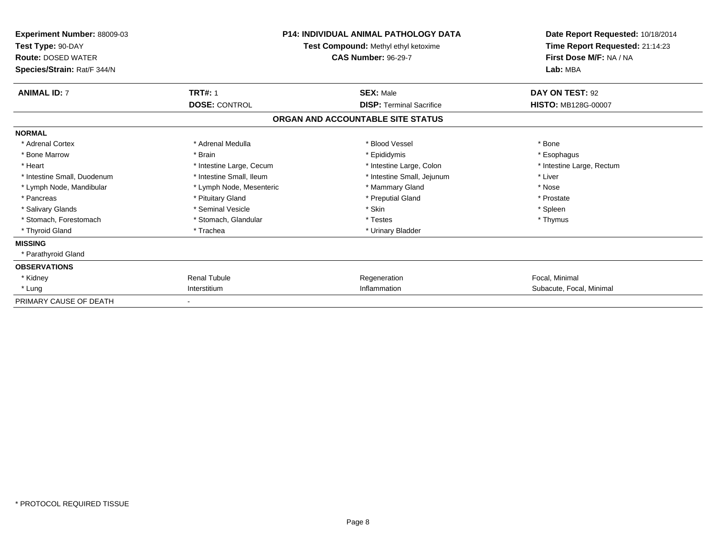| <b>Experiment Number: 88009-03</b><br>Test Type: 90-DAY<br><b>Route: DOSED WATER</b><br>Species/Strain: Rat/F 344/N |                          | <b>P14: INDIVIDUAL ANIMAL PATHOLOGY DATA</b><br>Test Compound: Methyl ethyl ketoxime<br><b>CAS Number: 96-29-7</b> | Date Report Requested: 10/18/2014<br>Time Report Requested: 21:14:23<br>First Dose M/F: NA / NA<br>Lab: MBA |  |
|---------------------------------------------------------------------------------------------------------------------|--------------------------|--------------------------------------------------------------------------------------------------------------------|-------------------------------------------------------------------------------------------------------------|--|
| <b>ANIMAL ID: 7</b>                                                                                                 | <b>TRT#: 1</b>           | <b>SEX: Male</b>                                                                                                   | DAY ON TEST: 92                                                                                             |  |
|                                                                                                                     | <b>DOSE: CONTROL</b>     | <b>DISP: Terminal Sacrifice</b>                                                                                    | <b>HISTO: MB128G-00007</b>                                                                                  |  |
|                                                                                                                     |                          | ORGAN AND ACCOUNTABLE SITE STATUS                                                                                  |                                                                                                             |  |
| <b>NORMAL</b>                                                                                                       |                          |                                                                                                                    |                                                                                                             |  |
| * Adrenal Cortex                                                                                                    | * Adrenal Medulla        | * Blood Vessel                                                                                                     | * Bone                                                                                                      |  |
| * Bone Marrow                                                                                                       | * Brain                  | * Epididymis                                                                                                       | * Esophagus                                                                                                 |  |
| * Heart                                                                                                             | * Intestine Large, Cecum | * Intestine Large, Colon                                                                                           | * Intestine Large, Rectum                                                                                   |  |
| * Intestine Small, Duodenum                                                                                         | * Intestine Small, Ileum | * Intestine Small, Jejunum                                                                                         | * Liver                                                                                                     |  |
| * Lymph Node, Mandibular                                                                                            | * Lymph Node, Mesenteric | * Mammary Gland                                                                                                    | * Nose                                                                                                      |  |
| * Pancreas                                                                                                          | * Pituitary Gland        | * Preputial Gland                                                                                                  | * Prostate                                                                                                  |  |
| * Salivary Glands                                                                                                   | * Seminal Vesicle        | * Skin                                                                                                             | * Spleen                                                                                                    |  |
| * Stomach, Forestomach                                                                                              | * Stomach, Glandular     | * Testes                                                                                                           | * Thymus                                                                                                    |  |
| * Thyroid Gland                                                                                                     | * Trachea                | * Urinary Bladder                                                                                                  |                                                                                                             |  |
| <b>MISSING</b>                                                                                                      |                          |                                                                                                                    |                                                                                                             |  |
| * Parathyroid Gland                                                                                                 |                          |                                                                                                                    |                                                                                                             |  |
| <b>OBSERVATIONS</b>                                                                                                 |                          |                                                                                                                    |                                                                                                             |  |
| * Kidney                                                                                                            | <b>Renal Tubule</b>      | Regeneration                                                                                                       | Focal, Minimal                                                                                              |  |
| * Lung                                                                                                              | Interstitium             | Inflammation                                                                                                       | Subacute, Focal, Minimal                                                                                    |  |
| PRIMARY CAUSE OF DEATH                                                                                              |                          |                                                                                                                    |                                                                                                             |  |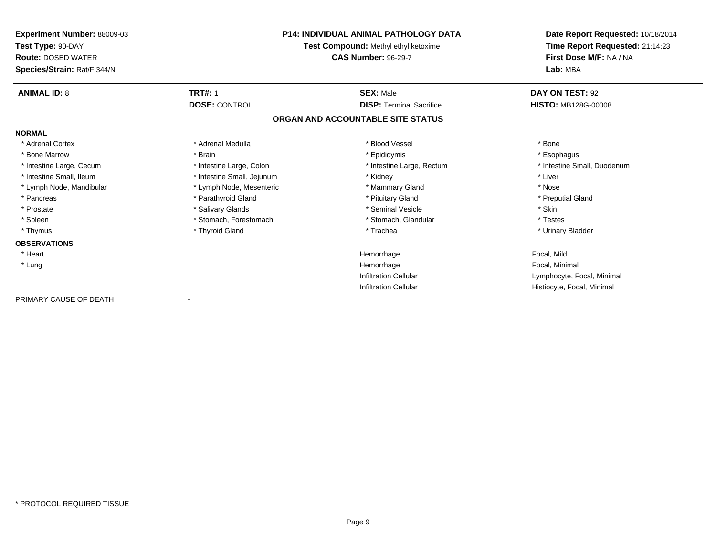| <b>Experiment Number: 88009-03</b><br>Test Type: 90-DAY<br><b>Route: DOSED WATER</b> | <b>P14: INDIVIDUAL ANIMAL PATHOLOGY DATA</b><br>Test Compound: Methyl ethyl ketoxime<br><b>CAS Number: 96-29-7</b> |                                   | Date Report Requested: 10/18/2014<br>Time Report Requested: 21:14:23<br>First Dose M/F: NA / NA |  |
|--------------------------------------------------------------------------------------|--------------------------------------------------------------------------------------------------------------------|-----------------------------------|-------------------------------------------------------------------------------------------------|--|
| Species/Strain: Rat/F 344/N                                                          |                                                                                                                    |                                   | Lab: MBA                                                                                        |  |
| <b>ANIMAL ID: 8</b>                                                                  | <b>TRT#: 1</b>                                                                                                     | <b>SEX: Male</b>                  | DAY ON TEST: 92                                                                                 |  |
|                                                                                      | <b>DOSE: CONTROL</b>                                                                                               | <b>DISP: Terminal Sacrifice</b>   | <b>HISTO: MB128G-00008</b>                                                                      |  |
|                                                                                      |                                                                                                                    | ORGAN AND ACCOUNTABLE SITE STATUS |                                                                                                 |  |
| <b>NORMAL</b>                                                                        |                                                                                                                    |                                   |                                                                                                 |  |
| * Adrenal Cortex                                                                     | * Adrenal Medulla                                                                                                  | * Blood Vessel                    | * Bone                                                                                          |  |
| * Bone Marrow                                                                        | * Brain                                                                                                            | * Epididymis                      | * Esophagus                                                                                     |  |
| * Intestine Large, Cecum                                                             | * Intestine Large, Colon                                                                                           | * Intestine Large, Rectum         | * Intestine Small, Duodenum                                                                     |  |
| * Intestine Small, Ileum                                                             | * Intestine Small, Jejunum                                                                                         | * Kidney                          | * Liver                                                                                         |  |
| * Lymph Node, Mandibular                                                             | * Lymph Node, Mesenteric                                                                                           | * Mammary Gland                   | * Nose                                                                                          |  |
| * Pancreas                                                                           | * Parathyroid Gland                                                                                                | * Pituitary Gland                 | * Preputial Gland                                                                               |  |
| * Prostate                                                                           | * Salivary Glands                                                                                                  | * Seminal Vesicle                 | * Skin                                                                                          |  |
| * Spleen                                                                             | * Stomach, Forestomach                                                                                             | * Stomach, Glandular              | * Testes                                                                                        |  |
| * Thymus                                                                             | * Thyroid Gland                                                                                                    | * Trachea                         | * Urinary Bladder                                                                               |  |
| <b>OBSERVATIONS</b>                                                                  |                                                                                                                    |                                   |                                                                                                 |  |
| * Heart                                                                              |                                                                                                                    | Hemorrhage                        | Focal, Mild                                                                                     |  |
| * Lung                                                                               |                                                                                                                    | Hemorrhage                        | Focal, Minimal                                                                                  |  |
|                                                                                      |                                                                                                                    | <b>Infiltration Cellular</b>      | Lymphocyte, Focal, Minimal                                                                      |  |
|                                                                                      |                                                                                                                    | <b>Infiltration Cellular</b>      | Histiocyte, Focal, Minimal                                                                      |  |
| PRIMARY CAUSE OF DEATH                                                               | $\overline{\phantom{a}}$                                                                                           |                                   |                                                                                                 |  |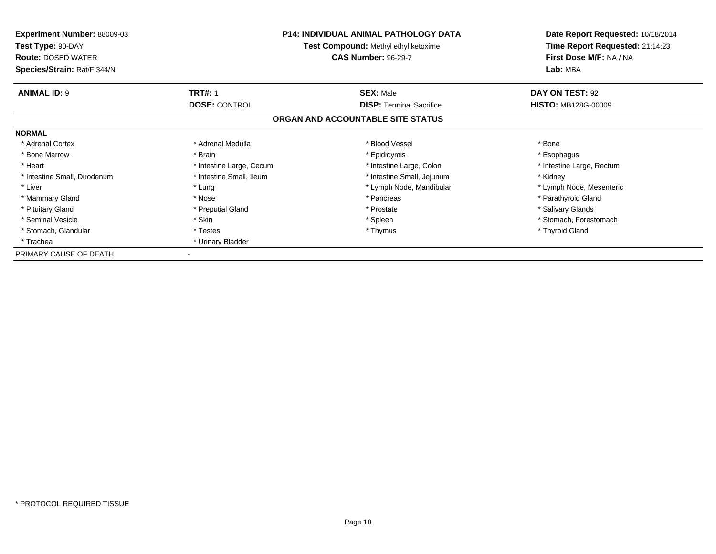| <b>Experiment Number: 88009-03</b><br>Test Type: 90-DAY<br><b>Route: DOSED WATER</b><br>Species/Strain: Rat/F 344/N | <b>P14: INDIVIDUAL ANIMAL PATHOLOGY DATA</b><br>Test Compound: Methyl ethyl ketoxime<br><b>CAS Number: 96-29-7</b> |                                   | Date Report Requested: 10/18/2014<br>Time Report Requested: 21:14:23<br>First Dose M/F: NA / NA<br>Lab: MBA |
|---------------------------------------------------------------------------------------------------------------------|--------------------------------------------------------------------------------------------------------------------|-----------------------------------|-------------------------------------------------------------------------------------------------------------|
| <b>ANIMAL ID: 9</b>                                                                                                 | <b>TRT#: 1</b>                                                                                                     | <b>SEX: Male</b>                  | DAY ON TEST: 92                                                                                             |
|                                                                                                                     | <b>DOSE: CONTROL</b>                                                                                               | <b>DISP:</b> Terminal Sacrifice   | <b>HISTO: MB128G-00009</b>                                                                                  |
|                                                                                                                     |                                                                                                                    | ORGAN AND ACCOUNTABLE SITE STATUS |                                                                                                             |
| <b>NORMAL</b>                                                                                                       |                                                                                                                    |                                   |                                                                                                             |
| * Adrenal Cortex                                                                                                    | * Adrenal Medulla                                                                                                  | * Blood Vessel                    | * Bone                                                                                                      |
| * Bone Marrow                                                                                                       | * Brain                                                                                                            | * Epididymis                      | * Esophagus                                                                                                 |
| * Heart                                                                                                             | * Intestine Large, Cecum                                                                                           | * Intestine Large, Colon          | * Intestine Large, Rectum                                                                                   |
| * Intestine Small, Duodenum                                                                                         | * Intestine Small, Ileum                                                                                           | * Intestine Small, Jejunum        | * Kidney                                                                                                    |
| * Liver                                                                                                             | * Lung                                                                                                             | * Lymph Node, Mandibular          | * Lymph Node, Mesenteric                                                                                    |
| * Mammary Gland                                                                                                     | * Nose                                                                                                             | * Pancreas                        | * Parathyroid Gland                                                                                         |
| * Pituitary Gland                                                                                                   | * Preputial Gland                                                                                                  | * Prostate                        | * Salivary Glands                                                                                           |
| * Seminal Vesicle                                                                                                   | * Skin                                                                                                             | * Spleen                          | * Stomach, Forestomach                                                                                      |
| * Stomach, Glandular                                                                                                | * Testes                                                                                                           | * Thymus                          | * Thyroid Gland                                                                                             |
| * Trachea                                                                                                           | * Urinary Bladder                                                                                                  |                                   |                                                                                                             |
| PRIMARY CAUSE OF DEATH                                                                                              |                                                                                                                    |                                   |                                                                                                             |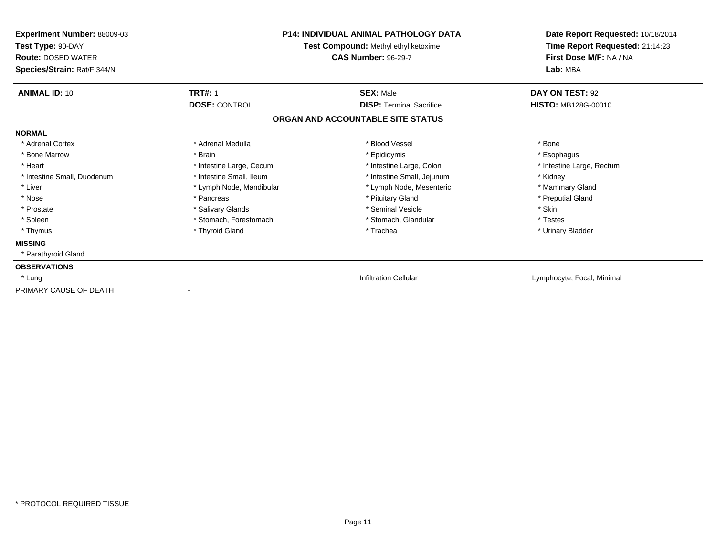| <b>Experiment Number: 88009-03</b><br>Test Type: 90-DAY<br><b>Route: DOSED WATER</b><br>Species/Strain: Rat/F 344/N | <b>P14: INDIVIDUAL ANIMAL PATHOLOGY DATA</b><br>Test Compound: Methyl ethyl ketoxime<br><b>CAS Number: 96-29-7</b> |                                   | Date Report Requested: 10/18/2014<br>Time Report Requested: 21:14:23<br>First Dose M/F: NA / NA<br>Lab: MBA |  |
|---------------------------------------------------------------------------------------------------------------------|--------------------------------------------------------------------------------------------------------------------|-----------------------------------|-------------------------------------------------------------------------------------------------------------|--|
| <b>ANIMAL ID: 10</b>                                                                                                | <b>TRT#: 1</b>                                                                                                     | <b>SEX: Male</b>                  | DAY ON TEST: 92                                                                                             |  |
|                                                                                                                     | <b>DOSE: CONTROL</b>                                                                                               | <b>DISP: Terminal Sacrifice</b>   | <b>HISTO: MB128G-00010</b>                                                                                  |  |
|                                                                                                                     |                                                                                                                    | ORGAN AND ACCOUNTABLE SITE STATUS |                                                                                                             |  |
| <b>NORMAL</b>                                                                                                       |                                                                                                                    |                                   |                                                                                                             |  |
| * Adrenal Cortex                                                                                                    | * Adrenal Medulla                                                                                                  | * Blood Vessel                    | * Bone                                                                                                      |  |
| * Bone Marrow                                                                                                       | * Brain                                                                                                            | * Epididymis                      | * Esophagus                                                                                                 |  |
| * Heart                                                                                                             | * Intestine Large, Cecum                                                                                           | * Intestine Large, Colon          | * Intestine Large, Rectum                                                                                   |  |
| * Intestine Small, Duodenum                                                                                         | * Intestine Small. Ileum                                                                                           | * Intestine Small, Jejunum        | * Kidney                                                                                                    |  |
| * Liver                                                                                                             | * Lymph Node, Mandibular                                                                                           | * Lymph Node, Mesenteric          | * Mammary Gland                                                                                             |  |
| * Nose                                                                                                              | * Pancreas                                                                                                         | * Pituitary Gland                 | * Preputial Gland                                                                                           |  |
| * Prostate                                                                                                          | * Salivary Glands                                                                                                  | * Seminal Vesicle                 | * Skin                                                                                                      |  |
| * Spleen                                                                                                            | * Stomach, Forestomach                                                                                             | * Stomach, Glandular              | * Testes                                                                                                    |  |
| * Thymus                                                                                                            | * Thyroid Gland                                                                                                    | * Trachea                         | * Urinary Bladder                                                                                           |  |
| <b>MISSING</b>                                                                                                      |                                                                                                                    |                                   |                                                                                                             |  |
| * Parathyroid Gland                                                                                                 |                                                                                                                    |                                   |                                                                                                             |  |
| <b>OBSERVATIONS</b>                                                                                                 |                                                                                                                    |                                   |                                                                                                             |  |
| * Lung                                                                                                              |                                                                                                                    | <b>Infiltration Cellular</b>      | Lymphocyte, Focal, Minimal                                                                                  |  |
| PRIMARY CAUSE OF DEATH                                                                                              |                                                                                                                    |                                   |                                                                                                             |  |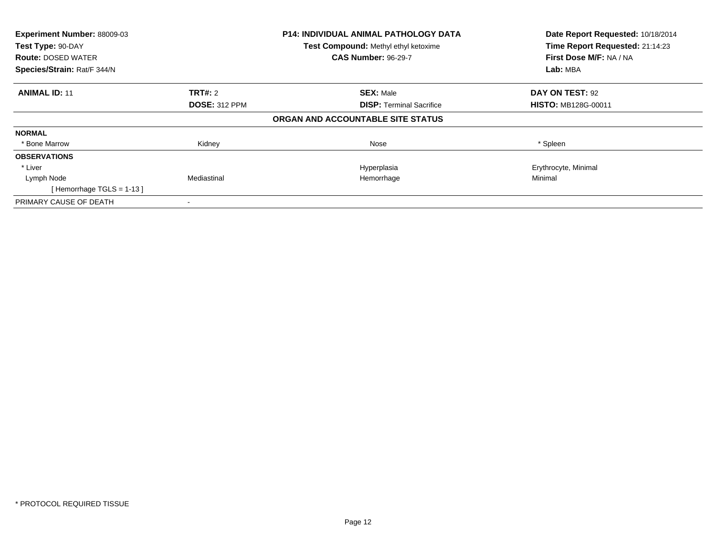| Experiment Number: 88009-03<br>Test Type: 90-DAY |                      | <b>P14: INDIVIDUAL ANIMAL PATHOLOGY DATA</b><br>Test Compound: Methyl ethyl ketoxime | Date Report Requested: 10/18/2014<br>Time Report Requested: 21:14:23 |
|--------------------------------------------------|----------------------|--------------------------------------------------------------------------------------|----------------------------------------------------------------------|
| <b>Route: DOSED WATER</b>                        |                      | <b>CAS Number: 96-29-7</b>                                                           | First Dose M/F: NA / NA                                              |
| Species/Strain: Rat/F 344/N                      |                      |                                                                                      | Lab: MBA                                                             |
| <b>ANIMAL ID: 11</b>                             | <b>TRT#: 2</b>       | <b>SEX: Male</b>                                                                     | DAY ON TEST: 92                                                      |
|                                                  | <b>DOSE: 312 PPM</b> | <b>DISP:</b> Terminal Sacrifice                                                      | <b>HISTO: MB128G-00011</b>                                           |
|                                                  |                      | ORGAN AND ACCOUNTABLE SITE STATUS                                                    |                                                                      |
| <b>NORMAL</b>                                    |                      |                                                                                      |                                                                      |
| * Bone Marrow                                    | Kidney               | Nose                                                                                 | * Spleen                                                             |
| <b>OBSERVATIONS</b>                              |                      |                                                                                      |                                                                      |
| * Liver                                          |                      | Hyperplasia                                                                          | Erythrocyte, Minimal                                                 |
| Lymph Node                                       | Mediastinal          | Hemorrhage                                                                           | Minimal                                                              |
| [Hemorrhage TGLS = $1-13$ ]                      |                      |                                                                                      |                                                                      |
| PRIMARY CAUSE OF DEATH                           |                      |                                                                                      |                                                                      |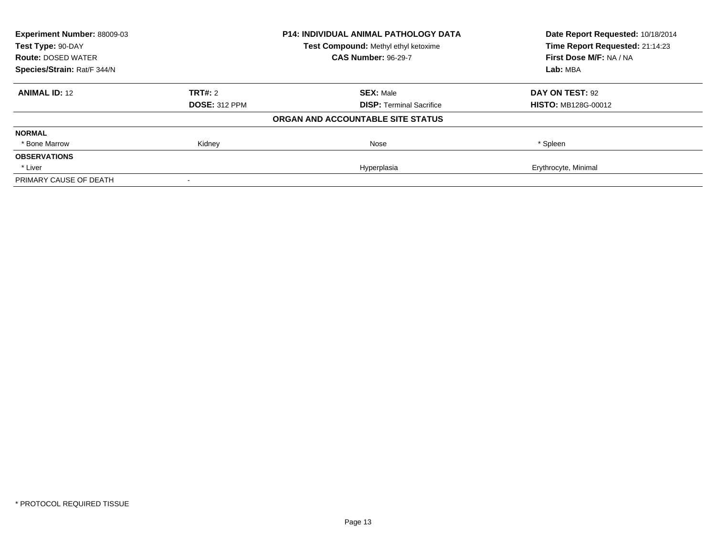| Experiment Number: 88009-03<br>Test Type: 90-DAY |                      | <b>P14: INDIVIDUAL ANIMAL PATHOLOGY DATA</b> | Date Report Requested: 10/18/2014<br>Time Report Requested: 21:14:23 |
|--------------------------------------------------|----------------------|----------------------------------------------|----------------------------------------------------------------------|
|                                                  |                      | Test Compound: Methyl ethyl ketoxime         |                                                                      |
| <b>Route: DOSED WATER</b>                        |                      | <b>CAS Number: 96-29-7</b>                   | First Dose M/F: NA / NA                                              |
| Species/Strain: Rat/F 344/N                      |                      |                                              | Lab: MBA                                                             |
| <b>ANIMAL ID: 12</b>                             | TRT#: 2              | <b>SEX: Male</b>                             | DAY ON TEST: 92                                                      |
|                                                  | <b>DOSE: 312 PPM</b> | <b>DISP:</b> Terminal Sacrifice              | <b>HISTO: MB128G-00012</b>                                           |
|                                                  |                      | ORGAN AND ACCOUNTABLE SITE STATUS            |                                                                      |
| <b>NORMAL</b>                                    |                      |                                              |                                                                      |
| * Bone Marrow                                    | Kidney               | Nose                                         | * Spleen                                                             |
| <b>OBSERVATIONS</b>                              |                      |                                              |                                                                      |
| * Liver                                          |                      | Hyperplasia                                  | Erythrocyte, Minimal                                                 |
| PRIMARY CAUSE OF DEATH                           |                      |                                              |                                                                      |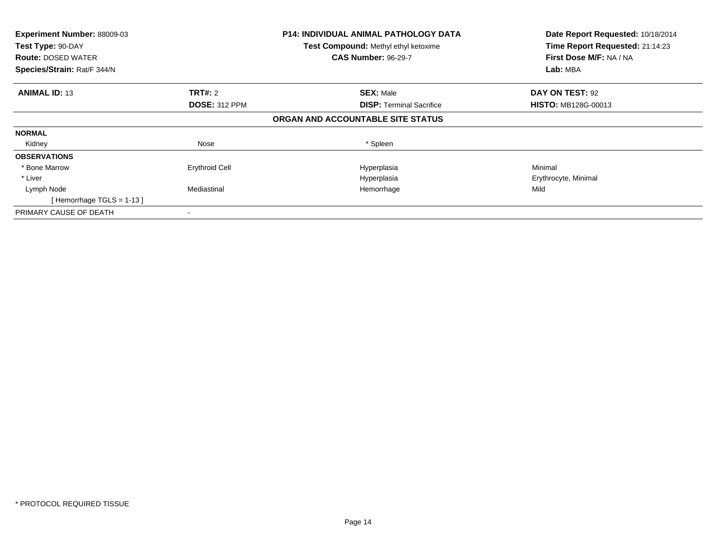| Experiment Number: 88009-03<br>Test Type: 90-DAY<br><b>Route: DOSED WATER</b><br>Species/Strain: Rat/F 344/N |                       | <b>P14: INDIVIDUAL ANIMAL PATHOLOGY DATA</b><br>Test Compound: Methyl ethyl ketoxime<br><b>CAS Number: 96-29-7</b> | Date Report Requested: 10/18/2014<br>Time Report Requested: 21:14:23<br>First Dose M/F: NA / NA<br>Lab: MBA |
|--------------------------------------------------------------------------------------------------------------|-----------------------|--------------------------------------------------------------------------------------------------------------------|-------------------------------------------------------------------------------------------------------------|
|                                                                                                              |                       |                                                                                                                    |                                                                                                             |
| <b>ANIMAL ID: 13</b>                                                                                         | <b>TRT#: 2</b>        | <b>SEX: Male</b>                                                                                                   | DAY ON TEST: 92                                                                                             |
|                                                                                                              | <b>DOSE: 312 PPM</b>  | <b>DISP: Terminal Sacrifice</b>                                                                                    | <b>HISTO: MB128G-00013</b>                                                                                  |
|                                                                                                              |                       | ORGAN AND ACCOUNTABLE SITE STATUS                                                                                  |                                                                                                             |
| <b>NORMAL</b>                                                                                                |                       |                                                                                                                    |                                                                                                             |
| Kidney                                                                                                       | Nose                  | * Spleen                                                                                                           |                                                                                                             |
| <b>OBSERVATIONS</b>                                                                                          |                       |                                                                                                                    |                                                                                                             |
| * Bone Marrow                                                                                                | <b>Erythroid Cell</b> | Hyperplasia                                                                                                        | Minimal                                                                                                     |
| * Liver                                                                                                      |                       | Hyperplasia                                                                                                        | Erythrocyte, Minimal                                                                                        |
| Lymph Node                                                                                                   | Mediastinal           | Hemorrhage                                                                                                         | Mild                                                                                                        |
| [Hemorrhage TGLS = $1-13$ ]                                                                                  |                       |                                                                                                                    |                                                                                                             |
| PRIMARY CAUSE OF DEATH                                                                                       |                       |                                                                                                                    |                                                                                                             |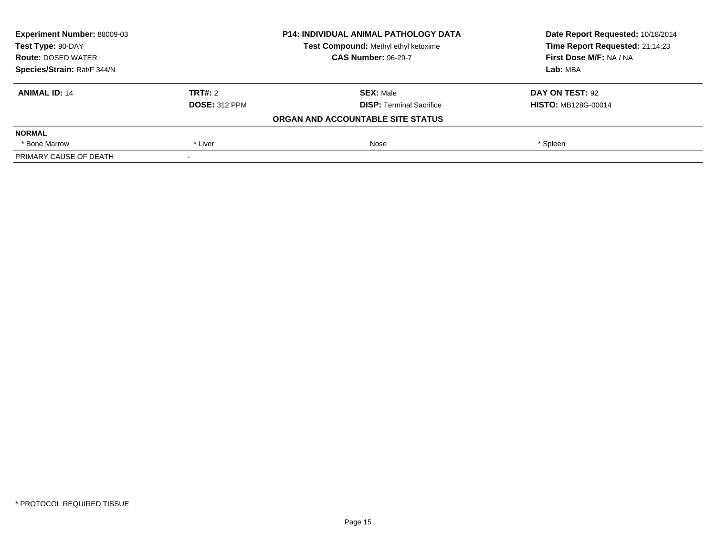| <b>Experiment Number: 88009-03</b> |                      | <b>P14: INDIVIDUAL ANIMAL PATHOLOGY DATA</b> | Date Report Requested: 10/18/2014 |
|------------------------------------|----------------------|----------------------------------------------|-----------------------------------|
| Test Type: 90-DAY                  |                      | <b>Test Compound: Methyl ethyl ketoxime</b>  | Time Report Requested: 21:14:23   |
| <b>Route: DOSED WATER</b>          |                      | <b>CAS Number: 96-29-7</b>                   | First Dose M/F: NA / NA           |
| Species/Strain: Rat/F 344/N        |                      |                                              | Lab: MBA                          |
| <b>ANIMAL ID: 14</b>               | TRT#: 2              | <b>SEX: Male</b>                             | DAY ON TEST: 92                   |
|                                    | <b>DOSE: 312 PPM</b> | <b>DISP:</b> Terminal Sacrifice              | <b>HISTO: MB128G-00014</b>        |
|                                    |                      | ORGAN AND ACCOUNTABLE SITE STATUS            |                                   |
| <b>NORMAL</b>                      |                      |                                              |                                   |
| * Bone Marrow                      | * Liver              | Nose                                         | * Spleen                          |
| PRIMARY CAUSE OF DEATH             |                      |                                              |                                   |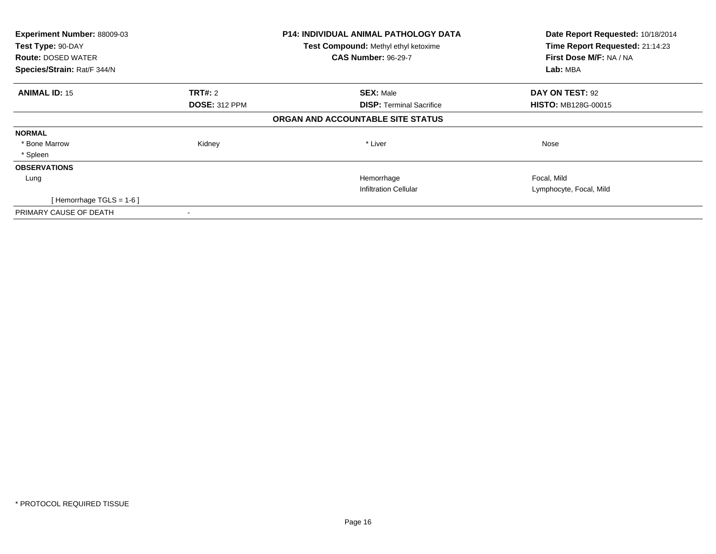| Experiment Number: 88009-03<br>Test Type: 90-DAY         |                      | <b>P14: INDIVIDUAL ANIMAL PATHOLOGY DATA</b><br>Test Compound: Methyl ethyl ketoxime<br><b>CAS Number: 96-29-7</b> | Date Report Requested: 10/18/2014<br>Time Report Requested: 21:14:23<br>First Dose M/F: NA / NA |
|----------------------------------------------------------|----------------------|--------------------------------------------------------------------------------------------------------------------|-------------------------------------------------------------------------------------------------|
| <b>Route: DOSED WATER</b><br>Species/Strain: Rat/F 344/N |                      |                                                                                                                    | Lab: MBA                                                                                        |
| <b>ANIMAL ID: 15</b>                                     | <b>TRT#:</b> 2       | <b>SEX: Male</b>                                                                                                   | DAY ON TEST: 92                                                                                 |
|                                                          | <b>DOSE: 312 PPM</b> | <b>DISP:</b> Terminal Sacrifice                                                                                    | <b>HISTO: MB128G-00015</b>                                                                      |
|                                                          |                      | ORGAN AND ACCOUNTABLE SITE STATUS                                                                                  |                                                                                                 |
| <b>NORMAL</b>                                            |                      |                                                                                                                    |                                                                                                 |
| * Bone Marrow                                            | Kidney               | * Liver                                                                                                            | Nose                                                                                            |
| * Spleen                                                 |                      |                                                                                                                    |                                                                                                 |
| <b>OBSERVATIONS</b>                                      |                      |                                                                                                                    |                                                                                                 |
| Lung                                                     |                      | Hemorrhage                                                                                                         | Focal, Mild                                                                                     |
|                                                          |                      | <b>Infiltration Cellular</b>                                                                                       | Lymphocyte, Focal, Mild                                                                         |
| [Hemorrhage TGLS = $1-6$ ]                               |                      |                                                                                                                    |                                                                                                 |
| PRIMARY CAUSE OF DEATH                                   |                      |                                                                                                                    |                                                                                                 |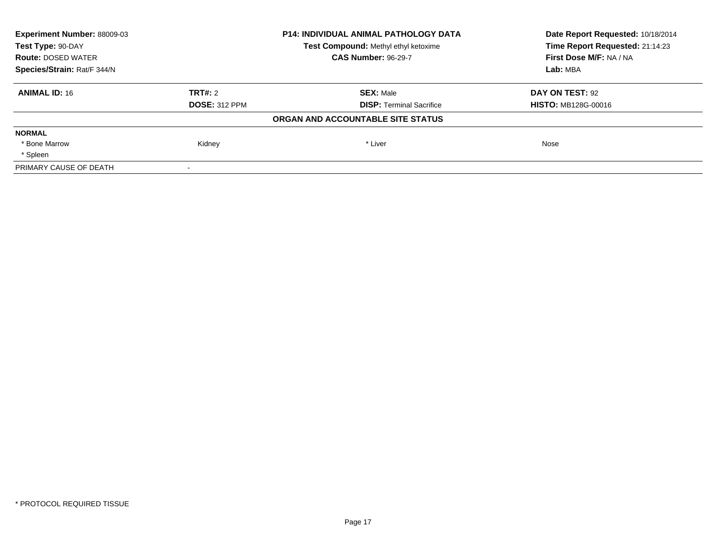| <b>Experiment Number: 88009-03</b> |                      | <b>P14: INDIVIDUAL ANIMAL PATHOLOGY DATA</b> | Date Report Requested: 10/18/2014 |
|------------------------------------|----------------------|----------------------------------------------|-----------------------------------|
| Test Type: 90-DAY                  |                      | Test Compound: Methyl ethyl ketoxime         | Time Report Requested: 21:14:23   |
| <b>Route: DOSED WATER</b>          |                      | <b>CAS Number: 96-29-7</b>                   | First Dose M/F: NA / NA           |
| Species/Strain: Rat/F 344/N        |                      |                                              | Lab: MBA                          |
| <b>ANIMAL ID: 16</b>               | TRT#: 2              | <b>SEX: Male</b>                             | DAY ON TEST: 92                   |
|                                    | <b>DOSE: 312 PPM</b> | <b>DISP: Terminal Sacrifice</b>              | <b>HISTO: MB128G-00016</b>        |
|                                    |                      | ORGAN AND ACCOUNTABLE SITE STATUS            |                                   |
| <b>NORMAL</b>                      |                      |                                              |                                   |
| * Bone Marrow                      | Kidney               | * Liver                                      | Nose                              |
| * Spleen                           |                      |                                              |                                   |
| PRIMARY CAUSE OF DEATH             |                      |                                              |                                   |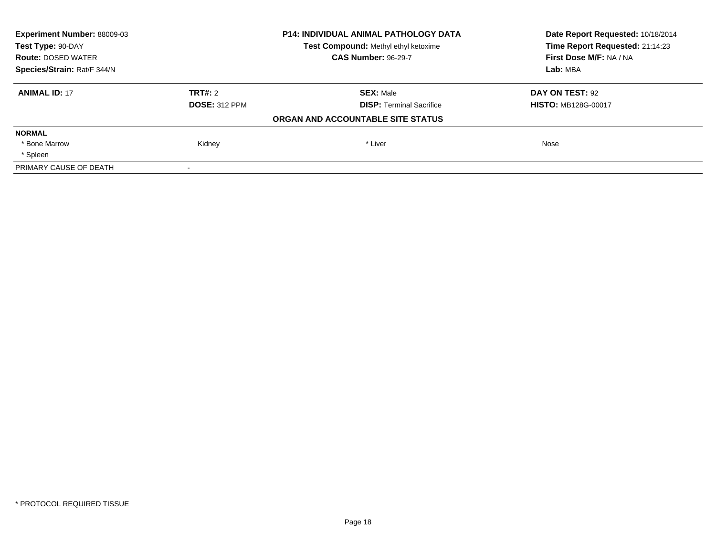| <b>Experiment Number: 88009-03</b>                        |                      | <b>P14: INDIVIDUAL ANIMAL PATHOLOGY DATA</b> | Date Report Requested: 10/18/2014 |
|-----------------------------------------------------------|----------------------|----------------------------------------------|-----------------------------------|
| Test Type: 90-DAY<br>Test Compound: Methyl ethyl ketoxime |                      |                                              | Time Report Requested: 21:14:23   |
| <b>Route: DOSED WATER</b>                                 |                      | <b>CAS Number: 96-29-7</b>                   | First Dose M/F: NA / NA           |
| Species/Strain: Rat/F 344/N                               |                      |                                              | Lab: MBA                          |
| <b>ANIMAL ID: 17</b>                                      | TRT#: 2              | <b>SEX: Male</b>                             | DAY ON TEST: 92                   |
|                                                           | <b>DOSE: 312 PPM</b> | <b>DISP: Terminal Sacrifice</b>              | <b>HISTO: MB128G-00017</b>        |
|                                                           |                      | ORGAN AND ACCOUNTABLE SITE STATUS            |                                   |
| <b>NORMAL</b>                                             |                      |                                              |                                   |
| * Bone Marrow                                             | Kidney               | * Liver                                      | Nose                              |
| * Spleen                                                  |                      |                                              |                                   |
| PRIMARY CAUSE OF DEATH                                    |                      |                                              |                                   |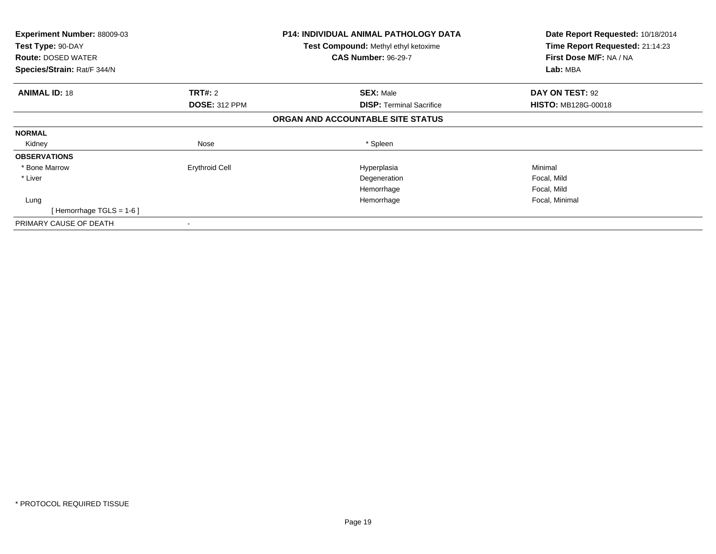| <b>Experiment Number: 88009-03</b><br>Test Type: 90-DAY<br><b>Route: DOSED WATER</b><br>Species/Strain: Rat/F 344/N |                       | <b>P14: INDIVIDUAL ANIMAL PATHOLOGY DATA</b><br><b>Test Compound: Methyl ethyl ketoxime</b><br><b>CAS Number: 96-29-7</b> | Date Report Requested: 10/18/2014<br>Time Report Requested: 21:14:23<br>First Dose M/F: NA / NA<br>Lab: MBA |
|---------------------------------------------------------------------------------------------------------------------|-----------------------|---------------------------------------------------------------------------------------------------------------------------|-------------------------------------------------------------------------------------------------------------|
| <b>ANIMAL ID: 18</b>                                                                                                | TRT#: 2               | <b>SEX: Male</b>                                                                                                          | DAY ON TEST: 92                                                                                             |
|                                                                                                                     | <b>DOSE: 312 PPM</b>  | <b>DISP: Terminal Sacrifice</b>                                                                                           | <b>HISTO: MB128G-00018</b>                                                                                  |
|                                                                                                                     |                       | ORGAN AND ACCOUNTABLE SITE STATUS                                                                                         |                                                                                                             |
| <b>NORMAL</b>                                                                                                       |                       |                                                                                                                           |                                                                                                             |
| Kidney                                                                                                              | Nose                  | * Spleen                                                                                                                  |                                                                                                             |
| <b>OBSERVATIONS</b>                                                                                                 |                       |                                                                                                                           |                                                                                                             |
| * Bone Marrow                                                                                                       | <b>Erythroid Cell</b> | Hyperplasia                                                                                                               | Minimal                                                                                                     |
| * Liver                                                                                                             |                       | Degeneration                                                                                                              | Focal, Mild                                                                                                 |
|                                                                                                                     |                       | Hemorrhage                                                                                                                | Focal, Mild                                                                                                 |
| Lung                                                                                                                |                       | Hemorrhage                                                                                                                | Focal, Minimal                                                                                              |
| [Hemorrhage TGLS = $1-6$ ]                                                                                          |                       |                                                                                                                           |                                                                                                             |
| PRIMARY CAUSE OF DEATH                                                                                              |                       |                                                                                                                           |                                                                                                             |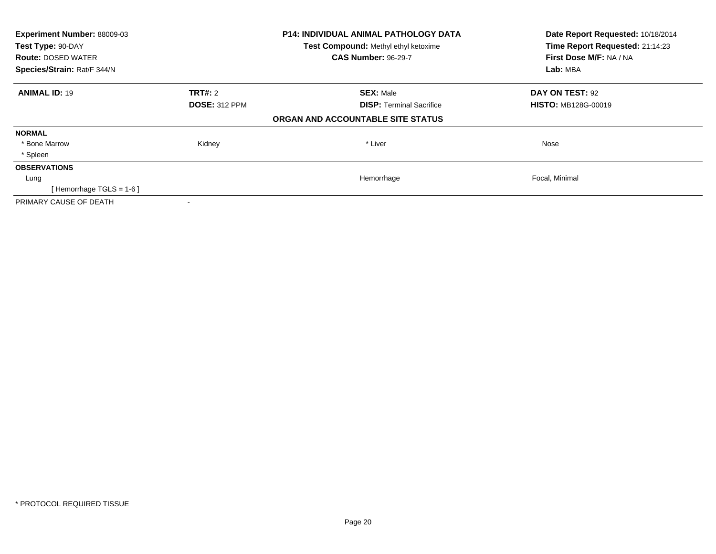| Experiment Number: 88009-03<br>Test Type: 90-DAY |                      | P14: INDIVIDUAL ANIMAL PATHOLOGY DATA | Date Report Requested: 10/18/2014<br>Time Report Requested: 21:14:23 |
|--------------------------------------------------|----------------------|---------------------------------------|----------------------------------------------------------------------|
|                                                  |                      | Test Compound: Methyl ethyl ketoxime  |                                                                      |
| <b>Route: DOSED WATER</b>                        |                      | <b>CAS Number: 96-29-7</b>            | First Dose M/F: NA / NA                                              |
| Species/Strain: Rat/F 344/N                      |                      |                                       | Lab: MBA                                                             |
| <b>ANIMAL ID: 19</b>                             | <b>TRT#:</b> 2       | <b>SEX: Male</b>                      | <b>DAY ON TEST: 92</b>                                               |
|                                                  | <b>DOSE: 312 PPM</b> | <b>DISP:</b> Terminal Sacrifice       | <b>HISTO: MB128G-00019</b>                                           |
|                                                  |                      | ORGAN AND ACCOUNTABLE SITE STATUS     |                                                                      |
| <b>NORMAL</b>                                    |                      |                                       |                                                                      |
| * Bone Marrow                                    | Kidney               | * Liver                               | Nose                                                                 |
| * Spleen                                         |                      |                                       |                                                                      |
| <b>OBSERVATIONS</b>                              |                      |                                       |                                                                      |
| Lung                                             |                      | Hemorrhage                            | Focal, Minimal                                                       |
| [Hemorrhage TGLS = $1-6$ ]                       |                      |                                       |                                                                      |
| PRIMARY CAUSE OF DEATH                           |                      |                                       |                                                                      |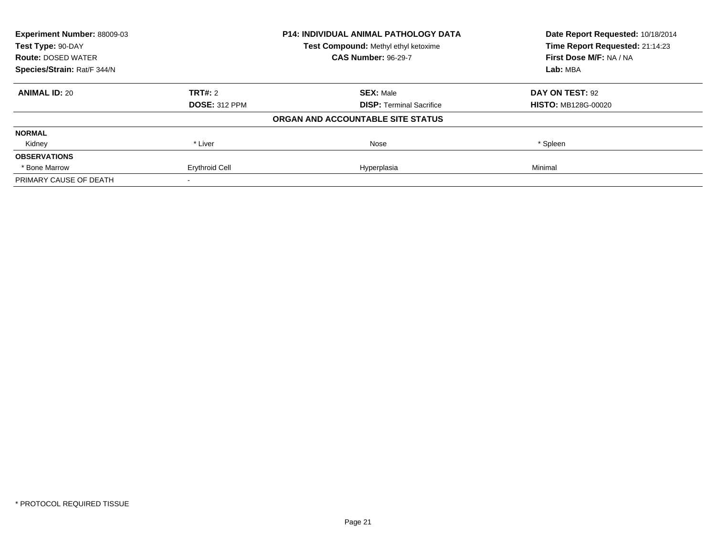| <b>Experiment Number: 88009-03</b><br>Test Type: 90-DAY |                       | <b>P14: INDIVIDUAL ANIMAL PATHOLOGY DATA</b> | Date Report Requested: 10/18/2014<br>Time Report Requested: 21:14:23 |
|---------------------------------------------------------|-----------------------|----------------------------------------------|----------------------------------------------------------------------|
|                                                         |                       | Test Compound: Methyl ethyl ketoxime         |                                                                      |
| <b>Route: DOSED WATER</b>                               |                       | <b>CAS Number: 96-29-7</b>                   | First Dose M/F: NA / NA                                              |
| Species/Strain: Rat/F 344/N                             |                       |                                              | Lab: MBA                                                             |
| <b>ANIMAL ID: 20</b>                                    | <b>TRT#: 2</b>        | <b>SEX: Male</b>                             | DAY ON TEST: 92                                                      |
|                                                         | <b>DOSE: 312 PPM</b>  | <b>DISP: Terminal Sacrifice</b>              | <b>HISTO: MB128G-00020</b>                                           |
|                                                         |                       | ORGAN AND ACCOUNTABLE SITE STATUS            |                                                                      |
| <b>NORMAL</b>                                           |                       |                                              |                                                                      |
| Kidney                                                  | * Liver               | Nose                                         | * Spleen                                                             |
| <b>OBSERVATIONS</b>                                     |                       |                                              |                                                                      |
| * Bone Marrow                                           | <b>Erythroid Cell</b> | Hyperplasia                                  | Minimal                                                              |
| PRIMARY CAUSE OF DEATH                                  |                       |                                              |                                                                      |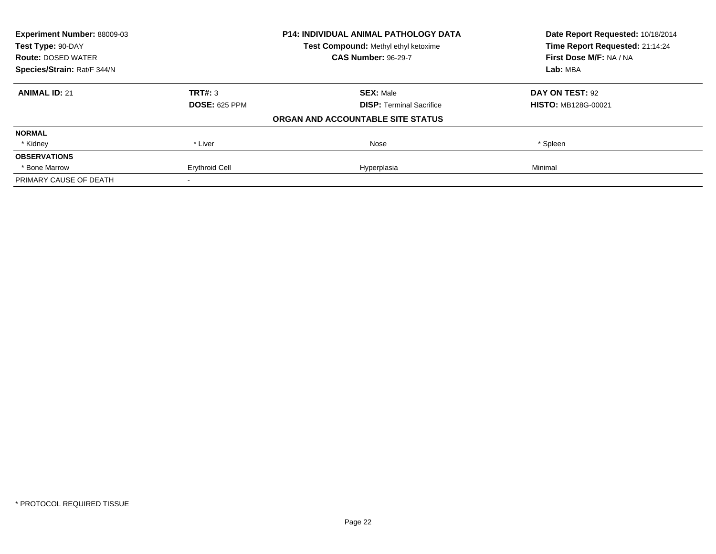| <b>Experiment Number: 88009-03</b><br>Test Type: 90-DAY |                       | <b>P14: INDIVIDUAL ANIMAL PATHOLOGY DATA</b> | Date Report Requested: 10/18/2014<br>Time Report Requested: 21:14:24 |
|---------------------------------------------------------|-----------------------|----------------------------------------------|----------------------------------------------------------------------|
|                                                         |                       | Test Compound: Methyl ethyl ketoxime         |                                                                      |
| <b>Route: DOSED WATER</b>                               |                       | <b>CAS Number: 96-29-7</b>                   | First Dose M/F: NA / NA                                              |
| Species/Strain: Rat/F 344/N                             |                       |                                              | Lab: MBA                                                             |
| <b>ANIMAL ID: 21</b>                                    | TRT#: 3               | <b>SEX: Male</b>                             | DAY ON TEST: 92                                                      |
|                                                         | <b>DOSE: 625 PPM</b>  | <b>DISP: Terminal Sacrifice</b>              | <b>HISTO: MB128G-00021</b>                                           |
|                                                         |                       | ORGAN AND ACCOUNTABLE SITE STATUS            |                                                                      |
| <b>NORMAL</b>                                           |                       |                                              |                                                                      |
| * Kidney                                                | * Liver               | Nose                                         | * Spleen                                                             |
| <b>OBSERVATIONS</b>                                     |                       |                                              |                                                                      |
| * Bone Marrow                                           | <b>Erythroid Cell</b> | Hyperplasia                                  | Minimal                                                              |
| PRIMARY CAUSE OF DEATH                                  |                       |                                              |                                                                      |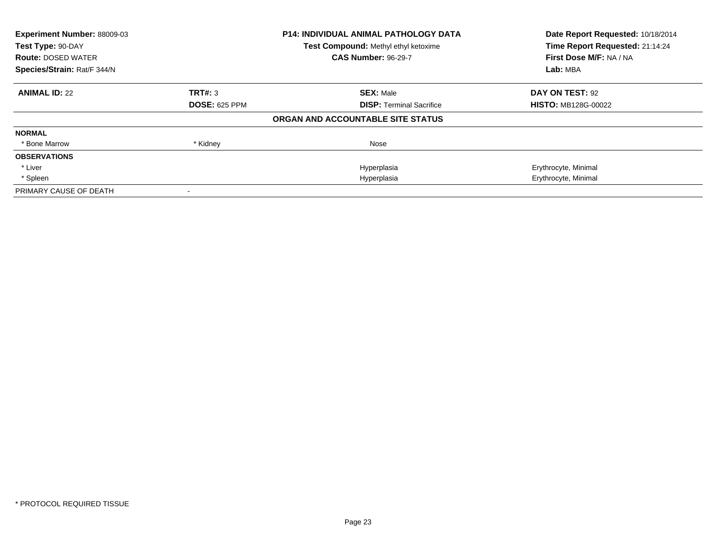| Experiment Number: 88009-03<br>Test Type: 90-DAY |                      | <b>P14: INDIVIDUAL ANIMAL PATHOLOGY DATA</b><br>Test Compound: Methyl ethyl ketoxime | Date Report Requested: 10/18/2014<br>Time Report Requested: 21:14:24 |
|--------------------------------------------------|----------------------|--------------------------------------------------------------------------------------|----------------------------------------------------------------------|
| <b>Route: DOSED WATER</b>                        |                      | <b>CAS Number: 96-29-7</b>                                                           | First Dose M/F: NA / NA                                              |
| Species/Strain: Rat/F 344/N                      |                      |                                                                                      | Lab: MBA                                                             |
| <b>ANIMAL ID: 22</b>                             | TRT#: 3              | <b>SEX: Male</b>                                                                     | DAY ON TEST: 92                                                      |
|                                                  | <b>DOSE: 625 PPM</b> | <b>DISP:</b> Terminal Sacrifice                                                      | <b>HISTO: MB128G-00022</b>                                           |
|                                                  |                      | ORGAN AND ACCOUNTABLE SITE STATUS                                                    |                                                                      |
| <b>NORMAL</b>                                    |                      |                                                                                      |                                                                      |
| * Bone Marrow                                    | * Kidney             | Nose                                                                                 |                                                                      |
| <b>OBSERVATIONS</b>                              |                      |                                                                                      |                                                                      |
| * Liver                                          |                      | Hyperplasia                                                                          | Erythrocyte, Minimal                                                 |
| * Spleen                                         |                      | Hyperplasia                                                                          | Erythrocyte, Minimal                                                 |
| PRIMARY CAUSE OF DEATH                           |                      |                                                                                      |                                                                      |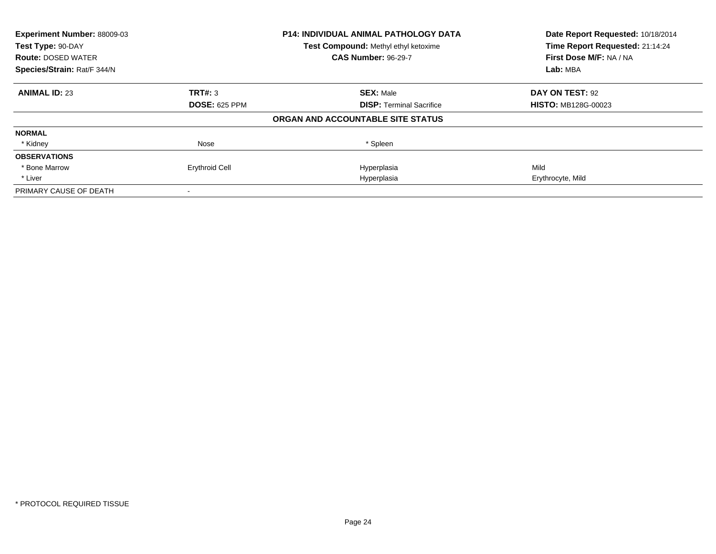| Experiment Number: 88009-03 |                       | <b>P14: INDIVIDUAL ANIMAL PATHOLOGY DATA</b> | Date Report Requested: 10/18/2014 |
|-----------------------------|-----------------------|----------------------------------------------|-----------------------------------|
| Test Type: 90-DAY           |                       | Test Compound: Methyl ethyl ketoxime         | Time Report Requested: 21:14:24   |
| <b>Route: DOSED WATER</b>   |                       | <b>CAS Number: 96-29-7</b>                   | First Dose M/F: NA / NA           |
| Species/Strain: Rat/F 344/N |                       |                                              | Lab: MBA                          |
| <b>ANIMAL ID: 23</b>        | TRT#: 3               | <b>SEX: Male</b>                             | DAY ON TEST: 92                   |
|                             | <b>DOSE: 625 PPM</b>  | <b>DISP:</b> Terminal Sacrifice              | <b>HISTO: MB128G-00023</b>        |
|                             |                       | ORGAN AND ACCOUNTABLE SITE STATUS            |                                   |
| <b>NORMAL</b>               |                       |                                              |                                   |
| * Kidney                    | Nose                  | * Spleen                                     |                                   |
| <b>OBSERVATIONS</b>         |                       |                                              |                                   |
| * Bone Marrow               | <b>Erythroid Cell</b> | Hyperplasia                                  | Mild                              |
| * Liver                     |                       | Hyperplasia                                  | Erythrocyte, Mild                 |
| PRIMARY CAUSE OF DEATH      |                       |                                              |                                   |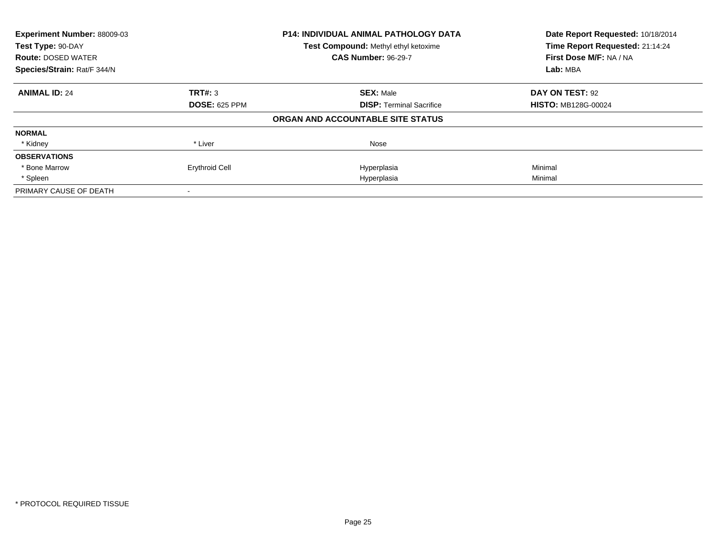| Experiment Number: 88009-03 |                                      | <b>P14: INDIVIDUAL ANIMAL PATHOLOGY DATA</b> | Date Report Requested: 10/18/2014 |
|-----------------------------|--------------------------------------|----------------------------------------------|-----------------------------------|
| Test Type: 90-DAY           | Test Compound: Methyl ethyl ketoxime |                                              | Time Report Requested: 21:14:24   |
| <b>Route: DOSED WATER</b>   |                                      | <b>CAS Number: 96-29-7</b>                   | First Dose M/F: NA / NA           |
| Species/Strain: Rat/F 344/N |                                      |                                              | Lab: MBA                          |
| <b>ANIMAL ID: 24</b>        | TRT#: 3                              | <b>SEX: Male</b>                             | DAY ON TEST: 92                   |
|                             | <b>DOSE: 625 PPM</b>                 | <b>DISP: Terminal Sacrifice</b>              | <b>HISTO: MB128G-00024</b>        |
|                             |                                      | ORGAN AND ACCOUNTABLE SITE STATUS            |                                   |
| <b>NORMAL</b>               |                                      |                                              |                                   |
| * Kidney                    | * Liver                              | Nose                                         |                                   |
| <b>OBSERVATIONS</b>         |                                      |                                              |                                   |
| * Bone Marrow               | <b>Erythroid Cell</b>                | Hyperplasia                                  | Minimal                           |
| * Spleen                    |                                      | Hyperplasia                                  | Minimal                           |
| PRIMARY CAUSE OF DEATH      |                                      |                                              |                                   |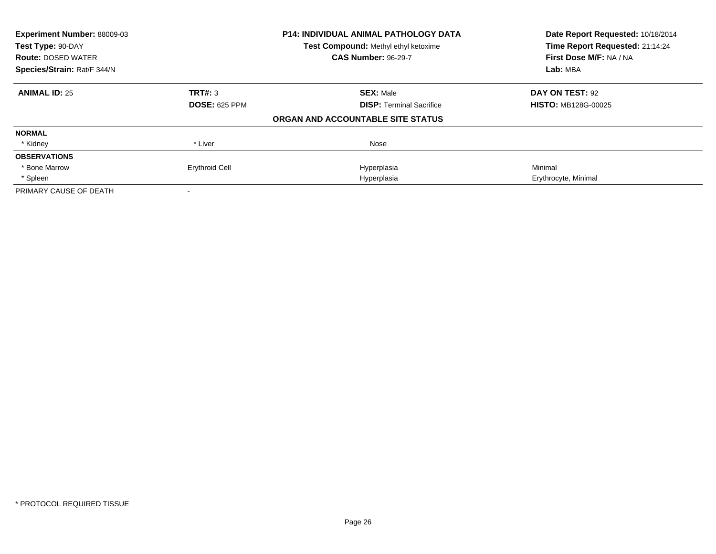| Experiment Number: 88009-03 |                       | <b>P14: INDIVIDUAL ANIMAL PATHOLOGY DATA</b> | Date Report Requested: 10/18/2014 |
|-----------------------------|-----------------------|----------------------------------------------|-----------------------------------|
| Test Type: 90-DAY           |                       | Test Compound: Methyl ethyl ketoxime         | Time Report Requested: 21:14:24   |
| <b>Route: DOSED WATER</b>   |                       | <b>CAS Number: 96-29-7</b>                   | First Dose M/F: NA / NA           |
| Species/Strain: Rat/F 344/N |                       |                                              | Lab: MBA                          |
| <b>ANIMAL ID: 25</b>        | TRT#: 3               | <b>SEX: Male</b>                             | DAY ON TEST: 92                   |
|                             | <b>DOSE: 625 PPM</b>  | <b>DISP:</b> Terminal Sacrifice              | <b>HISTO: MB128G-00025</b>        |
|                             |                       | ORGAN AND ACCOUNTABLE SITE STATUS            |                                   |
| <b>NORMAL</b>               |                       |                                              |                                   |
| * Kidney                    | * Liver               | Nose                                         |                                   |
| <b>OBSERVATIONS</b>         |                       |                                              |                                   |
| * Bone Marrow               | <b>Erythroid Cell</b> | Hyperplasia                                  | Minimal                           |
| * Spleen                    |                       | Hyperplasia                                  | Erythrocyte, Minimal              |
| PRIMARY CAUSE OF DEATH      |                       |                                              |                                   |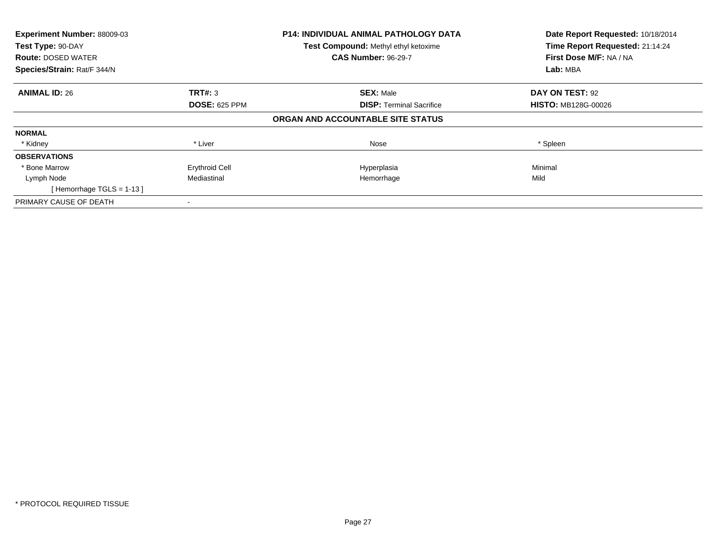| Experiment Number: 88009-03<br>Test Type: 90-DAY |                       | <b>P14: INDIVIDUAL ANIMAL PATHOLOGY DATA</b><br>Test Compound: Methyl ethyl ketoxime | Date Report Requested: 10/18/2014<br>Time Report Requested: 21:14:24 |
|--------------------------------------------------|-----------------------|--------------------------------------------------------------------------------------|----------------------------------------------------------------------|
| <b>Route: DOSED WATER</b>                        |                       | <b>CAS Number: 96-29-7</b>                                                           | First Dose M/F: NA / NA                                              |
| Species/Strain: Rat/F 344/N                      |                       |                                                                                      | Lab: MBA                                                             |
| <b>ANIMAL ID: 26</b>                             | TRT#: 3               | <b>SEX: Male</b>                                                                     | DAY ON TEST: 92                                                      |
|                                                  | <b>DOSE: 625 PPM</b>  | <b>DISP:</b> Terminal Sacrifice                                                      | <b>HISTO: MB128G-00026</b>                                           |
|                                                  |                       | ORGAN AND ACCOUNTABLE SITE STATUS                                                    |                                                                      |
| <b>NORMAL</b>                                    |                       |                                                                                      |                                                                      |
| * Kidney                                         | * Liver               | Nose                                                                                 | * Spleen                                                             |
| <b>OBSERVATIONS</b>                              |                       |                                                                                      |                                                                      |
| * Bone Marrow                                    | <b>Erythroid Cell</b> | Hyperplasia                                                                          | Minimal                                                              |
| Lymph Node                                       | Mediastinal           | Hemorrhage                                                                           | Mild                                                                 |
| [Hemorrhage TGLS = $1-13$ ]                      |                       |                                                                                      |                                                                      |
| PRIMARY CAUSE OF DEATH                           |                       |                                                                                      |                                                                      |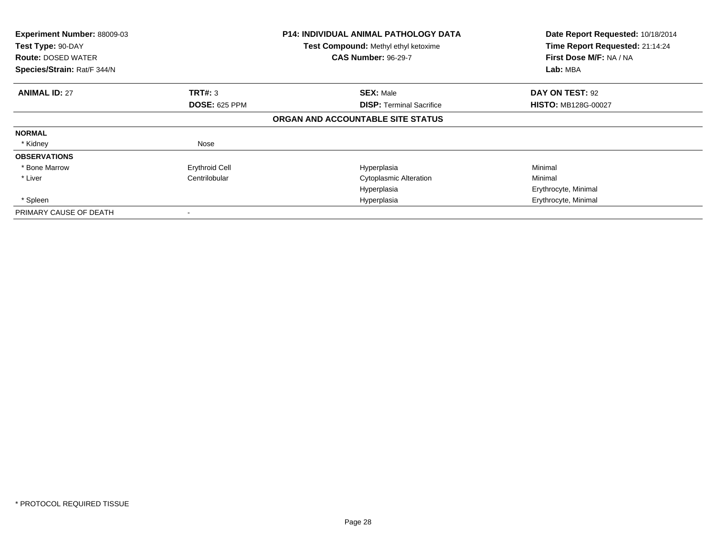| Experiment Number: 88009-03<br>Test Type: 90-DAY<br><b>Route: DOSED WATER</b><br>Species/Strain: Rat/F 344/N |                       | <b>P14: INDIVIDUAL ANIMAL PATHOLOGY DATA</b><br>Test Compound: Methyl ethyl ketoxime<br><b>CAS Number: 96-29-7</b> | Date Report Requested: 10/18/2014<br>Time Report Requested: 21:14:24<br>First Dose M/F: NA / NA<br>Lab: MBA |
|--------------------------------------------------------------------------------------------------------------|-----------------------|--------------------------------------------------------------------------------------------------------------------|-------------------------------------------------------------------------------------------------------------|
| <b>ANIMAL ID: 27</b>                                                                                         | TRT#: 3               | <b>SEX: Male</b>                                                                                                   | DAY ON TEST: 92                                                                                             |
|                                                                                                              | <b>DOSE: 625 PPM</b>  | <b>DISP: Terminal Sacrifice</b>                                                                                    | <b>HISTO: MB128G-00027</b>                                                                                  |
|                                                                                                              |                       | ORGAN AND ACCOUNTABLE SITE STATUS                                                                                  |                                                                                                             |
| <b>NORMAL</b>                                                                                                |                       |                                                                                                                    |                                                                                                             |
| * Kidney                                                                                                     | Nose                  |                                                                                                                    |                                                                                                             |
| <b>OBSERVATIONS</b>                                                                                          |                       |                                                                                                                    |                                                                                                             |
| * Bone Marrow                                                                                                | <b>Erythroid Cell</b> | Hyperplasia                                                                                                        | Minimal                                                                                                     |
| * Liver                                                                                                      | Centrilobular         | <b>Cytoplasmic Alteration</b>                                                                                      | Minimal                                                                                                     |
|                                                                                                              |                       | Hyperplasia                                                                                                        | Erythrocyte, Minimal                                                                                        |
| * Spleen                                                                                                     |                       | Hyperplasia                                                                                                        | Erythrocyte, Minimal                                                                                        |
| PRIMARY CAUSE OF DEATH                                                                                       |                       |                                                                                                                    |                                                                                                             |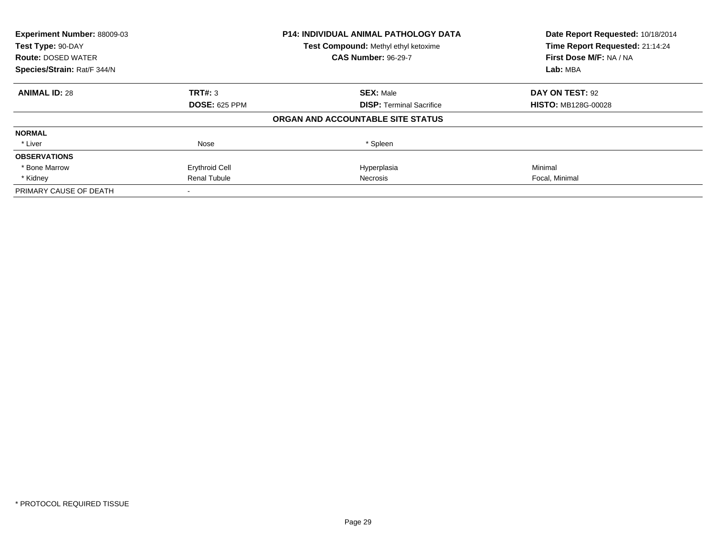| Experiment Number: 88009-03 |                       | P14: INDIVIDUAL ANIMAL PATHOLOGY DATA | Date Report Requested: 10/18/2014 |
|-----------------------------|-----------------------|---------------------------------------|-----------------------------------|
| Test Type: 90-DAY           |                       | Test Compound: Methyl ethyl ketoxime  | Time Report Requested: 21:14:24   |
| <b>Route: DOSED WATER</b>   |                       | <b>CAS Number: 96-29-7</b>            | First Dose M/F: NA / NA           |
| Species/Strain: Rat/F 344/N |                       |                                       | Lab: MBA                          |
| <b>ANIMAL ID: 28</b>        | TRT#: 3               | <b>SEX: Male</b>                      | DAY ON TEST: 92                   |
|                             | <b>DOSE: 625 PPM</b>  | <b>DISP:</b> Terminal Sacrifice       | <b>HISTO: MB128G-00028</b>        |
|                             |                       | ORGAN AND ACCOUNTABLE SITE STATUS     |                                   |
| <b>NORMAL</b>               |                       |                                       |                                   |
| * Liver                     | Nose                  | * Spleen                              |                                   |
| <b>OBSERVATIONS</b>         |                       |                                       |                                   |
| * Bone Marrow               | <b>Erythroid Cell</b> | Hyperplasia                           | Minimal                           |
| * Kidney                    | <b>Renal Tubule</b>   | Necrosis                              | Focal, Minimal                    |
| PRIMARY CAUSE OF DEATH      |                       |                                       |                                   |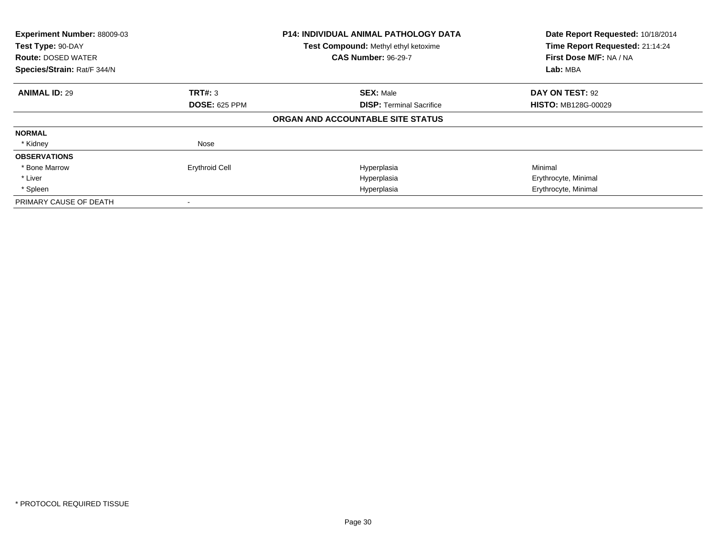| Experiment Number: 88009-03<br>Test Type: 90-DAY<br><b>Route: DOSED WATER</b><br>Species/Strain: Rat/F 344/N |                       | <b>P14: INDIVIDUAL ANIMAL PATHOLOGY DATA</b><br>Test Compound: Methyl ethyl ketoxime<br><b>CAS Number: 96-29-7</b> | Date Report Requested: 10/18/2014<br>Time Report Requested: 21:14:24<br>First Dose M/F: NA / NA<br>Lab: MBA |
|--------------------------------------------------------------------------------------------------------------|-----------------------|--------------------------------------------------------------------------------------------------------------------|-------------------------------------------------------------------------------------------------------------|
| <b>ANIMAL ID: 29</b>                                                                                         | <b>TRT#: 3</b>        | <b>SEX: Male</b>                                                                                                   | DAY ON TEST: 92                                                                                             |
|                                                                                                              | <b>DOSE: 625 PPM</b>  | <b>DISP:</b> Terminal Sacrifice                                                                                    | <b>HISTO: MB128G-00029</b>                                                                                  |
|                                                                                                              |                       | ORGAN AND ACCOUNTABLE SITE STATUS                                                                                  |                                                                                                             |
| <b>NORMAL</b>                                                                                                |                       |                                                                                                                    |                                                                                                             |
| * Kidney                                                                                                     | Nose                  |                                                                                                                    |                                                                                                             |
| <b>OBSERVATIONS</b>                                                                                          |                       |                                                                                                                    |                                                                                                             |
| * Bone Marrow                                                                                                | <b>Erythroid Cell</b> | Hyperplasia                                                                                                        | Minimal                                                                                                     |
| * Liver                                                                                                      |                       | Hyperplasia                                                                                                        | Erythrocyte, Minimal                                                                                        |
| * Spleen                                                                                                     |                       | Hyperplasia                                                                                                        | Erythrocyte, Minimal                                                                                        |
| PRIMARY CAUSE OF DEATH                                                                                       |                       |                                                                                                                    |                                                                                                             |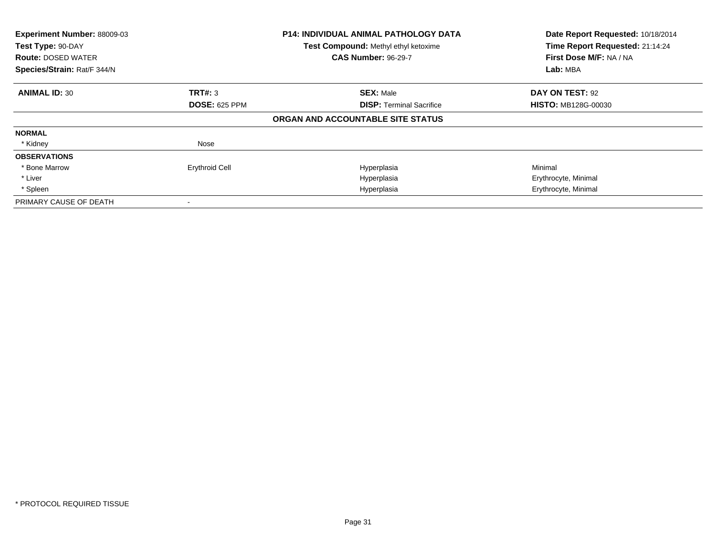| Experiment Number: 88009-03<br>Test Type: 90-DAY<br><b>Route: DOSED WATER</b><br>Species/Strain: Rat/F 344/N |                       | <b>P14: INDIVIDUAL ANIMAL PATHOLOGY DATA</b><br>Test Compound: Methyl ethyl ketoxime<br><b>CAS Number: 96-29-7</b> | Date Report Requested: 10/18/2014<br>Time Report Requested: 21:14:24<br>First Dose M/F: NA / NA<br>Lab: MBA |
|--------------------------------------------------------------------------------------------------------------|-----------------------|--------------------------------------------------------------------------------------------------------------------|-------------------------------------------------------------------------------------------------------------|
| <b>ANIMAL ID: 30</b>                                                                                         | <b>TRT#: 3</b>        | <b>SEX: Male</b>                                                                                                   | DAY ON TEST: 92                                                                                             |
|                                                                                                              | <b>DOSE: 625 PPM</b>  | <b>DISP:</b> Terminal Sacrifice                                                                                    | <b>HISTO: MB128G-00030</b>                                                                                  |
|                                                                                                              |                       | ORGAN AND ACCOUNTABLE SITE STATUS                                                                                  |                                                                                                             |
| <b>NORMAL</b>                                                                                                |                       |                                                                                                                    |                                                                                                             |
| * Kidney                                                                                                     | Nose                  |                                                                                                                    |                                                                                                             |
| <b>OBSERVATIONS</b>                                                                                          |                       |                                                                                                                    |                                                                                                             |
| * Bone Marrow                                                                                                | <b>Erythroid Cell</b> | Hyperplasia                                                                                                        | Minimal                                                                                                     |
| * Liver                                                                                                      |                       | Hyperplasia                                                                                                        | Erythrocyte, Minimal                                                                                        |
| * Spleen                                                                                                     |                       | Hyperplasia                                                                                                        | Erythrocyte, Minimal                                                                                        |
| PRIMARY CAUSE OF DEATH                                                                                       |                       |                                                                                                                    |                                                                                                             |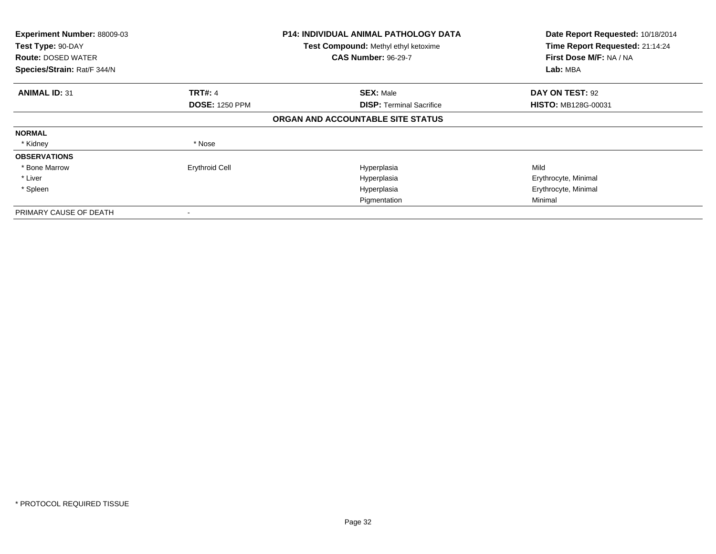| Experiment Number: 88009-03<br>Test Type: 90-DAY<br><b>Route: DOSED WATER</b><br>Species/Strain: Rat/F 344/N |                       | <b>P14: INDIVIDUAL ANIMAL PATHOLOGY DATA</b><br>Test Compound: Methyl ethyl ketoxime<br><b>CAS Number: 96-29-7</b> | Date Report Requested: 10/18/2014<br>Time Report Requested: 21:14:24<br>First Dose M/F: NA / NA<br>Lab: MBA |
|--------------------------------------------------------------------------------------------------------------|-----------------------|--------------------------------------------------------------------------------------------------------------------|-------------------------------------------------------------------------------------------------------------|
|                                                                                                              |                       |                                                                                                                    |                                                                                                             |
| <b>ANIMAL ID: 31</b>                                                                                         | <b>TRT#: 4</b>        | <b>SEX: Male</b>                                                                                                   | DAY ON TEST: 92                                                                                             |
|                                                                                                              | <b>DOSE: 1250 PPM</b> | <b>DISP:</b> Terminal Sacrifice                                                                                    | <b>HISTO: MB128G-00031</b>                                                                                  |
|                                                                                                              |                       | ORGAN AND ACCOUNTABLE SITE STATUS                                                                                  |                                                                                                             |
| <b>NORMAL</b>                                                                                                |                       |                                                                                                                    |                                                                                                             |
| * Kidney                                                                                                     | * Nose                |                                                                                                                    |                                                                                                             |
| <b>OBSERVATIONS</b>                                                                                          |                       |                                                                                                                    |                                                                                                             |
| * Bone Marrow                                                                                                | <b>Erythroid Cell</b> | Hyperplasia                                                                                                        | Mild                                                                                                        |
| * Liver                                                                                                      |                       | Hyperplasia                                                                                                        | Erythrocyte, Minimal                                                                                        |
| * Spleen                                                                                                     |                       | Hyperplasia                                                                                                        | Erythrocyte, Minimal                                                                                        |
|                                                                                                              |                       | Pigmentation                                                                                                       | Minimal                                                                                                     |
| PRIMARY CAUSE OF DEATH                                                                                       |                       |                                                                                                                    |                                                                                                             |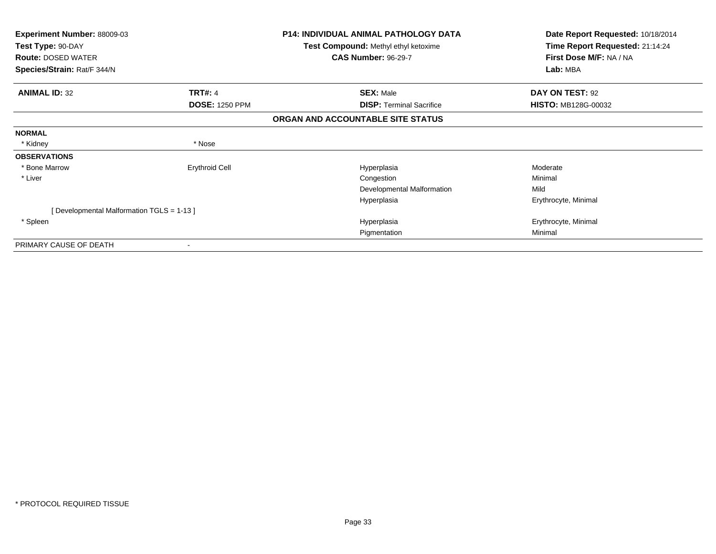| <b>Experiment Number: 88009-03</b><br>Test Type: 90-DAY<br><b>Route: DOSED WATER</b> |                       | <b>P14: INDIVIDUAL ANIMAL PATHOLOGY DATA</b><br>Test Compound: Methyl ethyl ketoxime<br><b>CAS Number: 96-29-7</b> | Date Report Requested: 10/18/2014<br>Time Report Requested: 21:14:24<br>First Dose M/F: NA / NA |
|--------------------------------------------------------------------------------------|-----------------------|--------------------------------------------------------------------------------------------------------------------|-------------------------------------------------------------------------------------------------|
| Species/Strain: Rat/F 344/N                                                          |                       |                                                                                                                    | Lab: MBA                                                                                        |
| <b>ANIMAL ID: 32</b>                                                                 | TRT#: 4               | <b>SEX: Male</b>                                                                                                   | DAY ON TEST: 92                                                                                 |
|                                                                                      | <b>DOSE: 1250 PPM</b> | <b>DISP: Terminal Sacrifice</b>                                                                                    | <b>HISTO: MB128G-00032</b>                                                                      |
|                                                                                      |                       | ORGAN AND ACCOUNTABLE SITE STATUS                                                                                  |                                                                                                 |
| <b>NORMAL</b>                                                                        |                       |                                                                                                                    |                                                                                                 |
| * Kidney                                                                             | * Nose                |                                                                                                                    |                                                                                                 |
| <b>OBSERVATIONS</b>                                                                  |                       |                                                                                                                    |                                                                                                 |
| * Bone Marrow                                                                        | <b>Erythroid Cell</b> | Hyperplasia                                                                                                        | Moderate                                                                                        |
| * Liver                                                                              |                       | Congestion                                                                                                         | Minimal                                                                                         |
|                                                                                      |                       | Developmental Malformation                                                                                         | Mild                                                                                            |
|                                                                                      |                       | Hyperplasia                                                                                                        | Erythrocyte, Minimal                                                                            |
| [ Developmental Malformation TGLS = 1-13 ]                                           |                       |                                                                                                                    |                                                                                                 |
| * Spleen                                                                             |                       | Hyperplasia                                                                                                        | Erythrocyte, Minimal                                                                            |
|                                                                                      |                       | Pigmentation                                                                                                       | Minimal                                                                                         |
| PRIMARY CAUSE OF DEATH                                                               |                       |                                                                                                                    |                                                                                                 |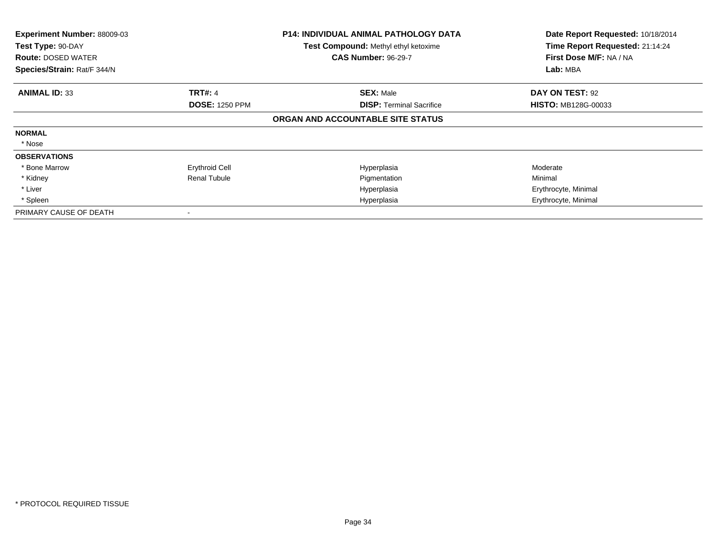| Experiment Number: 88009-03<br>Test Type: 90-DAY<br><b>Route: DOSED WATER</b><br>Species/Strain: Rat/F 344/N |                       | <b>P14: INDIVIDUAL ANIMAL PATHOLOGY DATA</b><br>Test Compound: Methyl ethyl ketoxime<br><b>CAS Number: 96-29-7</b> | Date Report Requested: 10/18/2014<br>Time Report Requested: 21:14:24<br>First Dose M/F: NA / NA<br>Lab: MBA |
|--------------------------------------------------------------------------------------------------------------|-----------------------|--------------------------------------------------------------------------------------------------------------------|-------------------------------------------------------------------------------------------------------------|
| <b>ANIMAL ID: 33</b>                                                                                         | <b>TRT#: 4</b>        | <b>SEX: Male</b>                                                                                                   | DAY ON TEST: 92                                                                                             |
|                                                                                                              | <b>DOSE: 1250 PPM</b> | <b>DISP: Terminal Sacrifice</b>                                                                                    | <b>HISTO: MB128G-00033</b>                                                                                  |
|                                                                                                              |                       | ORGAN AND ACCOUNTABLE SITE STATUS                                                                                  |                                                                                                             |
| <b>NORMAL</b>                                                                                                |                       |                                                                                                                    |                                                                                                             |
| * Nose                                                                                                       |                       |                                                                                                                    |                                                                                                             |
| <b>OBSERVATIONS</b>                                                                                          |                       |                                                                                                                    |                                                                                                             |
| * Bone Marrow                                                                                                | <b>Erythroid Cell</b> | Hyperplasia                                                                                                        | Moderate                                                                                                    |
| * Kidney                                                                                                     | <b>Renal Tubule</b>   | Pigmentation                                                                                                       | Minimal                                                                                                     |
| * Liver                                                                                                      |                       | Hyperplasia                                                                                                        | Erythrocyte, Minimal                                                                                        |
| * Spleen                                                                                                     |                       | Hyperplasia                                                                                                        | Erythrocyte, Minimal                                                                                        |
| PRIMARY CAUSE OF DEATH                                                                                       |                       |                                                                                                                    |                                                                                                             |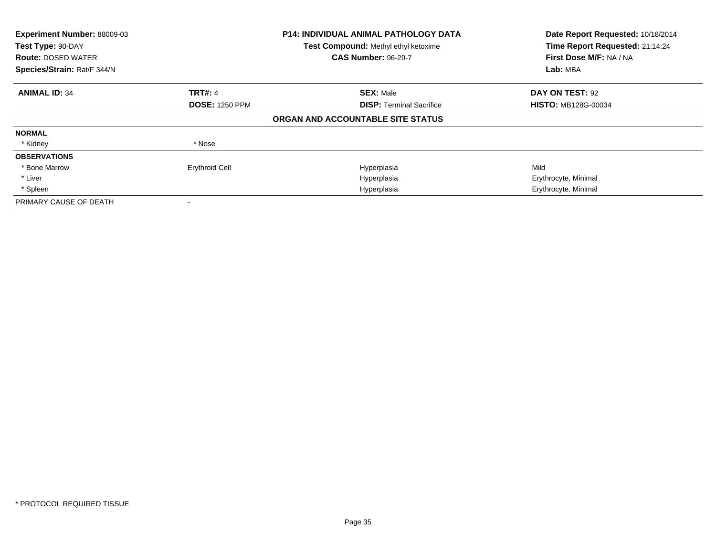| Experiment Number: 88009-03<br>Test Type: 90-DAY<br><b>Route: DOSED WATER</b><br>Species/Strain: Rat/F 344/N |                       | <b>P14: INDIVIDUAL ANIMAL PATHOLOGY DATA</b><br>Test Compound: Methyl ethyl ketoxime<br><b>CAS Number: 96-29-7</b> | Date Report Requested: 10/18/2014<br>Time Report Requested: 21:14:24<br>First Dose M/F: NA / NA<br>Lab: MBA |
|--------------------------------------------------------------------------------------------------------------|-----------------------|--------------------------------------------------------------------------------------------------------------------|-------------------------------------------------------------------------------------------------------------|
| <b>ANIMAL ID: 34</b>                                                                                         | <b>TRT#: 4</b>        | <b>SEX: Male</b>                                                                                                   | DAY ON TEST: 92                                                                                             |
|                                                                                                              | <b>DOSE: 1250 PPM</b> | <b>DISP: Terminal Sacrifice</b>                                                                                    | <b>HISTO: MB128G-00034</b>                                                                                  |
|                                                                                                              |                       | ORGAN AND ACCOUNTABLE SITE STATUS                                                                                  |                                                                                                             |
| <b>NORMAL</b>                                                                                                |                       |                                                                                                                    |                                                                                                             |
| * Kidney                                                                                                     | * Nose                |                                                                                                                    |                                                                                                             |
| <b>OBSERVATIONS</b>                                                                                          |                       |                                                                                                                    |                                                                                                             |
| * Bone Marrow                                                                                                | <b>Erythroid Cell</b> | Hyperplasia                                                                                                        | Mild                                                                                                        |
| * Liver                                                                                                      |                       | Hyperplasia                                                                                                        | Erythrocyte, Minimal                                                                                        |
| * Spleen                                                                                                     |                       | Hyperplasia                                                                                                        | Erythrocyte, Minimal                                                                                        |
| PRIMARY CAUSE OF DEATH                                                                                       |                       |                                                                                                                    |                                                                                                             |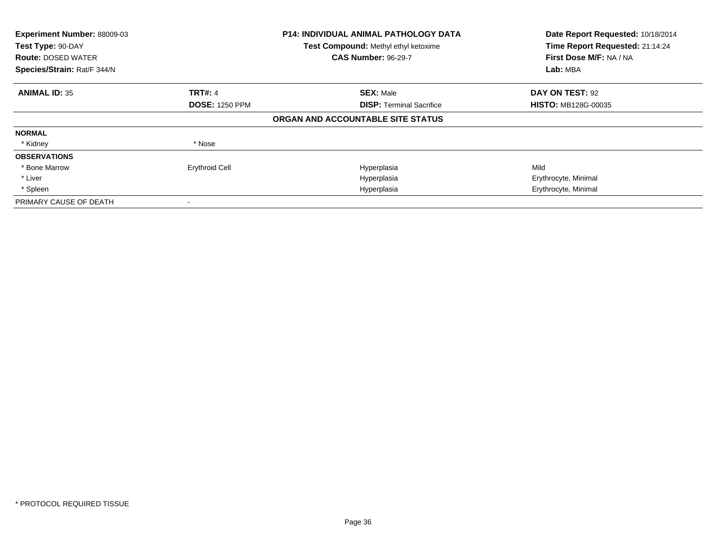| Experiment Number: 88009-03<br>Test Type: 90-DAY<br><b>Route: DOSED WATER</b><br>Species/Strain: Rat/F 344/N |                       | <b>P14: INDIVIDUAL ANIMAL PATHOLOGY DATA</b><br>Test Compound: Methyl ethyl ketoxime<br><b>CAS Number: 96-29-7</b> | Date Report Requested: 10/18/2014<br>Time Report Requested: 21:14:24<br>First Dose M/F: NA / NA<br>Lab: MBA |
|--------------------------------------------------------------------------------------------------------------|-----------------------|--------------------------------------------------------------------------------------------------------------------|-------------------------------------------------------------------------------------------------------------|
| <b>ANIMAL ID: 35</b>                                                                                         | <b>TRT#: 4</b>        | <b>SEX: Male</b>                                                                                                   | DAY ON TEST: 92                                                                                             |
|                                                                                                              | <b>DOSE: 1250 PPM</b> | <b>DISP:</b> Terminal Sacrifice                                                                                    | <b>HISTO: MB128G-00035</b>                                                                                  |
|                                                                                                              |                       | ORGAN AND ACCOUNTABLE SITE STATUS                                                                                  |                                                                                                             |
| <b>NORMAL</b>                                                                                                |                       |                                                                                                                    |                                                                                                             |
| * Kidney                                                                                                     | * Nose                |                                                                                                                    |                                                                                                             |
| <b>OBSERVATIONS</b>                                                                                          |                       |                                                                                                                    |                                                                                                             |
| * Bone Marrow                                                                                                | <b>Erythroid Cell</b> | Hyperplasia                                                                                                        | Mild                                                                                                        |
| * Liver                                                                                                      |                       | Hyperplasia                                                                                                        | Erythrocyte, Minimal                                                                                        |
| * Spleen                                                                                                     |                       | Hyperplasia                                                                                                        | Erythrocyte, Minimal                                                                                        |
| PRIMARY CAUSE OF DEATH                                                                                       |                       |                                                                                                                    |                                                                                                             |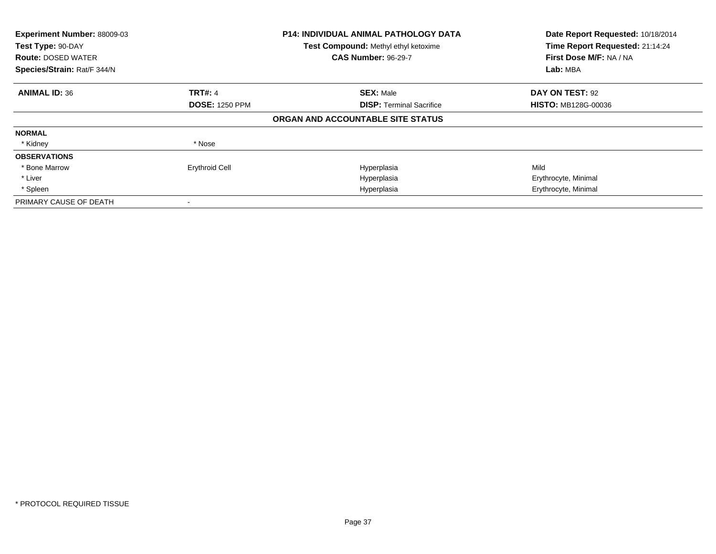| Experiment Number: 88009-03<br>Test Type: 90-DAY<br><b>Route: DOSED WATER</b><br>Species/Strain: Rat/F 344/N | <b>P14: INDIVIDUAL ANIMAL PATHOLOGY DATA</b><br>Test Compound: Methyl ethyl ketoxime<br><b>CAS Number: 96-29-7</b> |                                   | Date Report Requested: 10/18/2014<br>Time Report Requested: 21:14:24<br>First Dose M/F: NA / NA<br>Lab: MBA |
|--------------------------------------------------------------------------------------------------------------|--------------------------------------------------------------------------------------------------------------------|-----------------------------------|-------------------------------------------------------------------------------------------------------------|
| <b>ANIMAL ID: 36</b>                                                                                         | <b>TRT#: 4</b>                                                                                                     | <b>SEX: Male</b>                  | DAY ON TEST: 92                                                                                             |
|                                                                                                              | <b>DOSE: 1250 PPM</b>                                                                                              | <b>DISP: Terminal Sacrifice</b>   | <b>HISTO: MB128G-00036</b>                                                                                  |
|                                                                                                              |                                                                                                                    | ORGAN AND ACCOUNTABLE SITE STATUS |                                                                                                             |
| <b>NORMAL</b>                                                                                                |                                                                                                                    |                                   |                                                                                                             |
| * Kidney                                                                                                     | * Nose                                                                                                             |                                   |                                                                                                             |
| <b>OBSERVATIONS</b>                                                                                          |                                                                                                                    |                                   |                                                                                                             |
| * Bone Marrow                                                                                                | <b>Erythroid Cell</b>                                                                                              | Hyperplasia                       | Mild                                                                                                        |
| * Liver                                                                                                      |                                                                                                                    | Hyperplasia                       | Erythrocyte, Minimal                                                                                        |
| * Spleen                                                                                                     |                                                                                                                    | Hyperplasia                       | Erythrocyte, Minimal                                                                                        |
| PRIMARY CAUSE OF DEATH                                                                                       |                                                                                                                    |                                   |                                                                                                             |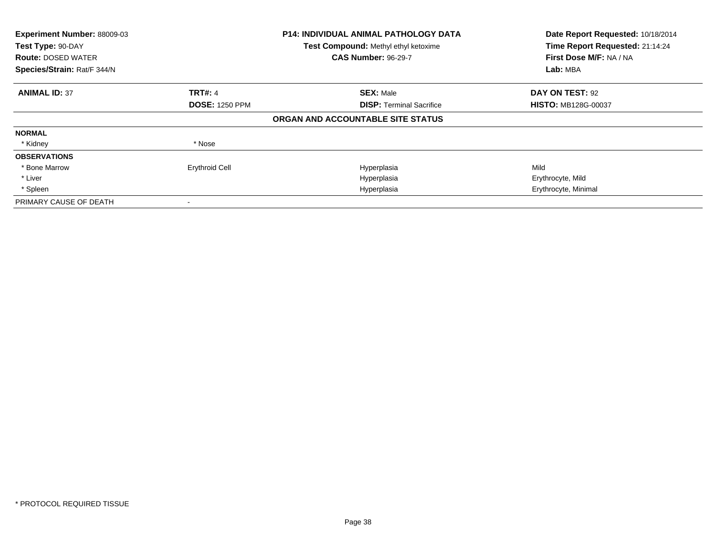| Experiment Number: 88009-03<br>Test Type: 90-DAY<br><b>Route: DOSED WATER</b><br>Species/Strain: Rat/F 344/N |                       | <b>P14: INDIVIDUAL ANIMAL PATHOLOGY DATA</b><br>Test Compound: Methyl ethyl ketoxime<br><b>CAS Number: 96-29-7</b> | Date Report Requested: 10/18/2014<br>Time Report Requested: 21:14:24<br>First Dose M/F: NA / NA<br>Lab: MBA |
|--------------------------------------------------------------------------------------------------------------|-----------------------|--------------------------------------------------------------------------------------------------------------------|-------------------------------------------------------------------------------------------------------------|
| <b>ANIMAL ID: 37</b>                                                                                         | <b>TRT#: 4</b>        | <b>SEX: Male</b>                                                                                                   | <b>DAY ON TEST: 92</b>                                                                                      |
|                                                                                                              | <b>DOSE: 1250 PPM</b> | <b>DISP:</b> Terminal Sacrifice                                                                                    | <b>HISTO: MB128G-00037</b>                                                                                  |
|                                                                                                              |                       | ORGAN AND ACCOUNTABLE SITE STATUS                                                                                  |                                                                                                             |
| <b>NORMAL</b>                                                                                                |                       |                                                                                                                    |                                                                                                             |
| * Kidney                                                                                                     | * Nose                |                                                                                                                    |                                                                                                             |
| <b>OBSERVATIONS</b>                                                                                          |                       |                                                                                                                    |                                                                                                             |
| * Bone Marrow                                                                                                | <b>Erythroid Cell</b> | Hyperplasia                                                                                                        | Mild                                                                                                        |
| * Liver                                                                                                      |                       | Hyperplasia                                                                                                        | Erythrocyte, Mild                                                                                           |
| * Spleen                                                                                                     |                       | Hyperplasia                                                                                                        | Erythrocyte, Minimal                                                                                        |
| PRIMARY CAUSE OF DEATH                                                                                       |                       |                                                                                                                    |                                                                                                             |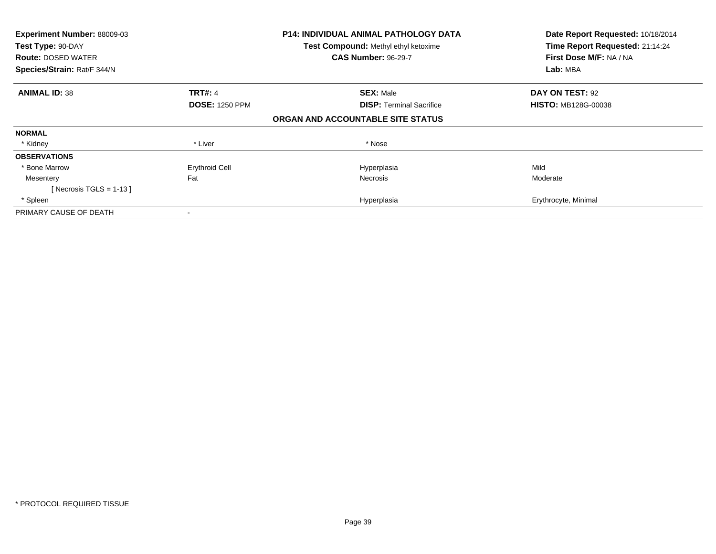| Experiment Number: 88009-03<br>Test Type: 90-DAY<br><b>Route: DOSED WATER</b><br>Species/Strain: Rat/F 344/N |                                         | <b>P14: INDIVIDUAL ANIMAL PATHOLOGY DATA</b><br>Test Compound: Methyl ethyl ketoxime<br><b>CAS Number: 96-29-7</b> | Date Report Requested: 10/18/2014<br>Time Report Requested: 21:14:24<br>First Dose M/F: NA / NA<br>Lab: MBA |  |
|--------------------------------------------------------------------------------------------------------------|-----------------------------------------|--------------------------------------------------------------------------------------------------------------------|-------------------------------------------------------------------------------------------------------------|--|
| <b>ANIMAL ID: 38</b>                                                                                         | <b>TRT#: 4</b><br><b>DOSE: 1250 PPM</b> | <b>SEX: Male</b><br><b>DISP: Terminal Sacrifice</b>                                                                | DAY ON TEST: 92<br><b>HISTO: MB128G-00038</b>                                                               |  |
|                                                                                                              |                                         | ORGAN AND ACCOUNTABLE SITE STATUS                                                                                  |                                                                                                             |  |
| <b>NORMAL</b>                                                                                                |                                         |                                                                                                                    |                                                                                                             |  |
| * Kidney                                                                                                     | * Liver                                 | * Nose                                                                                                             |                                                                                                             |  |
| <b>OBSERVATIONS</b>                                                                                          |                                         |                                                                                                                    |                                                                                                             |  |
| * Bone Marrow                                                                                                | <b>Erythroid Cell</b>                   | Hyperplasia                                                                                                        | Mild                                                                                                        |  |
| Mesentery                                                                                                    | Fat                                     | Necrosis                                                                                                           | Moderate                                                                                                    |  |
| [Necrosis TGLS = $1-13$ ]                                                                                    |                                         |                                                                                                                    |                                                                                                             |  |
| * Spleen                                                                                                     |                                         | Hyperplasia                                                                                                        | Erythrocyte, Minimal                                                                                        |  |
| PRIMARY CAUSE OF DEATH                                                                                       |                                         |                                                                                                                    |                                                                                                             |  |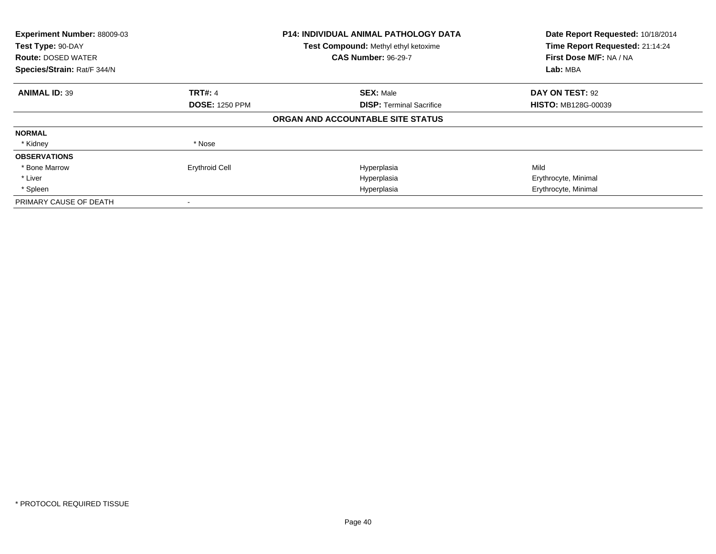| Experiment Number: 88009-03<br>Test Type: 90-DAY<br><b>Route: DOSED WATER</b><br>Species/Strain: Rat/F 344/N |                       | <b>P14: INDIVIDUAL ANIMAL PATHOLOGY DATA</b><br>Test Compound: Methyl ethyl ketoxime<br><b>CAS Number: 96-29-7</b> | Date Report Requested: 10/18/2014<br>Time Report Requested: 21:14:24<br>First Dose M/F: NA / NA<br>Lab: MBA |
|--------------------------------------------------------------------------------------------------------------|-----------------------|--------------------------------------------------------------------------------------------------------------------|-------------------------------------------------------------------------------------------------------------|
| <b>ANIMAL ID: 39</b>                                                                                         | <b>TRT#: 4</b>        | <b>SEX: Male</b>                                                                                                   | DAY ON TEST: 92                                                                                             |
|                                                                                                              | <b>DOSE: 1250 PPM</b> | <b>DISP:</b> Terminal Sacrifice                                                                                    | <b>HISTO: MB128G-00039</b>                                                                                  |
|                                                                                                              |                       | ORGAN AND ACCOUNTABLE SITE STATUS                                                                                  |                                                                                                             |
| <b>NORMAL</b>                                                                                                |                       |                                                                                                                    |                                                                                                             |
| * Kidney                                                                                                     | * Nose                |                                                                                                                    |                                                                                                             |
| <b>OBSERVATIONS</b>                                                                                          |                       |                                                                                                                    |                                                                                                             |
| * Bone Marrow                                                                                                | <b>Erythroid Cell</b> | Hyperplasia                                                                                                        | Mild                                                                                                        |
| * Liver                                                                                                      |                       | Hyperplasia                                                                                                        | Erythrocyte, Minimal                                                                                        |
| * Spleen                                                                                                     |                       | Hyperplasia                                                                                                        | Erythrocyte, Minimal                                                                                        |
| PRIMARY CAUSE OF DEATH                                                                                       |                       |                                                                                                                    |                                                                                                             |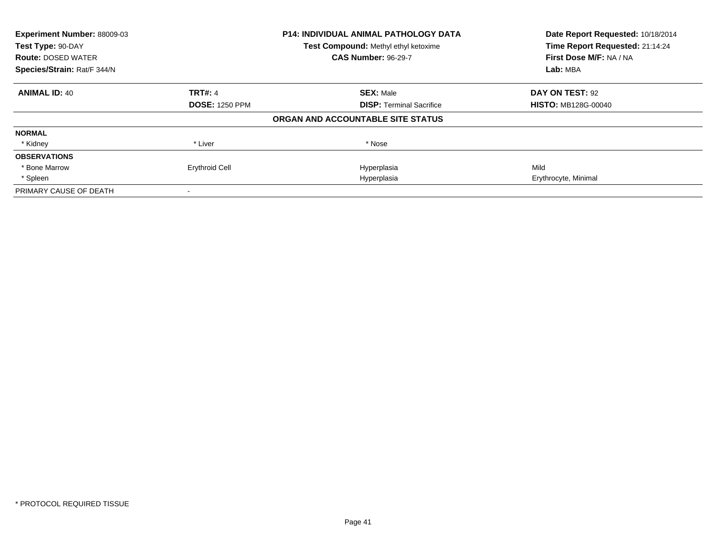| Experiment Number: 88009-03<br>Test Type: 90-DAY |                       | <b>P14: INDIVIDUAL ANIMAL PATHOLOGY DATA</b> | Date Report Requested: 10/18/2014<br>Time Report Requested: 21:14:24 |
|--------------------------------------------------|-----------------------|----------------------------------------------|----------------------------------------------------------------------|
|                                                  |                       | Test Compound: Methyl ethyl ketoxime         |                                                                      |
| <b>Route: DOSED WATER</b>                        |                       | <b>CAS Number: 96-29-7</b>                   | First Dose M/F: NA / NA                                              |
| Species/Strain: Rat/F 344/N                      |                       |                                              | Lab: MBA                                                             |
| <b>ANIMAL ID: 40</b>                             | <b>TRT#: 4</b>        | <b>SEX: Male</b>                             | DAY ON TEST: 92                                                      |
|                                                  | <b>DOSE: 1250 PPM</b> | <b>DISP:</b> Terminal Sacrifice              | <b>HISTO: MB128G-00040</b>                                           |
|                                                  |                       | ORGAN AND ACCOUNTABLE SITE STATUS            |                                                                      |
| <b>NORMAL</b>                                    |                       |                                              |                                                                      |
| * Kidney                                         | * Liver               | * Nose                                       |                                                                      |
| <b>OBSERVATIONS</b>                              |                       |                                              |                                                                      |
| * Bone Marrow                                    | <b>Erythroid Cell</b> | Hyperplasia                                  | Mild                                                                 |
| * Spleen                                         |                       | Hyperplasia                                  | Erythrocyte, Minimal                                                 |
| PRIMARY CAUSE OF DEATH                           |                       |                                              |                                                                      |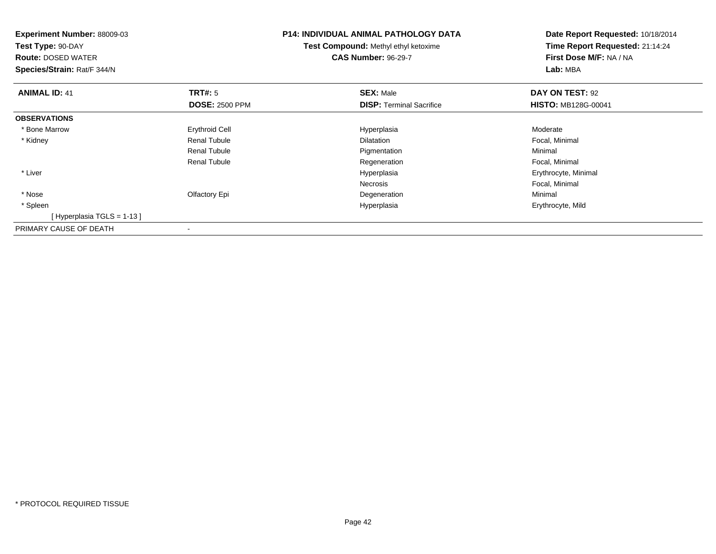| <b>Experiment Number: 88009-03</b><br>Test Type: 90-DAY<br><b>Route: DOSED WATER</b><br>Species/Strain: Rat/F 344/N |                       | P14: INDIVIDUAL ANIMAL PATHOLOGY DATA<br><b>Test Compound: Methyl ethyl ketoxime</b><br><b>CAS Number: 96-29-7</b> | Date Report Requested: 10/18/2014<br>Time Report Requested: 21:14:24<br>First Dose M/F: NA / NA<br>Lab: MBA |
|---------------------------------------------------------------------------------------------------------------------|-----------------------|--------------------------------------------------------------------------------------------------------------------|-------------------------------------------------------------------------------------------------------------|
| <b>ANIMAL ID: 41</b>                                                                                                | <b>TRT#:</b> 5        | <b>SEX: Male</b>                                                                                                   | DAY ON TEST: 92                                                                                             |
|                                                                                                                     | <b>DOSE: 2500 PPM</b> | <b>DISP:</b> Terminal Sacrifice                                                                                    | <b>HISTO: MB128G-00041</b>                                                                                  |
| <b>OBSERVATIONS</b>                                                                                                 |                       |                                                                                                                    |                                                                                                             |
| * Bone Marrow                                                                                                       | <b>Erythroid Cell</b> | Hyperplasia                                                                                                        | Moderate                                                                                                    |
| * Kidney                                                                                                            | <b>Renal Tubule</b>   | <b>Dilatation</b>                                                                                                  | Focal, Minimal                                                                                              |
|                                                                                                                     | <b>Renal Tubule</b>   | Pigmentation                                                                                                       | Minimal                                                                                                     |
|                                                                                                                     | <b>Renal Tubule</b>   | Regeneration                                                                                                       | Focal, Minimal                                                                                              |
| * Liver                                                                                                             |                       | Hyperplasia                                                                                                        | Erythrocyte, Minimal                                                                                        |
|                                                                                                                     |                       | <b>Necrosis</b>                                                                                                    | Focal, Minimal                                                                                              |
| * Nose                                                                                                              | Olfactory Epi         | Degeneration                                                                                                       | Minimal                                                                                                     |
| * Spleen                                                                                                            |                       | Hyperplasia                                                                                                        | Erythrocyte, Mild                                                                                           |
| [Hyperplasia TGLS = $1-13$ ]                                                                                        |                       |                                                                                                                    |                                                                                                             |
| PRIMARY CAUSE OF DEATH                                                                                              |                       |                                                                                                                    |                                                                                                             |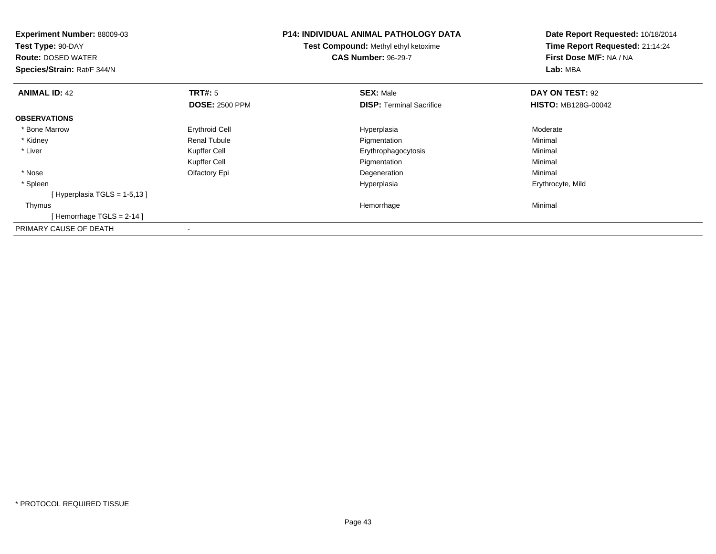| <b>Experiment Number: 88009-03</b><br>Test Type: 90-DAY<br><b>Route: DOSED WATER</b><br>Species/Strain: Rat/F 344/N |                       | P14: INDIVIDUAL ANIMAL PATHOLOGY DATA<br><b>Test Compound: Methyl ethyl ketoxime</b><br><b>CAS Number: 96-29-7</b> | Date Report Requested: 10/18/2014<br>Time Report Requested: 21:14:24<br>First Dose M/F: NA / NA<br>Lab: MBA |
|---------------------------------------------------------------------------------------------------------------------|-----------------------|--------------------------------------------------------------------------------------------------------------------|-------------------------------------------------------------------------------------------------------------|
| <b>ANIMAL ID: 42</b>                                                                                                | TRT#: 5               | <b>SEX: Male</b>                                                                                                   | DAY ON TEST: 92                                                                                             |
|                                                                                                                     | <b>DOSE: 2500 PPM</b> | <b>DISP: Terminal Sacrifice</b>                                                                                    | <b>HISTO: MB128G-00042</b>                                                                                  |
| <b>OBSERVATIONS</b>                                                                                                 |                       |                                                                                                                    |                                                                                                             |
| * Bone Marrow                                                                                                       | <b>Erythroid Cell</b> | Hyperplasia                                                                                                        | Moderate                                                                                                    |
| * Kidney                                                                                                            | Renal Tubule          | Pigmentation                                                                                                       | Minimal                                                                                                     |
| * Liver                                                                                                             | Kupffer Cell          | Erythrophagocytosis                                                                                                | Minimal                                                                                                     |
|                                                                                                                     | Kupffer Cell          | Pigmentation                                                                                                       | Minimal                                                                                                     |
| * Nose                                                                                                              | Olfactory Epi         | Degeneration                                                                                                       | Minimal                                                                                                     |
| * Spleen                                                                                                            |                       | Hyperplasia                                                                                                        | Erythrocyte, Mild                                                                                           |
| [Hyperplasia TGLS = $1-5,13$ ]                                                                                      |                       |                                                                                                                    |                                                                                                             |
| Thymus                                                                                                              |                       | Hemorrhage                                                                                                         | Minimal                                                                                                     |
| [Hemorrhage TGLS = $2-14$ ]                                                                                         |                       |                                                                                                                    |                                                                                                             |
| PRIMARY CAUSE OF DEATH                                                                                              |                       |                                                                                                                    |                                                                                                             |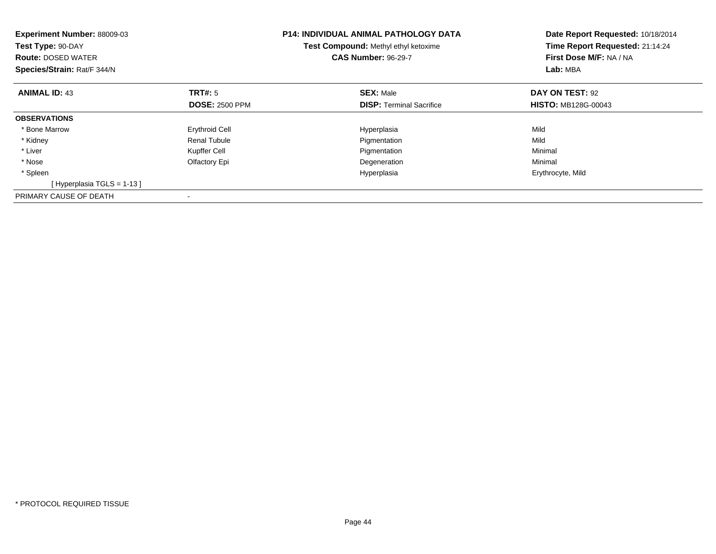| <b>Experiment Number: 88009-03</b><br>Test Type: 90-DAY<br><b>Route: DOSED WATER</b><br>Species/Strain: Rat/F 344/N |                       | <b>P14: INDIVIDUAL ANIMAL PATHOLOGY DATA</b><br><b>Test Compound: Methyl ethyl ketoxime</b><br><b>CAS Number: 96-29-7</b> | Date Report Requested: 10/18/2014<br>Time Report Requested: 21:14:24<br>First Dose M/F: NA / NA<br>Lab: MBA |
|---------------------------------------------------------------------------------------------------------------------|-----------------------|---------------------------------------------------------------------------------------------------------------------------|-------------------------------------------------------------------------------------------------------------|
| <b>ANIMAL ID: 43</b>                                                                                                | TRT#: 5               | <b>SEX: Male</b>                                                                                                          | DAY ON TEST: 92                                                                                             |
|                                                                                                                     | <b>DOSE: 2500 PPM</b> | <b>DISP:</b> Terminal Sacrifice                                                                                           | <b>HISTO: MB128G-00043</b>                                                                                  |
| <b>OBSERVATIONS</b>                                                                                                 |                       |                                                                                                                           |                                                                                                             |
| * Bone Marrow                                                                                                       | <b>Erythroid Cell</b> | Hyperplasia                                                                                                               | Mild                                                                                                        |
| * Kidney                                                                                                            | <b>Renal Tubule</b>   | Pigmentation                                                                                                              | Mild                                                                                                        |
| * Liver                                                                                                             | Kupffer Cell          | Pigmentation                                                                                                              | Minimal                                                                                                     |
| * Nose                                                                                                              | Olfactory Epi         | Degeneration                                                                                                              | Minimal                                                                                                     |
| * Spleen                                                                                                            |                       | Hyperplasia                                                                                                               | Erythrocyte, Mild                                                                                           |
| [Hyperplasia TGLS = 1-13]                                                                                           |                       |                                                                                                                           |                                                                                                             |
| PRIMARY CAUSE OF DEATH                                                                                              |                       |                                                                                                                           |                                                                                                             |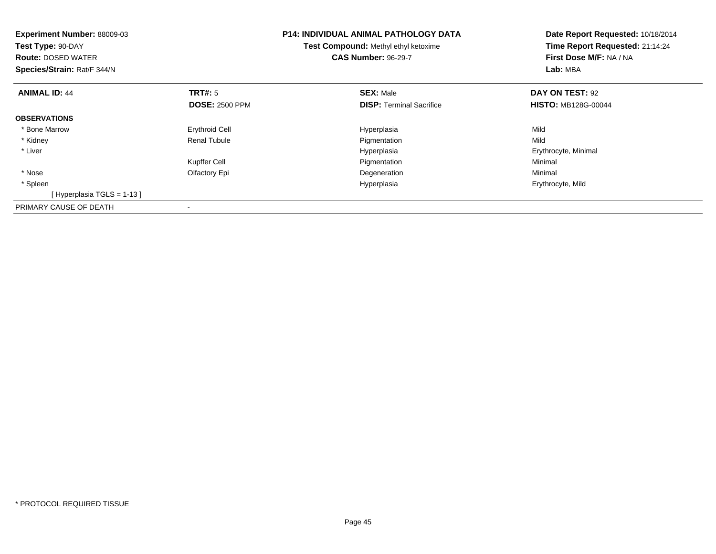| Experiment Number: 88009-03<br>Test Type: 90-DAY<br><b>Route: DOSED WATER</b><br>Species/Strain: Rat/F 344/N |                       | <b>P14: INDIVIDUAL ANIMAL PATHOLOGY DATA</b><br>Test Compound: Methyl ethyl ketoxime<br><b>CAS Number: 96-29-7</b> | Date Report Requested: 10/18/2014<br>Time Report Requested: 21:14:24<br>First Dose M/F: NA / NA<br>Lab: MBA |
|--------------------------------------------------------------------------------------------------------------|-----------------------|--------------------------------------------------------------------------------------------------------------------|-------------------------------------------------------------------------------------------------------------|
| <b>ANIMAL ID: 44</b>                                                                                         | <b>TRT#:</b> 5        | <b>SEX: Male</b>                                                                                                   | DAY ON TEST: 92                                                                                             |
|                                                                                                              | <b>DOSE: 2500 PPM</b> | <b>DISP:</b> Terminal Sacrifice                                                                                    | <b>HISTO: MB128G-00044</b>                                                                                  |
| <b>OBSERVATIONS</b>                                                                                          |                       |                                                                                                                    |                                                                                                             |
| * Bone Marrow                                                                                                | <b>Erythroid Cell</b> | Hyperplasia                                                                                                        | Mild                                                                                                        |
| * Kidney                                                                                                     | <b>Renal Tubule</b>   | Pigmentation                                                                                                       | Mild                                                                                                        |
| * Liver                                                                                                      |                       | Hyperplasia                                                                                                        | Erythrocyte, Minimal                                                                                        |
|                                                                                                              | Kupffer Cell          | Pigmentation                                                                                                       | Minimal                                                                                                     |
| * Nose                                                                                                       | Olfactory Epi         | Degeneration                                                                                                       | Minimal                                                                                                     |
| * Spleen                                                                                                     |                       | Hyperplasia                                                                                                        | Erythrocyte, Mild                                                                                           |
| [Hyperplasia TGLS = $1-13$ ]                                                                                 |                       |                                                                                                                    |                                                                                                             |
| PRIMARY CAUSE OF DEATH                                                                                       |                       |                                                                                                                    |                                                                                                             |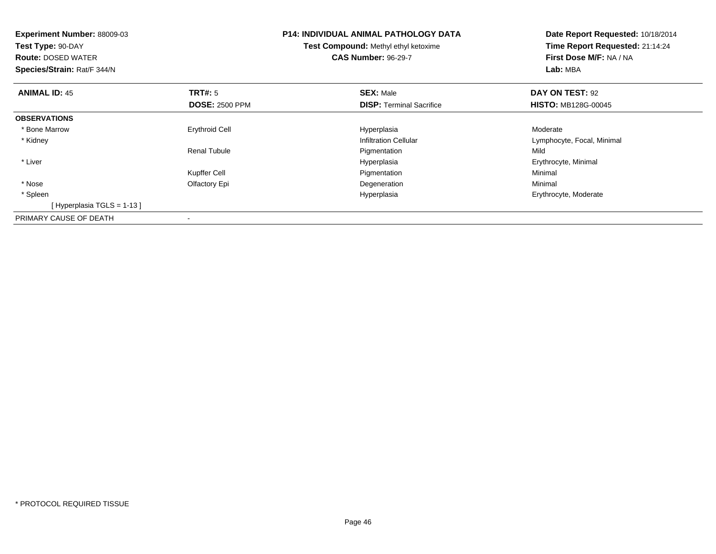| <b>Experiment Number: 88009-03</b><br>Test Type: 90-DAY<br><b>Route: DOSED WATER</b><br>Species/Strain: Rat/F 344/N |                       | <b>P14: INDIVIDUAL ANIMAL PATHOLOGY DATA</b><br><b>Test Compound: Methyl ethyl ketoxime</b><br><b>CAS Number: 96-29-7</b> | Date Report Requested: 10/18/2014<br>Time Report Requested: 21:14:24<br>First Dose M/F: NA / NA<br>Lab: MBA |
|---------------------------------------------------------------------------------------------------------------------|-----------------------|---------------------------------------------------------------------------------------------------------------------------|-------------------------------------------------------------------------------------------------------------|
| <b>ANIMAL ID: 45</b>                                                                                                | <b>TRT#:</b> 5        | <b>SEX: Male</b>                                                                                                          | DAY ON TEST: 92                                                                                             |
|                                                                                                                     | <b>DOSE: 2500 PPM</b> | <b>DISP:</b> Terminal Sacrifice                                                                                           | <b>HISTO: MB128G-00045</b>                                                                                  |
| <b>OBSERVATIONS</b>                                                                                                 |                       |                                                                                                                           |                                                                                                             |
| * Bone Marrow                                                                                                       | <b>Erythroid Cell</b> | Hyperplasia                                                                                                               | Moderate                                                                                                    |
| * Kidney                                                                                                            |                       | <b>Infiltration Cellular</b>                                                                                              | Lymphocyte, Focal, Minimal                                                                                  |
|                                                                                                                     | <b>Renal Tubule</b>   | Pigmentation                                                                                                              | Mild                                                                                                        |
| * Liver                                                                                                             |                       | Hyperplasia                                                                                                               | Erythrocyte, Minimal                                                                                        |
|                                                                                                                     | Kupffer Cell          | Pigmentation                                                                                                              | Minimal                                                                                                     |
| * Nose                                                                                                              | Olfactory Epi         | Degeneration                                                                                                              | Minimal                                                                                                     |
| * Spleen                                                                                                            |                       | Hyperplasia                                                                                                               | Erythrocyte, Moderate                                                                                       |
| [Hyperplasia TGLS = 1-13 ]                                                                                          |                       |                                                                                                                           |                                                                                                             |
| PRIMARY CAUSE OF DEATH                                                                                              |                       |                                                                                                                           |                                                                                                             |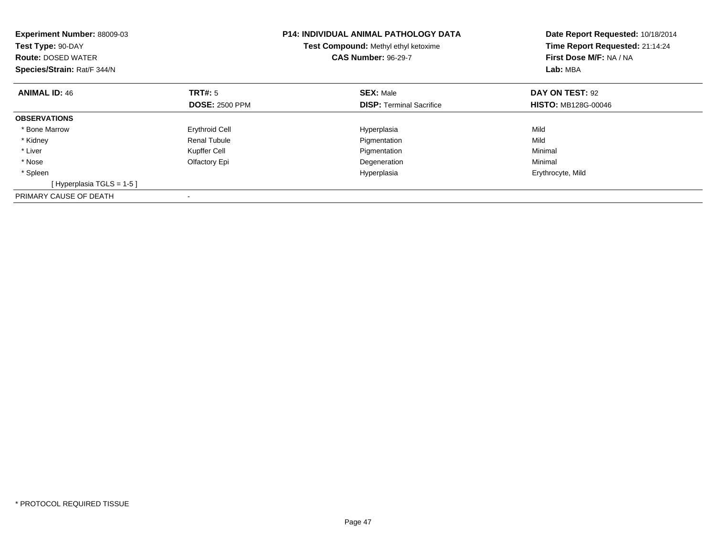| <b>Experiment Number: 88009-03</b><br>Test Type: 90-DAY<br><b>Route: DOSED WATER</b><br>Species/Strain: Rat/F 344/N |                       | <b>P14: INDIVIDUAL ANIMAL PATHOLOGY DATA</b><br><b>Test Compound: Methyl ethyl ketoxime</b><br><b>CAS Number: 96-29-7</b> | Date Report Requested: 10/18/2014<br>Time Report Requested: 21:14:24<br>First Dose M/F: NA / NA<br>Lab: MBA |
|---------------------------------------------------------------------------------------------------------------------|-----------------------|---------------------------------------------------------------------------------------------------------------------------|-------------------------------------------------------------------------------------------------------------|
| <b>ANIMAL ID: 46</b>                                                                                                | TRT#: 5               | <b>SEX: Male</b>                                                                                                          | DAY ON TEST: 92                                                                                             |
|                                                                                                                     | <b>DOSE: 2500 PPM</b> | <b>DISP:</b> Terminal Sacrifice                                                                                           | <b>HISTO: MB128G-00046</b>                                                                                  |
| <b>OBSERVATIONS</b>                                                                                                 |                       |                                                                                                                           |                                                                                                             |
| * Bone Marrow                                                                                                       | <b>Erythroid Cell</b> | Hyperplasia                                                                                                               | Mild                                                                                                        |
| * Kidney                                                                                                            | <b>Renal Tubule</b>   | Pigmentation                                                                                                              | Mild                                                                                                        |
| * Liver                                                                                                             | Kupffer Cell          | Pigmentation                                                                                                              | Minimal                                                                                                     |
| * Nose                                                                                                              | Olfactory Epi         | Degeneration                                                                                                              | Minimal                                                                                                     |
| * Spleen                                                                                                            |                       | Hyperplasia                                                                                                               | Erythrocyte, Mild                                                                                           |
| [Hyperplasia TGLS = $1-5$ ]                                                                                         |                       |                                                                                                                           |                                                                                                             |
| PRIMARY CAUSE OF DEATH                                                                                              |                       |                                                                                                                           |                                                                                                             |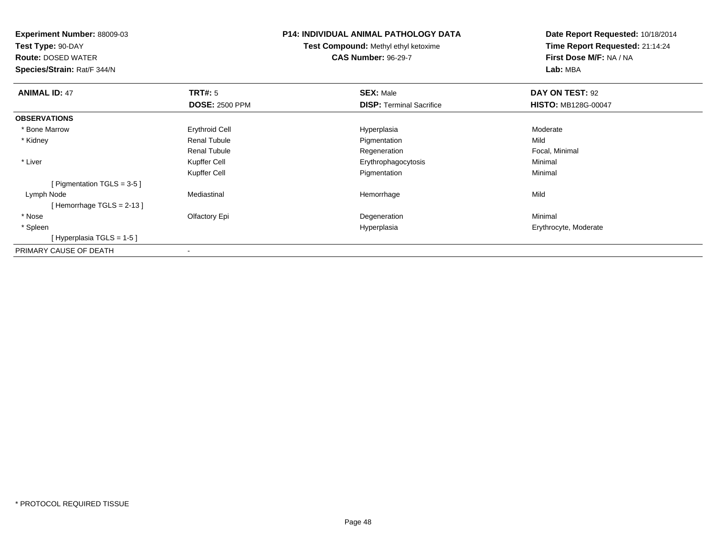**Experiment Number:** 88009-03

**Test Type:** 90-DAY

**Route:** DOSED WATER

**Species/Strain:** Rat/F 344/N

## **P14: INDIVIDUAL ANIMAL PATHOLOGY DATA**

**Test Compound:** Methyl ethyl ketoxime**CAS Number:** 96-29-7

**Date Report Requested:** 10/18/2014**Time Report Requested:** 21:14:24**First Dose M/F:** NA / NA**Lab:** MBA

| <b>ANIMAL ID: 47</b>          | TRT#: 5                  | <b>SEX: Male</b>                | DAY ON TEST: 92            |  |
|-------------------------------|--------------------------|---------------------------------|----------------------------|--|
|                               | <b>DOSE: 2500 PPM</b>    | <b>DISP: Terminal Sacrifice</b> | <b>HISTO: MB128G-00047</b> |  |
| <b>OBSERVATIONS</b>           |                          |                                 |                            |  |
| * Bone Marrow                 | <b>Erythroid Cell</b>    | Hyperplasia                     | Moderate                   |  |
| * Kidney                      | <b>Renal Tubule</b>      | Pigmentation                    | Mild                       |  |
|                               | <b>Renal Tubule</b>      | Regeneration                    | Focal, Minimal             |  |
| * Liver                       | Kupffer Cell             | Erythrophagocytosis             | Minimal                    |  |
|                               | Kupffer Cell             | Pigmentation                    | Minimal                    |  |
| [ Pigmentation TGLS = $3-5$ ] |                          |                                 |                            |  |
| Lymph Node                    | Mediastinal              | Hemorrhage                      | Mild                       |  |
| [Hemorrhage TGLS = $2-13$ ]   |                          |                                 |                            |  |
| * Nose                        | Olfactory Epi            | Degeneration                    | Minimal                    |  |
| * Spleen                      |                          | Hyperplasia                     | Erythrocyte, Moderate      |  |
| [Hyperplasia TGLS = 1-5]      |                          |                                 |                            |  |
| PRIMARY CAUSE OF DEATH        | $\overline{\phantom{a}}$ |                                 |                            |  |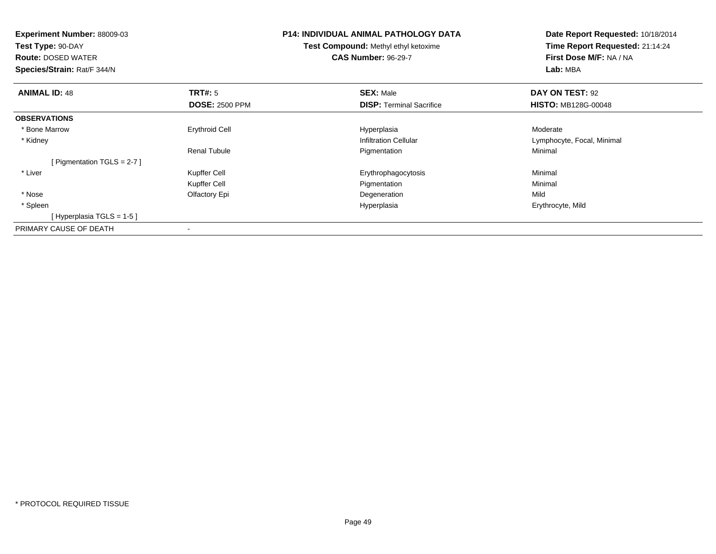| <b>Experiment Number: 88009-03</b><br>Test Type: 90-DAY<br><b>Route: DOSED WATER</b><br>Species/Strain: Rat/F 344/N |                       | <b>P14: INDIVIDUAL ANIMAL PATHOLOGY DATA</b><br><b>Test Compound: Methyl ethyl ketoxime</b><br><b>CAS Number: 96-29-7</b> | Date Report Requested: 10/18/2014<br>Time Report Requested: 21:14:24<br>First Dose M/F: NA / NA<br>Lab: MBA |
|---------------------------------------------------------------------------------------------------------------------|-----------------------|---------------------------------------------------------------------------------------------------------------------------|-------------------------------------------------------------------------------------------------------------|
| <b>ANIMAL ID: 48</b>                                                                                                | <b>TRT#: 5</b>        | <b>SEX: Male</b>                                                                                                          | DAY ON TEST: 92                                                                                             |
|                                                                                                                     | <b>DOSE: 2500 PPM</b> | <b>DISP:</b> Terminal Sacrifice                                                                                           | <b>HISTO: MB128G-00048</b>                                                                                  |
| <b>OBSERVATIONS</b>                                                                                                 |                       |                                                                                                                           |                                                                                                             |
| * Bone Marrow                                                                                                       | <b>Erythroid Cell</b> | Hyperplasia                                                                                                               | Moderate                                                                                                    |
| * Kidney                                                                                                            |                       | <b>Infiltration Cellular</b>                                                                                              | Lymphocyte, Focal, Minimal                                                                                  |
|                                                                                                                     | <b>Renal Tubule</b>   | Pigmentation                                                                                                              | Minimal                                                                                                     |
| [ Pigmentation TGLS = $2-7$ ]                                                                                       |                       |                                                                                                                           |                                                                                                             |
| * Liver                                                                                                             | Kupffer Cell          | Erythrophagocytosis                                                                                                       | Minimal                                                                                                     |
|                                                                                                                     | Kupffer Cell          | Pigmentation                                                                                                              | Minimal                                                                                                     |
| * Nose                                                                                                              | Olfactory Epi         | Degeneration                                                                                                              | Mild                                                                                                        |
| * Spleen                                                                                                            |                       | Hyperplasia                                                                                                               | Erythrocyte, Mild                                                                                           |
| [Hyperplasia TGLS = 1-5 ]                                                                                           |                       |                                                                                                                           |                                                                                                             |
| PRIMARY CAUSE OF DEATH                                                                                              | $\,$                  |                                                                                                                           |                                                                                                             |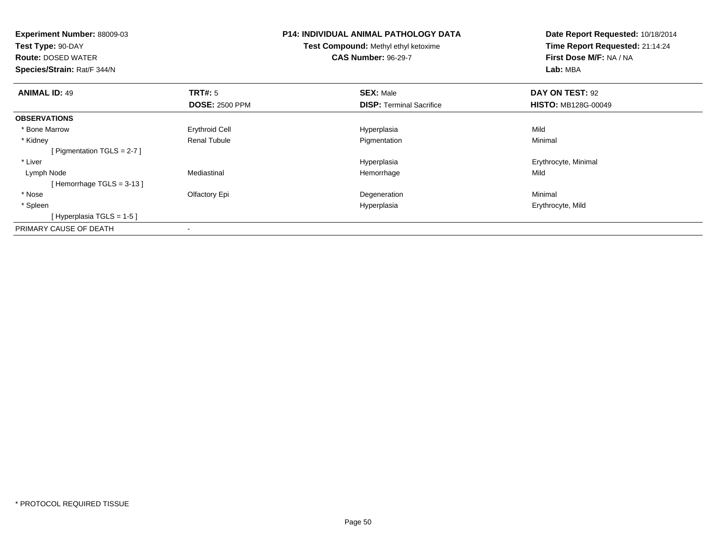| <b>Experiment Number: 88009-03</b><br>Test Type: 90-DAY<br><b>Route: DOSED WATER</b><br>Species/Strain: Rat/F 344/N |                       | <b>P14: INDIVIDUAL ANIMAL PATHOLOGY DATA</b><br><b>Test Compound: Methyl ethyl ketoxime</b><br><b>CAS Number: 96-29-7</b> | Date Report Requested: 10/18/2014<br>Time Report Requested: 21:14:24<br>First Dose M/F: NA / NA<br>Lab: MBA |
|---------------------------------------------------------------------------------------------------------------------|-----------------------|---------------------------------------------------------------------------------------------------------------------------|-------------------------------------------------------------------------------------------------------------|
| <b>ANIMAL ID: 49</b>                                                                                                | TRT#: 5               | <b>SEX: Male</b>                                                                                                          | DAY ON TEST: 92                                                                                             |
|                                                                                                                     | <b>DOSE: 2500 PPM</b> | <b>DISP:</b> Terminal Sacrifice                                                                                           | <b>HISTO: MB128G-00049</b>                                                                                  |
| <b>OBSERVATIONS</b>                                                                                                 |                       |                                                                                                                           |                                                                                                             |
| * Bone Marrow                                                                                                       | Erythroid Cell        | Hyperplasia                                                                                                               | Mild                                                                                                        |
| * Kidney                                                                                                            | <b>Renal Tubule</b>   | Pigmentation                                                                                                              | Minimal                                                                                                     |
| [ Pigmentation TGLS = $2-7$ ]                                                                                       |                       |                                                                                                                           |                                                                                                             |
| * Liver                                                                                                             |                       | Hyperplasia                                                                                                               | Erythrocyte, Minimal                                                                                        |
| Lymph Node                                                                                                          | Mediastinal           | Hemorrhage                                                                                                                | Mild                                                                                                        |
| [Hemorrhage TGLS = $3-13$ ]                                                                                         |                       |                                                                                                                           |                                                                                                             |
| * Nose                                                                                                              | Olfactory Epi         | Degeneration                                                                                                              | Minimal                                                                                                     |
| * Spleen                                                                                                            |                       | Hyperplasia                                                                                                               | Erythrocyte, Mild                                                                                           |
| [Hyperplasia TGLS = $1-5$ ]                                                                                         |                       |                                                                                                                           |                                                                                                             |
| PRIMARY CAUSE OF DEATH                                                                                              |                       |                                                                                                                           |                                                                                                             |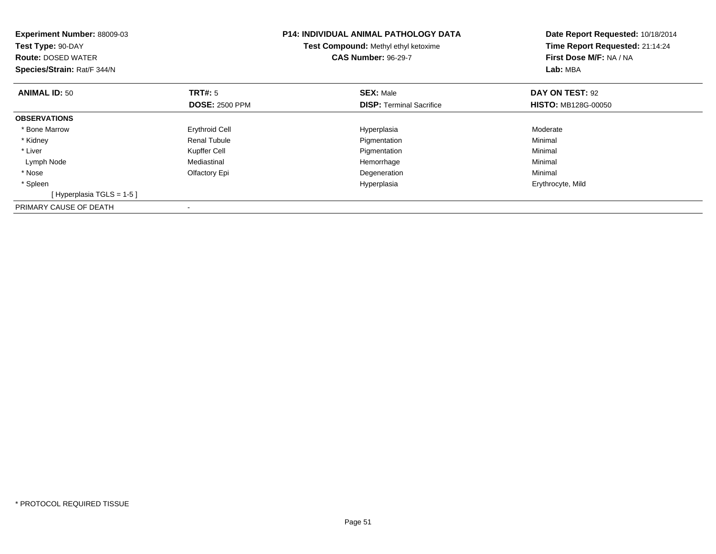| <b>Experiment Number: 88009-03</b><br>Test Type: 90-DAY<br><b>Route: DOSED WATER</b><br>Species/Strain: Rat/F 344/N |                                         | <b>P14: INDIVIDUAL ANIMAL PATHOLOGY DATA</b><br>Test Compound: Methyl ethyl ketoxime<br><b>CAS Number: 96-29-7</b> | Date Report Requested: 10/18/2014<br>Time Report Requested: 21:14:24<br>First Dose M/F: NA / NA<br>Lab: MBA |
|---------------------------------------------------------------------------------------------------------------------|-----------------------------------------|--------------------------------------------------------------------------------------------------------------------|-------------------------------------------------------------------------------------------------------------|
| <b>ANIMAL ID: 50</b>                                                                                                | <b>TRT#: 5</b><br><b>DOSE: 2500 PPM</b> | <b>SEX: Male</b><br><b>DISP:</b> Terminal Sacrifice                                                                | DAY ON TEST: 92<br><b>HISTO: MB128G-00050</b>                                                               |
| <b>OBSERVATIONS</b>                                                                                                 |                                         |                                                                                                                    |                                                                                                             |
| * Bone Marrow                                                                                                       | <b>Erythroid Cell</b>                   | Hyperplasia                                                                                                        | Moderate                                                                                                    |
| * Kidney                                                                                                            | Renal Tubule                            | Pigmentation                                                                                                       | Minimal                                                                                                     |
| * Liver                                                                                                             | Kupffer Cell                            | Pigmentation                                                                                                       | Minimal                                                                                                     |
| Lymph Node                                                                                                          | Mediastinal                             | Hemorrhage                                                                                                         | Minimal                                                                                                     |
| * Nose                                                                                                              | Olfactory Epi                           | Degeneration                                                                                                       | Minimal                                                                                                     |
| * Spleen                                                                                                            |                                         | Hyperplasia                                                                                                        | Erythrocyte, Mild                                                                                           |
| [Hyperplasia TGLS = $1-5$ ]                                                                                         |                                         |                                                                                                                    |                                                                                                             |
| PRIMARY CAUSE OF DEATH                                                                                              |                                         |                                                                                                                    |                                                                                                             |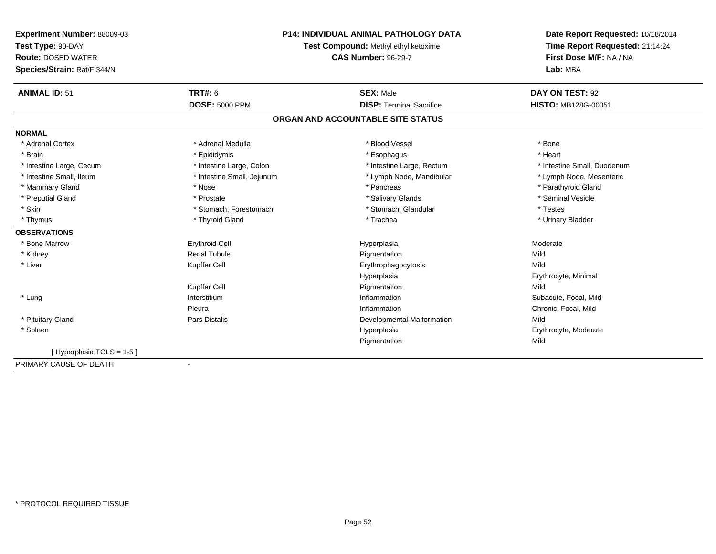| Experiment Number: 88009-03 | <b>P14: INDIVIDUAL ANIMAL PATHOLOGY DATA</b> |                                   | Date Report Requested: 10/18/2014 |
|-----------------------------|----------------------------------------------|-----------------------------------|-----------------------------------|
| Test Type: 90-DAY           | Test Compound: Methyl ethyl ketoxime         | Time Report Requested: 21:14:24   |                                   |
| <b>Route: DOSED WATER</b>   |                                              | <b>CAS Number: 96-29-7</b>        | First Dose M/F: NA / NA           |
| Species/Strain: Rat/F 344/N |                                              |                                   | Lab: MBA                          |
| <b>ANIMAL ID: 51</b>        | <b>TRT#: 6</b>                               | <b>SEX: Male</b>                  | DAY ON TEST: 92                   |
|                             | <b>DOSE: 5000 PPM</b>                        | <b>DISP: Terminal Sacrifice</b>   | <b>HISTO: MB128G-00051</b>        |
|                             |                                              | ORGAN AND ACCOUNTABLE SITE STATUS |                                   |
| <b>NORMAL</b>               |                                              |                                   |                                   |
| * Adrenal Cortex            | * Adrenal Medulla                            | * Blood Vessel                    | * Bone                            |
| * Brain                     | * Epididymis                                 | * Esophagus                       | * Heart                           |
| * Intestine Large, Cecum    | * Intestine Large, Colon                     | * Intestine Large, Rectum         | * Intestine Small, Duodenum       |
| * Intestine Small, Ileum    | * Intestine Small, Jejunum                   | * Lymph Node, Mandibular          | * Lymph Node, Mesenteric          |
| * Mammary Gland             | * Nose                                       | * Pancreas                        | * Parathyroid Gland               |
| * Preputial Gland           | * Prostate                                   | * Salivary Glands                 | * Seminal Vesicle                 |
| * Skin                      | * Stomach, Forestomach                       | * Stomach, Glandular              | * Testes                          |
| * Thymus                    | * Thyroid Gland                              | * Trachea                         | * Urinary Bladder                 |
| <b>OBSERVATIONS</b>         |                                              |                                   |                                   |
| * Bone Marrow               | <b>Erythroid Cell</b>                        | Hyperplasia                       | Moderate                          |
| * Kidney                    | <b>Renal Tubule</b>                          | Pigmentation                      | Mild                              |
| * Liver                     | Kupffer Cell                                 | Erythrophagocytosis               | Mild                              |
|                             |                                              | Hyperplasia                       | Erythrocyte, Minimal              |
|                             | Kupffer Cell                                 | Pigmentation                      | Mild                              |
| * Lung                      | Interstitium                                 | Inflammation                      | Subacute, Focal, Mild             |
|                             | Pleura                                       | Inflammation                      | Chronic, Focal, Mild              |
| * Pituitary Gland           | Pars Distalis                                | <b>Developmental Malformation</b> | Mild                              |
| * Spleen                    |                                              | Hyperplasia                       | Erythrocyte, Moderate             |
|                             |                                              | Pigmentation                      | Mild                              |
| [Hyperplasia TGLS = 1-5]    |                                              |                                   |                                   |
| PRIMARY CAUSE OF DEATH      |                                              |                                   |                                   |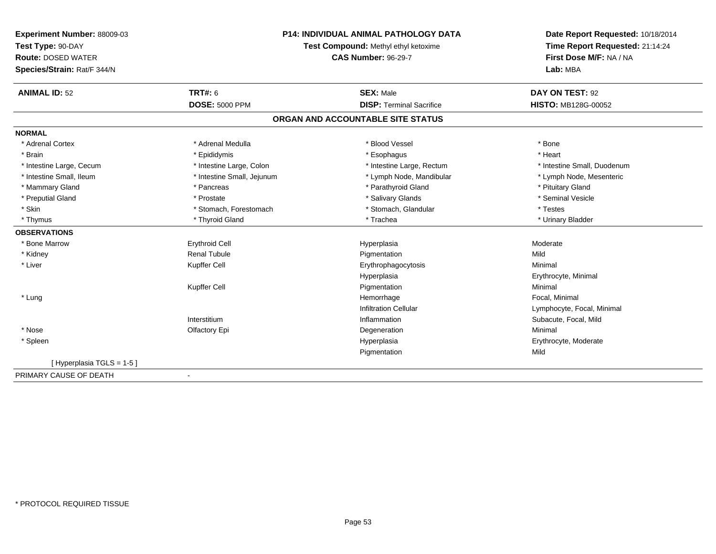| Experiment Number: 88009-03 | <b>P14: INDIVIDUAL ANIMAL PATHOLOGY DATA</b><br>Test Compound: Methyl ethyl ketoxime |                                   | Date Report Requested: 10/18/2014 |  |
|-----------------------------|--------------------------------------------------------------------------------------|-----------------------------------|-----------------------------------|--|
| Test Type: 90-DAY           |                                                                                      |                                   | Time Report Requested: 21:14:24   |  |
| <b>Route: DOSED WATER</b>   |                                                                                      | <b>CAS Number: 96-29-7</b>        | First Dose M/F: NA / NA           |  |
| Species/Strain: Rat/F 344/N |                                                                                      |                                   | Lab: MBA                          |  |
| <b>ANIMAL ID: 52</b>        | <b>TRT#: 6</b>                                                                       | <b>SEX: Male</b>                  | DAY ON TEST: 92                   |  |
|                             | <b>DOSE: 5000 PPM</b>                                                                | <b>DISP: Terminal Sacrifice</b>   | HISTO: MB128G-00052               |  |
|                             |                                                                                      | ORGAN AND ACCOUNTABLE SITE STATUS |                                   |  |
| <b>NORMAL</b>               |                                                                                      |                                   |                                   |  |
| * Adrenal Cortex            | * Adrenal Medulla                                                                    | * Blood Vessel                    | * Bone                            |  |
| * Brain                     | * Epididymis                                                                         | * Esophagus                       | * Heart                           |  |
| * Intestine Large, Cecum    | * Intestine Large, Colon                                                             | * Intestine Large, Rectum         | * Intestine Small, Duodenum       |  |
| * Intestine Small, Ileum    | * Intestine Small, Jejunum                                                           | * Lymph Node, Mandibular          | * Lymph Node, Mesenteric          |  |
| * Mammary Gland             | * Pancreas                                                                           | * Parathyroid Gland               | * Pituitary Gland                 |  |
| * Preputial Gland           | * Prostate                                                                           | * Salivary Glands                 | * Seminal Vesicle                 |  |
| * Skin                      | * Stomach, Forestomach                                                               | * Stomach, Glandular              | * Testes                          |  |
| * Thymus                    | * Thyroid Gland                                                                      | * Trachea                         | * Urinary Bladder                 |  |
| <b>OBSERVATIONS</b>         |                                                                                      |                                   |                                   |  |
| * Bone Marrow               | <b>Erythroid Cell</b>                                                                | Hyperplasia                       | Moderate                          |  |
| * Kidney                    | <b>Renal Tubule</b>                                                                  | Pigmentation                      | Mild                              |  |
| * Liver                     | Kupffer Cell                                                                         | Erythrophagocytosis               | Minimal                           |  |
|                             |                                                                                      | Hyperplasia                       | Erythrocyte, Minimal              |  |
|                             | Kupffer Cell                                                                         | Pigmentation                      | Minimal                           |  |
| * Lung                      |                                                                                      | Hemorrhage                        | Focal, Minimal                    |  |
|                             |                                                                                      | <b>Infiltration Cellular</b>      | Lymphocyte, Focal, Minimal        |  |
|                             | Interstitium                                                                         | Inflammation                      | Subacute, Focal, Mild             |  |
| * Nose                      | Olfactory Epi                                                                        | Degeneration                      | Minimal                           |  |
| * Spleen                    |                                                                                      | Hyperplasia                       | Erythrocyte, Moderate             |  |
|                             |                                                                                      | Pigmentation                      | Mild                              |  |
| [Hyperplasia TGLS = 1-5]    |                                                                                      |                                   |                                   |  |
| PRIMARY CAUSE OF DEATH      | $\blacksquare$                                                                       |                                   |                                   |  |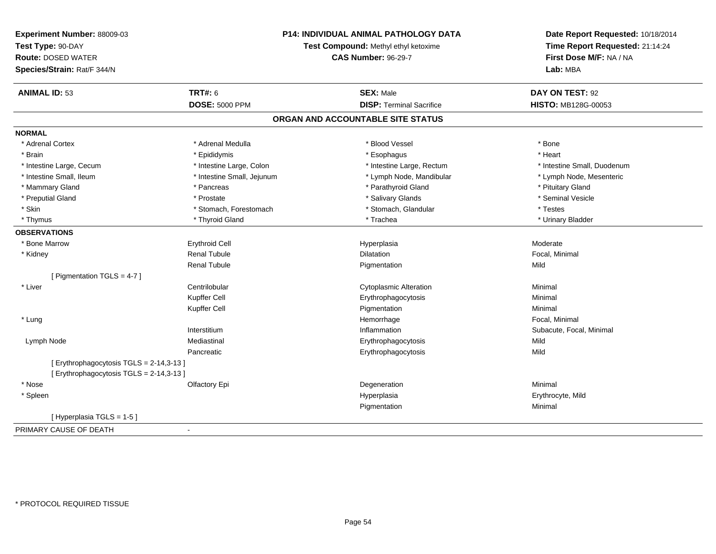| Experiment Number: 88009-03            | <b>P14: INDIVIDUAL ANIMAL PATHOLOGY DATA</b><br>Test Compound: Methyl ethyl ketoxime<br><b>CAS Number: 96-29-7</b> |                                   | Date Report Requested: 10/18/2014                          |
|----------------------------------------|--------------------------------------------------------------------------------------------------------------------|-----------------------------------|------------------------------------------------------------|
| Test Type: 90-DAY                      |                                                                                                                    |                                   | Time Report Requested: 21:14:24<br>First Dose M/F: NA / NA |
| <b>Route: DOSED WATER</b>              |                                                                                                                    |                                   |                                                            |
| Species/Strain: Rat/F 344/N            |                                                                                                                    |                                   | Lab: MBA                                                   |
| <b>ANIMAL ID: 53</b>                   | <b>TRT#: 6</b>                                                                                                     | <b>SEX: Male</b>                  | DAY ON TEST: 92                                            |
|                                        | <b>DOSE: 5000 PPM</b>                                                                                              | <b>DISP: Terminal Sacrifice</b>   | HISTO: MB128G-00053                                        |
|                                        |                                                                                                                    | ORGAN AND ACCOUNTABLE SITE STATUS |                                                            |
| <b>NORMAL</b>                          |                                                                                                                    |                                   |                                                            |
| * Adrenal Cortex                       | * Adrenal Medulla                                                                                                  | * Blood Vessel                    | * Bone                                                     |
| * Brain                                | * Epididymis                                                                                                       | * Esophagus                       | * Heart                                                    |
| * Intestine Large, Cecum               | * Intestine Large, Colon                                                                                           | * Intestine Large, Rectum         | * Intestine Small, Duodenum                                |
| * Intestine Small, Ileum               | * Intestine Small, Jejunum                                                                                         | * Lymph Node, Mandibular          | * Lymph Node, Mesenteric                                   |
| * Mammary Gland                        | * Pancreas                                                                                                         | * Parathyroid Gland               | * Pituitary Gland                                          |
| * Preputial Gland                      | * Prostate                                                                                                         | * Salivary Glands                 | * Seminal Vesicle                                          |
| * Skin                                 | * Stomach, Forestomach                                                                                             | * Stomach, Glandular              | * Testes                                                   |
| * Thymus                               | * Thyroid Gland                                                                                                    | * Trachea                         | * Urinary Bladder                                          |
| <b>OBSERVATIONS</b>                    |                                                                                                                    |                                   |                                                            |
| * Bone Marrow                          | <b>Erythroid Cell</b>                                                                                              | Hyperplasia                       | Moderate                                                   |
| * Kidney                               | <b>Renal Tubule</b>                                                                                                | <b>Dilatation</b>                 | Focal, Minimal                                             |
|                                        | <b>Renal Tubule</b>                                                                                                | Pigmentation                      | Mild                                                       |
| [ Pigmentation TGLS = 4-7 ]            |                                                                                                                    |                                   |                                                            |
| * Liver                                | Centrilobular                                                                                                      | <b>Cytoplasmic Alteration</b>     | Minimal                                                    |
|                                        | Kupffer Cell                                                                                                       | Erythrophagocytosis               | Minimal                                                    |
|                                        | Kupffer Cell                                                                                                       | Pigmentation                      | Minimal                                                    |
| * Lung                                 |                                                                                                                    | Hemorrhage                        | Focal, Minimal                                             |
|                                        | Interstitium                                                                                                       | Inflammation                      | Subacute, Focal, Minimal                                   |
| Lymph Node                             | Mediastinal                                                                                                        | Erythrophagocytosis               | Mild                                                       |
|                                        | Pancreatic                                                                                                         | Erythrophagocytosis               | Mild                                                       |
| [Erythrophagocytosis TGLS = 2-14,3-13] |                                                                                                                    |                                   |                                                            |
| [Erythrophagocytosis TGLS = 2-14,3-13] |                                                                                                                    |                                   |                                                            |
| * Nose                                 | Olfactory Epi                                                                                                      | Degeneration                      | Minimal                                                    |
| * Spleen                               |                                                                                                                    | Hyperplasia                       | Erythrocyte, Mild                                          |
|                                        |                                                                                                                    | Pigmentation                      | Minimal                                                    |
| [Hyperplasia TGLS = 1-5]               |                                                                                                                    |                                   |                                                            |
| PRIMARY CAUSE OF DEATH<br>÷            |                                                                                                                    |                                   |                                                            |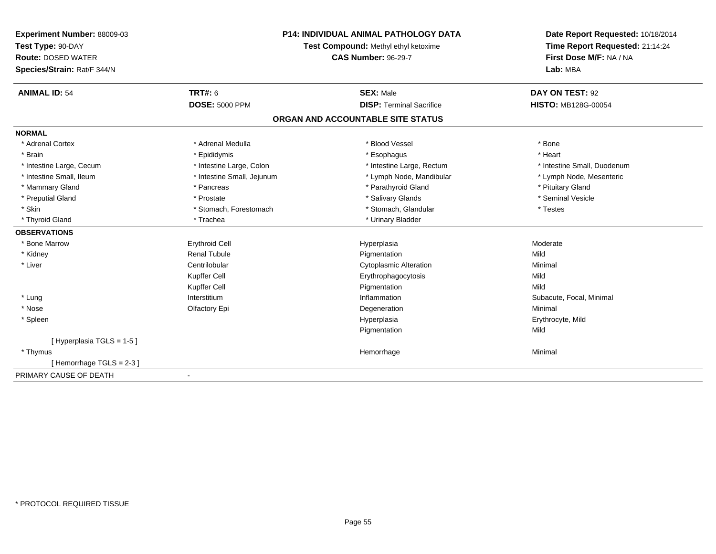| Experiment Number: 88009-03 | <b>P14: INDIVIDUAL ANIMAL PATHOLOGY DATA</b><br>Test Compound: Methyl ethyl ketoxime<br><b>CAS Number: 96-29-7</b> |                                   | Date Report Requested: 10/18/2014                          |  |
|-----------------------------|--------------------------------------------------------------------------------------------------------------------|-----------------------------------|------------------------------------------------------------|--|
| Test Type: 90-DAY           |                                                                                                                    |                                   | Time Report Requested: 21:14:24<br>First Dose M/F: NA / NA |  |
| <b>Route: DOSED WATER</b>   |                                                                                                                    |                                   |                                                            |  |
| Species/Strain: Rat/F 344/N |                                                                                                                    |                                   | Lab: MBA                                                   |  |
| <b>ANIMAL ID: 54</b>        | <b>TRT#: 6</b>                                                                                                     | <b>SEX: Male</b>                  | DAY ON TEST: 92                                            |  |
|                             | <b>DOSE: 5000 PPM</b>                                                                                              | <b>DISP: Terminal Sacrifice</b>   | <b>HISTO: MB128G-00054</b>                                 |  |
|                             |                                                                                                                    | ORGAN AND ACCOUNTABLE SITE STATUS |                                                            |  |
| <b>NORMAL</b>               |                                                                                                                    |                                   |                                                            |  |
| * Adrenal Cortex            | * Adrenal Medulla                                                                                                  | * Blood Vessel                    | * Bone                                                     |  |
| * Brain                     | * Epididymis                                                                                                       | * Esophagus                       | * Heart                                                    |  |
| * Intestine Large, Cecum    | * Intestine Large, Colon                                                                                           | * Intestine Large, Rectum         | * Intestine Small, Duodenum                                |  |
| * Intestine Small, Ileum    | * Intestine Small, Jejunum                                                                                         | * Lymph Node, Mandibular          | * Lymph Node, Mesenteric                                   |  |
| * Mammary Gland             | * Pancreas                                                                                                         | * Parathyroid Gland               | * Pituitary Gland                                          |  |
| * Preputial Gland           | * Prostate                                                                                                         | * Salivary Glands                 | * Seminal Vesicle                                          |  |
| * Skin                      | * Stomach, Forestomach                                                                                             | * Stomach, Glandular              | * Testes                                                   |  |
| * Thyroid Gland             | * Trachea                                                                                                          | * Urinary Bladder                 |                                                            |  |
| <b>OBSERVATIONS</b>         |                                                                                                                    |                                   |                                                            |  |
| * Bone Marrow               | <b>Erythroid Cell</b>                                                                                              | Hyperplasia                       | Moderate                                                   |  |
| * Kidney                    | <b>Renal Tubule</b>                                                                                                | Pigmentation                      | Mild                                                       |  |
| * Liver                     | Centrilobular                                                                                                      | <b>Cytoplasmic Alteration</b>     | Minimal                                                    |  |
|                             | Kupffer Cell                                                                                                       | Erythrophagocytosis               | Mild                                                       |  |
|                             | <b>Kupffer Cell</b>                                                                                                | Pigmentation                      | Mild                                                       |  |
| * Lung                      | Interstitium                                                                                                       | Inflammation                      | Subacute, Focal, Minimal                                   |  |
| * Nose                      | Olfactory Epi                                                                                                      | Degeneration                      | Minimal                                                    |  |
| * Spleen                    |                                                                                                                    | Hyperplasia                       | Erythrocyte, Mild                                          |  |
|                             |                                                                                                                    | Pigmentation                      | Mild                                                       |  |
| [Hyperplasia TGLS = 1-5]    |                                                                                                                    |                                   |                                                            |  |
| * Thymus                    |                                                                                                                    | Hemorrhage                        | Minimal                                                    |  |
| [Hemorrhage TGLS = 2-3]     |                                                                                                                    |                                   |                                                            |  |
| PRIMARY CAUSE OF DEATH      | $\blacksquare$                                                                                                     |                                   |                                                            |  |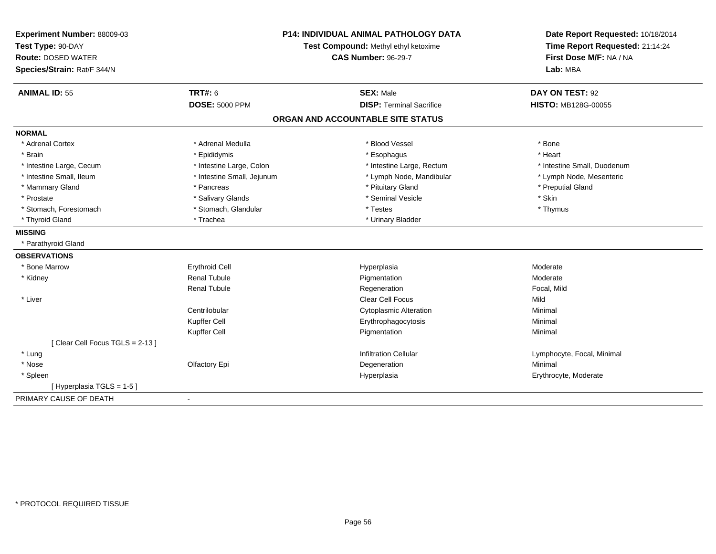| Experiment Number: 88009-03<br>Test Type: 90-DAY<br><b>Route: DOSED WATER</b><br>Species/Strain: Rat/F 344/N | <b>P14: INDIVIDUAL ANIMAL PATHOLOGY DATA</b><br>Test Compound: Methyl ethyl ketoxime<br><b>CAS Number: 96-29-7</b> |                                   | Date Report Requested: 10/18/2014<br>Time Report Requested: 21:14:24<br>First Dose M/F: NA / NA<br>Lab: MBA |  |
|--------------------------------------------------------------------------------------------------------------|--------------------------------------------------------------------------------------------------------------------|-----------------------------------|-------------------------------------------------------------------------------------------------------------|--|
| <b>ANIMAL ID: 55</b>                                                                                         | <b>TRT#: 6</b>                                                                                                     | <b>SEX: Male</b>                  | DAY ON TEST: 92                                                                                             |  |
|                                                                                                              | <b>DOSE: 5000 PPM</b>                                                                                              | <b>DISP: Terminal Sacrifice</b>   | <b>HISTO: MB128G-00055</b>                                                                                  |  |
|                                                                                                              |                                                                                                                    | ORGAN AND ACCOUNTABLE SITE STATUS |                                                                                                             |  |
| <b>NORMAL</b>                                                                                                |                                                                                                                    |                                   |                                                                                                             |  |
| * Adrenal Cortex                                                                                             | * Adrenal Medulla                                                                                                  | * Blood Vessel                    | * Bone                                                                                                      |  |
| * Brain                                                                                                      | * Epididymis                                                                                                       | * Esophagus                       | * Heart                                                                                                     |  |
| * Intestine Large, Cecum                                                                                     | * Intestine Large, Colon                                                                                           | * Intestine Large, Rectum         | * Intestine Small, Duodenum                                                                                 |  |
| * Intestine Small, Ileum                                                                                     | * Intestine Small, Jejunum                                                                                         | * Lymph Node, Mandibular          | * Lymph Node, Mesenteric                                                                                    |  |
| * Mammary Gland                                                                                              | * Pancreas                                                                                                         | * Pituitary Gland                 | * Preputial Gland                                                                                           |  |
| * Prostate                                                                                                   | * Salivary Glands                                                                                                  | * Seminal Vesicle                 | * Skin                                                                                                      |  |
| * Stomach, Forestomach                                                                                       | * Stomach, Glandular                                                                                               | * Testes                          | * Thymus                                                                                                    |  |
| * Thyroid Gland                                                                                              | * Trachea                                                                                                          | * Urinary Bladder                 |                                                                                                             |  |
| <b>MISSING</b>                                                                                               |                                                                                                                    |                                   |                                                                                                             |  |
| * Parathyroid Gland                                                                                          |                                                                                                                    |                                   |                                                                                                             |  |
| <b>OBSERVATIONS</b>                                                                                          |                                                                                                                    |                                   |                                                                                                             |  |
| * Bone Marrow                                                                                                | <b>Erythroid Cell</b>                                                                                              | Hyperplasia                       | Moderate                                                                                                    |  |
| * Kidney                                                                                                     | <b>Renal Tubule</b>                                                                                                | Pigmentation                      | Moderate                                                                                                    |  |
|                                                                                                              | <b>Renal Tubule</b>                                                                                                | Regeneration                      | Focal, Mild                                                                                                 |  |
| * Liver                                                                                                      |                                                                                                                    | Clear Cell Focus                  | Mild                                                                                                        |  |
|                                                                                                              | Centrilobular                                                                                                      | <b>Cytoplasmic Alteration</b>     | Minimal                                                                                                     |  |
|                                                                                                              | Kupffer Cell                                                                                                       | Erythrophagocytosis               | Minimal                                                                                                     |  |
|                                                                                                              | Kupffer Cell                                                                                                       | Pigmentation                      | Minimal                                                                                                     |  |
| [Clear Cell Focus TGLS = 2-13]                                                                               |                                                                                                                    |                                   |                                                                                                             |  |
| * Lung                                                                                                       |                                                                                                                    | <b>Infiltration Cellular</b>      | Lymphocyte, Focal, Minimal                                                                                  |  |
| * Nose                                                                                                       | Olfactory Epi                                                                                                      | Degeneration                      | Minimal                                                                                                     |  |
| * Spleen                                                                                                     |                                                                                                                    | Hyperplasia                       | Erythrocyte, Moderate                                                                                       |  |
| [Hyperplasia TGLS = 1-5]                                                                                     |                                                                                                                    |                                   |                                                                                                             |  |
| PRIMARY CAUSE OF DEATH                                                                                       | $\blacksquare$                                                                                                     |                                   |                                                                                                             |  |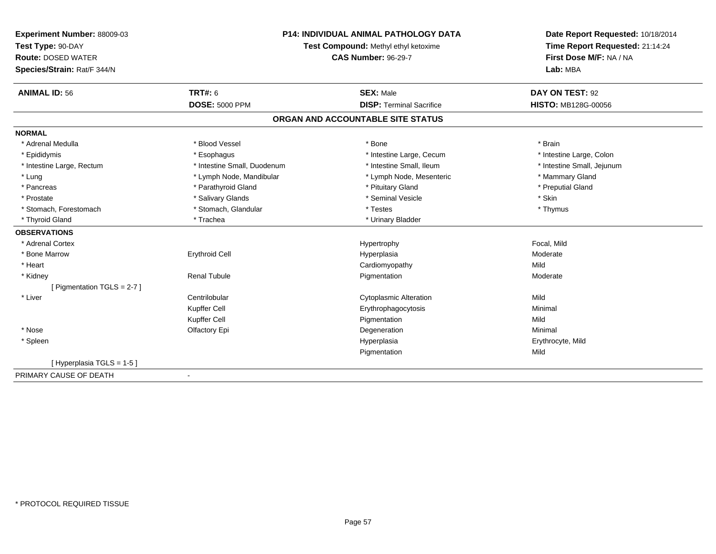| Experiment Number: 88009-03<br>Test Type: 90-DAY<br><b>Route: DOSED WATER</b> | <b>P14: INDIVIDUAL ANIMAL PATHOLOGY DATA</b><br>Test Compound: Methyl ethyl ketoxime<br><b>CAS Number: 96-29-7</b> |                                   | Date Report Requested: 10/18/2014<br>Time Report Requested: 21:14:24<br>First Dose M/F: NA / NA |  |
|-------------------------------------------------------------------------------|--------------------------------------------------------------------------------------------------------------------|-----------------------------------|-------------------------------------------------------------------------------------------------|--|
| Species/Strain: Rat/F 344/N                                                   |                                                                                                                    |                                   | Lab: MBA                                                                                        |  |
| <b>ANIMAL ID: 56</b>                                                          | <b>TRT#: 6</b>                                                                                                     | <b>SEX: Male</b>                  | DAY ON TEST: 92                                                                                 |  |
|                                                                               | <b>DOSE: 5000 PPM</b>                                                                                              | <b>DISP: Terminal Sacrifice</b>   | <b>HISTO: MB128G-00056</b>                                                                      |  |
|                                                                               |                                                                                                                    | ORGAN AND ACCOUNTABLE SITE STATUS |                                                                                                 |  |
| <b>NORMAL</b>                                                                 |                                                                                                                    |                                   |                                                                                                 |  |
| * Adrenal Medulla                                                             | * Blood Vessel                                                                                                     | * Bone                            | * Brain                                                                                         |  |
| * Epididymis                                                                  | * Esophagus                                                                                                        | * Intestine Large, Cecum          | * Intestine Large, Colon                                                                        |  |
| * Intestine Large, Rectum                                                     | * Intestine Small, Duodenum                                                                                        | * Intestine Small, Ileum          | * Intestine Small, Jejunum                                                                      |  |
| * Lung                                                                        | * Lymph Node, Mandibular                                                                                           | * Lymph Node, Mesenteric          | * Mammary Gland                                                                                 |  |
| * Pancreas                                                                    | * Parathyroid Gland                                                                                                | * Pituitary Gland                 | * Preputial Gland                                                                               |  |
| * Prostate                                                                    | * Salivary Glands                                                                                                  | * Seminal Vesicle                 | * Skin                                                                                          |  |
| * Stomach, Forestomach                                                        | * Stomach, Glandular                                                                                               | * Testes                          | * Thymus                                                                                        |  |
| * Thyroid Gland                                                               | * Trachea                                                                                                          | * Urinary Bladder                 |                                                                                                 |  |
| <b>OBSERVATIONS</b>                                                           |                                                                                                                    |                                   |                                                                                                 |  |
| * Adrenal Cortex                                                              |                                                                                                                    | Hypertrophy                       | Focal, Mild                                                                                     |  |
| * Bone Marrow                                                                 | <b>Erythroid Cell</b>                                                                                              | Hyperplasia                       | Moderate                                                                                        |  |
| * Heart                                                                       |                                                                                                                    | Cardiomyopathy                    | Mild                                                                                            |  |
| * Kidney                                                                      | <b>Renal Tubule</b>                                                                                                | Pigmentation                      | Moderate                                                                                        |  |
| [ Pigmentation TGLS = 2-7 ]                                                   |                                                                                                                    |                                   |                                                                                                 |  |
| * Liver                                                                       | Centrilobular                                                                                                      | <b>Cytoplasmic Alteration</b>     | Mild                                                                                            |  |
|                                                                               | Kupffer Cell                                                                                                       | Erythrophagocytosis               | Minimal                                                                                         |  |
|                                                                               | Kupffer Cell                                                                                                       | Pigmentation                      | Mild                                                                                            |  |
| * Nose                                                                        | Olfactory Epi                                                                                                      | Degeneration                      | Minimal                                                                                         |  |
| * Spleen                                                                      |                                                                                                                    | Hyperplasia                       | Erythrocyte, Mild                                                                               |  |
|                                                                               |                                                                                                                    | Pigmentation                      | Mild                                                                                            |  |
| [Hyperplasia TGLS = 1-5]                                                      |                                                                                                                    |                                   |                                                                                                 |  |
| PRIMARY CAUSE OF DEATH                                                        | $\blacksquare$                                                                                                     |                                   |                                                                                                 |  |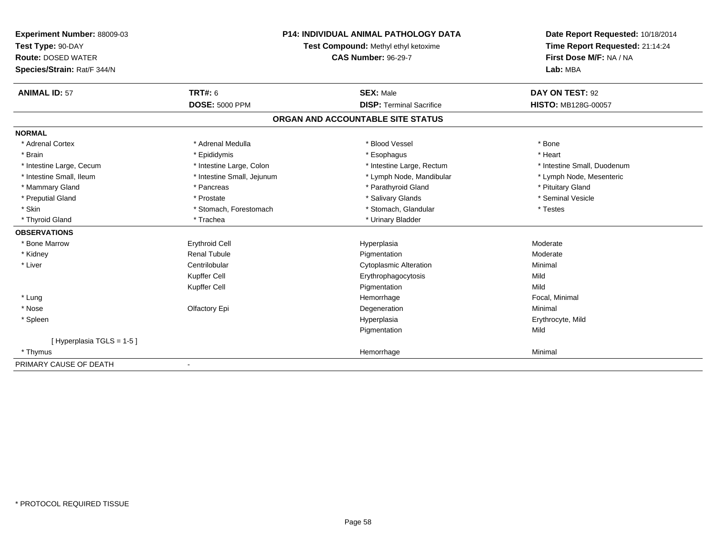| <b>Experiment Number: 88009-03</b> | <b>P14: INDIVIDUAL ANIMAL PATHOLOGY DATA</b><br>Test Compound: Methyl ethyl ketoxime |                                   | Date Report Requested: 10/18/2014 |  |
|------------------------------------|--------------------------------------------------------------------------------------|-----------------------------------|-----------------------------------|--|
| Test Type: 90-DAY                  |                                                                                      |                                   | Time Report Requested: 21:14:24   |  |
| <b>Route: DOSED WATER</b>          |                                                                                      | <b>CAS Number: 96-29-7</b>        | First Dose M/F: NA / NA           |  |
| Species/Strain: Rat/F 344/N        |                                                                                      |                                   | Lab: MBA                          |  |
| <b>ANIMAL ID: 57</b>               | TRT#: 6                                                                              | <b>SEX: Male</b>                  | DAY ON TEST: 92                   |  |
|                                    | <b>DOSE: 5000 PPM</b>                                                                | <b>DISP: Terminal Sacrifice</b>   | <b>HISTO: MB128G-00057</b>        |  |
|                                    |                                                                                      | ORGAN AND ACCOUNTABLE SITE STATUS |                                   |  |
| <b>NORMAL</b>                      |                                                                                      |                                   |                                   |  |
| * Adrenal Cortex                   | * Adrenal Medulla                                                                    | * Blood Vessel                    | * Bone                            |  |
| * Brain                            | * Epididymis                                                                         | * Esophagus                       | * Heart                           |  |
| * Intestine Large, Cecum           | * Intestine Large, Colon                                                             | * Intestine Large, Rectum         | * Intestine Small, Duodenum       |  |
| * Intestine Small, Ileum           | * Intestine Small, Jejunum                                                           | * Lymph Node, Mandibular          | * Lymph Node, Mesenteric          |  |
| * Mammary Gland                    | * Pancreas                                                                           | * Parathyroid Gland               | * Pituitary Gland                 |  |
| * Preputial Gland                  | * Prostate                                                                           | * Salivary Glands                 | * Seminal Vesicle                 |  |
| * Skin                             | * Stomach, Forestomach                                                               | * Stomach, Glandular              | * Testes                          |  |
| * Thyroid Gland                    | * Trachea                                                                            | * Urinary Bladder                 |                                   |  |
| <b>OBSERVATIONS</b>                |                                                                                      |                                   |                                   |  |
| * Bone Marrow                      | <b>Erythroid Cell</b>                                                                | Hyperplasia                       | Moderate                          |  |
| * Kidney                           | Renal Tubule                                                                         | Pigmentation                      | Moderate                          |  |
| * Liver                            | Centrilobular                                                                        | <b>Cytoplasmic Alteration</b>     | Minimal                           |  |
|                                    | Kupffer Cell                                                                         | Erythrophagocytosis               | Mild                              |  |
|                                    | Kupffer Cell                                                                         | Pigmentation                      | Mild                              |  |
| * Lung                             |                                                                                      | Hemorrhage                        | Focal. Minimal                    |  |
| * Nose                             | Olfactory Epi                                                                        | Degeneration                      | Minimal                           |  |
| * Spleen                           |                                                                                      | Hyperplasia                       | Erythrocyte, Mild                 |  |
|                                    |                                                                                      | Pigmentation                      | Mild                              |  |
| [Hyperplasia TGLS = 1-5]           |                                                                                      |                                   |                                   |  |
| * Thymus                           |                                                                                      | Hemorrhage                        | Minimal                           |  |
| PRIMARY CAUSE OF DEATH             |                                                                                      |                                   |                                   |  |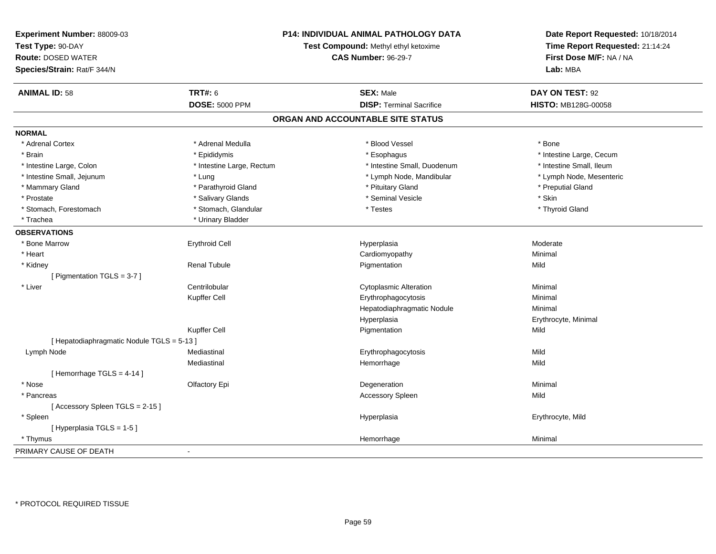| Experiment Number: 88009-03                | P14: INDIVIDUAL ANIMAL PATHOLOGY DATA<br>Test Compound: Methyl ethyl ketoxime<br><b>CAS Number: 96-29-7</b> |                                   | Date Report Requested: 10/18/2014<br>Time Report Requested: 21:14:24<br>First Dose M/F: NA / NA |
|--------------------------------------------|-------------------------------------------------------------------------------------------------------------|-----------------------------------|-------------------------------------------------------------------------------------------------|
| Test Type: 90-DAY                          |                                                                                                             |                                   |                                                                                                 |
| <b>Route: DOSED WATER</b>                  |                                                                                                             |                                   |                                                                                                 |
| Species/Strain: Rat/F 344/N                |                                                                                                             |                                   | Lab: MBA                                                                                        |
| <b>ANIMAL ID: 58</b>                       | <b>TRT#: 6</b>                                                                                              | <b>SEX: Male</b>                  | DAY ON TEST: 92                                                                                 |
|                                            | <b>DOSE: 5000 PPM</b>                                                                                       | <b>DISP: Terminal Sacrifice</b>   | HISTO: MB128G-00058                                                                             |
|                                            |                                                                                                             | ORGAN AND ACCOUNTABLE SITE STATUS |                                                                                                 |
| <b>NORMAL</b>                              |                                                                                                             |                                   |                                                                                                 |
| * Adrenal Cortex                           | * Adrenal Medulla                                                                                           | * Blood Vessel                    | * Bone                                                                                          |
| * Brain                                    | * Epididymis                                                                                                | * Esophagus                       | * Intestine Large, Cecum                                                                        |
| * Intestine Large, Colon                   | * Intestine Large, Rectum                                                                                   | * Intestine Small, Duodenum       | * Intestine Small, Ileum                                                                        |
| * Intestine Small, Jejunum                 | * Lung                                                                                                      | * Lymph Node, Mandibular          | * Lymph Node, Mesenteric                                                                        |
| * Mammary Gland                            | * Parathyroid Gland                                                                                         | * Pituitary Gland                 | * Preputial Gland                                                                               |
| * Prostate                                 | * Salivary Glands                                                                                           | * Seminal Vesicle                 | * Skin                                                                                          |
| * Stomach, Forestomach                     | * Stomach, Glandular                                                                                        | * Testes                          | * Thyroid Gland                                                                                 |
| * Trachea                                  | * Urinary Bladder                                                                                           |                                   |                                                                                                 |
| <b>OBSERVATIONS</b>                        |                                                                                                             |                                   |                                                                                                 |
| * Bone Marrow                              | <b>Erythroid Cell</b>                                                                                       | Hyperplasia                       | Moderate                                                                                        |
| * Heart                                    |                                                                                                             | Cardiomyopathy                    | Minimal                                                                                         |
| * Kidney                                   | <b>Renal Tubule</b>                                                                                         | Pigmentation                      | Mild                                                                                            |
| [ Pigmentation TGLS = 3-7 ]                |                                                                                                             |                                   |                                                                                                 |
| * Liver                                    | Centrilobular                                                                                               | <b>Cytoplasmic Alteration</b>     | Minimal                                                                                         |
|                                            | Kupffer Cell                                                                                                | Erythrophagocytosis               | Minimal                                                                                         |
|                                            |                                                                                                             | Hepatodiaphragmatic Nodule        | Minimal                                                                                         |
|                                            |                                                                                                             | Hyperplasia                       | Erythrocyte, Minimal                                                                            |
|                                            | Kupffer Cell                                                                                                | Pigmentation                      | Mild                                                                                            |
| [ Hepatodiaphragmatic Nodule TGLS = 5-13 ] |                                                                                                             |                                   |                                                                                                 |
| Lymph Node                                 | Mediastinal                                                                                                 | Erythrophagocytosis               | Mild                                                                                            |
|                                            | Mediastinal                                                                                                 | Hemorrhage                        | Mild                                                                                            |
| [Hemorrhage TGLS = 4-14]                   |                                                                                                             |                                   |                                                                                                 |
| * Nose                                     | Olfactory Epi                                                                                               | Degeneration                      | Minimal                                                                                         |
| * Pancreas                                 |                                                                                                             | <b>Accessory Spleen</b>           | Mild                                                                                            |
| [Accessory Spleen TGLS = 2-15]             |                                                                                                             |                                   |                                                                                                 |
| * Spleen                                   |                                                                                                             | Hyperplasia                       | Erythrocyte, Mild                                                                               |
| [Hyperplasia TGLS = 1-5]                   |                                                                                                             |                                   |                                                                                                 |
| * Thymus                                   |                                                                                                             | Hemorrhage                        | Minimal                                                                                         |
| PRIMARY CAUSE OF DEATH                     | $\blacksquare$                                                                                              |                                   |                                                                                                 |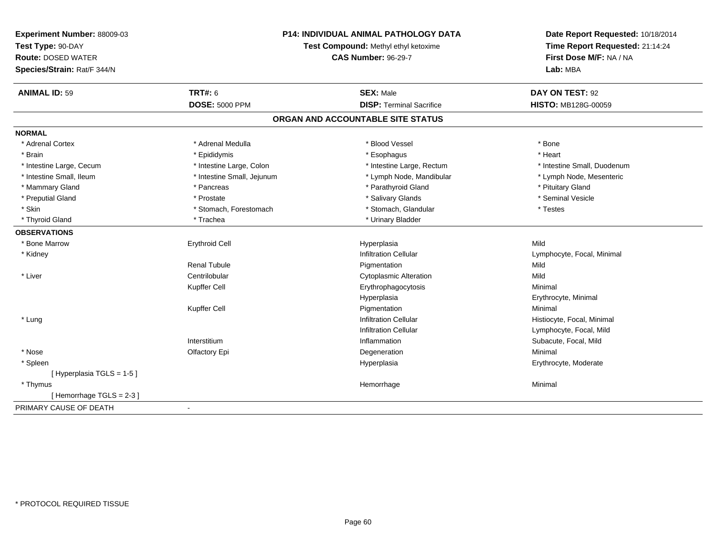| Experiment Number: 88009-03 | <b>P14: INDIVIDUAL ANIMAL PATHOLOGY DATA</b><br>Test Compound: Methyl ethyl ketoxime |                                   | Date Report Requested: 10/18/2014<br>Time Report Requested: 21:14:24 |
|-----------------------------|--------------------------------------------------------------------------------------|-----------------------------------|----------------------------------------------------------------------|
| Test Type: 90-DAY           |                                                                                      |                                   |                                                                      |
| <b>Route: DOSED WATER</b>   |                                                                                      | <b>CAS Number: 96-29-7</b>        | First Dose M/F: NA / NA                                              |
| Species/Strain: Rat/F 344/N |                                                                                      |                                   | Lab: MBA                                                             |
| <b>ANIMAL ID: 59</b>        | <b>TRT#: 6</b>                                                                       | <b>SEX: Male</b>                  | DAY ON TEST: 92                                                      |
|                             | <b>DOSE: 5000 PPM</b>                                                                | <b>DISP: Terminal Sacrifice</b>   | <b>HISTO: MB128G-00059</b>                                           |
|                             |                                                                                      | ORGAN AND ACCOUNTABLE SITE STATUS |                                                                      |
| <b>NORMAL</b>               |                                                                                      |                                   |                                                                      |
| * Adrenal Cortex            | * Adrenal Medulla                                                                    | * Blood Vessel                    | * Bone                                                               |
| * Brain                     | * Epididymis                                                                         | * Esophagus                       | * Heart                                                              |
| * Intestine Large, Cecum    | * Intestine Large, Colon                                                             | * Intestine Large, Rectum         | * Intestine Small, Duodenum                                          |
| * Intestine Small, Ileum    | * Intestine Small, Jejunum                                                           | * Lymph Node, Mandibular          | * Lymph Node, Mesenteric                                             |
| * Mammary Gland             | * Pancreas                                                                           | * Parathyroid Gland               | * Pituitary Gland                                                    |
| * Preputial Gland           | * Prostate                                                                           | * Salivary Glands                 | * Seminal Vesicle                                                    |
| * Skin                      | * Stomach, Forestomach                                                               | * Stomach, Glandular              | * Testes                                                             |
| * Thyroid Gland             | * Trachea                                                                            | * Urinary Bladder                 |                                                                      |
| <b>OBSERVATIONS</b>         |                                                                                      |                                   |                                                                      |
| * Bone Marrow               | <b>Erythroid Cell</b>                                                                | Hyperplasia                       | Mild                                                                 |
| * Kidney                    |                                                                                      | <b>Infiltration Cellular</b>      | Lymphocyte, Focal, Minimal                                           |
|                             | <b>Renal Tubule</b>                                                                  | Pigmentation                      | Mild                                                                 |
| * Liver                     | Centrilobular                                                                        | <b>Cytoplasmic Alteration</b>     | Mild                                                                 |
|                             | Kupffer Cell                                                                         | Erythrophagocytosis               | Minimal                                                              |
|                             |                                                                                      | Hyperplasia                       | Erythrocyte, Minimal                                                 |
|                             | Kupffer Cell                                                                         | Pigmentation                      | Minimal                                                              |
| * Lung                      |                                                                                      | <b>Infiltration Cellular</b>      | Histiocyte, Focal, Minimal                                           |
|                             |                                                                                      | <b>Infiltration Cellular</b>      | Lymphocyte, Focal, Mild                                              |
|                             | Interstitium                                                                         | Inflammation                      | Subacute, Focal, Mild                                                |
| * Nose                      | Olfactory Epi                                                                        | Degeneration                      | Minimal                                                              |
| * Spleen                    |                                                                                      | Hyperplasia                       | Erythrocyte, Moderate                                                |
| [Hyperplasia TGLS = 1-5]    |                                                                                      |                                   |                                                                      |
| * Thymus                    |                                                                                      | Hemorrhage                        | Minimal                                                              |
| [Hemorrhage TGLS = 2-3]     |                                                                                      |                                   |                                                                      |
| PRIMARY CAUSE OF DEATH      |                                                                                      |                                   |                                                                      |
|                             |                                                                                      |                                   |                                                                      |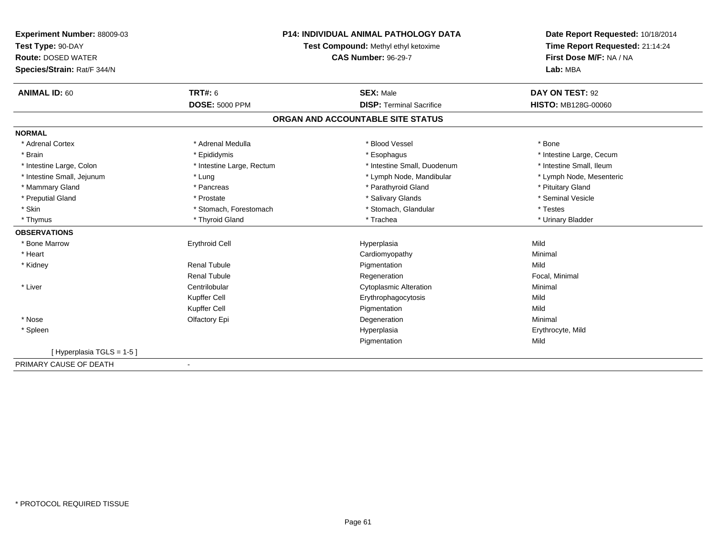| <b>Experiment Number: 88009-03</b> | <b>P14: INDIVIDUAL ANIMAL PATHOLOGY DATA</b><br>Test Compound: Methyl ethyl ketoxime |                                   | Date Report Requested: 10/18/2014<br>Time Report Requested: 21:14:24 |  |
|------------------------------------|--------------------------------------------------------------------------------------|-----------------------------------|----------------------------------------------------------------------|--|
| Test Type: 90-DAY                  |                                                                                      |                                   |                                                                      |  |
| <b>Route: DOSED WATER</b>          |                                                                                      | <b>CAS Number: 96-29-7</b>        | First Dose M/F: NA / NA                                              |  |
| Species/Strain: Rat/F 344/N        |                                                                                      |                                   | Lab: MBA                                                             |  |
| <b>ANIMAL ID: 60</b>               | TRT#: 6                                                                              | <b>SEX: Male</b>                  | DAY ON TEST: 92                                                      |  |
|                                    | <b>DOSE: 5000 PPM</b>                                                                | <b>DISP: Terminal Sacrifice</b>   | HISTO: MB128G-00060                                                  |  |
|                                    |                                                                                      | ORGAN AND ACCOUNTABLE SITE STATUS |                                                                      |  |
| <b>NORMAL</b>                      |                                                                                      |                                   |                                                                      |  |
| * Adrenal Cortex                   | * Adrenal Medulla                                                                    | * Blood Vessel                    | * Bone                                                               |  |
| * Brain                            | * Epididymis                                                                         | * Esophagus                       | * Intestine Large, Cecum                                             |  |
| * Intestine Large, Colon           | * Intestine Large, Rectum                                                            | * Intestine Small, Duodenum       | * Intestine Small. Ileum                                             |  |
| * Intestine Small, Jejunum         | * Lung                                                                               | * Lymph Node, Mandibular          | * Lymph Node, Mesenteric                                             |  |
| * Mammary Gland                    | * Pancreas                                                                           | * Parathyroid Gland               | * Pituitary Gland                                                    |  |
| * Preputial Gland                  | * Prostate                                                                           | * Salivary Glands                 | * Seminal Vesicle                                                    |  |
| * Skin                             | * Stomach, Forestomach                                                               | * Stomach, Glandular              | * Testes                                                             |  |
| * Thymus                           | * Thyroid Gland                                                                      | * Trachea                         | * Urinary Bladder                                                    |  |
| <b>OBSERVATIONS</b>                |                                                                                      |                                   |                                                                      |  |
| * Bone Marrow                      | <b>Erythroid Cell</b>                                                                | Hyperplasia                       | Mild                                                                 |  |
| * Heart                            |                                                                                      | Cardiomyopathy                    | Minimal                                                              |  |
| * Kidney                           | Renal Tubule                                                                         | Pigmentation                      | Mild                                                                 |  |
|                                    | <b>Renal Tubule</b>                                                                  | Regeneration                      | Focal, Minimal                                                       |  |
| * Liver                            | Centrilobular                                                                        | <b>Cytoplasmic Alteration</b>     | Minimal                                                              |  |
|                                    | Kupffer Cell                                                                         | Erythrophagocytosis               | Mild                                                                 |  |
|                                    | Kupffer Cell                                                                         | Pigmentation                      | Mild                                                                 |  |
| * Nose                             | Olfactory Epi                                                                        | Degeneration                      | Minimal                                                              |  |
| * Spleen                           |                                                                                      | Hyperplasia                       | Erythrocyte, Mild                                                    |  |
|                                    |                                                                                      | Pigmentation                      | Mild                                                                 |  |
| [Hyperplasia TGLS = 1-5]           |                                                                                      |                                   |                                                                      |  |
| PRIMARY CAUSE OF DEATH             |                                                                                      |                                   |                                                                      |  |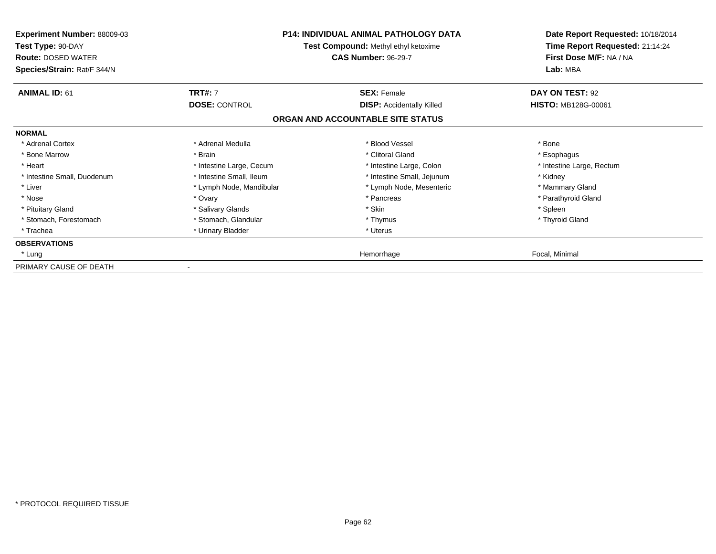| <b>Experiment Number: 88009-03</b><br>Test Type: 90-DAY<br><b>Route: DOSED WATER</b><br>Species/Strain: Rat/F 344/N |                          | <b>P14: INDIVIDUAL ANIMAL PATHOLOGY DATA</b><br>Test Compound: Methyl ethyl ketoxime<br><b>CAS Number: 96-29-7</b> | Date Report Requested: 10/18/2014<br>Time Report Requested: 21:14:24<br>First Dose M/F: NA / NA<br>Lab: MBA |
|---------------------------------------------------------------------------------------------------------------------|--------------------------|--------------------------------------------------------------------------------------------------------------------|-------------------------------------------------------------------------------------------------------------|
| <b>ANIMAL ID: 61</b>                                                                                                | <b>TRT#: 7</b>           | <b>SEX: Female</b>                                                                                                 | DAY ON TEST: 92                                                                                             |
|                                                                                                                     | <b>DOSE: CONTROL</b>     | <b>DISP:</b> Accidentally Killed                                                                                   | <b>HISTO: MB128G-00061</b>                                                                                  |
|                                                                                                                     |                          | ORGAN AND ACCOUNTABLE SITE STATUS                                                                                  |                                                                                                             |
| <b>NORMAL</b>                                                                                                       |                          |                                                                                                                    |                                                                                                             |
| * Adrenal Cortex                                                                                                    | * Adrenal Medulla        | * Blood Vessel                                                                                                     | * Bone                                                                                                      |
| * Bone Marrow                                                                                                       | * Brain                  | * Clitoral Gland                                                                                                   | * Esophagus                                                                                                 |
| * Heart                                                                                                             | * Intestine Large, Cecum | * Intestine Large, Colon                                                                                           | * Intestine Large, Rectum                                                                                   |
| * Intestine Small, Duodenum                                                                                         | * Intestine Small, Ileum | * Intestine Small, Jejunum                                                                                         | * Kidney                                                                                                    |
| * Liver                                                                                                             | * Lymph Node, Mandibular | * Lymph Node, Mesenteric                                                                                           | * Mammary Gland                                                                                             |
| * Nose                                                                                                              | * Ovary                  | * Pancreas                                                                                                         | * Parathyroid Gland                                                                                         |
| * Pituitary Gland                                                                                                   | * Salivary Glands        | * Skin                                                                                                             | * Spleen                                                                                                    |
| * Stomach, Forestomach                                                                                              | * Stomach, Glandular     | * Thymus                                                                                                           | * Thyroid Gland                                                                                             |
| * Trachea                                                                                                           | * Urinary Bladder        | * Uterus                                                                                                           |                                                                                                             |
| <b>OBSERVATIONS</b>                                                                                                 |                          |                                                                                                                    |                                                                                                             |
| * Lung                                                                                                              |                          | Hemorrhage                                                                                                         | Focal, Minimal                                                                                              |
| PRIMARY CAUSE OF DEATH                                                                                              |                          |                                                                                                                    |                                                                                                             |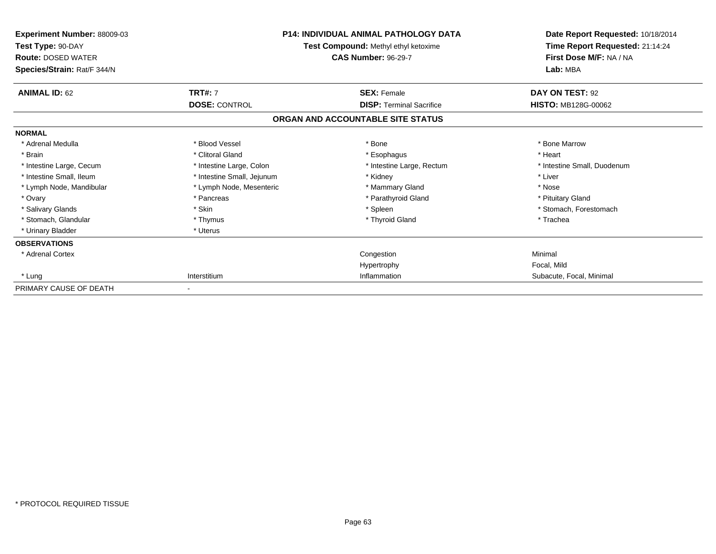| Experiment Number: 88009-03<br>Test Type: 90-DAY<br><b>Route: DOSED WATER</b><br>Species/Strain: Rat/F 344/N |                            | <b>P14: INDIVIDUAL ANIMAL PATHOLOGY DATA</b><br>Test Compound: Methyl ethyl ketoxime<br><b>CAS Number: 96-29-7</b> | Date Report Requested: 10/18/2014<br>Time Report Requested: 21:14:24<br>First Dose M/F: NA / NA<br>Lab: MBA |
|--------------------------------------------------------------------------------------------------------------|----------------------------|--------------------------------------------------------------------------------------------------------------------|-------------------------------------------------------------------------------------------------------------|
| <b>ANIMAL ID: 62</b>                                                                                         | <b>TRT#: 7</b>             | <b>SEX: Female</b>                                                                                                 | DAY ON TEST: 92                                                                                             |
|                                                                                                              | <b>DOSE: CONTROL</b>       | <b>DISP: Terminal Sacrifice</b><br>ORGAN AND ACCOUNTABLE SITE STATUS                                               | <b>HISTO: MB128G-00062</b>                                                                                  |
| <b>NORMAL</b>                                                                                                |                            |                                                                                                                    |                                                                                                             |
| * Adrenal Medulla                                                                                            | * Blood Vessel             | * Bone                                                                                                             | * Bone Marrow                                                                                               |
| * Brain                                                                                                      | * Clitoral Gland           | * Esophagus                                                                                                        | * Heart                                                                                                     |
| * Intestine Large, Cecum                                                                                     | * Intestine Large, Colon   | * Intestine Large, Rectum                                                                                          | * Intestine Small, Duodenum                                                                                 |
| * Intestine Small, Ileum                                                                                     | * Intestine Small, Jejunum | * Kidney                                                                                                           | * Liver                                                                                                     |
| * Lymph Node, Mandibular                                                                                     | * Lymph Node, Mesenteric   | * Mammary Gland                                                                                                    | * Nose                                                                                                      |
| * Ovary                                                                                                      | * Pancreas                 | * Parathyroid Gland                                                                                                | * Pituitary Gland                                                                                           |
| * Salivary Glands                                                                                            | * Skin                     | * Spleen                                                                                                           | * Stomach, Forestomach                                                                                      |
| * Stomach, Glandular                                                                                         | * Thymus                   | * Thyroid Gland                                                                                                    | * Trachea                                                                                                   |
| * Urinary Bladder                                                                                            | * Uterus                   |                                                                                                                    |                                                                                                             |
| <b>OBSERVATIONS</b>                                                                                          |                            |                                                                                                                    |                                                                                                             |
| * Adrenal Cortex                                                                                             |                            | Congestion                                                                                                         | Minimal                                                                                                     |
|                                                                                                              |                            | Hypertrophy                                                                                                        | Focal, Mild                                                                                                 |
| * Lung                                                                                                       | Interstitium               | Inflammation                                                                                                       | Subacute, Focal, Minimal                                                                                    |
| PRIMARY CAUSE OF DEATH                                                                                       |                            |                                                                                                                    |                                                                                                             |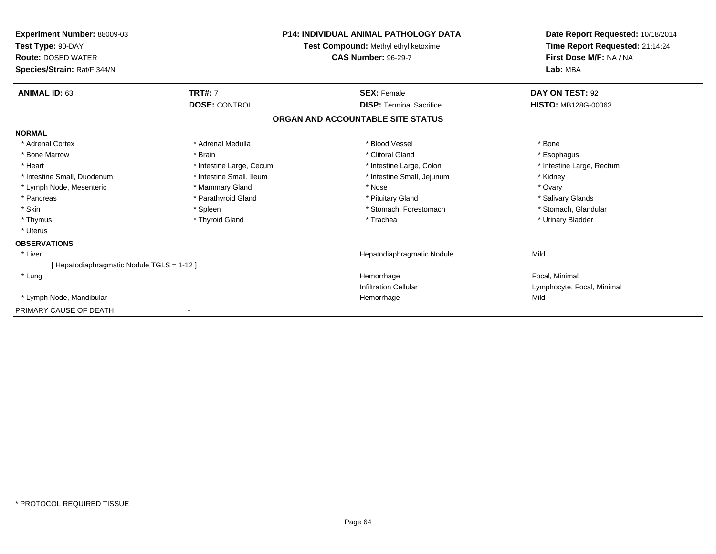| Experiment Number: 88009-03<br>Test Type: 90-DAY<br><b>Route: DOSED WATER</b><br>Species/Strain: Rat/F 344/N | <b>P14: INDIVIDUAL ANIMAL PATHOLOGY DATA</b><br>Test Compound: Methyl ethyl ketoxime<br><b>CAS Number: 96-29-7</b> |                                   | Date Report Requested: 10/18/2014<br>Time Report Requested: 21:14:24<br>First Dose M/F: NA / NA<br>Lab: MBA |
|--------------------------------------------------------------------------------------------------------------|--------------------------------------------------------------------------------------------------------------------|-----------------------------------|-------------------------------------------------------------------------------------------------------------|
| <b>ANIMAL ID: 63</b>                                                                                         | <b>TRT#: 7</b>                                                                                                     | <b>SEX: Female</b>                | DAY ON TEST: 92                                                                                             |
|                                                                                                              | <b>DOSE: CONTROL</b>                                                                                               | <b>DISP: Terminal Sacrifice</b>   | <b>HISTO: MB128G-00063</b>                                                                                  |
|                                                                                                              |                                                                                                                    | ORGAN AND ACCOUNTABLE SITE STATUS |                                                                                                             |
| <b>NORMAL</b>                                                                                                |                                                                                                                    |                                   |                                                                                                             |
| * Adrenal Cortex                                                                                             | * Adrenal Medulla                                                                                                  | * Blood Vessel                    | * Bone                                                                                                      |
| * Bone Marrow                                                                                                | * Brain                                                                                                            | * Clitoral Gland                  | * Esophagus                                                                                                 |
| * Heart                                                                                                      | * Intestine Large, Cecum                                                                                           | * Intestine Large, Colon          | * Intestine Large, Rectum                                                                                   |
| * Intestine Small, Duodenum                                                                                  | * Intestine Small, Ileum                                                                                           | * Intestine Small, Jejunum        | * Kidney                                                                                                    |
| * Lymph Node, Mesenteric                                                                                     | * Mammary Gland                                                                                                    | * Nose                            | * Ovary                                                                                                     |
| * Pancreas                                                                                                   | * Parathyroid Gland                                                                                                | * Pituitary Gland                 | * Salivary Glands                                                                                           |
| * Skin                                                                                                       | * Spleen                                                                                                           | * Stomach, Forestomach            | * Stomach, Glandular                                                                                        |
| * Thymus                                                                                                     | * Thyroid Gland                                                                                                    | * Trachea                         | * Urinary Bladder                                                                                           |
| * Uterus                                                                                                     |                                                                                                                    |                                   |                                                                                                             |
| <b>OBSERVATIONS</b>                                                                                          |                                                                                                                    |                                   |                                                                                                             |
| * Liver                                                                                                      |                                                                                                                    | Hepatodiaphragmatic Nodule        | Mild                                                                                                        |
| [Hepatodiaphragmatic Nodule TGLS = 1-12]                                                                     |                                                                                                                    |                                   |                                                                                                             |
| * Lung                                                                                                       |                                                                                                                    | Hemorrhage                        | Focal. Minimal                                                                                              |
|                                                                                                              |                                                                                                                    | <b>Infiltration Cellular</b>      | Lymphocyte, Focal, Minimal                                                                                  |
| * Lymph Node, Mandibular                                                                                     |                                                                                                                    | Hemorrhage                        | Mild                                                                                                        |
| PRIMARY CAUSE OF DEATH                                                                                       |                                                                                                                    |                                   |                                                                                                             |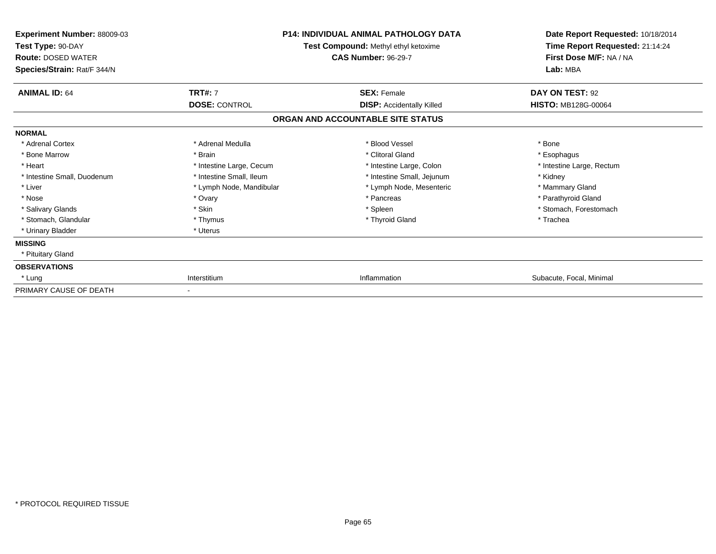| Experiment Number: 88009-03<br>Test Type: 90-DAY<br><b>Route: DOSED WATER</b><br>Species/Strain: Rat/F 344/N | <b>P14: INDIVIDUAL ANIMAL PATHOLOGY DATA</b><br>Test Compound: Methyl ethyl ketoxime<br><b>CAS Number: 96-29-7</b> |                                   | Date Report Requested: 10/18/2014<br>Time Report Requested: 21:14:24<br>First Dose M/F: NA / NA<br>Lab: MBA |
|--------------------------------------------------------------------------------------------------------------|--------------------------------------------------------------------------------------------------------------------|-----------------------------------|-------------------------------------------------------------------------------------------------------------|
| <b>ANIMAL ID: 64</b>                                                                                         | <b>TRT#: 7</b>                                                                                                     | <b>SEX: Female</b>                | DAY ON TEST: 92                                                                                             |
|                                                                                                              | <b>DOSE: CONTROL</b>                                                                                               | <b>DISP:</b> Accidentally Killed  | <b>HISTO: MB128G-00064</b>                                                                                  |
|                                                                                                              |                                                                                                                    | ORGAN AND ACCOUNTABLE SITE STATUS |                                                                                                             |
| <b>NORMAL</b>                                                                                                |                                                                                                                    |                                   |                                                                                                             |
| * Adrenal Cortex                                                                                             | * Adrenal Medulla                                                                                                  | * Blood Vessel                    | * Bone                                                                                                      |
| * Bone Marrow                                                                                                | * Brain                                                                                                            | * Clitoral Gland                  | * Esophagus                                                                                                 |
| * Heart                                                                                                      | * Intestine Large, Cecum                                                                                           | * Intestine Large, Colon          | * Intestine Large, Rectum                                                                                   |
| * Intestine Small, Duodenum                                                                                  | * Intestine Small, Ileum                                                                                           | * Intestine Small, Jejunum        | * Kidney                                                                                                    |
| * Liver                                                                                                      | * Lymph Node, Mandibular                                                                                           | * Lymph Node, Mesenteric          | * Mammary Gland                                                                                             |
| * Nose                                                                                                       | * Ovary                                                                                                            | * Pancreas                        | * Parathyroid Gland                                                                                         |
| * Salivary Glands                                                                                            | * Skin                                                                                                             | * Spleen                          | * Stomach, Forestomach                                                                                      |
| * Stomach, Glandular                                                                                         | * Thymus                                                                                                           | * Thyroid Gland                   | * Trachea                                                                                                   |
| * Urinary Bladder                                                                                            | * Uterus                                                                                                           |                                   |                                                                                                             |
| <b>MISSING</b>                                                                                               |                                                                                                                    |                                   |                                                                                                             |
| * Pituitary Gland                                                                                            |                                                                                                                    |                                   |                                                                                                             |
| <b>OBSERVATIONS</b>                                                                                          |                                                                                                                    |                                   |                                                                                                             |
| * Lung                                                                                                       | Interstitium                                                                                                       | Inflammation                      | Subacute, Focal, Minimal                                                                                    |
| PRIMARY CAUSE OF DEATH                                                                                       |                                                                                                                    |                                   |                                                                                                             |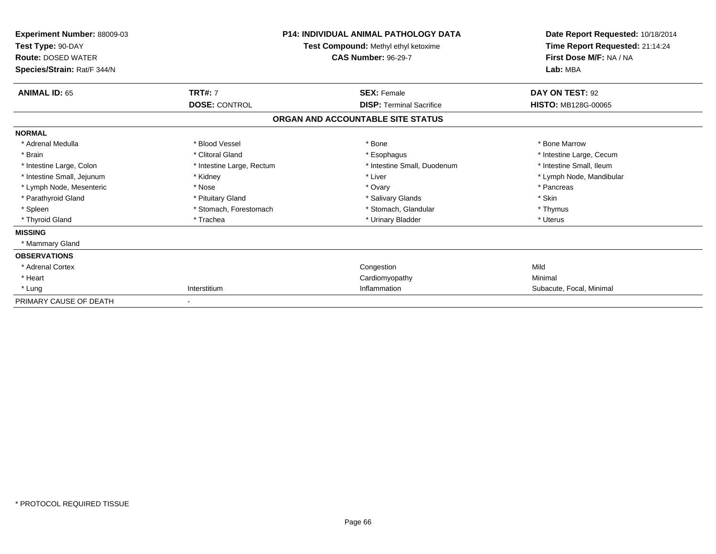| <b>Experiment Number: 88009-03</b><br>Test Type: 90-DAY<br><b>Route: DOSED WATER</b><br>Species/Strain: Rat/F 344/N | <b>P14: INDIVIDUAL ANIMAL PATHOLOGY DATA</b><br>Test Compound: Methyl ethyl ketoxime<br><b>CAS Number: 96-29-7</b> |                                   | Date Report Requested: 10/18/2014<br>Time Report Requested: 21:14:24<br>First Dose M/F: NA / NA<br>Lab: MBA |
|---------------------------------------------------------------------------------------------------------------------|--------------------------------------------------------------------------------------------------------------------|-----------------------------------|-------------------------------------------------------------------------------------------------------------|
| <b>ANIMAL ID: 65</b>                                                                                                | <b>TRT#: 7</b>                                                                                                     | <b>SEX: Female</b>                | DAY ON TEST: 92                                                                                             |
|                                                                                                                     | <b>DOSE: CONTROL</b>                                                                                               | <b>DISP: Terminal Sacrifice</b>   | <b>HISTO: MB128G-00065</b>                                                                                  |
|                                                                                                                     |                                                                                                                    | ORGAN AND ACCOUNTABLE SITE STATUS |                                                                                                             |
| <b>NORMAL</b>                                                                                                       |                                                                                                                    |                                   |                                                                                                             |
| * Adrenal Medulla                                                                                                   | * Blood Vessel                                                                                                     | * Bone                            | * Bone Marrow                                                                                               |
| * Brain                                                                                                             | * Clitoral Gland                                                                                                   | * Esophagus                       | * Intestine Large, Cecum                                                                                    |
| * Intestine Large, Colon                                                                                            | * Intestine Large, Rectum                                                                                          | * Intestine Small, Duodenum       | * Intestine Small, Ileum                                                                                    |
| * Intestine Small, Jejunum                                                                                          | * Kidney                                                                                                           | * Liver                           | * Lymph Node, Mandibular                                                                                    |
| * Lymph Node, Mesenteric                                                                                            | * Nose                                                                                                             | * Ovary                           | * Pancreas                                                                                                  |
| * Parathyroid Gland                                                                                                 | * Pituitary Gland                                                                                                  | * Salivary Glands                 | * Skin                                                                                                      |
| * Spleen                                                                                                            | * Stomach, Forestomach                                                                                             | * Stomach, Glandular              | * Thymus                                                                                                    |
| * Thyroid Gland                                                                                                     | * Trachea                                                                                                          | * Urinary Bladder                 | * Uterus                                                                                                    |
| <b>MISSING</b>                                                                                                      |                                                                                                                    |                                   |                                                                                                             |
| * Mammary Gland                                                                                                     |                                                                                                                    |                                   |                                                                                                             |
| <b>OBSERVATIONS</b>                                                                                                 |                                                                                                                    |                                   |                                                                                                             |
| * Adrenal Cortex                                                                                                    |                                                                                                                    | Congestion                        | Mild                                                                                                        |
| * Heart                                                                                                             |                                                                                                                    | Cardiomyopathy                    | Minimal                                                                                                     |
| * Lung                                                                                                              | Interstitium                                                                                                       | Inflammation                      | Subacute, Focal, Minimal                                                                                    |
| PRIMARY CAUSE OF DEATH                                                                                              |                                                                                                                    |                                   |                                                                                                             |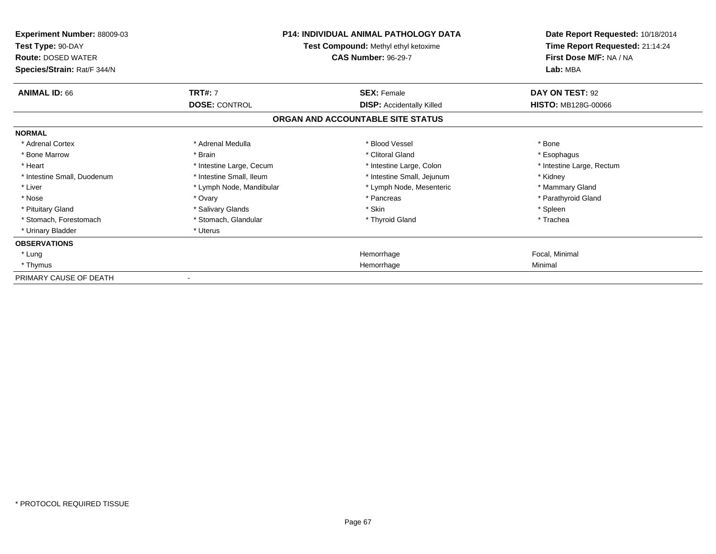| <b>Experiment Number: 88009-03</b><br>Test Type: 90-DAY<br><b>Route: DOSED WATER</b><br>Species/Strain: Rat/F 344/N | <b>P14: INDIVIDUAL ANIMAL PATHOLOGY DATA</b><br>Test Compound: Methyl ethyl ketoxime<br><b>CAS Number: 96-29-7</b> |                                   | Date Report Requested: 10/18/2014<br>Time Report Requested: 21:14:24<br>First Dose M/F: NA / NA<br>Lab: MBA |
|---------------------------------------------------------------------------------------------------------------------|--------------------------------------------------------------------------------------------------------------------|-----------------------------------|-------------------------------------------------------------------------------------------------------------|
| <b>ANIMAL ID: 66</b>                                                                                                | <b>TRT#: 7</b>                                                                                                     | <b>SEX: Female</b>                | DAY ON TEST: 92                                                                                             |
|                                                                                                                     | <b>DOSE: CONTROL</b>                                                                                               | <b>DISP:</b> Accidentally Killed  | <b>HISTO: MB128G-00066</b>                                                                                  |
|                                                                                                                     |                                                                                                                    | ORGAN AND ACCOUNTABLE SITE STATUS |                                                                                                             |
| <b>NORMAL</b>                                                                                                       |                                                                                                                    |                                   |                                                                                                             |
| * Adrenal Cortex                                                                                                    | * Adrenal Medulla                                                                                                  | * Blood Vessel                    | * Bone                                                                                                      |
| * Bone Marrow                                                                                                       | * Brain                                                                                                            | * Clitoral Gland                  | * Esophagus                                                                                                 |
| * Heart                                                                                                             | * Intestine Large, Cecum                                                                                           | * Intestine Large, Colon          | * Intestine Large, Rectum                                                                                   |
| * Intestine Small, Duodenum                                                                                         | * Intestine Small, Ileum                                                                                           | * Intestine Small, Jejunum        | * Kidney                                                                                                    |
| * Liver                                                                                                             | * Lymph Node, Mandibular                                                                                           | * Lymph Node, Mesenteric          | * Mammary Gland                                                                                             |
| * Nose                                                                                                              | * Ovary                                                                                                            | * Pancreas                        | * Parathyroid Gland                                                                                         |
| * Pituitary Gland                                                                                                   | * Salivary Glands                                                                                                  | * Skin                            | * Spleen                                                                                                    |
| * Stomach, Forestomach                                                                                              | * Stomach, Glandular                                                                                               | * Thyroid Gland                   | * Trachea                                                                                                   |
| * Urinary Bladder                                                                                                   | * Uterus                                                                                                           |                                   |                                                                                                             |
| <b>OBSERVATIONS</b>                                                                                                 |                                                                                                                    |                                   |                                                                                                             |
| * Lung                                                                                                              |                                                                                                                    | Hemorrhage                        | Focal, Minimal                                                                                              |
| * Thymus                                                                                                            |                                                                                                                    | Hemorrhage                        | Minimal                                                                                                     |
| PRIMARY CAUSE OF DEATH                                                                                              |                                                                                                                    |                                   |                                                                                                             |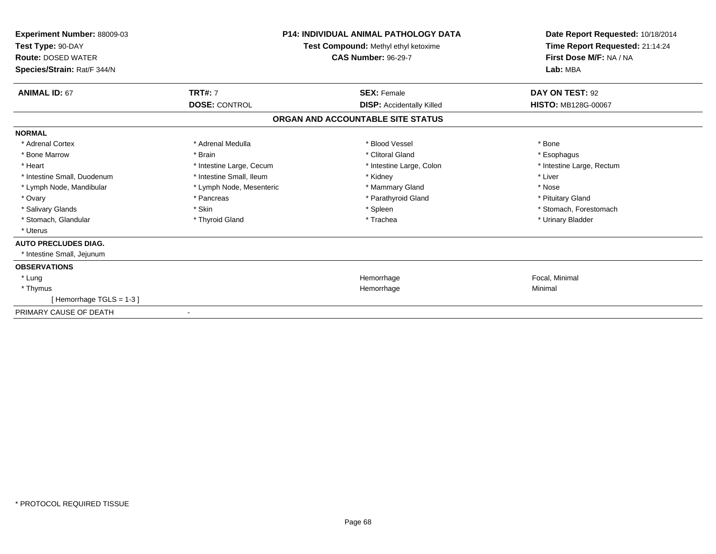| Experiment Number: 88009-03<br>Test Type: 90-DAY<br><b>Route: DOSED WATER</b><br>Species/Strain: Rat/F 344/N | <b>P14: INDIVIDUAL ANIMAL PATHOLOGY DATA</b><br>Test Compound: Methyl ethyl ketoxime<br><b>CAS Number: 96-29-7</b> |                                   | Date Report Requested: 10/18/2014<br>Time Report Requested: 21:14:24<br>First Dose M/F: NA / NA<br>Lab: MBA |
|--------------------------------------------------------------------------------------------------------------|--------------------------------------------------------------------------------------------------------------------|-----------------------------------|-------------------------------------------------------------------------------------------------------------|
| <b>ANIMAL ID: 67</b>                                                                                         | <b>TRT#: 7</b>                                                                                                     | <b>SEX: Female</b>                | DAY ON TEST: 92                                                                                             |
|                                                                                                              | <b>DOSE: CONTROL</b>                                                                                               | <b>DISP:</b> Accidentally Killed  | <b>HISTO: MB128G-00067</b>                                                                                  |
|                                                                                                              |                                                                                                                    | ORGAN AND ACCOUNTABLE SITE STATUS |                                                                                                             |
| <b>NORMAL</b>                                                                                                |                                                                                                                    |                                   |                                                                                                             |
| * Adrenal Cortex                                                                                             | * Adrenal Medulla                                                                                                  | * Blood Vessel                    | * Bone                                                                                                      |
| * Bone Marrow                                                                                                | * Brain                                                                                                            | * Clitoral Gland                  | * Esophagus                                                                                                 |
| * Heart                                                                                                      | * Intestine Large, Cecum                                                                                           | * Intestine Large, Colon          | * Intestine Large, Rectum                                                                                   |
| * Intestine Small, Duodenum                                                                                  | * Intestine Small, Ileum                                                                                           | * Kidney                          | * Liver                                                                                                     |
| * Lymph Node, Mandibular                                                                                     | * Lymph Node, Mesenteric                                                                                           | * Mammary Gland                   | * Nose                                                                                                      |
| * Ovary                                                                                                      | * Pancreas                                                                                                         | * Parathyroid Gland               | * Pituitary Gland                                                                                           |
| * Salivary Glands                                                                                            | * Skin                                                                                                             | * Spleen                          | * Stomach, Forestomach                                                                                      |
| * Stomach, Glandular                                                                                         | * Thyroid Gland                                                                                                    | * Trachea                         | * Urinary Bladder                                                                                           |
| * Uterus                                                                                                     |                                                                                                                    |                                   |                                                                                                             |
| <b>AUTO PRECLUDES DIAG.</b>                                                                                  |                                                                                                                    |                                   |                                                                                                             |
| * Intestine Small, Jejunum                                                                                   |                                                                                                                    |                                   |                                                                                                             |
| <b>OBSERVATIONS</b>                                                                                          |                                                                                                                    |                                   |                                                                                                             |
| * Lung                                                                                                       |                                                                                                                    | Hemorrhage                        | Focal, Minimal                                                                                              |
| * Thymus                                                                                                     |                                                                                                                    | Hemorrhage                        | Minimal                                                                                                     |
| [Hemorrhage TGLS = $1-3$ ]                                                                                   |                                                                                                                    |                                   |                                                                                                             |
| PRIMARY CAUSE OF DEATH                                                                                       |                                                                                                                    |                                   |                                                                                                             |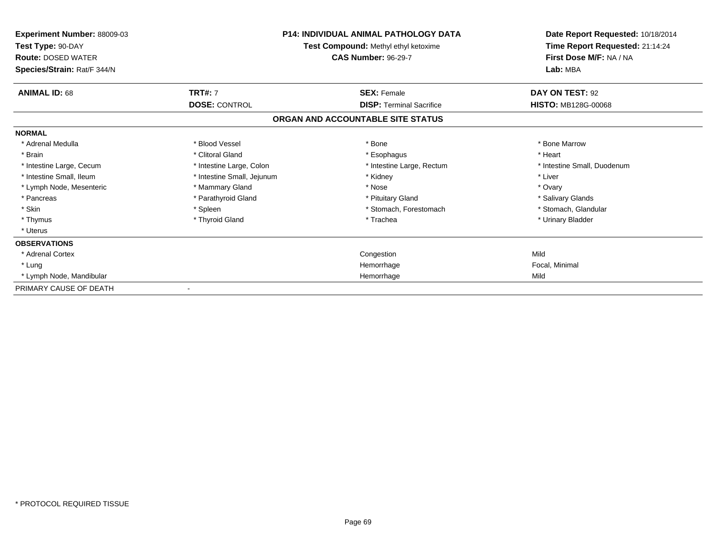| Experiment Number: 88009-03<br>Test Type: 90-DAY<br><b>Route: DOSED WATER</b><br>Species/Strain: Rat/F 344/N |                                                                | <b>P14: INDIVIDUAL ANIMAL PATHOLOGY DATA</b><br>Test Compound: Methyl ethyl ketoxime<br><b>CAS Number: 96-29-7</b> | Date Report Requested: 10/18/2014<br>Time Report Requested: 21:14:24<br>First Dose M/F: NA / NA<br>Lab: MBA |
|--------------------------------------------------------------------------------------------------------------|----------------------------------------------------------------|--------------------------------------------------------------------------------------------------------------------|-------------------------------------------------------------------------------------------------------------|
| <b>ANIMAL ID: 68</b>                                                                                         | <b>TRT#: 7</b>                                                 | <b>SEX: Female</b>                                                                                                 | DAY ON TEST: 92                                                                                             |
|                                                                                                              | <b>DOSE: CONTROL</b>                                           | <b>DISP: Terminal Sacrifice</b><br>ORGAN AND ACCOUNTABLE SITE STATUS                                               | <b>HISTO: MB128G-00068</b>                                                                                  |
| <b>NORMAL</b>                                                                                                |                                                                |                                                                                                                    |                                                                                                             |
| * Adrenal Medulla<br>* Brain<br>* Intestine Large, Cecum                                                     | * Blood Vessel<br>* Clitoral Gland<br>* Intestine Large, Colon | * Bone<br>* Esophagus<br>* Intestine Large, Rectum                                                                 | * Bone Marrow<br>* Heart<br>* Intestine Small, Duodenum                                                     |
| * Intestine Small. Ileum                                                                                     | * Intestine Small, Jejunum                                     | * Kidney                                                                                                           | * Liver                                                                                                     |
| * Lymph Node, Mesenteric<br>* Pancreas<br>* Skin                                                             | * Mammary Gland<br>* Parathyroid Gland<br>* Spleen             | * Nose<br>* Pituitary Gland<br>* Stomach, Forestomach                                                              | * Ovary<br>* Salivary Glands<br>* Stomach, Glandular                                                        |
| * Thymus<br>* Uterus                                                                                         | * Thyroid Gland                                                | * Trachea                                                                                                          | * Urinary Bladder                                                                                           |
| <b>OBSERVATIONS</b>                                                                                          |                                                                |                                                                                                                    |                                                                                                             |
| * Adrenal Cortex                                                                                             |                                                                | Congestion                                                                                                         | Mild                                                                                                        |
| * Lung                                                                                                       |                                                                | Hemorrhage                                                                                                         | Focal, Minimal                                                                                              |
| * Lymph Node, Mandibular                                                                                     |                                                                | Hemorrhage                                                                                                         | Mild                                                                                                        |
| PRIMARY CAUSE OF DEATH                                                                                       |                                                                |                                                                                                                    |                                                                                                             |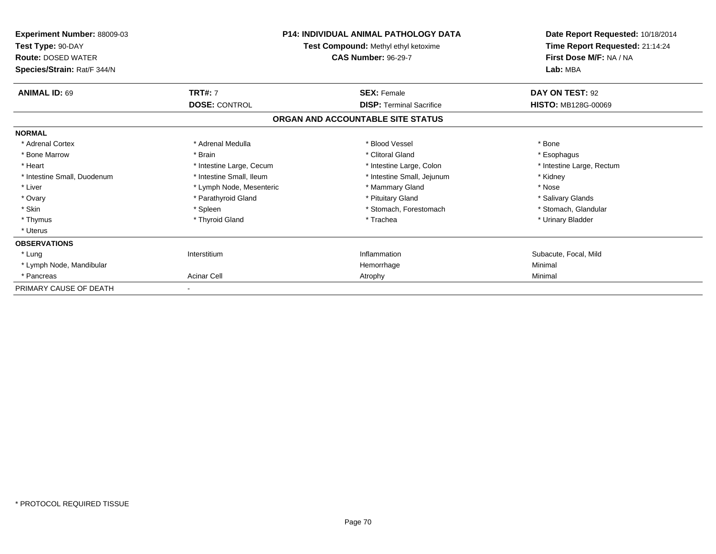| Experiment Number: 88009-03<br>Test Type: 90-DAY<br><b>Route: DOSED WATER</b><br>Species/Strain: Rat/F 344/N |                          | <b>P14: INDIVIDUAL ANIMAL PATHOLOGY DATA</b><br>Test Compound: Methyl ethyl ketoxime<br><b>CAS Number: 96-29-7</b> | Date Report Requested: 10/18/2014<br>Time Report Requested: 21:14:24<br>First Dose M/F: NA / NA<br>Lab: MBA |
|--------------------------------------------------------------------------------------------------------------|--------------------------|--------------------------------------------------------------------------------------------------------------------|-------------------------------------------------------------------------------------------------------------|
| <b>ANIMAL ID: 69</b>                                                                                         | <b>TRT#: 7</b>           | <b>SEX: Female</b><br><b>DISP: Terminal Sacrifice</b>                                                              | DAY ON TEST: 92<br><b>HISTO: MB128G-00069</b>                                                               |
|                                                                                                              | <b>DOSE: CONTROL</b>     | ORGAN AND ACCOUNTABLE SITE STATUS                                                                                  |                                                                                                             |
| <b>NORMAL</b>                                                                                                |                          |                                                                                                                    |                                                                                                             |
| * Adrenal Cortex                                                                                             | * Adrenal Medulla        | * Blood Vessel                                                                                                     | * Bone                                                                                                      |
| * Bone Marrow                                                                                                | * Brain                  | * Clitoral Gland                                                                                                   | * Esophagus                                                                                                 |
| * Heart                                                                                                      | * Intestine Large, Cecum | * Intestine Large, Colon                                                                                           | * Intestine Large, Rectum                                                                                   |
| * Intestine Small. Duodenum                                                                                  | * Intestine Small. Ileum | * Intestine Small, Jejunum                                                                                         | * Kidney                                                                                                    |
| * Liver                                                                                                      | * Lymph Node, Mesenteric | * Mammary Gland                                                                                                    | * Nose                                                                                                      |
| * Ovary                                                                                                      | * Parathyroid Gland      | * Pituitary Gland                                                                                                  | * Salivary Glands                                                                                           |
| * Skin                                                                                                       | * Spleen                 | * Stomach, Forestomach                                                                                             | * Stomach, Glandular                                                                                        |
| * Thymus                                                                                                     | * Thyroid Gland          | * Trachea                                                                                                          | * Urinary Bladder                                                                                           |
| * Uterus                                                                                                     |                          |                                                                                                                    |                                                                                                             |
| <b>OBSERVATIONS</b>                                                                                          |                          |                                                                                                                    |                                                                                                             |
| * Lung                                                                                                       | Interstitium             | Inflammation                                                                                                       | Subacute, Focal, Mild                                                                                       |
| * Lymph Node, Mandibular                                                                                     |                          | Hemorrhage                                                                                                         | Minimal                                                                                                     |
| * Pancreas                                                                                                   | <b>Acinar Cell</b>       | Atrophy                                                                                                            | Minimal                                                                                                     |
| PRIMARY CAUSE OF DEATH                                                                                       |                          |                                                                                                                    |                                                                                                             |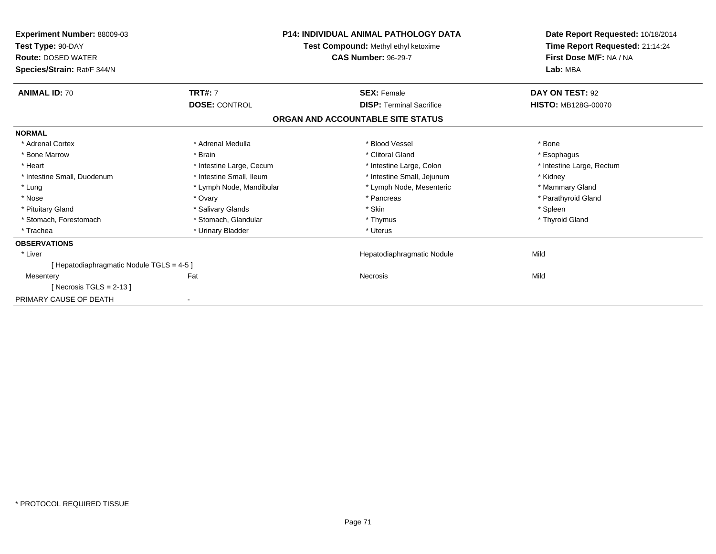| <b>Experiment Number: 88009-03</b><br>Test Type: 90-DAY<br><b>Route: DOSED WATER</b><br>Species/Strain: Rat/F 344/N | <b>P14: INDIVIDUAL ANIMAL PATHOLOGY DATA</b><br>Test Compound: Methyl ethyl ketoxime<br><b>CAS Number: 96-29-7</b> |                                   | Date Report Requested: 10/18/2014<br>Time Report Requested: 21:14:24<br>First Dose M/F: NA / NA<br>Lab: MBA |
|---------------------------------------------------------------------------------------------------------------------|--------------------------------------------------------------------------------------------------------------------|-----------------------------------|-------------------------------------------------------------------------------------------------------------|
| <b>ANIMAL ID: 70</b>                                                                                                | <b>TRT#: 7</b>                                                                                                     | <b>SEX: Female</b>                | DAY ON TEST: 92                                                                                             |
|                                                                                                                     | <b>DOSE: CONTROL</b>                                                                                               | <b>DISP: Terminal Sacrifice</b>   | <b>HISTO: MB128G-00070</b>                                                                                  |
|                                                                                                                     |                                                                                                                    | ORGAN AND ACCOUNTABLE SITE STATUS |                                                                                                             |
| <b>NORMAL</b>                                                                                                       |                                                                                                                    |                                   |                                                                                                             |
| * Adrenal Cortex                                                                                                    | * Adrenal Medulla                                                                                                  | * Blood Vessel                    | * Bone                                                                                                      |
| * Bone Marrow                                                                                                       | * Brain                                                                                                            | * Clitoral Gland                  | * Esophagus                                                                                                 |
| * Heart                                                                                                             | * Intestine Large, Cecum                                                                                           | * Intestine Large, Colon          | * Intestine Large, Rectum                                                                                   |
| * Intestine Small, Duodenum                                                                                         | * Intestine Small, Ileum                                                                                           | * Intestine Small, Jejunum        | * Kidney                                                                                                    |
| * Lung                                                                                                              | * Lymph Node, Mandibular                                                                                           | * Lymph Node, Mesenteric          | * Mammary Gland                                                                                             |
| * Nose                                                                                                              | * Ovary                                                                                                            | * Pancreas                        | * Parathyroid Gland                                                                                         |
| * Pituitary Gland                                                                                                   | * Salivary Glands                                                                                                  | * Skin                            | * Spleen                                                                                                    |
| * Stomach, Forestomach                                                                                              | * Stomach, Glandular                                                                                               | * Thymus                          | * Thyroid Gland                                                                                             |
| * Trachea                                                                                                           | * Urinary Bladder                                                                                                  | * Uterus                          |                                                                                                             |
| <b>OBSERVATIONS</b>                                                                                                 |                                                                                                                    |                                   |                                                                                                             |
| * Liver                                                                                                             |                                                                                                                    | Hepatodiaphragmatic Nodule        | Mild                                                                                                        |
| [Hepatodiaphragmatic Nodule TGLS = 4-5 ]                                                                            |                                                                                                                    |                                   |                                                                                                             |
| Mesentery                                                                                                           | Fat                                                                                                                | <b>Necrosis</b>                   | Mild                                                                                                        |
| [Necrosis TGLS = $2-13$ ]                                                                                           |                                                                                                                    |                                   |                                                                                                             |
| PRIMARY CAUSE OF DEATH                                                                                              |                                                                                                                    |                                   |                                                                                                             |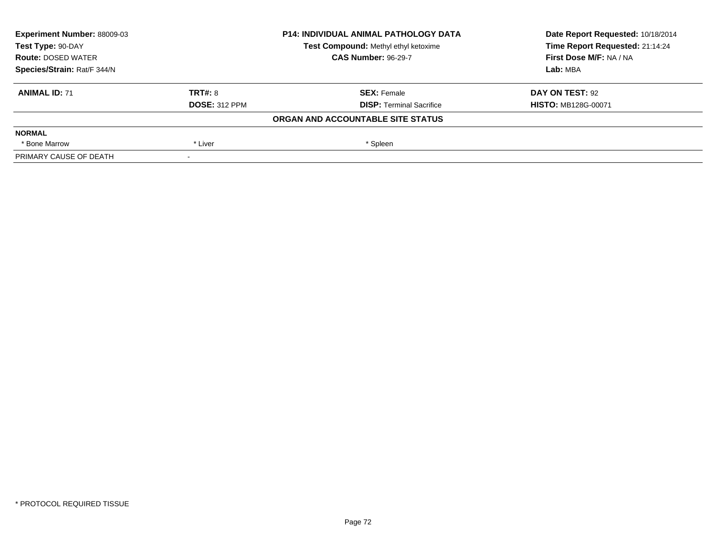| Experiment Number: 88009-03<br>Test Type: 90-DAY<br><b>Route: DOSED WATER</b><br>Species/Strain: Rat/F 344/N |                      | <b>P14: INDIVIDUAL ANIMAL PATHOLOGY DATA</b> | Date Report Requested: 10/18/2014<br>Time Report Requested: 21:14:24<br>First Dose M/F: NA / NA |
|--------------------------------------------------------------------------------------------------------------|----------------------|----------------------------------------------|-------------------------------------------------------------------------------------------------|
|                                                                                                              |                      | Test Compound: Methyl ethyl ketoxime         |                                                                                                 |
|                                                                                                              |                      | <b>CAS Number: 96-29-7</b>                   |                                                                                                 |
|                                                                                                              |                      |                                              | Lab: MBA                                                                                        |
| <b>ANIMAL ID: 71</b>                                                                                         | TRT#: 8              | <b>SEX: Female</b>                           | DAY ON TEST: 92                                                                                 |
|                                                                                                              | <b>DOSE: 312 PPM</b> | <b>DISP:</b> Terminal Sacrifice              | <b>HISTO: MB128G-00071</b>                                                                      |
|                                                                                                              |                      | ORGAN AND ACCOUNTABLE SITE STATUS            |                                                                                                 |
| <b>NORMAL</b>                                                                                                |                      |                                              |                                                                                                 |
| * Bone Marrow                                                                                                | * Liver              | * Spleen                                     |                                                                                                 |
| PRIMARY CAUSE OF DEATH                                                                                       |                      |                                              |                                                                                                 |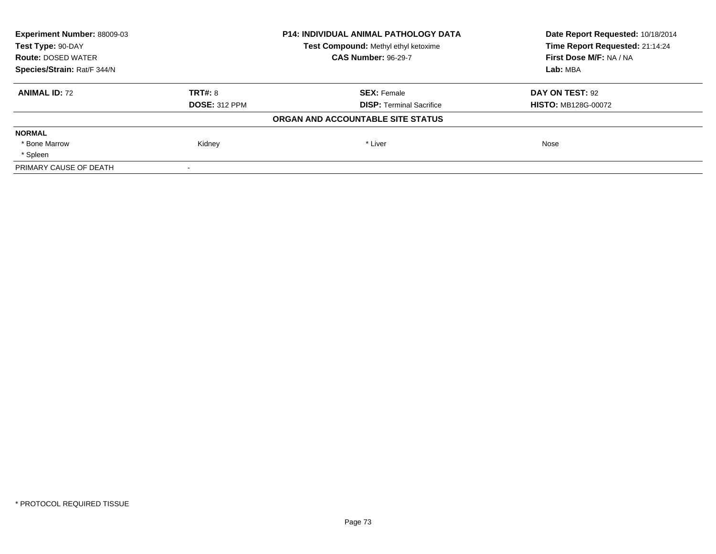| <b>Experiment Number: 88009-03</b> |                      | <b>P14: INDIVIDUAL ANIMAL PATHOLOGY DATA</b> | Date Report Requested: 10/18/2014<br>Time Report Requested: 21:14:24 |
|------------------------------------|----------------------|----------------------------------------------|----------------------------------------------------------------------|
| Test Type: 90-DAY                  |                      | Test Compound: Methyl ethyl ketoxime         |                                                                      |
| <b>Route: DOSED WATER</b>          |                      | <b>CAS Number: 96-29-7</b>                   | First Dose M/F: NA / NA                                              |
| Species/Strain: Rat/F 344/N        |                      |                                              | Lab: MBA                                                             |
| <b>ANIMAL ID: 72</b>               | TRT#: 8              | <b>SEX: Female</b>                           | DAY ON TEST: 92                                                      |
|                                    | <b>DOSE: 312 PPM</b> | <b>DISP:</b> Terminal Sacrifice              | <b>HISTO: MB128G-00072</b>                                           |
|                                    |                      | ORGAN AND ACCOUNTABLE SITE STATUS            |                                                                      |
| <b>NORMAL</b>                      |                      |                                              |                                                                      |
| * Bone Marrow                      | Kidney               | * Liver                                      | Nose                                                                 |
| * Spleen                           |                      |                                              |                                                                      |
| PRIMARY CAUSE OF DEATH             |                      |                                              |                                                                      |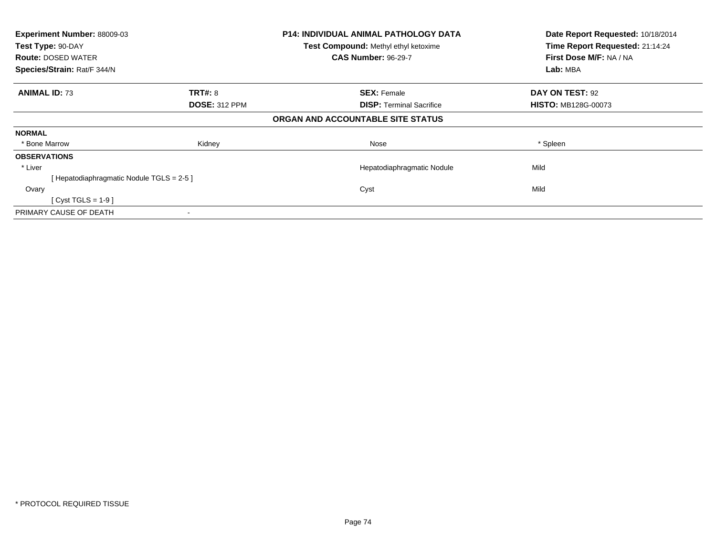| Experiment Number: 88009-03<br>Test Type: 90-DAY |                      | <b>P14: INDIVIDUAL ANIMAL PATHOLOGY DATA</b> | Date Report Requested: 10/18/2014 |
|--------------------------------------------------|----------------------|----------------------------------------------|-----------------------------------|
|                                                  |                      | Test Compound: Methyl ethyl ketoxime         | Time Report Requested: 21:14:24   |
| <b>Route: DOSED WATER</b>                        |                      | <b>CAS Number: 96-29-7</b>                   | First Dose M/F: NA / NA           |
| Species/Strain: Rat/F 344/N                      |                      |                                              | Lab: MBA                          |
| <b>ANIMAL ID: 73</b>                             | <b>TRT#: 8</b>       | <b>SEX: Female</b>                           | DAY ON TEST: 92                   |
|                                                  | <b>DOSE: 312 PPM</b> | <b>DISP:</b> Terminal Sacrifice              | <b>HISTO: MB128G-00073</b>        |
|                                                  |                      | ORGAN AND ACCOUNTABLE SITE STATUS            |                                   |
| <b>NORMAL</b>                                    |                      |                                              |                                   |
| * Bone Marrow                                    | Kidney               | Nose                                         | * Spleen                          |
| <b>OBSERVATIONS</b>                              |                      |                                              |                                   |
| * Liver                                          |                      | Hepatodiaphragmatic Nodule                   | Mild                              |
| [Hepatodiaphragmatic Nodule TGLS = 2-5 ]         |                      |                                              |                                   |
| Ovary                                            |                      | Cyst                                         | Mild                              |
| $[Cyst TGLS = 1-9]$                              |                      |                                              |                                   |
| PRIMARY CAUSE OF DEATH                           |                      |                                              |                                   |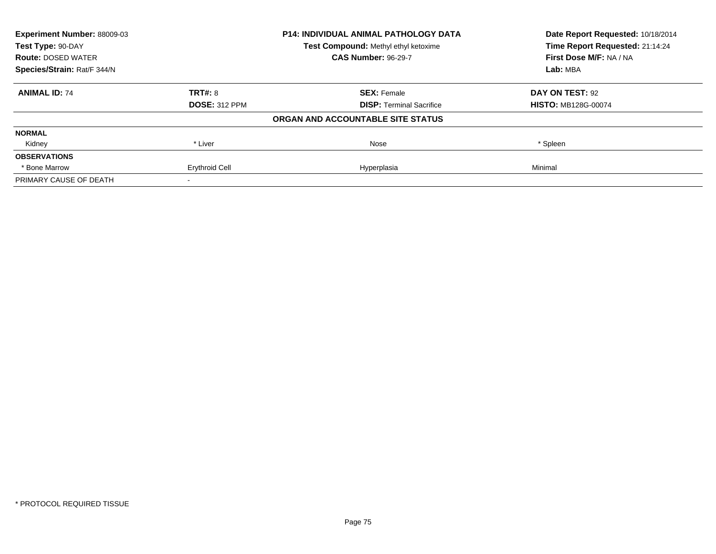| Experiment Number: 88009-03<br>Test Type: 90-DAY |                       | <b>P14: INDIVIDUAL ANIMAL PATHOLOGY DATA</b> | Date Report Requested: 10/18/2014<br>Time Report Requested: 21:14:24 |
|--------------------------------------------------|-----------------------|----------------------------------------------|----------------------------------------------------------------------|
|                                                  |                       | Test Compound: Methyl ethyl ketoxime         |                                                                      |
| <b>Route: DOSED WATER</b>                        |                       | <b>CAS Number: 96-29-7</b>                   | First Dose M/F: NA / NA                                              |
| Species/Strain: Rat/F 344/N                      |                       |                                              | Lab: MBA                                                             |
| <b>ANIMAL ID: 74</b>                             | <b>TRT#: 8</b>        | <b>SEX: Female</b>                           | DAY ON TEST: 92                                                      |
|                                                  | <b>DOSE: 312 PPM</b>  | <b>DISP: Terminal Sacrifice</b>              | <b>HISTO: MB128G-00074</b>                                           |
|                                                  |                       | ORGAN AND ACCOUNTABLE SITE STATUS            |                                                                      |
| <b>NORMAL</b>                                    |                       |                                              |                                                                      |
| Kidney                                           | * Liver               | Nose                                         | * Spleen                                                             |
| <b>OBSERVATIONS</b>                              |                       |                                              |                                                                      |
| * Bone Marrow                                    | <b>Erythroid Cell</b> | Hyperplasia                                  | Minimal                                                              |
| PRIMARY CAUSE OF DEATH                           |                       |                                              |                                                                      |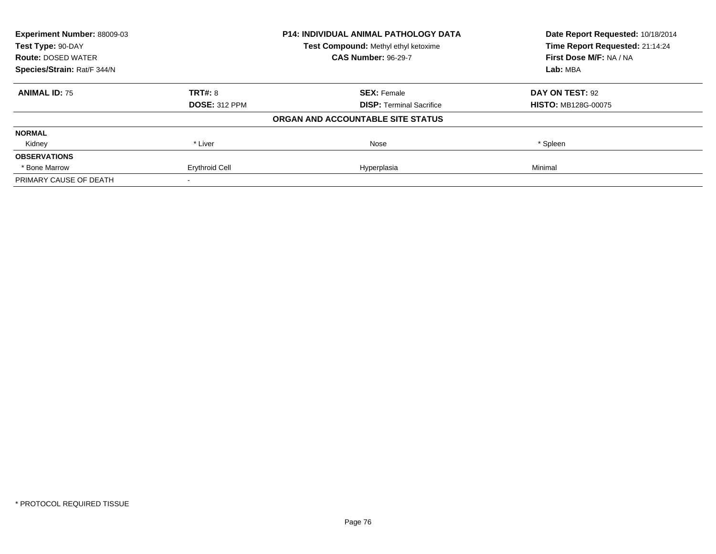| <b>Experiment Number: 88009-03</b><br>Test Type: 90-DAY |                       | <b>P14: INDIVIDUAL ANIMAL PATHOLOGY DATA</b> | Date Report Requested: 10/18/2014<br>Time Report Requested: 21:14:24 |
|---------------------------------------------------------|-----------------------|----------------------------------------------|----------------------------------------------------------------------|
|                                                         |                       | Test Compound: Methyl ethyl ketoxime         |                                                                      |
| <b>Route: DOSED WATER</b>                               |                       | <b>CAS Number: 96-29-7</b>                   | First Dose M/F: NA / NA                                              |
| Species/Strain: Rat/F 344/N                             |                       |                                              | Lab: MBA                                                             |
| <b>ANIMAL ID: 75</b>                                    | TRT#: 8               | <b>SEX: Female</b>                           | DAY ON TEST: 92                                                      |
|                                                         | <b>DOSE: 312 PPM</b>  | <b>DISP: Terminal Sacrifice</b>              | <b>HISTO: MB128G-00075</b>                                           |
|                                                         |                       | ORGAN AND ACCOUNTABLE SITE STATUS            |                                                                      |
| <b>NORMAL</b>                                           |                       |                                              |                                                                      |
| Kidney                                                  | * Liver               | Nose                                         | * Spleen                                                             |
| <b>OBSERVATIONS</b>                                     |                       |                                              |                                                                      |
| * Bone Marrow                                           | <b>Erythroid Cell</b> | Hyperplasia                                  | Minimal                                                              |
| PRIMARY CAUSE OF DEATH                                  |                       |                                              |                                                                      |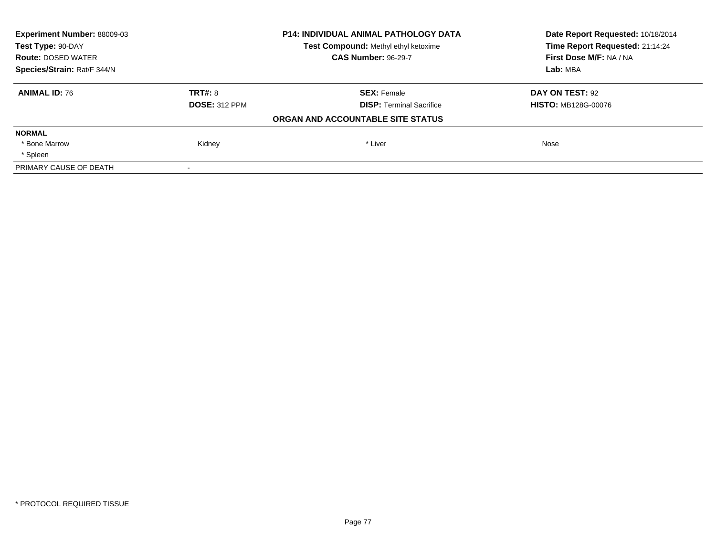| <b>Experiment Number: 88009-03</b> |                      | <b>P14: INDIVIDUAL ANIMAL PATHOLOGY DATA</b> | Date Report Requested: 10/18/2014<br>Time Report Requested: 21:14:24 |
|------------------------------------|----------------------|----------------------------------------------|----------------------------------------------------------------------|
| Test Type: 90-DAY                  |                      | Test Compound: Methyl ethyl ketoxime         |                                                                      |
| <b>Route: DOSED WATER</b>          |                      | <b>CAS Number: 96-29-7</b>                   | First Dose M/F: NA / NA                                              |
| Species/Strain: Rat/F 344/N        |                      |                                              | Lab: MBA                                                             |
| <b>ANIMAL ID: 76</b>               | TRT#: 8              | <b>SEX: Female</b>                           | DAY ON TEST: 92                                                      |
|                                    | <b>DOSE: 312 PPM</b> | <b>DISP:</b> Terminal Sacrifice              | <b>HISTO: MB128G-00076</b>                                           |
|                                    |                      | ORGAN AND ACCOUNTABLE SITE STATUS            |                                                                      |
| <b>NORMAL</b>                      |                      |                                              |                                                                      |
| * Bone Marrow                      | Kidney               | * Liver                                      | Nose                                                                 |
| * Spleen                           |                      |                                              |                                                                      |
| PRIMARY CAUSE OF DEATH             |                      |                                              |                                                                      |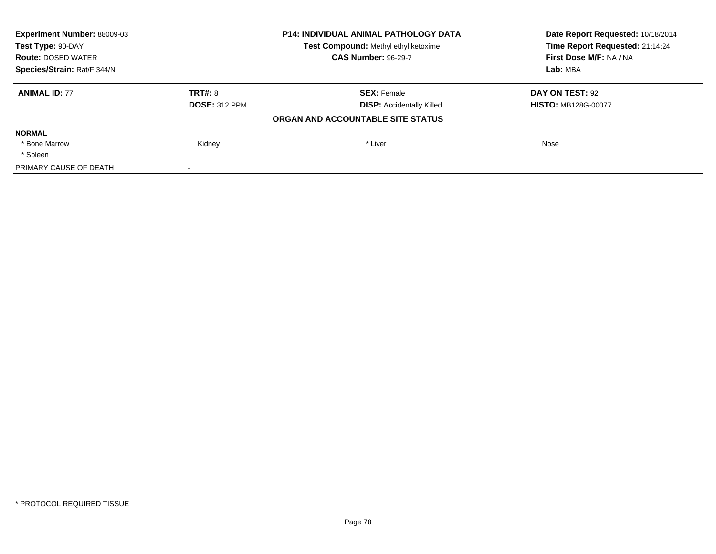| <b>Experiment Number: 88009-03</b> |                      | P14: INDIVIDUAL ANIMAL PATHOLOGY DATA | Date Report Requested: 10/18/2014<br>Time Report Requested: 21:14:24 |
|------------------------------------|----------------------|---------------------------------------|----------------------------------------------------------------------|
| Test Type: 90-DAY                  |                      | Test Compound: Methyl ethyl ketoxime  |                                                                      |
| <b>Route: DOSED WATER</b>          |                      | <b>CAS Number: 96-29-7</b>            | First Dose M/F: NA / NA                                              |
| Species/Strain: Rat/F 344/N        |                      |                                       | Lab: MBA                                                             |
| <b>ANIMAL ID: 77</b>               | TRT#: 8              | <b>SEX: Female</b>                    | DAY ON TEST: 92                                                      |
|                                    | <b>DOSE: 312 PPM</b> | <b>DISP: Accidentally Killed</b>      | <b>HISTO: MB128G-00077</b>                                           |
|                                    |                      | ORGAN AND ACCOUNTABLE SITE STATUS     |                                                                      |
| <b>NORMAL</b>                      |                      |                                       |                                                                      |
| * Bone Marrow                      | Kidney               | * Liver                               | Nose                                                                 |
| * Spleen                           |                      |                                       |                                                                      |
| PRIMARY CAUSE OF DEATH             |                      |                                       |                                                                      |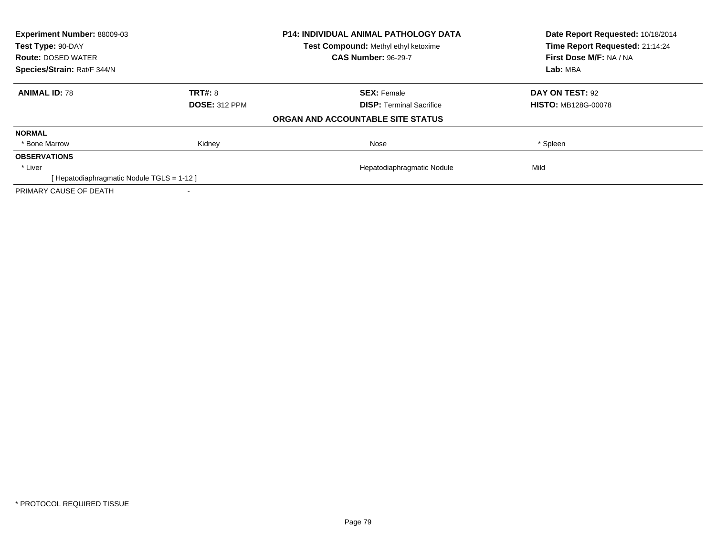| Experiment Number: 88009-03<br>Test Type: 90-DAY |                      | <b>P14: INDIVIDUAL ANIMAL PATHOLOGY DATA</b> | Date Report Requested: 10/18/2014<br>Time Report Requested: 21:14:24 |  |
|--------------------------------------------------|----------------------|----------------------------------------------|----------------------------------------------------------------------|--|
|                                                  |                      | Test Compound: Methyl ethyl ketoxime         |                                                                      |  |
| <b>Route: DOSED WATER</b>                        |                      | <b>CAS Number: 96-29-7</b>                   | First Dose M/F: NA / NA                                              |  |
| Species/Strain: Rat/F 344/N                      |                      |                                              | Lab: MBA                                                             |  |
| <b>ANIMAL ID: 78</b>                             | TRT#: 8              | <b>SEX: Female</b>                           | DAY ON TEST: 92                                                      |  |
|                                                  | <b>DOSE: 312 PPM</b> | <b>DISP:</b> Terminal Sacrifice              | <b>HISTO: MB128G-00078</b>                                           |  |
|                                                  |                      | ORGAN AND ACCOUNTABLE SITE STATUS            |                                                                      |  |
| <b>NORMAL</b>                                    |                      |                                              |                                                                      |  |
| * Bone Marrow                                    | Kidney               | Nose                                         | * Spleen                                                             |  |
| <b>OBSERVATIONS</b>                              |                      |                                              |                                                                      |  |
| * Liver                                          |                      | Hepatodiaphragmatic Nodule                   | Mild                                                                 |  |
| [Hepatodiaphragmatic Nodule TGLS = 1-12]         |                      |                                              |                                                                      |  |
| PRIMARY CAUSE OF DEATH                           |                      |                                              |                                                                      |  |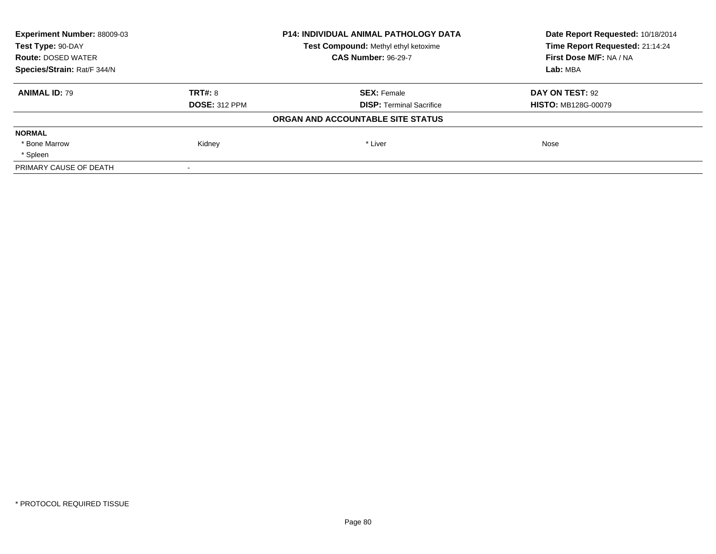| <b>Experiment Number: 88009-03</b> |                      | <b>P14: INDIVIDUAL ANIMAL PATHOLOGY DATA</b> | Date Report Requested: 10/18/2014 |
|------------------------------------|----------------------|----------------------------------------------|-----------------------------------|
| Test Type: 90-DAY                  |                      | Test Compound: Methyl ethyl ketoxime         | Time Report Requested: 21:14:24   |
| <b>Route: DOSED WATER</b>          |                      | <b>CAS Number: 96-29-7</b>                   | First Dose M/F: NA / NA           |
| Species/Strain: Rat/F 344/N        |                      |                                              | Lab: MBA                          |
| <b>ANIMAL ID: 79</b>               | TRT#: 8              | <b>SEX: Female</b>                           | DAY ON TEST: 92                   |
|                                    | <b>DOSE: 312 PPM</b> | <b>DISP:</b> Terminal Sacrifice              | <b>HISTO: MB128G-00079</b>        |
|                                    |                      | ORGAN AND ACCOUNTABLE SITE STATUS            |                                   |
| <b>NORMAL</b>                      |                      |                                              |                                   |
| * Bone Marrow                      | Kidney               | * Liver                                      | Nose                              |
| * Spleen                           |                      |                                              |                                   |
| PRIMARY CAUSE OF DEATH             |                      |                                              |                                   |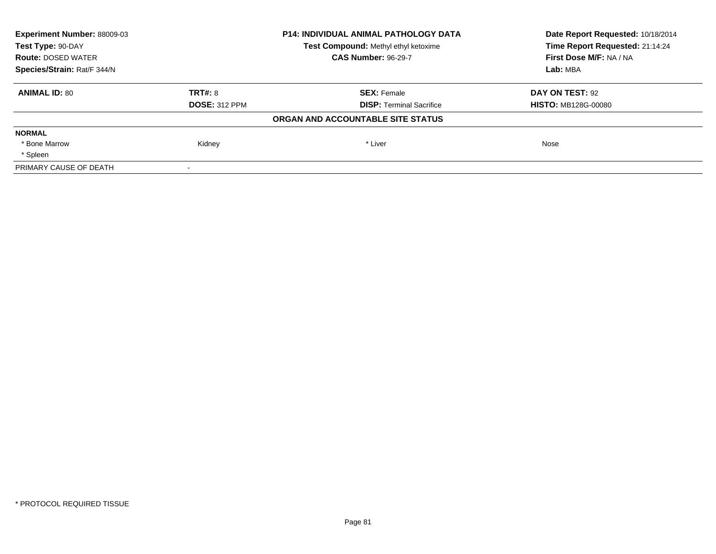| <b>Experiment Number: 88009-03</b> |                      | <b>P14: INDIVIDUAL ANIMAL PATHOLOGY DATA</b> | Date Report Requested: 10/18/2014<br>Time Report Requested: 21:14:24 |
|------------------------------------|----------------------|----------------------------------------------|----------------------------------------------------------------------|
| Test Type: 90-DAY                  |                      | Test Compound: Methyl ethyl ketoxime         |                                                                      |
| <b>Route: DOSED WATER</b>          |                      | <b>CAS Number: 96-29-7</b>                   | First Dose M/F: NA / NA                                              |
| Species/Strain: Rat/F 344/N        |                      |                                              | Lab: MBA                                                             |
| <b>ANIMAL ID: 80</b>               | TRT#: 8              | <b>SEX: Female</b>                           | DAY ON TEST: 92                                                      |
|                                    | <b>DOSE: 312 PPM</b> | <b>DISP: Terminal Sacrifice</b>              | <b>HISTO: MB128G-00080</b>                                           |
|                                    |                      | ORGAN AND ACCOUNTABLE SITE STATUS            |                                                                      |
| <b>NORMAL</b>                      |                      |                                              |                                                                      |
| * Bone Marrow                      | Kidney               | * Liver                                      | Nose                                                                 |
| * Spleen                           |                      |                                              |                                                                      |
| PRIMARY CAUSE OF DEATH             |                      |                                              |                                                                      |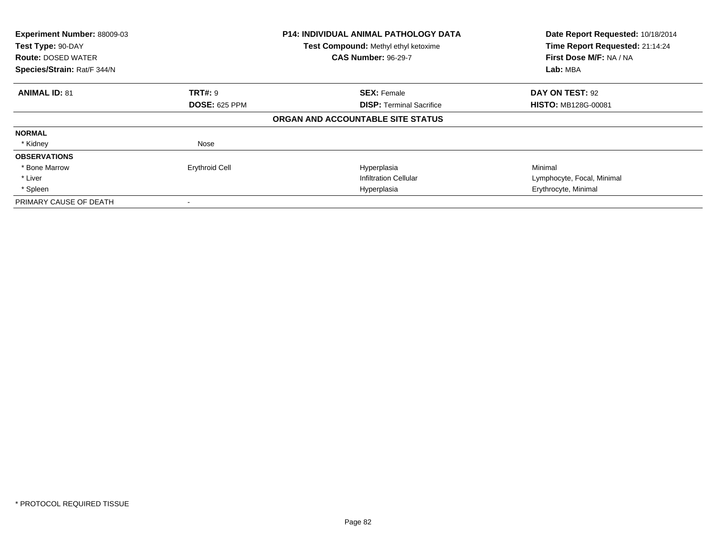| Experiment Number: 88009-03<br><b>P14: INDIVIDUAL ANIMAL PATHOLOGY DATA</b><br>Test Type: 90-DAY<br>Test Compound: Methyl ethyl ketoxime<br><b>CAS Number: 96-29-7</b><br><b>Route: DOSED WATER</b><br>Species/Strain: Rat/F 344/N |                       | Date Report Requested: 10/18/2014<br>Time Report Requested: 21:14:24<br>First Dose M/F: NA / NA<br>Lab: MBA |                            |
|------------------------------------------------------------------------------------------------------------------------------------------------------------------------------------------------------------------------------------|-----------------------|-------------------------------------------------------------------------------------------------------------|----------------------------|
| <b>ANIMAL ID: 81</b>                                                                                                                                                                                                               | <b>TRT#: 9</b>        | <b>SEX: Female</b>                                                                                          | DAY ON TEST: 92            |
|                                                                                                                                                                                                                                    | <b>DOSE: 625 PPM</b>  | <b>DISP:</b> Terminal Sacrifice                                                                             | <b>HISTO: MB128G-00081</b> |
|                                                                                                                                                                                                                                    |                       | ORGAN AND ACCOUNTABLE SITE STATUS                                                                           |                            |
| <b>NORMAL</b>                                                                                                                                                                                                                      |                       |                                                                                                             |                            |
| * Kidney                                                                                                                                                                                                                           | Nose                  |                                                                                                             |                            |
| <b>OBSERVATIONS</b>                                                                                                                                                                                                                |                       |                                                                                                             |                            |
| * Bone Marrow                                                                                                                                                                                                                      | <b>Erythroid Cell</b> | Hyperplasia                                                                                                 | Minimal                    |
| * Liver                                                                                                                                                                                                                            |                       | <b>Infiltration Cellular</b>                                                                                | Lymphocyte, Focal, Minimal |
| * Spleen                                                                                                                                                                                                                           |                       | Hyperplasia                                                                                                 | Erythrocyte, Minimal       |
| PRIMARY CAUSE OF DEATH                                                                                                                                                                                                             |                       |                                                                                                             |                            |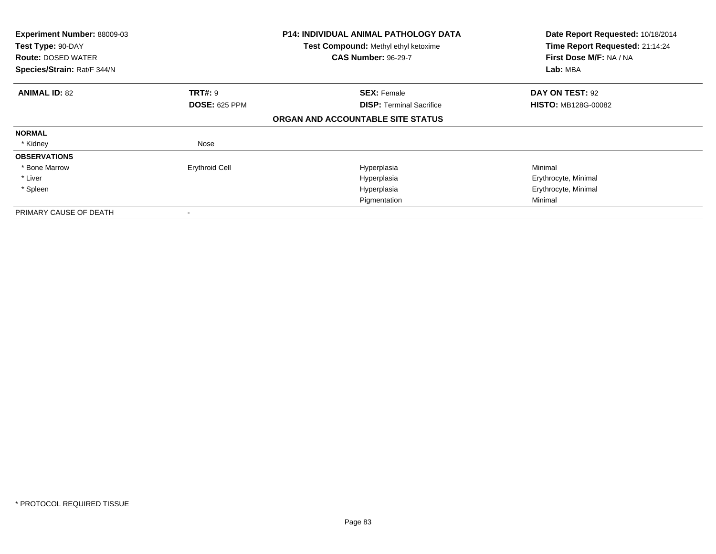| Experiment Number: 88009-03<br>Test Type: 90-DAY<br><b>Route: DOSED WATER</b><br>Species/Strain: Rat/F 344/N |                       | <b>P14: INDIVIDUAL ANIMAL PATHOLOGY DATA</b><br>Test Compound: Methyl ethyl ketoxime<br><b>CAS Number: 96-29-7</b> | Date Report Requested: 10/18/2014<br>Time Report Requested: 21:14:24<br>First Dose M/F: NA / NA<br>Lab: MBA |
|--------------------------------------------------------------------------------------------------------------|-----------------------|--------------------------------------------------------------------------------------------------------------------|-------------------------------------------------------------------------------------------------------------|
|                                                                                                              |                       |                                                                                                                    |                                                                                                             |
| <b>ANIMAL ID: 82</b>                                                                                         | TRT#: 9               | <b>SEX: Female</b>                                                                                                 | DAY ON TEST: 92                                                                                             |
|                                                                                                              | <b>DOSE: 625 PPM</b>  | <b>DISP:</b> Terminal Sacrifice                                                                                    | <b>HISTO: MB128G-00082</b>                                                                                  |
|                                                                                                              |                       | ORGAN AND ACCOUNTABLE SITE STATUS                                                                                  |                                                                                                             |
| <b>NORMAL</b>                                                                                                |                       |                                                                                                                    |                                                                                                             |
| * Kidney                                                                                                     | Nose                  |                                                                                                                    |                                                                                                             |
| <b>OBSERVATIONS</b>                                                                                          |                       |                                                                                                                    |                                                                                                             |
| * Bone Marrow                                                                                                | <b>Erythroid Cell</b> | Hyperplasia                                                                                                        | Minimal                                                                                                     |
| * Liver                                                                                                      |                       | Hyperplasia                                                                                                        | Erythrocyte, Minimal                                                                                        |
| * Spleen                                                                                                     |                       | Hyperplasia                                                                                                        | Erythrocyte, Minimal                                                                                        |
|                                                                                                              |                       | Pigmentation                                                                                                       | Minimal                                                                                                     |
| PRIMARY CAUSE OF DEATH                                                                                       |                       |                                                                                                                    |                                                                                                             |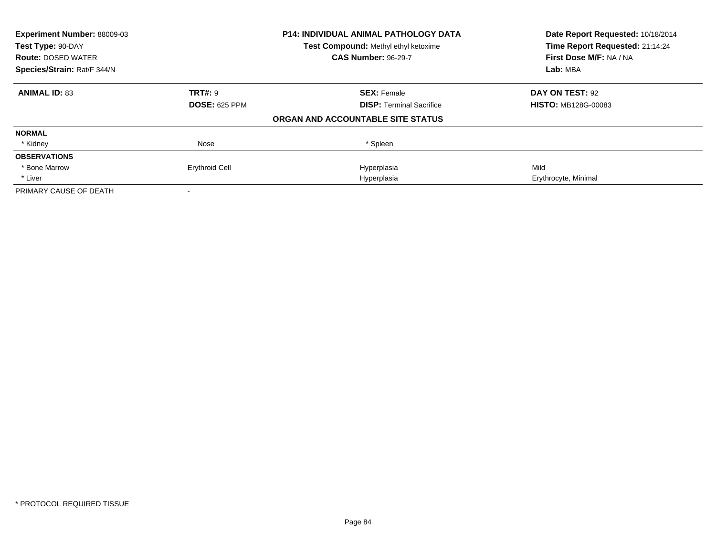| Experiment Number: 88009-03 |                       | <b>P14: INDIVIDUAL ANIMAL PATHOLOGY DATA</b> | Date Report Requested: 10/18/2014 |  |
|-----------------------------|-----------------------|----------------------------------------------|-----------------------------------|--|
| Test Type: 90-DAY           |                       | Test Compound: Methyl ethyl ketoxime         | Time Report Requested: 21:14:24   |  |
| <b>Route: DOSED WATER</b>   |                       | <b>CAS Number: 96-29-7</b>                   | First Dose M/F: NA / NA           |  |
| Species/Strain: Rat/F 344/N |                       |                                              | Lab: MBA                          |  |
| <b>ANIMAL ID: 83</b>        | <b>TRT#: 9</b>        | <b>SEX: Female</b>                           | DAY ON TEST: 92                   |  |
|                             | <b>DOSE: 625 PPM</b>  | <b>DISP:</b> Terminal Sacrifice              | <b>HISTO: MB128G-00083</b>        |  |
|                             |                       | ORGAN AND ACCOUNTABLE SITE STATUS            |                                   |  |
| <b>NORMAL</b>               |                       |                                              |                                   |  |
| * Kidney                    | Nose                  | * Spleen                                     |                                   |  |
| <b>OBSERVATIONS</b>         |                       |                                              |                                   |  |
| * Bone Marrow               | <b>Erythroid Cell</b> | Hyperplasia                                  | Mild                              |  |
| * Liver                     |                       | Hyperplasia                                  | Erythrocyte, Minimal              |  |
| PRIMARY CAUSE OF DEATH      |                       |                                              |                                   |  |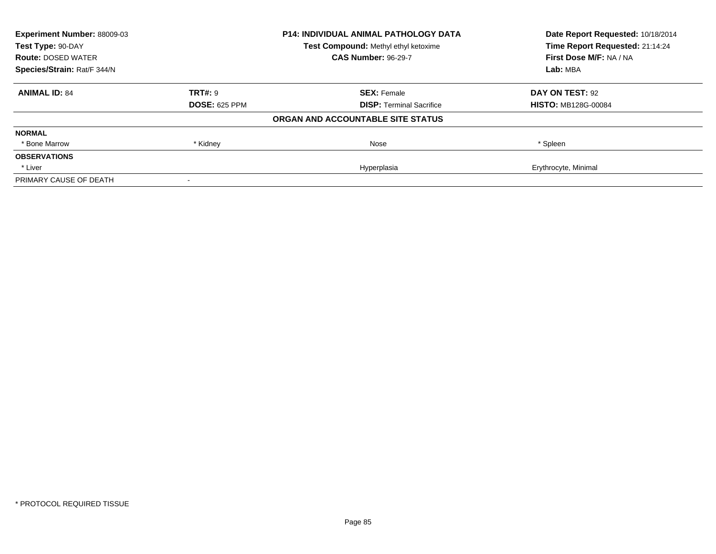| Experiment Number: 88009-03<br>Test Type: 90-DAY |                      | <b>P14: INDIVIDUAL ANIMAL PATHOLOGY DATA</b> | Date Report Requested: 10/18/2014<br>Time Report Requested: 21:14:24 |
|--------------------------------------------------|----------------------|----------------------------------------------|----------------------------------------------------------------------|
|                                                  |                      | Test Compound: Methyl ethyl ketoxime         |                                                                      |
| <b>Route: DOSED WATER</b>                        |                      | <b>CAS Number: 96-29-7</b>                   | First Dose M/F: NA / NA                                              |
| Species/Strain: Rat/F 344/N                      |                      |                                              | Lab: MBA                                                             |
| <b>ANIMAL ID: 84</b>                             | <b>TRT#: 9</b>       | <b>SEX: Female</b>                           | DAY ON TEST: 92                                                      |
|                                                  | <b>DOSE: 625 PPM</b> | <b>DISP:</b> Terminal Sacrifice              | <b>HISTO: MB128G-00084</b>                                           |
|                                                  |                      | ORGAN AND ACCOUNTABLE SITE STATUS            |                                                                      |
| <b>NORMAL</b>                                    |                      |                                              |                                                                      |
| * Bone Marrow                                    | * Kidney             | Nose                                         | * Spleen                                                             |
| <b>OBSERVATIONS</b>                              |                      |                                              |                                                                      |
| * Liver                                          |                      | Hyperplasia                                  | Erythrocyte, Minimal                                                 |
| PRIMARY CAUSE OF DEATH                           |                      |                                              |                                                                      |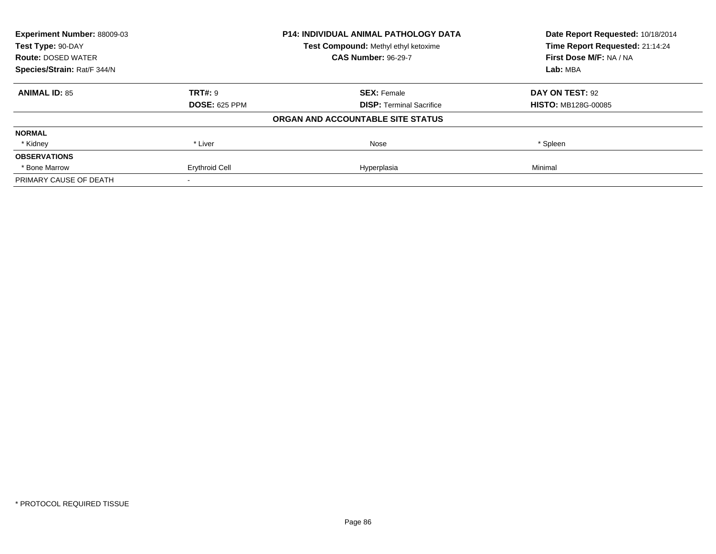| <b>Experiment Number: 88009-03</b><br>Test Type: 90-DAY |                       | <b>P14: INDIVIDUAL ANIMAL PATHOLOGY DATA</b> | Date Report Requested: 10/18/2014<br>Time Report Requested: 21:14:24 |
|---------------------------------------------------------|-----------------------|----------------------------------------------|----------------------------------------------------------------------|
|                                                         |                       | Test Compound: Methyl ethyl ketoxime         |                                                                      |
| <b>Route: DOSED WATER</b>                               |                       | <b>CAS Number: 96-29-7</b>                   | First Dose M/F: NA / NA                                              |
| Species/Strain: Rat/F 344/N                             |                       | Lab: MBA                                     |                                                                      |
| <b>ANIMAL ID: 85</b>                                    | <b>TRT#: 9</b>        | <b>SEX: Female</b>                           | DAY ON TEST: 92                                                      |
|                                                         | <b>DOSE: 625 PPM</b>  | <b>DISP:</b> Terminal Sacrifice              | <b>HISTO: MB128G-00085</b>                                           |
|                                                         |                       | ORGAN AND ACCOUNTABLE SITE STATUS            |                                                                      |
| <b>NORMAL</b>                                           |                       |                                              |                                                                      |
| * Kidney                                                | * Liver               | Nose                                         | * Spleen                                                             |
| <b>OBSERVATIONS</b>                                     |                       |                                              |                                                                      |
| * Bone Marrow                                           | <b>Erythroid Cell</b> | Hyperplasia                                  | Minimal                                                              |
| PRIMARY CAUSE OF DEATH                                  |                       |                                              |                                                                      |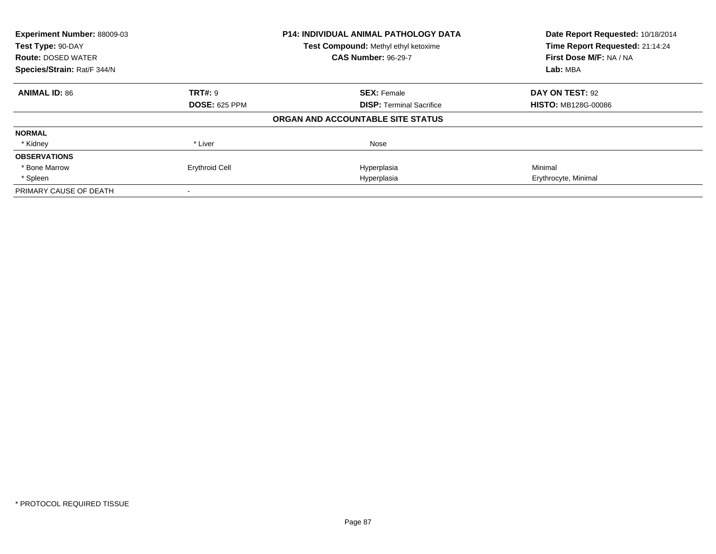| Experiment Number: 88009-03<br>Test Type: 90-DAY |                       | <b>P14: INDIVIDUAL ANIMAL PATHOLOGY DATA</b> | Date Report Requested: 10/18/2014<br>Time Report Requested: 21:14:24 |
|--------------------------------------------------|-----------------------|----------------------------------------------|----------------------------------------------------------------------|
|                                                  |                       | Test Compound: Methyl ethyl ketoxime         |                                                                      |
| <b>Route: DOSED WATER</b>                        |                       | <b>CAS Number: 96-29-7</b>                   | First Dose M/F: NA / NA                                              |
| Species/Strain: Rat/F 344/N                      |                       |                                              | Lab: MBA                                                             |
| <b>ANIMAL ID: 86</b>                             | <b>TRT#: 9</b>        | <b>SEX: Female</b>                           | DAY ON TEST: 92                                                      |
|                                                  | <b>DOSE: 625 PPM</b>  | <b>DISP:</b> Terminal Sacrifice              | <b>HISTO: MB128G-00086</b>                                           |
|                                                  |                       | ORGAN AND ACCOUNTABLE SITE STATUS            |                                                                      |
| <b>NORMAL</b>                                    |                       |                                              |                                                                      |
| * Kidney                                         | * Liver               | Nose                                         |                                                                      |
| <b>OBSERVATIONS</b>                              |                       |                                              |                                                                      |
| * Bone Marrow                                    | <b>Erythroid Cell</b> | Hyperplasia                                  | Minimal                                                              |
| * Spleen                                         |                       | Hyperplasia                                  | Erythrocyte, Minimal                                                 |
| PRIMARY CAUSE OF DEATH                           |                       |                                              |                                                                      |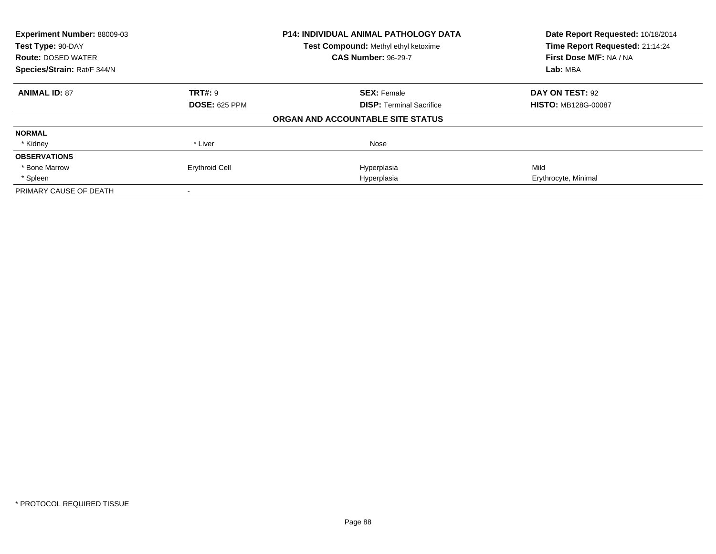| Experiment Number: 88009-03<br>Test Type: 90-DAY |                       | <b>P14: INDIVIDUAL ANIMAL PATHOLOGY DATA</b> | Date Report Requested: 10/18/2014<br>Time Report Requested: 21:14:24 |
|--------------------------------------------------|-----------------------|----------------------------------------------|----------------------------------------------------------------------|
|                                                  |                       | Test Compound: Methyl ethyl ketoxime         |                                                                      |
| <b>Route: DOSED WATER</b>                        |                       | <b>CAS Number: 96-29-7</b>                   | First Dose M/F: NA / NA                                              |
| Species/Strain: Rat/F 344/N                      |                       |                                              | Lab: MBA                                                             |
| <b>ANIMAL ID: 87</b>                             | <b>TRT#: 9</b>        | <b>SEX: Female</b>                           | DAY ON TEST: 92                                                      |
|                                                  | <b>DOSE: 625 PPM</b>  | <b>DISP:</b> Terminal Sacrifice              | <b>HISTO: MB128G-00087</b>                                           |
|                                                  |                       | ORGAN AND ACCOUNTABLE SITE STATUS            |                                                                      |
| <b>NORMAL</b>                                    |                       |                                              |                                                                      |
| * Kidney                                         | * Liver               | Nose                                         |                                                                      |
| <b>OBSERVATIONS</b>                              |                       |                                              |                                                                      |
| * Bone Marrow                                    | <b>Erythroid Cell</b> | Hyperplasia                                  | Mild                                                                 |
| * Spleen                                         |                       | Hyperplasia                                  | Erythrocyte, Minimal                                                 |
| PRIMARY CAUSE OF DEATH                           |                       |                                              |                                                                      |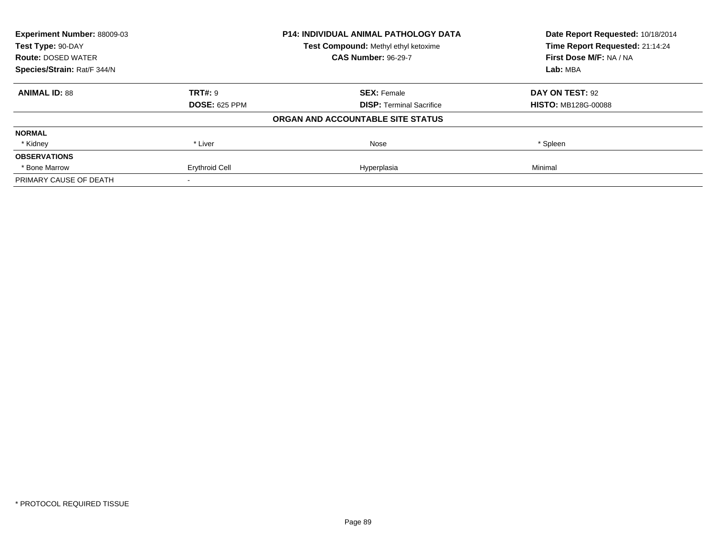| <b>Experiment Number: 88009-03</b><br>Test Type: 90-DAY |                       | <b>P14: INDIVIDUAL ANIMAL PATHOLOGY DATA</b> | Date Report Requested: 10/18/2014<br>Time Report Requested: 21:14:24 |
|---------------------------------------------------------|-----------------------|----------------------------------------------|----------------------------------------------------------------------|
|                                                         |                       | Test Compound: Methyl ethyl ketoxime         |                                                                      |
| <b>Route: DOSED WATER</b>                               |                       | <b>CAS Number: 96-29-7</b>                   | First Dose M/F: NA / NA                                              |
| Species/Strain: Rat/F 344/N                             |                       |                                              | Lab: MBA                                                             |
| <b>ANIMAL ID: 88</b>                                    | <b>TRT#: 9</b>        | <b>SEX: Female</b>                           | DAY ON TEST: 92                                                      |
|                                                         | <b>DOSE: 625 PPM</b>  | <b>DISP:</b> Terminal Sacrifice              | <b>HISTO: MB128G-00088</b>                                           |
|                                                         |                       | ORGAN AND ACCOUNTABLE SITE STATUS            |                                                                      |
| <b>NORMAL</b>                                           |                       |                                              |                                                                      |
| * Kidney                                                | * Liver               | Nose                                         | * Spleen                                                             |
| <b>OBSERVATIONS</b>                                     |                       |                                              |                                                                      |
| * Bone Marrow                                           | <b>Erythroid Cell</b> | Hyperplasia                                  | Minimal                                                              |
| PRIMARY CAUSE OF DEATH                                  |                       |                                              |                                                                      |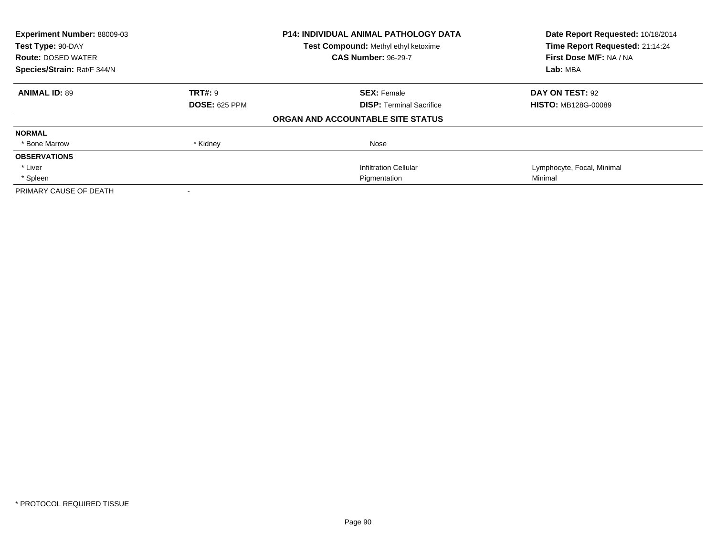| Experiment Number: 88009-03<br>Test Type: 90-DAY<br><b>Route: DOSED WATER</b><br>Species/Strain: Rat/F 344/N |                      | <b>P14: INDIVIDUAL ANIMAL PATHOLOGY DATA</b><br>Test Compound: Methyl ethyl ketoxime | Date Report Requested: 10/18/2014<br>Time Report Requested: 21:14:24<br>First Dose M/F: NA / NA<br>Lab: MBA |
|--------------------------------------------------------------------------------------------------------------|----------------------|--------------------------------------------------------------------------------------|-------------------------------------------------------------------------------------------------------------|
|                                                                                                              |                      | <b>CAS Number: 96-29-7</b>                                                           |                                                                                                             |
|                                                                                                              |                      |                                                                                      |                                                                                                             |
| <b>ANIMAL ID: 89</b>                                                                                         | TRT#: 9              | <b>SEX: Female</b>                                                                   | DAY ON TEST: 92                                                                                             |
|                                                                                                              | <b>DOSE: 625 PPM</b> | <b>DISP:</b> Terminal Sacrifice                                                      | <b>HISTO: MB128G-00089</b>                                                                                  |
|                                                                                                              |                      | ORGAN AND ACCOUNTABLE SITE STATUS                                                    |                                                                                                             |
| <b>NORMAL</b>                                                                                                |                      |                                                                                      |                                                                                                             |
| * Bone Marrow                                                                                                | * Kidney             | Nose                                                                                 |                                                                                                             |
| <b>OBSERVATIONS</b>                                                                                          |                      |                                                                                      |                                                                                                             |
| * Liver                                                                                                      |                      | <b>Infiltration Cellular</b>                                                         | Lymphocyte, Focal, Minimal                                                                                  |
| * Spleen                                                                                                     |                      | Pigmentation                                                                         | Minimal                                                                                                     |
| PRIMARY CAUSE OF DEATH                                                                                       |                      |                                                                                      |                                                                                                             |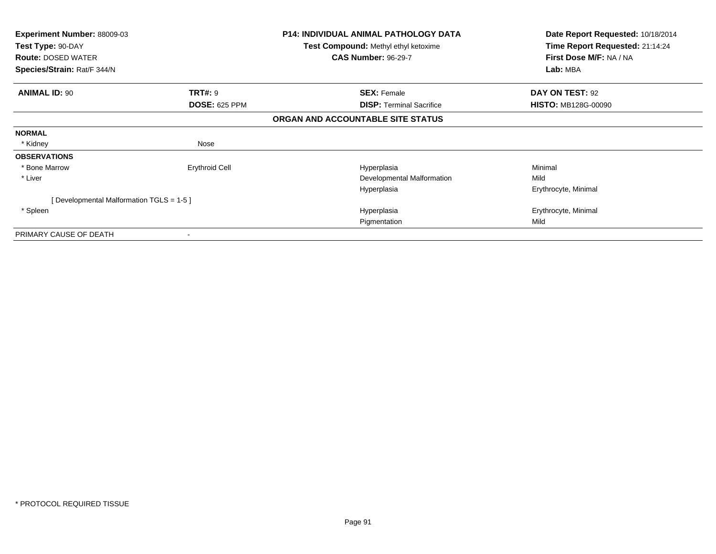| <b>Experiment Number: 88009-03</b><br>Test Type: 90-DAY<br><b>Route: DOSED WATER</b><br>Species/Strain: Rat/F 344/N |                       | <b>P14: INDIVIDUAL ANIMAL PATHOLOGY DATA</b><br><b>Test Compound: Methyl ethyl ketoxime</b><br><b>CAS Number: 96-29-7</b> | Date Report Requested: 10/18/2014<br>Time Report Requested: 21:14:24<br>First Dose M/F: NA / NA<br>Lab: MBA |
|---------------------------------------------------------------------------------------------------------------------|-----------------------|---------------------------------------------------------------------------------------------------------------------------|-------------------------------------------------------------------------------------------------------------|
|                                                                                                                     |                       |                                                                                                                           |                                                                                                             |
| <b>ANIMAL ID: 90</b><br><b>TRT#: 9</b>                                                                              |                       | <b>SEX: Female</b>                                                                                                        | DAY ON TEST: 92                                                                                             |
|                                                                                                                     | <b>DOSE: 625 PPM</b>  | <b>DISP:</b> Terminal Sacrifice                                                                                           | <b>HISTO: MB128G-00090</b>                                                                                  |
|                                                                                                                     |                       | ORGAN AND ACCOUNTABLE SITE STATUS                                                                                         |                                                                                                             |
| <b>NORMAL</b>                                                                                                       |                       |                                                                                                                           |                                                                                                             |
| * Kidney                                                                                                            | Nose                  |                                                                                                                           |                                                                                                             |
| <b>OBSERVATIONS</b>                                                                                                 |                       |                                                                                                                           |                                                                                                             |
| * Bone Marrow                                                                                                       | <b>Erythroid Cell</b> | Hyperplasia                                                                                                               | Minimal                                                                                                     |
| * Liver                                                                                                             |                       | Developmental Malformation                                                                                                | Mild                                                                                                        |
|                                                                                                                     |                       | Hyperplasia                                                                                                               | Erythrocyte, Minimal                                                                                        |
| [ Developmental Malformation TGLS = 1-5 ]                                                                           |                       |                                                                                                                           |                                                                                                             |
| * Spleen                                                                                                            |                       | Hyperplasia                                                                                                               | Erythrocyte, Minimal                                                                                        |
|                                                                                                                     |                       | Pigmentation                                                                                                              | Mild                                                                                                        |
| PRIMARY CAUSE OF DEATH                                                                                              |                       |                                                                                                                           |                                                                                                             |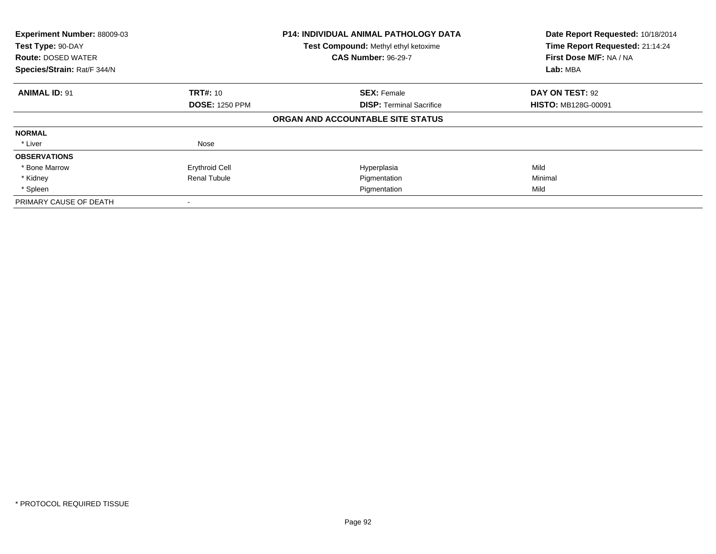| Experiment Number: 88009-03<br>Test Type: 90-DAY<br><b>Route: DOSED WATER</b><br>Species/Strain: Rat/F 344/N |                       | <b>P14: INDIVIDUAL ANIMAL PATHOLOGY DATA</b><br>Test Compound: Methyl ethyl ketoxime<br><b>CAS Number: 96-29-7</b> | Date Report Requested: 10/18/2014<br>Time Report Requested: 21:14:24<br>First Dose M/F: NA / NA<br>Lab: MBA |
|--------------------------------------------------------------------------------------------------------------|-----------------------|--------------------------------------------------------------------------------------------------------------------|-------------------------------------------------------------------------------------------------------------|
| <b>ANIMAL ID: 91</b>                                                                                         | <b>TRT#: 10</b>       | <b>SEX: Female</b>                                                                                                 | DAY ON TEST: 92                                                                                             |
|                                                                                                              | <b>DOSE: 1250 PPM</b> | <b>DISP:</b> Terminal Sacrifice                                                                                    | <b>HISTO: MB128G-00091</b>                                                                                  |
|                                                                                                              |                       | ORGAN AND ACCOUNTABLE SITE STATUS                                                                                  |                                                                                                             |
| <b>NORMAL</b>                                                                                                |                       |                                                                                                                    |                                                                                                             |
| * Liver                                                                                                      | Nose                  |                                                                                                                    |                                                                                                             |
| <b>OBSERVATIONS</b>                                                                                          |                       |                                                                                                                    |                                                                                                             |
| * Bone Marrow                                                                                                | <b>Erythroid Cell</b> | Hyperplasia                                                                                                        | Mild                                                                                                        |
| * Kidney                                                                                                     | <b>Renal Tubule</b>   | Pigmentation                                                                                                       | Minimal                                                                                                     |
| * Spleen                                                                                                     |                       | Pigmentation                                                                                                       | Mild                                                                                                        |
| PRIMARY CAUSE OF DEATH                                                                                       |                       |                                                                                                                    |                                                                                                             |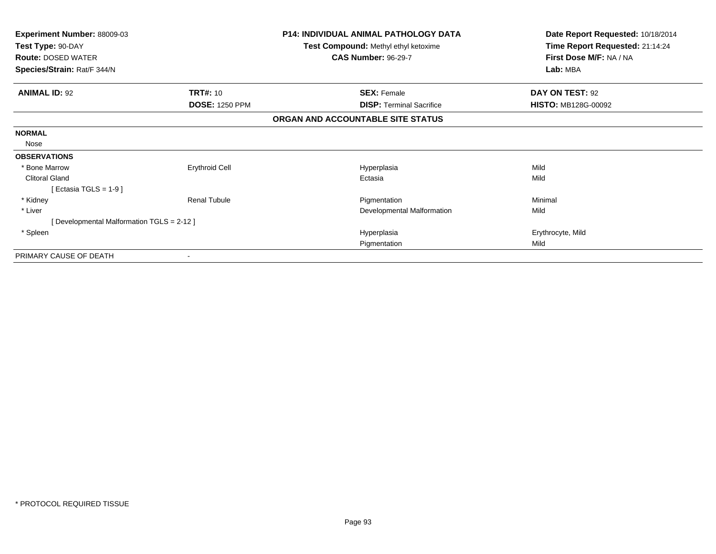| Experiment Number: 88009-03<br>Test Type: 90-DAY<br><b>Route: DOSED WATER</b> |                       | <b>P14: INDIVIDUAL ANIMAL PATHOLOGY DATA</b><br>Test Compound: Methyl ethyl ketoxime<br><b>CAS Number: 96-29-7</b> | Date Report Requested: 10/18/2014<br>Time Report Requested: 21:14:24<br>First Dose M/F: NA / NA |
|-------------------------------------------------------------------------------|-----------------------|--------------------------------------------------------------------------------------------------------------------|-------------------------------------------------------------------------------------------------|
| Species/Strain: Rat/F 344/N                                                   |                       |                                                                                                                    | Lab: MBA                                                                                        |
| <b>ANIMAL ID: 92</b>                                                          | <b>TRT#: 10</b>       | <b>SEX: Female</b>                                                                                                 | DAY ON TEST: 92                                                                                 |
|                                                                               | <b>DOSE: 1250 PPM</b> | <b>DISP:</b> Terminal Sacrifice                                                                                    | HISTO: MB128G-00092                                                                             |
|                                                                               |                       | ORGAN AND ACCOUNTABLE SITE STATUS                                                                                  |                                                                                                 |
| <b>NORMAL</b>                                                                 |                       |                                                                                                                    |                                                                                                 |
| Nose                                                                          |                       |                                                                                                                    |                                                                                                 |
| <b>OBSERVATIONS</b>                                                           |                       |                                                                                                                    |                                                                                                 |
| * Bone Marrow                                                                 | <b>Erythroid Cell</b> | Hyperplasia                                                                                                        | Mild                                                                                            |
| <b>Clitoral Gland</b>                                                         |                       | Ectasia                                                                                                            | Mild                                                                                            |
| [Ectasia TGLS = 1-9]                                                          |                       |                                                                                                                    |                                                                                                 |
| * Kidney                                                                      | <b>Renal Tubule</b>   | Pigmentation                                                                                                       | Minimal                                                                                         |
| * Liver                                                                       |                       | Developmental Malformation                                                                                         | Mild                                                                                            |
| [Developmental Malformation TGLS = 2-12]                                      |                       |                                                                                                                    |                                                                                                 |
| * Spleen                                                                      |                       | Hyperplasia                                                                                                        | Erythrocyte, Mild                                                                               |
|                                                                               |                       | Pigmentation                                                                                                       | Mild                                                                                            |
| PRIMARY CAUSE OF DEATH                                                        |                       |                                                                                                                    |                                                                                                 |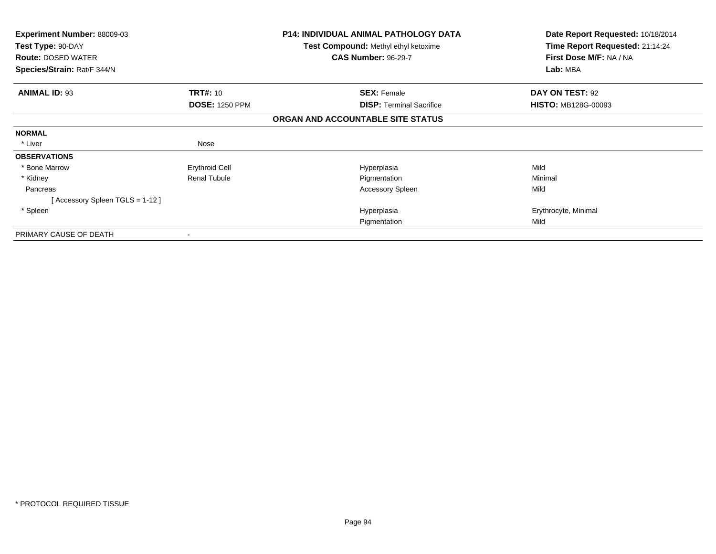| Experiment Number: 88009-03<br>Test Type: 90-DAY<br><b>Route: DOSED WATER</b><br>Species/Strain: Rat/F 344/N |                       | <b>P14: INDIVIDUAL ANIMAL PATHOLOGY DATA</b><br><b>Test Compound: Methyl ethyl ketoxime</b><br><b>CAS Number: 96-29-7</b> | Date Report Requested: 10/18/2014<br>Time Report Requested: 21:14:24<br>First Dose M/F: NA / NA<br>Lab: MBA |
|--------------------------------------------------------------------------------------------------------------|-----------------------|---------------------------------------------------------------------------------------------------------------------------|-------------------------------------------------------------------------------------------------------------|
| <b>ANIMAL ID: 93</b>                                                                                         | <b>TRT#: 10</b>       | <b>SEX: Female</b>                                                                                                        | DAY ON TEST: 92                                                                                             |
|                                                                                                              | <b>DOSE: 1250 PPM</b> | <b>DISP:</b> Terminal Sacrifice                                                                                           | <b>HISTO: MB128G-00093</b>                                                                                  |
|                                                                                                              |                       | ORGAN AND ACCOUNTABLE SITE STATUS                                                                                         |                                                                                                             |
| <b>NORMAL</b>                                                                                                |                       |                                                                                                                           |                                                                                                             |
| * Liver                                                                                                      | Nose                  |                                                                                                                           |                                                                                                             |
| <b>OBSERVATIONS</b>                                                                                          |                       |                                                                                                                           |                                                                                                             |
| * Bone Marrow                                                                                                | <b>Erythroid Cell</b> | Hyperplasia                                                                                                               | Mild                                                                                                        |
| * Kidney                                                                                                     | <b>Renal Tubule</b>   | Pigmentation                                                                                                              | Minimal                                                                                                     |
| Pancreas                                                                                                     |                       | <b>Accessory Spleen</b>                                                                                                   | Mild                                                                                                        |
| [Accessory Spleen TGLS = 1-12]                                                                               |                       |                                                                                                                           |                                                                                                             |
| * Spleen                                                                                                     |                       | Hyperplasia                                                                                                               | Erythrocyte, Minimal                                                                                        |
|                                                                                                              |                       | Pigmentation                                                                                                              | Mild                                                                                                        |
| PRIMARY CAUSE OF DEATH                                                                                       |                       |                                                                                                                           |                                                                                                             |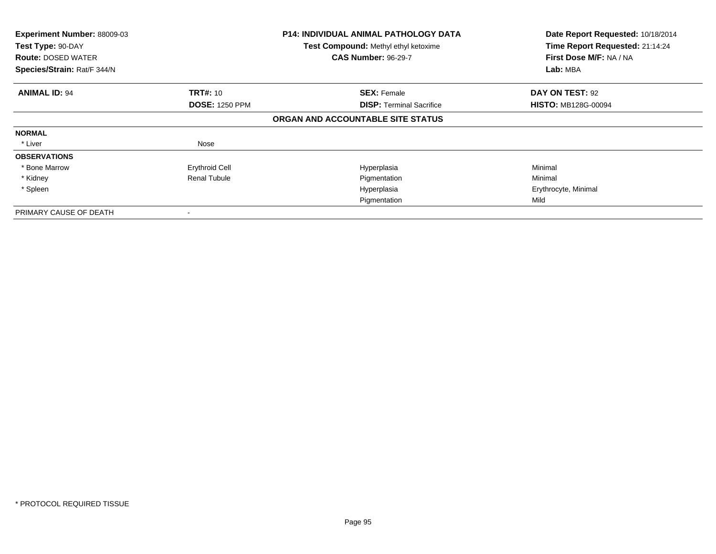| Experiment Number: 88009-03<br>Test Type: 90-DAY<br><b>Route: DOSED WATER</b><br>Species/Strain: Rat/F 344/N |                       | <b>P14: INDIVIDUAL ANIMAL PATHOLOGY DATA</b><br>Test Compound: Methyl ethyl ketoxime<br><b>CAS Number: 96-29-7</b> | Date Report Requested: 10/18/2014<br>Time Report Requested: 21:14:24<br>First Dose M/F: NA / NA<br>Lab: MBA |
|--------------------------------------------------------------------------------------------------------------|-----------------------|--------------------------------------------------------------------------------------------------------------------|-------------------------------------------------------------------------------------------------------------|
|                                                                                                              |                       |                                                                                                                    |                                                                                                             |
| <b>ANIMAL ID: 94</b>                                                                                         | <b>TRT#: 10</b>       | <b>SEX: Female</b>                                                                                                 | DAY ON TEST: 92                                                                                             |
|                                                                                                              | <b>DOSE: 1250 PPM</b> | <b>DISP:</b> Terminal Sacrifice                                                                                    | <b>HISTO: MB128G-00094</b>                                                                                  |
|                                                                                                              |                       | ORGAN AND ACCOUNTABLE SITE STATUS                                                                                  |                                                                                                             |
| <b>NORMAL</b>                                                                                                |                       |                                                                                                                    |                                                                                                             |
| * Liver                                                                                                      | Nose                  |                                                                                                                    |                                                                                                             |
| <b>OBSERVATIONS</b>                                                                                          |                       |                                                                                                                    |                                                                                                             |
| * Bone Marrow                                                                                                | <b>Erythroid Cell</b> | Hyperplasia                                                                                                        | Minimal                                                                                                     |
| * Kidney                                                                                                     | <b>Renal Tubule</b>   | Pigmentation                                                                                                       | Minimal                                                                                                     |
| * Spleen                                                                                                     |                       | Hyperplasia                                                                                                        | Erythrocyte, Minimal                                                                                        |
|                                                                                                              |                       | Pigmentation                                                                                                       | Mild                                                                                                        |
| PRIMARY CAUSE OF DEATH                                                                                       |                       |                                                                                                                    |                                                                                                             |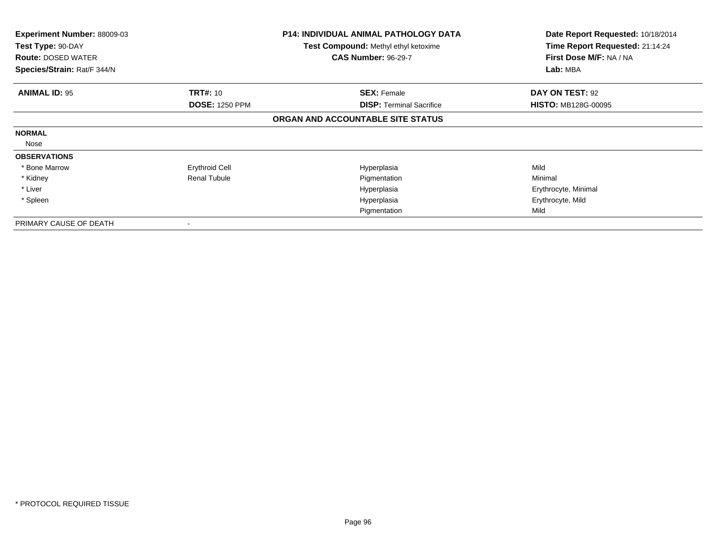| <b>Experiment Number: 88009-03</b><br>Test Type: 90-DAY<br><b>Route: DOSED WATER</b><br>Species/Strain: Rat/F 344/N |                       | <b>P14: INDIVIDUAL ANIMAL PATHOLOGY DATA</b><br><b>Test Compound:</b> Methyl ethyl ketoxime<br><b>CAS Number: 96-29-7</b> | Date Report Requested: 10/18/2014<br>Time Report Requested: 21:14:24<br>First Dose M/F: NA / NA<br>Lab: MBA |
|---------------------------------------------------------------------------------------------------------------------|-----------------------|---------------------------------------------------------------------------------------------------------------------------|-------------------------------------------------------------------------------------------------------------|
| <b>ANIMAL ID: 95</b>                                                                                                | <b>TRT#: 10</b>       | <b>SEX: Female</b>                                                                                                        | DAY ON TEST: 92                                                                                             |
|                                                                                                                     | <b>DOSE: 1250 PPM</b> | <b>DISP:</b> Terminal Sacrifice                                                                                           | <b>HISTO: MB128G-00095</b>                                                                                  |
|                                                                                                                     |                       | ORGAN AND ACCOUNTABLE SITE STATUS                                                                                         |                                                                                                             |
| <b>NORMAL</b>                                                                                                       |                       |                                                                                                                           |                                                                                                             |
| Nose                                                                                                                |                       |                                                                                                                           |                                                                                                             |
| <b>OBSERVATIONS</b>                                                                                                 |                       |                                                                                                                           |                                                                                                             |
| * Bone Marrow                                                                                                       | <b>Erythroid Cell</b> | Hyperplasia                                                                                                               | Mild                                                                                                        |
| * Kidney                                                                                                            | <b>Renal Tubule</b>   | Pigmentation                                                                                                              | Minimal                                                                                                     |
| * Liver                                                                                                             |                       | Hyperplasia                                                                                                               | Erythrocyte, Minimal                                                                                        |
| * Spleen                                                                                                            |                       | Hyperplasia                                                                                                               | Erythrocyte, Mild                                                                                           |
|                                                                                                                     |                       | Pigmentation                                                                                                              | Mild                                                                                                        |
| PRIMARY CAUSE OF DEATH                                                                                              |                       |                                                                                                                           |                                                                                                             |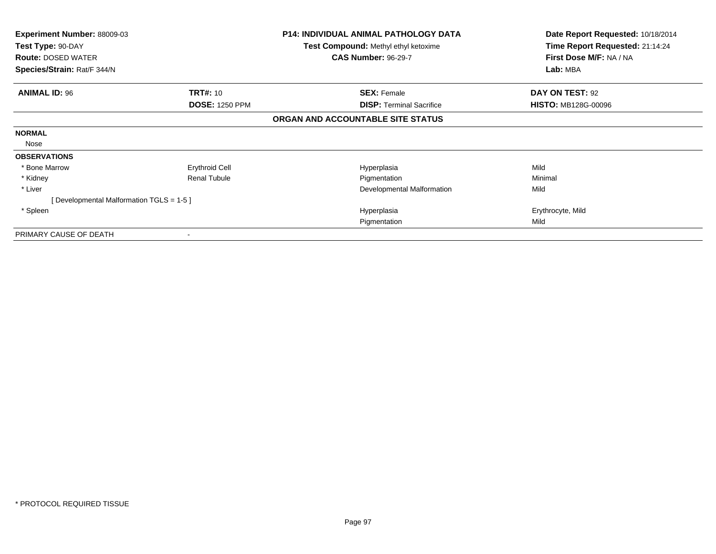| Experiment Number: 88009-03<br>Test Type: 90-DAY<br><b>Route: DOSED WATER</b><br>Species/Strain: Rat/F 344/N |                       | <b>P14: INDIVIDUAL ANIMAL PATHOLOGY DATA</b><br><b>Test Compound: Methyl ethyl ketoxime</b><br><b>CAS Number: 96-29-7</b> | Date Report Requested: 10/18/2014<br>Time Report Requested: 21:14:24<br>First Dose M/F: NA / NA<br>Lab: MBA |
|--------------------------------------------------------------------------------------------------------------|-----------------------|---------------------------------------------------------------------------------------------------------------------------|-------------------------------------------------------------------------------------------------------------|
|                                                                                                              |                       |                                                                                                                           |                                                                                                             |
| <b>ANIMAL ID: 96</b>                                                                                         | <b>TRT#: 10</b>       | <b>SEX: Female</b>                                                                                                        | DAY ON TEST: 92                                                                                             |
|                                                                                                              | <b>DOSE: 1250 PPM</b> | <b>DISP:</b> Terminal Sacrifice                                                                                           | <b>HISTO: MB128G-00096</b>                                                                                  |
|                                                                                                              |                       | ORGAN AND ACCOUNTABLE SITE STATUS                                                                                         |                                                                                                             |
| <b>NORMAL</b>                                                                                                |                       |                                                                                                                           |                                                                                                             |
| Nose                                                                                                         |                       |                                                                                                                           |                                                                                                             |
| <b>OBSERVATIONS</b>                                                                                          |                       |                                                                                                                           |                                                                                                             |
| * Bone Marrow                                                                                                | <b>Erythroid Cell</b> | Hyperplasia                                                                                                               | Mild                                                                                                        |
| * Kidney                                                                                                     | <b>Renal Tubule</b>   | Pigmentation                                                                                                              | Minimal                                                                                                     |
| * Liver                                                                                                      |                       | Developmental Malformation                                                                                                | Mild                                                                                                        |
| [ Developmental Malformation TGLS = 1-5 ]                                                                    |                       |                                                                                                                           |                                                                                                             |
| * Spleen                                                                                                     |                       | Hyperplasia                                                                                                               | Erythrocyte, Mild                                                                                           |
|                                                                                                              |                       | Pigmentation                                                                                                              | Mild                                                                                                        |
| PRIMARY CAUSE OF DEATH                                                                                       |                       |                                                                                                                           |                                                                                                             |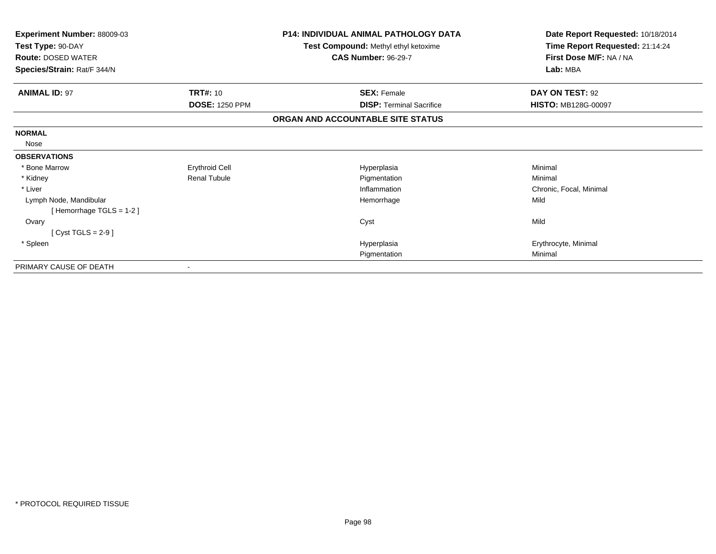| Experiment Number: 88009-03<br>Test Type: 90-DAY<br><b>Route: DOSED WATER</b><br>Species/Strain: Rat/F 344/N |                       | <b>P14: INDIVIDUAL ANIMAL PATHOLOGY DATA</b><br>Test Compound: Methyl ethyl ketoxime<br><b>CAS Number: 96-29-7</b> | Date Report Requested: 10/18/2014<br>Time Report Requested: 21:14:24<br>First Dose M/F: NA / NA<br>Lab: MBA |
|--------------------------------------------------------------------------------------------------------------|-----------------------|--------------------------------------------------------------------------------------------------------------------|-------------------------------------------------------------------------------------------------------------|
| <b>ANIMAL ID: 97</b>                                                                                         | <b>TRT#: 10</b>       | <b>SEX: Female</b>                                                                                                 | DAY ON TEST: 92                                                                                             |
|                                                                                                              | <b>DOSE: 1250 PPM</b> | <b>DISP: Terminal Sacrifice</b>                                                                                    | <b>HISTO: MB128G-00097</b>                                                                                  |
|                                                                                                              |                       | ORGAN AND ACCOUNTABLE SITE STATUS                                                                                  |                                                                                                             |
| <b>NORMAL</b>                                                                                                |                       |                                                                                                                    |                                                                                                             |
| Nose                                                                                                         |                       |                                                                                                                    |                                                                                                             |
| <b>OBSERVATIONS</b>                                                                                          |                       |                                                                                                                    |                                                                                                             |
| * Bone Marrow                                                                                                | <b>Erythroid Cell</b> | Hyperplasia                                                                                                        | Minimal                                                                                                     |
| * Kidney                                                                                                     | <b>Renal Tubule</b>   | Pigmentation                                                                                                       | Minimal                                                                                                     |
| * Liver                                                                                                      |                       | Inflammation                                                                                                       | Chronic, Focal, Minimal                                                                                     |
| Lymph Node, Mandibular                                                                                       |                       | Hemorrhage                                                                                                         | Mild                                                                                                        |
| [Hemorrhage TGLS = 1-2]                                                                                      |                       |                                                                                                                    |                                                                                                             |
| Ovary                                                                                                        |                       | Cyst                                                                                                               | Mild                                                                                                        |
| $[Cyst TGLS = 2-9]$                                                                                          |                       |                                                                                                                    |                                                                                                             |
| * Spleen                                                                                                     |                       | Hyperplasia                                                                                                        | Erythrocyte, Minimal                                                                                        |
|                                                                                                              |                       | Pigmentation                                                                                                       | Minimal                                                                                                     |
| PRIMARY CAUSE OF DEATH                                                                                       |                       |                                                                                                                    |                                                                                                             |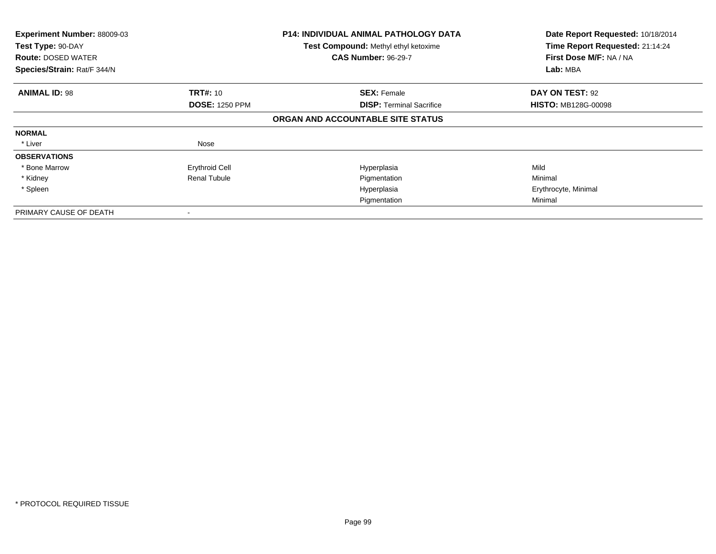| Experiment Number: 88009-03<br>Test Type: 90-DAY<br><b>Route: DOSED WATER</b><br>Species/Strain: Rat/F 344/N |                       | <b>P14: INDIVIDUAL ANIMAL PATHOLOGY DATA</b><br>Test Compound: Methyl ethyl ketoxime<br><b>CAS Number: 96-29-7</b> | Date Report Requested: 10/18/2014<br>Time Report Requested: 21:14:24<br>First Dose M/F: NA / NA<br>Lab: MBA |
|--------------------------------------------------------------------------------------------------------------|-----------------------|--------------------------------------------------------------------------------------------------------------------|-------------------------------------------------------------------------------------------------------------|
|                                                                                                              |                       |                                                                                                                    |                                                                                                             |
| <b>ANIMAL ID: 98</b>                                                                                         | <b>TRT#: 10</b>       | <b>SEX: Female</b>                                                                                                 | DAY ON TEST: 92                                                                                             |
|                                                                                                              | <b>DOSE: 1250 PPM</b> | <b>DISP:</b> Terminal Sacrifice                                                                                    | <b>HISTO: MB128G-00098</b>                                                                                  |
|                                                                                                              |                       | ORGAN AND ACCOUNTABLE SITE STATUS                                                                                  |                                                                                                             |
| <b>NORMAL</b>                                                                                                |                       |                                                                                                                    |                                                                                                             |
| * Liver                                                                                                      | Nose                  |                                                                                                                    |                                                                                                             |
| <b>OBSERVATIONS</b>                                                                                          |                       |                                                                                                                    |                                                                                                             |
| * Bone Marrow                                                                                                | <b>Erythroid Cell</b> | Hyperplasia                                                                                                        | Mild                                                                                                        |
| * Kidney                                                                                                     | <b>Renal Tubule</b>   | Pigmentation                                                                                                       | Minimal                                                                                                     |
| * Spleen                                                                                                     |                       | Hyperplasia                                                                                                        | Erythrocyte, Minimal                                                                                        |
|                                                                                                              |                       | Pigmentation                                                                                                       | Minimal                                                                                                     |
| PRIMARY CAUSE OF DEATH                                                                                       |                       |                                                                                                                    |                                                                                                             |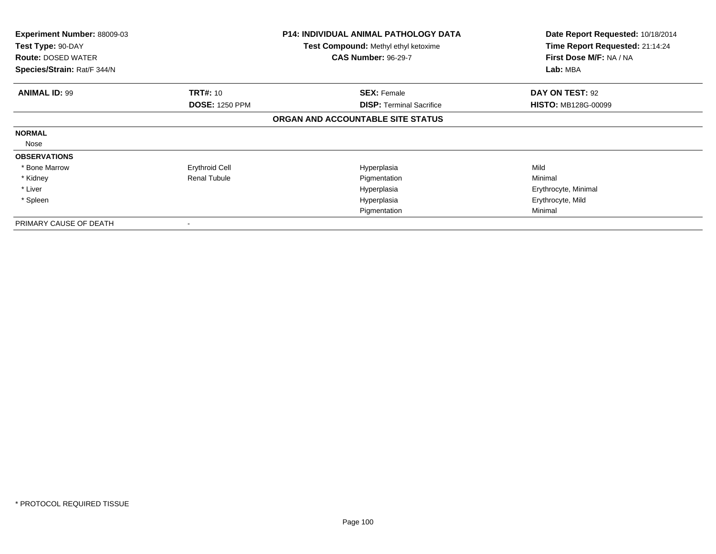| <b>Experiment Number: 88009-03</b><br>Test Type: 90-DAY<br><b>Route: DOSED WATER</b><br>Species/Strain: Rat/F 344/N |                       | <b>P14: INDIVIDUAL ANIMAL PATHOLOGY DATA</b><br><b>Test Compound: Methyl ethyl ketoxime</b><br><b>CAS Number: 96-29-7</b> | Date Report Requested: 10/18/2014<br>Time Report Requested: 21:14:24<br>First Dose M/F: NA / NA<br>Lab: MBA |
|---------------------------------------------------------------------------------------------------------------------|-----------------------|---------------------------------------------------------------------------------------------------------------------------|-------------------------------------------------------------------------------------------------------------|
| <b>ANIMAL ID: 99</b>                                                                                                | <b>TRT#: 10</b>       | <b>SEX: Female</b>                                                                                                        | DAY ON TEST: 92                                                                                             |
|                                                                                                                     | <b>DOSE: 1250 PPM</b> | <b>DISP: Terminal Sacrifice</b>                                                                                           | <b>HISTO: MB128G-00099</b>                                                                                  |
|                                                                                                                     |                       | ORGAN AND ACCOUNTABLE SITE STATUS                                                                                         |                                                                                                             |
| <b>NORMAL</b>                                                                                                       |                       |                                                                                                                           |                                                                                                             |
| Nose                                                                                                                |                       |                                                                                                                           |                                                                                                             |
| <b>OBSERVATIONS</b>                                                                                                 |                       |                                                                                                                           |                                                                                                             |
| * Bone Marrow                                                                                                       | <b>Erythroid Cell</b> | Hyperplasia                                                                                                               | Mild                                                                                                        |
| * Kidney                                                                                                            | <b>Renal Tubule</b>   | Pigmentation                                                                                                              | Minimal                                                                                                     |
| * Liver                                                                                                             |                       | Hyperplasia                                                                                                               | Erythrocyte, Minimal                                                                                        |
| * Spleen                                                                                                            |                       | Hyperplasia                                                                                                               | Erythrocyte, Mild                                                                                           |
|                                                                                                                     |                       | Pigmentation                                                                                                              | Minimal                                                                                                     |
| PRIMARY CAUSE OF DEATH                                                                                              |                       |                                                                                                                           |                                                                                                             |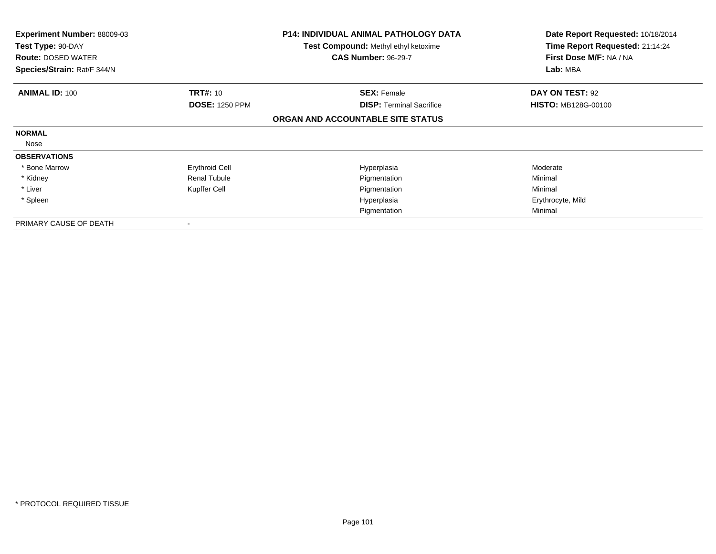| <b>Experiment Number: 88009-03</b><br>Test Type: 90-DAY<br><b>Route: DOSED WATER</b><br>Species/Strain: Rat/F 344/N |                       | <b>P14: INDIVIDUAL ANIMAL PATHOLOGY DATA</b><br><b>Test Compound: Methyl ethyl ketoxime</b><br><b>CAS Number: 96-29-7</b> | Date Report Requested: 10/18/2014<br>Time Report Requested: 21:14:24<br>First Dose M/F: NA / NA<br>Lab: MBA |
|---------------------------------------------------------------------------------------------------------------------|-----------------------|---------------------------------------------------------------------------------------------------------------------------|-------------------------------------------------------------------------------------------------------------|
| <b>ANIMAL ID: 100</b>                                                                                               | <b>TRT#: 10</b>       | <b>SEX: Female</b>                                                                                                        | DAY ON TEST: 92                                                                                             |
|                                                                                                                     | <b>DOSE: 1250 PPM</b> | <b>DISP: Terminal Sacrifice</b>                                                                                           | <b>HISTO: MB128G-00100</b>                                                                                  |
|                                                                                                                     |                       | ORGAN AND ACCOUNTABLE SITE STATUS                                                                                         |                                                                                                             |
| <b>NORMAL</b>                                                                                                       |                       |                                                                                                                           |                                                                                                             |
| Nose                                                                                                                |                       |                                                                                                                           |                                                                                                             |
| <b>OBSERVATIONS</b>                                                                                                 |                       |                                                                                                                           |                                                                                                             |
| * Bone Marrow                                                                                                       | <b>Erythroid Cell</b> | Hyperplasia                                                                                                               | Moderate                                                                                                    |
| * Kidney                                                                                                            | <b>Renal Tubule</b>   | Pigmentation                                                                                                              | Minimal                                                                                                     |
| * Liver                                                                                                             | Kupffer Cell          | Pigmentation                                                                                                              | Minimal                                                                                                     |
| * Spleen                                                                                                            |                       | Hyperplasia                                                                                                               | Erythrocyte, Mild                                                                                           |
|                                                                                                                     |                       | Pigmentation                                                                                                              | Minimal                                                                                                     |
| PRIMARY CAUSE OF DEATH                                                                                              |                       |                                                                                                                           |                                                                                                             |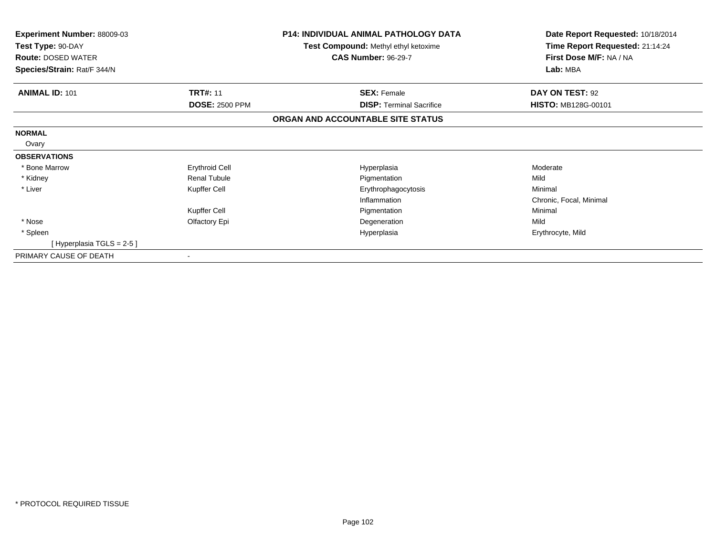| <b>Experiment Number: 88009-03</b><br>Test Type: 90-DAY<br><b>Route: DOSED WATER</b> |                          | <b>P14: INDIVIDUAL ANIMAL PATHOLOGY DATA</b><br>Test Compound: Methyl ethyl ketoxime<br><b>CAS Number: 96-29-7</b> | Date Report Requested: 10/18/2014<br>Time Report Requested: 21:14:24<br>First Dose M/F: NA / NA |
|--------------------------------------------------------------------------------------|--------------------------|--------------------------------------------------------------------------------------------------------------------|-------------------------------------------------------------------------------------------------|
| Species/Strain: Rat/F 344/N                                                          |                          |                                                                                                                    | Lab: MBA                                                                                        |
| <b>ANIMAL ID: 101</b>                                                                | <b>TRT#: 11</b>          | <b>SEX: Female</b>                                                                                                 | DAY ON TEST: 92                                                                                 |
|                                                                                      | <b>DOSE: 2500 PPM</b>    | <b>DISP:</b> Terminal Sacrifice                                                                                    | <b>HISTO: MB128G-00101</b>                                                                      |
|                                                                                      |                          | ORGAN AND ACCOUNTABLE SITE STATUS                                                                                  |                                                                                                 |
| <b>NORMAL</b>                                                                        |                          |                                                                                                                    |                                                                                                 |
| Ovary                                                                                |                          |                                                                                                                    |                                                                                                 |
| <b>OBSERVATIONS</b>                                                                  |                          |                                                                                                                    |                                                                                                 |
| * Bone Marrow                                                                        | <b>Erythroid Cell</b>    | Hyperplasia                                                                                                        | Moderate                                                                                        |
| * Kidney                                                                             | <b>Renal Tubule</b>      | Pigmentation                                                                                                       | Mild                                                                                            |
| * Liver                                                                              | Kupffer Cell             | Erythrophagocytosis                                                                                                | Minimal                                                                                         |
|                                                                                      |                          | Inflammation                                                                                                       | Chronic, Focal, Minimal                                                                         |
|                                                                                      | Kupffer Cell             | Pigmentation                                                                                                       | Minimal                                                                                         |
| * Nose                                                                               | Olfactory Epi            | Degeneration                                                                                                       | Mild                                                                                            |
| * Spleen                                                                             |                          | Hyperplasia                                                                                                        | Erythrocyte, Mild                                                                               |
| [Hyperplasia TGLS = 2-5]                                                             |                          |                                                                                                                    |                                                                                                 |
| PRIMARY CAUSE OF DEATH                                                               | $\overline{\phantom{a}}$ |                                                                                                                    |                                                                                                 |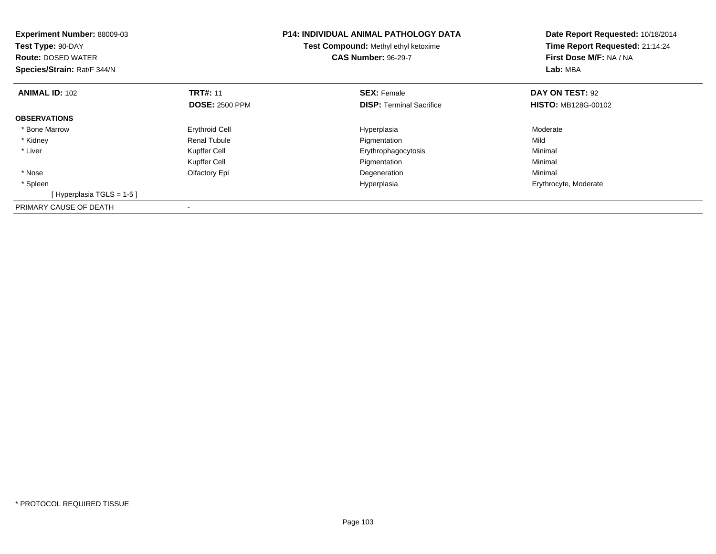| <b>Experiment Number: 88009-03</b><br>Test Type: 90-DAY<br><b>Route: DOSED WATER</b><br>Species/Strain: Rat/F 344/N |                       | <b>P14: INDIVIDUAL ANIMAL PATHOLOGY DATA</b><br>Test Compound: Methyl ethyl ketoxime<br><b>CAS Number: 96-29-7</b> | Date Report Requested: 10/18/2014<br>Time Report Requested: 21:14:24<br>First Dose M/F: NA / NA<br>Lab: MBA |
|---------------------------------------------------------------------------------------------------------------------|-----------------------|--------------------------------------------------------------------------------------------------------------------|-------------------------------------------------------------------------------------------------------------|
| <b>ANIMAL ID: 102</b>                                                                                               | <b>TRT#: 11</b>       | <b>SEX: Female</b>                                                                                                 | DAY ON TEST: 92                                                                                             |
|                                                                                                                     | <b>DOSE: 2500 PPM</b> | <b>DISP:</b> Terminal Sacrifice                                                                                    | <b>HISTO: MB128G-00102</b>                                                                                  |
| <b>OBSERVATIONS</b>                                                                                                 |                       |                                                                                                                    |                                                                                                             |
| * Bone Marrow                                                                                                       | <b>Erythroid Cell</b> | Hyperplasia                                                                                                        | Moderate                                                                                                    |
| * Kidney                                                                                                            | <b>Renal Tubule</b>   | Pigmentation                                                                                                       | Mild                                                                                                        |
| * Liver                                                                                                             | Kupffer Cell          | Erythrophagocytosis                                                                                                | Minimal                                                                                                     |
|                                                                                                                     | Kupffer Cell          | Pigmentation                                                                                                       | Minimal                                                                                                     |
| * Nose                                                                                                              | Olfactory Epi         | Degeneration                                                                                                       | Minimal                                                                                                     |
| * Spleen                                                                                                            |                       | Hyperplasia                                                                                                        | Erythrocyte, Moderate                                                                                       |
| [Hyperplasia TGLS = $1-5$ ]                                                                                         |                       |                                                                                                                    |                                                                                                             |
| PRIMARY CAUSE OF DEATH                                                                                              |                       |                                                                                                                    |                                                                                                             |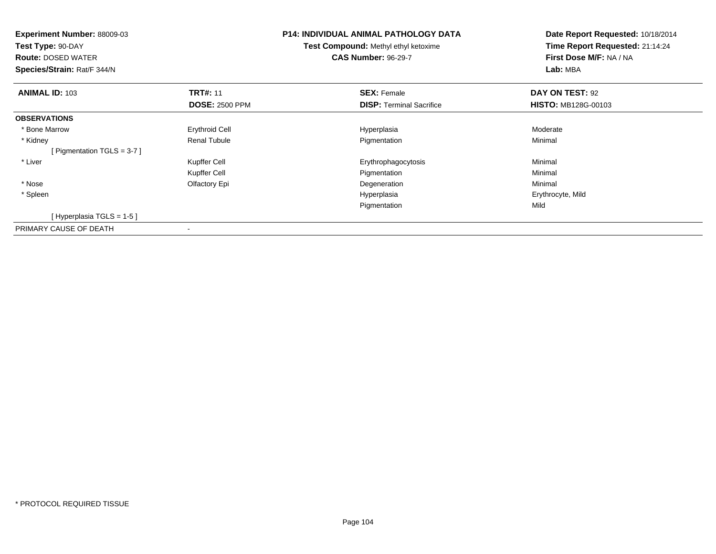| <b>Experiment Number: 88009-03</b><br>Test Type: 90-DAY<br><b>Route: DOSED WATER</b><br>Species/Strain: Rat/F 344/N |                       | <b>P14: INDIVIDUAL ANIMAL PATHOLOGY DATA</b><br>Test Compound: Methyl ethyl ketoxime<br><b>CAS Number: 96-29-7</b> | Date Report Requested: 10/18/2014<br>Time Report Requested: 21:14:24<br>First Dose M/F: NA / NA<br>Lab: MBA |
|---------------------------------------------------------------------------------------------------------------------|-----------------------|--------------------------------------------------------------------------------------------------------------------|-------------------------------------------------------------------------------------------------------------|
| <b>ANIMAL ID: 103</b>                                                                                               | <b>TRT#: 11</b>       | <b>SEX: Female</b>                                                                                                 | DAY ON TEST: 92                                                                                             |
|                                                                                                                     | <b>DOSE: 2500 PPM</b> | <b>DISP:</b> Terminal Sacrifice                                                                                    | <b>HISTO: MB128G-00103</b>                                                                                  |
| <b>OBSERVATIONS</b>                                                                                                 |                       |                                                                                                                    |                                                                                                             |
| * Bone Marrow                                                                                                       | Erythroid Cell        | Hyperplasia                                                                                                        | Moderate                                                                                                    |
| * Kidney                                                                                                            | <b>Renal Tubule</b>   | Pigmentation                                                                                                       | Minimal                                                                                                     |
| [ Pigmentation TGLS = $3-7$ ]                                                                                       |                       |                                                                                                                    |                                                                                                             |
| * Liver                                                                                                             | Kupffer Cell          | Erythrophagocytosis                                                                                                | Minimal                                                                                                     |
|                                                                                                                     | Kupffer Cell          | Pigmentation                                                                                                       | Minimal                                                                                                     |
| * Nose                                                                                                              | Olfactory Epi         | Degeneration                                                                                                       | Minimal                                                                                                     |
| * Spleen                                                                                                            |                       | Hyperplasia                                                                                                        | Erythrocyte, Mild                                                                                           |
|                                                                                                                     |                       | Pigmentation                                                                                                       | Mild                                                                                                        |
| [Hyperplasia TGLS = 1-5]                                                                                            |                       |                                                                                                                    |                                                                                                             |
| PRIMARY CAUSE OF DEATH                                                                                              |                       |                                                                                                                    |                                                                                                             |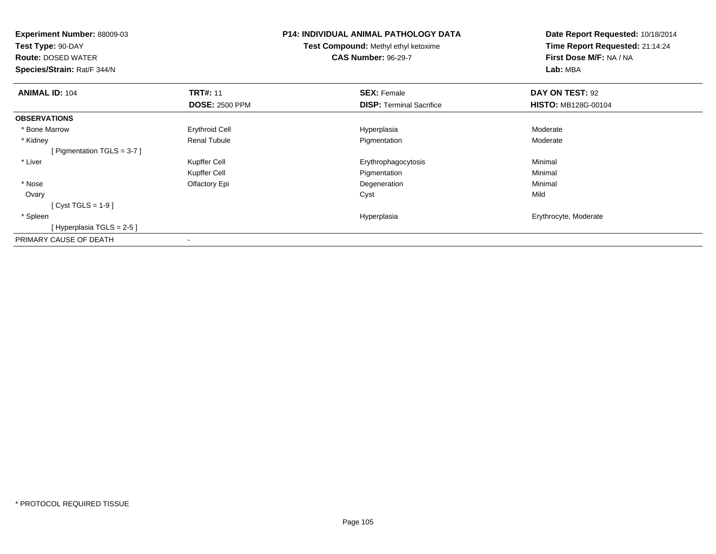| <b>Experiment Number: 88009-03</b><br>Test Type: 90-DAY<br><b>Route: DOSED WATER</b><br>Species/Strain: Rat/F 344/N |                       | <b>P14: INDIVIDUAL ANIMAL PATHOLOGY DATA</b><br><b>Test Compound: Methyl ethyl ketoxime</b><br><b>CAS Number: 96-29-7</b> | Date Report Requested: 10/18/2014<br>Time Report Requested: 21:14:24<br>First Dose M/F: NA / NA<br>Lab: MBA |
|---------------------------------------------------------------------------------------------------------------------|-----------------------|---------------------------------------------------------------------------------------------------------------------------|-------------------------------------------------------------------------------------------------------------|
| <b>ANIMAL ID: 104</b>                                                                                               | <b>TRT#: 11</b>       | <b>SEX: Female</b>                                                                                                        | DAY ON TEST: 92                                                                                             |
|                                                                                                                     | <b>DOSE: 2500 PPM</b> | <b>DISP:</b> Terminal Sacrifice                                                                                           | <b>HISTO: MB128G-00104</b>                                                                                  |
| <b>OBSERVATIONS</b>                                                                                                 |                       |                                                                                                                           |                                                                                                             |
| * Bone Marrow                                                                                                       | <b>Erythroid Cell</b> | Hyperplasia                                                                                                               | Moderate                                                                                                    |
| * Kidney                                                                                                            | Renal Tubule          | Pigmentation                                                                                                              | Moderate                                                                                                    |
| [ Pigmentation TGLS = $3-7$ ]                                                                                       |                       |                                                                                                                           |                                                                                                             |
| * Liver                                                                                                             | Kupffer Cell          | Erythrophagocytosis                                                                                                       | Minimal                                                                                                     |
|                                                                                                                     | Kupffer Cell          | Pigmentation                                                                                                              | Minimal                                                                                                     |
| * Nose                                                                                                              | Olfactory Epi         | Degeneration                                                                                                              | Minimal                                                                                                     |
| Ovary                                                                                                               |                       | Cyst                                                                                                                      | Mild                                                                                                        |
| [ Cyst TGLS = $1-9$ ]                                                                                               |                       |                                                                                                                           |                                                                                                             |
| * Spleen                                                                                                            |                       | Hyperplasia                                                                                                               | Erythrocyte, Moderate                                                                                       |
| [Hyperplasia TGLS = $2-5$ ]                                                                                         |                       |                                                                                                                           |                                                                                                             |
| PRIMARY CAUSE OF DEATH                                                                                              |                       |                                                                                                                           |                                                                                                             |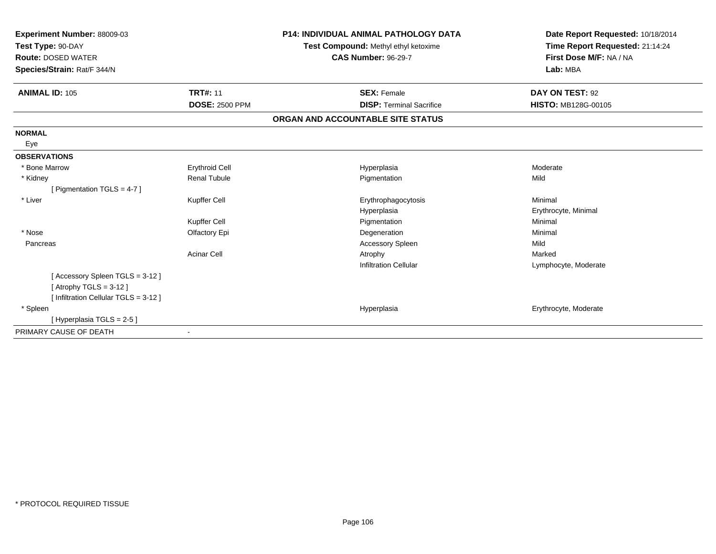| Experiment Number: 88009-03<br>Test Type: 90-DAY<br><b>Route: DOSED WATER</b><br>Species/Strain: Rat/F 344/N |                       | <b>P14: INDIVIDUAL ANIMAL PATHOLOGY DATA</b><br>Test Compound: Methyl ethyl ketoxime<br><b>CAS Number: 96-29-7</b> | Date Report Requested: 10/18/2014<br>Time Report Requested: 21:14:24<br>First Dose M/F: NA / NA<br>Lab: MBA |
|--------------------------------------------------------------------------------------------------------------|-----------------------|--------------------------------------------------------------------------------------------------------------------|-------------------------------------------------------------------------------------------------------------|
| <b>ANIMAL ID: 105</b>                                                                                        | <b>TRT#: 11</b>       | <b>SEX: Female</b>                                                                                                 | DAY ON TEST: 92                                                                                             |
|                                                                                                              | <b>DOSE: 2500 PPM</b> | <b>DISP: Terminal Sacrifice</b>                                                                                    | <b>HISTO: MB128G-00105</b>                                                                                  |
|                                                                                                              |                       | ORGAN AND ACCOUNTABLE SITE STATUS                                                                                  |                                                                                                             |
| <b>NORMAL</b>                                                                                                |                       |                                                                                                                    |                                                                                                             |
| Eye                                                                                                          |                       |                                                                                                                    |                                                                                                             |
| <b>OBSERVATIONS</b>                                                                                          |                       |                                                                                                                    |                                                                                                             |
| * Bone Marrow                                                                                                | <b>Erythroid Cell</b> | Hyperplasia                                                                                                        | Moderate                                                                                                    |
| * Kidney                                                                                                     | <b>Renal Tubule</b>   | Pigmentation                                                                                                       | Mild                                                                                                        |
| [ Pigmentation TGLS = $4-7$ ]                                                                                |                       |                                                                                                                    |                                                                                                             |
| * Liver                                                                                                      | Kupffer Cell          | Erythrophagocytosis                                                                                                | Minimal                                                                                                     |
|                                                                                                              |                       | Hyperplasia                                                                                                        | Erythrocyte, Minimal                                                                                        |
|                                                                                                              | Kupffer Cell          | Pigmentation                                                                                                       | Minimal                                                                                                     |
| * Nose                                                                                                       | Olfactory Epi         | Degeneration                                                                                                       | Minimal                                                                                                     |
| Pancreas                                                                                                     |                       | <b>Accessory Spleen</b>                                                                                            | Mild                                                                                                        |
|                                                                                                              | <b>Acinar Cell</b>    | Atrophy                                                                                                            | Marked                                                                                                      |
|                                                                                                              |                       | <b>Infiltration Cellular</b>                                                                                       | Lymphocyte, Moderate                                                                                        |
| [Accessory Spleen TGLS = 3-12]                                                                               |                       |                                                                                                                    |                                                                                                             |
| [Atrophy TGLS = $3-12$ ]                                                                                     |                       |                                                                                                                    |                                                                                                             |
| [ Infiltration Cellular TGLS = 3-12 ]                                                                        |                       |                                                                                                                    |                                                                                                             |
| * Spleen                                                                                                     |                       | Hyperplasia                                                                                                        | Erythrocyte, Moderate                                                                                       |
| [Hyperplasia TGLS = $2-5$ ]                                                                                  |                       |                                                                                                                    |                                                                                                             |
| PRIMARY CAUSE OF DEATH                                                                                       |                       |                                                                                                                    |                                                                                                             |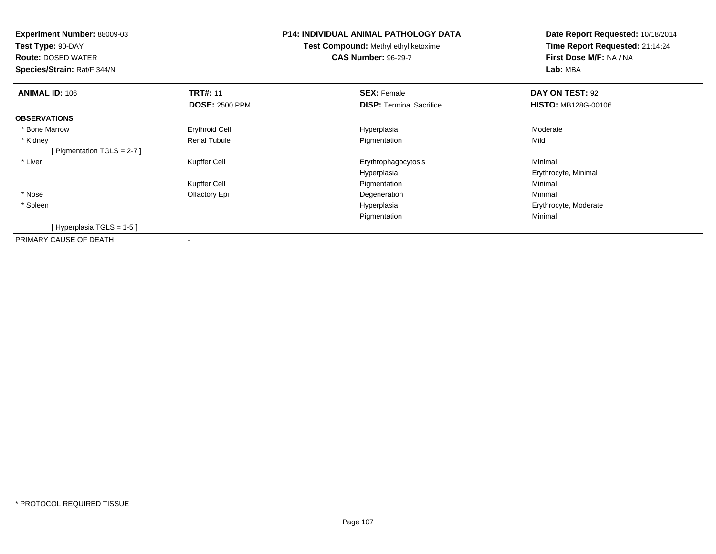| <b>Experiment Number: 88009-03</b><br>Test Type: 90-DAY<br><b>Route: DOSED WATER</b><br>Species/Strain: Rat/F 344/N |                                          | <b>P14: INDIVIDUAL ANIMAL PATHOLOGY DATA</b><br><b>Test Compound: Methyl ethyl ketoxime</b><br><b>CAS Number: 96-29-7</b> | Date Report Requested: 10/18/2014<br>Time Report Requested: 21:14:24<br>First Dose M/F: NA / NA<br>Lab: MBA |
|---------------------------------------------------------------------------------------------------------------------|------------------------------------------|---------------------------------------------------------------------------------------------------------------------------|-------------------------------------------------------------------------------------------------------------|
| <b>ANIMAL ID: 106</b>                                                                                               | <b>TRT#: 11</b><br><b>DOSE: 2500 PPM</b> | <b>SEX: Female</b><br><b>DISP:</b> Terminal Sacrifice                                                                     | DAY ON TEST: 92<br><b>HISTO: MB128G-00106</b>                                                               |
| <b>OBSERVATIONS</b>                                                                                                 |                                          |                                                                                                                           |                                                                                                             |
| * Bone Marrow                                                                                                       | <b>Erythroid Cell</b>                    | Hyperplasia                                                                                                               | Moderate                                                                                                    |
| * Kidney                                                                                                            | <b>Renal Tubule</b>                      | Pigmentation                                                                                                              | Mild                                                                                                        |
| [Pigmentation TGLS = $2-7$ ]                                                                                        |                                          |                                                                                                                           |                                                                                                             |
| * Liver                                                                                                             | Kupffer Cell                             | Erythrophagocytosis                                                                                                       | Minimal                                                                                                     |
|                                                                                                                     |                                          | Hyperplasia                                                                                                               | Erythrocyte, Minimal                                                                                        |
|                                                                                                                     | Kupffer Cell                             | Pigmentation                                                                                                              | Minimal                                                                                                     |
| * Nose                                                                                                              | Olfactory Epi                            | Degeneration                                                                                                              | Minimal                                                                                                     |
| * Spleen                                                                                                            |                                          | Hyperplasia                                                                                                               | Erythrocyte, Moderate                                                                                       |
|                                                                                                                     |                                          | Pigmentation                                                                                                              | Minimal                                                                                                     |
| [Hyperplasia TGLS = 1-5 ]                                                                                           |                                          |                                                                                                                           |                                                                                                             |
| PRIMARY CAUSE OF DEATH                                                                                              |                                          |                                                                                                                           |                                                                                                             |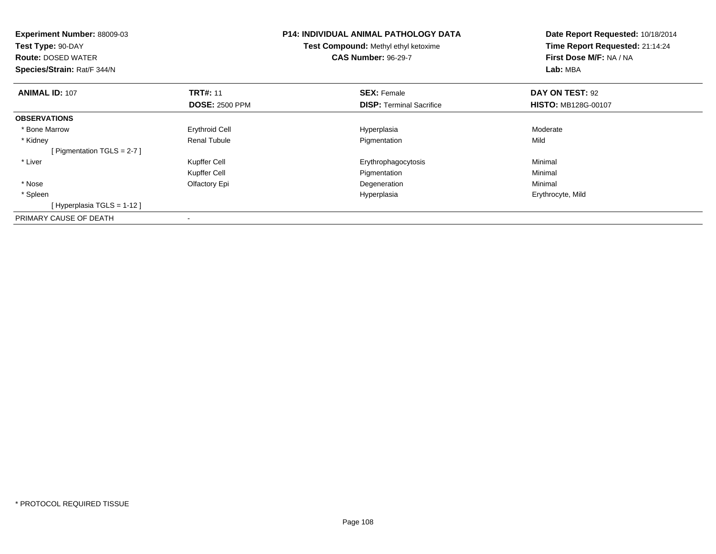| <b>Experiment Number: 88009-03</b><br>Test Type: 90-DAY<br><b>Route: DOSED WATER</b><br>Species/Strain: Rat/F 344/N |                                          | <b>P14: INDIVIDUAL ANIMAL PATHOLOGY DATA</b><br><b>Test Compound: Methyl ethyl ketoxime</b><br><b>CAS Number: 96-29-7</b> | Date Report Requested: 10/18/2014<br>Time Report Requested: 21:14:24<br>First Dose M/F: NA / NA<br>Lab: MBA |
|---------------------------------------------------------------------------------------------------------------------|------------------------------------------|---------------------------------------------------------------------------------------------------------------------------|-------------------------------------------------------------------------------------------------------------|
| <b>ANIMAL ID: 107</b>                                                                                               | <b>TRT#: 11</b><br><b>DOSE: 2500 PPM</b> | <b>SEX: Female</b><br><b>DISP:</b> Terminal Sacrifice                                                                     | DAY ON TEST: 92<br><b>HISTO: MB128G-00107</b>                                                               |
| <b>OBSERVATIONS</b>                                                                                                 |                                          |                                                                                                                           |                                                                                                             |
| * Bone Marrow                                                                                                       | Erythroid Cell                           | Hyperplasia                                                                                                               | Moderate                                                                                                    |
| * Kidney                                                                                                            | <b>Renal Tubule</b>                      | Pigmentation                                                                                                              | Mild                                                                                                        |
| [ Pigmentation TGLS = $2-7$ ]                                                                                       |                                          |                                                                                                                           |                                                                                                             |
| * Liver                                                                                                             | Kupffer Cell                             | Erythrophagocytosis                                                                                                       | Minimal                                                                                                     |
|                                                                                                                     | Kupffer Cell                             | Pigmentation                                                                                                              | Minimal                                                                                                     |
| * Nose                                                                                                              | Olfactory Epi                            | Degeneration                                                                                                              | Minimal                                                                                                     |
| * Spleen                                                                                                            |                                          | Hyperplasia                                                                                                               | Erythrocyte, Mild                                                                                           |
| [Hyperplasia TGLS = 1-12]                                                                                           |                                          |                                                                                                                           |                                                                                                             |
| PRIMARY CAUSE OF DEATH                                                                                              | $\,$                                     |                                                                                                                           |                                                                                                             |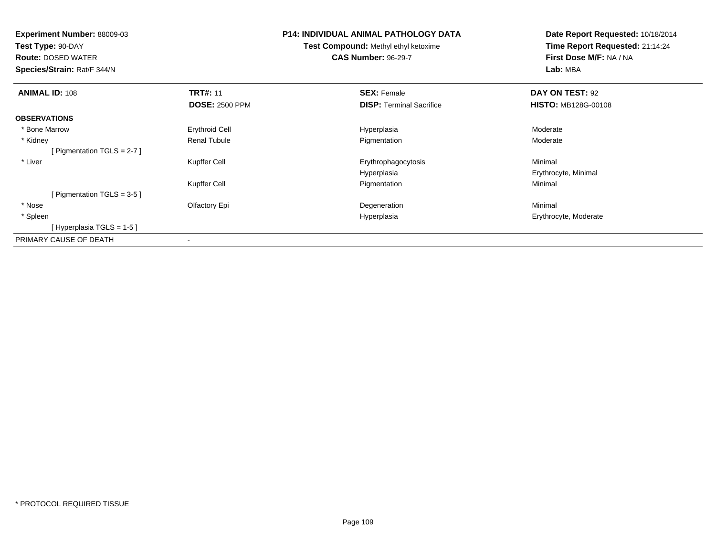| <b>Experiment Number: 88009-03</b><br>Test Type: 90-DAY |                       | P14: INDIVIDUAL ANIMAL PATHOLOGY DATA       | Date Report Requested: 10/18/2014<br>Time Report Requested: 21:14:24 |
|---------------------------------------------------------|-----------------------|---------------------------------------------|----------------------------------------------------------------------|
|                                                         |                       | <b>Test Compound: Methyl ethyl ketoxime</b> |                                                                      |
| <b>Route: DOSED WATER</b>                               |                       | <b>CAS Number: 96-29-7</b>                  | First Dose M/F: NA / NA                                              |
| Species/Strain: Rat/F 344/N                             |                       |                                             | Lab: MBA                                                             |
| <b>ANIMAL ID: 108</b>                                   | <b>TRT#: 11</b>       | <b>SEX: Female</b>                          | DAY ON TEST: 92                                                      |
|                                                         | <b>DOSE: 2500 PPM</b> | <b>DISP: Terminal Sacrifice</b>             | <b>HISTO: MB128G-00108</b>                                           |
| <b>OBSERVATIONS</b>                                     |                       |                                             |                                                                      |
| * Bone Marrow                                           | <b>Erythroid Cell</b> | Hyperplasia                                 | Moderate                                                             |
| * Kidney                                                | Renal Tubule          | Pigmentation                                | Moderate                                                             |
| [ Pigmentation TGLS = $2-7$ ]                           |                       |                                             |                                                                      |
| * Liver                                                 | Kupffer Cell          | Erythrophagocytosis                         | Minimal                                                              |
|                                                         |                       | Hyperplasia                                 | Erythrocyte, Minimal                                                 |
|                                                         | Kupffer Cell          | Pigmentation                                | Minimal                                                              |
| [ Pigmentation TGLS = $3-5$ ]                           |                       |                                             |                                                                      |
| * Nose                                                  | Olfactory Epi         | Degeneration                                | Minimal                                                              |
| * Spleen                                                |                       | Hyperplasia                                 | Erythrocyte, Moderate                                                |
| [Hyperplasia TGLS = 1-5 ]                               |                       |                                             |                                                                      |
| PRIMARY CAUSE OF DEATH                                  |                       |                                             |                                                                      |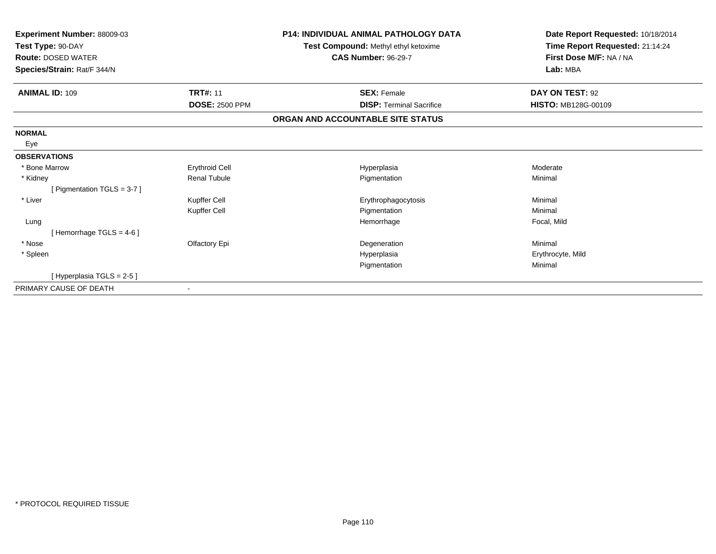| Experiment Number: 88009-03<br>Test Type: 90-DAY<br><b>Route: DOSED WATER</b><br>Species/Strain: Rat/F 344/N |                       | <b>P14: INDIVIDUAL ANIMAL PATHOLOGY DATA</b><br>Test Compound: Methyl ethyl ketoxime<br><b>CAS Number: 96-29-7</b> | Date Report Requested: 10/18/2014<br>Time Report Requested: 21:14:24<br>First Dose M/F: NA / NA<br>Lab: MBA |
|--------------------------------------------------------------------------------------------------------------|-----------------------|--------------------------------------------------------------------------------------------------------------------|-------------------------------------------------------------------------------------------------------------|
| <b>ANIMAL ID: 109</b>                                                                                        | <b>TRT#: 11</b>       | <b>SEX: Female</b>                                                                                                 | DAY ON TEST: 92                                                                                             |
|                                                                                                              | <b>DOSE: 2500 PPM</b> | <b>DISP: Terminal Sacrifice</b>                                                                                    | <b>HISTO: MB128G-00109</b>                                                                                  |
|                                                                                                              |                       | ORGAN AND ACCOUNTABLE SITE STATUS                                                                                  |                                                                                                             |
| <b>NORMAL</b>                                                                                                |                       |                                                                                                                    |                                                                                                             |
| Eye                                                                                                          |                       |                                                                                                                    |                                                                                                             |
| <b>OBSERVATIONS</b>                                                                                          |                       |                                                                                                                    |                                                                                                             |
| * Bone Marrow                                                                                                | <b>Erythroid Cell</b> | Hyperplasia                                                                                                        | Moderate                                                                                                    |
| * Kidney                                                                                                     | <b>Renal Tubule</b>   | Pigmentation                                                                                                       | Minimal                                                                                                     |
| [Pigmentation TGLS = 3-7]                                                                                    |                       |                                                                                                                    |                                                                                                             |
| * Liver                                                                                                      | Kupffer Cell          | Erythrophagocytosis                                                                                                | Minimal                                                                                                     |
|                                                                                                              | Kupffer Cell          | Pigmentation                                                                                                       | Minimal                                                                                                     |
| Lung                                                                                                         |                       | Hemorrhage                                                                                                         | Focal, Mild                                                                                                 |
| [Hemorrhage TGLS = 4-6]                                                                                      |                       |                                                                                                                    |                                                                                                             |
| * Nose                                                                                                       | Olfactory Epi         | Degeneration                                                                                                       | Minimal                                                                                                     |
| * Spleen                                                                                                     |                       | Hyperplasia                                                                                                        | Erythrocyte, Mild                                                                                           |
|                                                                                                              |                       | Pigmentation                                                                                                       | Minimal                                                                                                     |
| [Hyperplasia TGLS = 2-5 ]                                                                                    |                       |                                                                                                                    |                                                                                                             |
| PRIMARY CAUSE OF DEATH                                                                                       |                       |                                                                                                                    |                                                                                                             |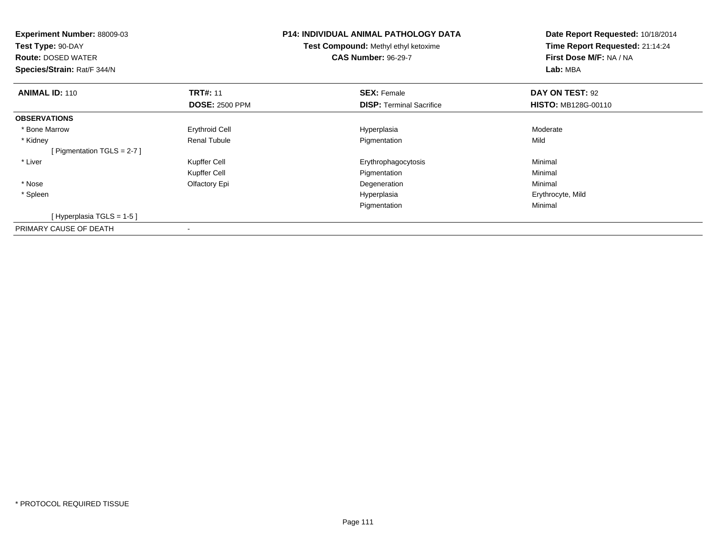| <b>Experiment Number: 88009-03</b><br>Test Type: 90-DAY<br><b>Route: DOSED WATER</b><br>Species/Strain: Rat/F 344/N |                       | <b>P14: INDIVIDUAL ANIMAL PATHOLOGY DATA</b><br>Test Compound: Methyl ethyl ketoxime<br><b>CAS Number: 96-29-7</b> | Date Report Requested: 10/18/2014<br>Time Report Requested: 21:14:24<br>First Dose M/F: NA / NA<br>Lab: MBA |
|---------------------------------------------------------------------------------------------------------------------|-----------------------|--------------------------------------------------------------------------------------------------------------------|-------------------------------------------------------------------------------------------------------------|
| <b>ANIMAL ID: 110</b>                                                                                               | <b>TRT#: 11</b>       | <b>SEX: Female</b>                                                                                                 | DAY ON TEST: 92                                                                                             |
|                                                                                                                     | <b>DOSE: 2500 PPM</b> | <b>DISP:</b> Terminal Sacrifice                                                                                    | <b>HISTO: MB128G-00110</b>                                                                                  |
| <b>OBSERVATIONS</b>                                                                                                 |                       |                                                                                                                    |                                                                                                             |
| * Bone Marrow                                                                                                       | Erythroid Cell        | Hyperplasia                                                                                                        | Moderate                                                                                                    |
| * Kidney                                                                                                            | <b>Renal Tubule</b>   | Pigmentation                                                                                                       | Mild                                                                                                        |
| [ Pigmentation TGLS = $2-7$ ]                                                                                       |                       |                                                                                                                    |                                                                                                             |
| * Liver                                                                                                             | Kupffer Cell          | Erythrophagocytosis                                                                                                | Minimal                                                                                                     |
|                                                                                                                     | Kupffer Cell          | Pigmentation                                                                                                       | Minimal                                                                                                     |
| * Nose                                                                                                              | Olfactory Epi         | Degeneration                                                                                                       | Minimal                                                                                                     |
| * Spleen                                                                                                            |                       | Hyperplasia                                                                                                        | Erythrocyte, Mild                                                                                           |
|                                                                                                                     |                       | Pigmentation                                                                                                       | Minimal                                                                                                     |
| [Hyperplasia TGLS = $1-5$ ]                                                                                         |                       |                                                                                                                    |                                                                                                             |
| PRIMARY CAUSE OF DEATH                                                                                              |                       |                                                                                                                    |                                                                                                             |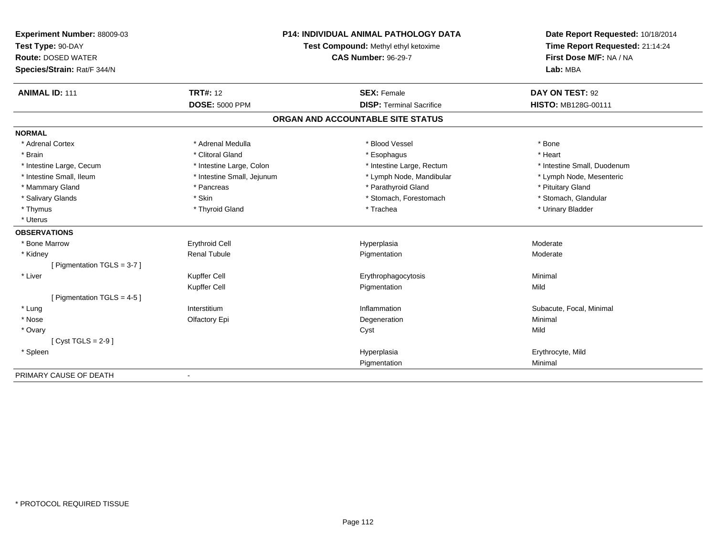| Experiment Number: 88009-03   |                                      | <b>P14: INDIVIDUAL ANIMAL PATHOLOGY DATA</b> | Date Report Requested: 10/18/2014 |
|-------------------------------|--------------------------------------|----------------------------------------------|-----------------------------------|
| Test Type: 90-DAY             | Test Compound: Methyl ethyl ketoxime |                                              | Time Report Requested: 21:14:24   |
| <b>Route: DOSED WATER</b>     |                                      | <b>CAS Number: 96-29-7</b>                   | First Dose M/F: NA / NA           |
| Species/Strain: Rat/F 344/N   |                                      |                                              | Lab: MBA                          |
| <b>ANIMAL ID: 111</b>         | <b>TRT#: 12</b>                      | <b>SEX: Female</b>                           | DAY ON TEST: 92                   |
|                               | <b>DOSE: 5000 PPM</b>                | <b>DISP: Terminal Sacrifice</b>              | HISTO: MB128G-00111               |
|                               |                                      | ORGAN AND ACCOUNTABLE SITE STATUS            |                                   |
| <b>NORMAL</b>                 |                                      |                                              |                                   |
| * Adrenal Cortex              | * Adrenal Medulla                    | * Blood Vessel                               | * Bone                            |
| * Brain                       | * Clitoral Gland                     | * Esophagus                                  | * Heart                           |
| * Intestine Large, Cecum      | * Intestine Large, Colon             | * Intestine Large, Rectum                    | * Intestine Small, Duodenum       |
| * Intestine Small, Ileum      | * Intestine Small, Jejunum           | * Lymph Node, Mandibular                     | * Lymph Node, Mesenteric          |
| * Mammary Gland               | * Pancreas                           | * Parathyroid Gland                          | * Pituitary Gland                 |
| * Salivary Glands             | * Skin                               | * Stomach, Forestomach                       | * Stomach, Glandular              |
| * Thymus                      | * Thyroid Gland                      | * Trachea                                    | * Urinary Bladder                 |
| * Uterus                      |                                      |                                              |                                   |
| <b>OBSERVATIONS</b>           |                                      |                                              |                                   |
| * Bone Marrow                 | <b>Erythroid Cell</b>                | Hyperplasia                                  | Moderate                          |
| * Kidney                      | <b>Renal Tubule</b>                  | Pigmentation                                 | Moderate                          |
| [ Pigmentation TGLS = 3-7 ]   |                                      |                                              |                                   |
| * Liver                       | Kupffer Cell                         | Erythrophagocytosis                          | Minimal                           |
|                               | Kupffer Cell                         | Pigmentation                                 | Mild                              |
| [ Pigmentation TGLS = $4-5$ ] |                                      |                                              |                                   |
| * Lung                        | Interstitium                         | Inflammation                                 | Subacute, Focal, Minimal          |
| * Nose                        | Olfactory Epi                        | Degeneration                                 | Minimal                           |
| * Ovary                       |                                      | Cyst                                         | Mild                              |
| [Cyst TGLS = $2-9$ ]          |                                      |                                              |                                   |
| * Spleen                      |                                      | Hyperplasia                                  | Erythrocyte, Mild                 |
|                               |                                      | Pigmentation                                 | Minimal                           |
| PRIMARY CAUSE OF DEATH        |                                      |                                              |                                   |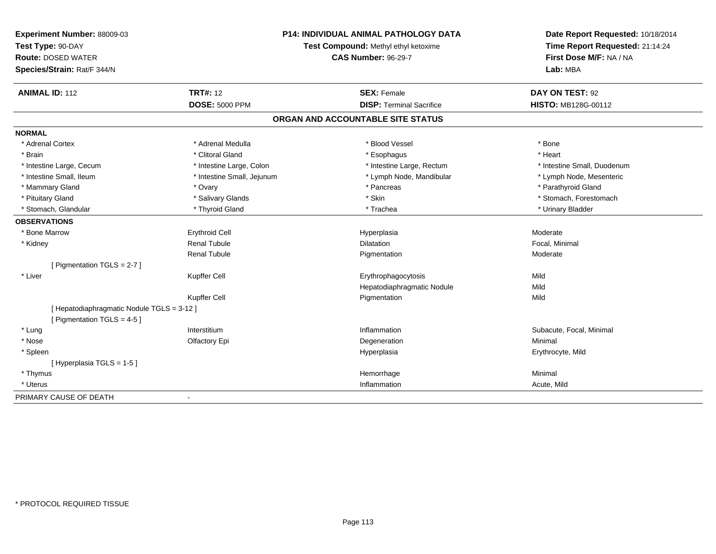| Experiment Number: 88009-03<br>Test Type: 90-DAY<br><b>Route: DOSED WATER</b> | P14: INDIVIDUAL ANIMAL PATHOLOGY DATA<br>Test Compound: Methyl ethyl ketoxime<br><b>CAS Number: 96-29-7</b> |                                   | Date Report Requested: 10/18/2014<br>Time Report Requested: 21:14:24<br>First Dose M/F: NA / NA |  |
|-------------------------------------------------------------------------------|-------------------------------------------------------------------------------------------------------------|-----------------------------------|-------------------------------------------------------------------------------------------------|--|
| Species/Strain: Rat/F 344/N                                                   |                                                                                                             |                                   | Lab: MBA                                                                                        |  |
| <b>ANIMAL ID: 112</b>                                                         | <b>TRT#: 12</b>                                                                                             | <b>SEX: Female</b>                | DAY ON TEST: 92                                                                                 |  |
|                                                                               | <b>DOSE: 5000 PPM</b>                                                                                       | <b>DISP: Terminal Sacrifice</b>   | HISTO: MB128G-00112                                                                             |  |
|                                                                               |                                                                                                             | ORGAN AND ACCOUNTABLE SITE STATUS |                                                                                                 |  |
| <b>NORMAL</b>                                                                 |                                                                                                             |                                   |                                                                                                 |  |
| * Adrenal Cortex                                                              | * Adrenal Medulla                                                                                           | * Blood Vessel                    | * Bone                                                                                          |  |
| * Brain                                                                       | * Clitoral Gland                                                                                            | * Esophagus                       | * Heart                                                                                         |  |
| * Intestine Large, Cecum                                                      | * Intestine Large, Colon                                                                                    | * Intestine Large, Rectum         | * Intestine Small, Duodenum                                                                     |  |
| * Intestine Small. Ileum                                                      | * Intestine Small, Jejunum                                                                                  | * Lymph Node, Mandibular          | * Lymph Node, Mesenteric                                                                        |  |
| * Mammary Gland                                                               | * Ovary                                                                                                     | * Pancreas                        | * Parathyroid Gland                                                                             |  |
| * Pituitary Gland                                                             | * Salivary Glands                                                                                           | * Skin                            | * Stomach, Forestomach                                                                          |  |
| * Stomach, Glandular                                                          | * Thyroid Gland                                                                                             | * Trachea                         | * Urinary Bladder                                                                               |  |
| <b>OBSERVATIONS</b>                                                           |                                                                                                             |                                   |                                                                                                 |  |
| * Bone Marrow                                                                 | <b>Erythroid Cell</b>                                                                                       | Hyperplasia                       | Moderate                                                                                        |  |
| * Kidney                                                                      | <b>Renal Tubule</b>                                                                                         | Dilatation                        | Focal, Minimal                                                                                  |  |
|                                                                               | <b>Renal Tubule</b>                                                                                         | Pigmentation                      | Moderate                                                                                        |  |
| [ Pigmentation TGLS = 2-7 ]                                                   |                                                                                                             |                                   |                                                                                                 |  |
| * Liver                                                                       | Kupffer Cell                                                                                                | Erythrophagocytosis               | Mild                                                                                            |  |
|                                                                               |                                                                                                             | Hepatodiaphragmatic Nodule        | Mild                                                                                            |  |
|                                                                               | Kupffer Cell                                                                                                | Pigmentation                      | Mild                                                                                            |  |
| [ Hepatodiaphragmatic Nodule TGLS = 3-12 ]                                    |                                                                                                             |                                   |                                                                                                 |  |
| [ Pigmentation TGLS = $4-5$ ]                                                 |                                                                                                             |                                   |                                                                                                 |  |
| * Lung                                                                        | Interstitium                                                                                                | Inflammation                      | Subacute, Focal, Minimal                                                                        |  |
| * Nose                                                                        | Olfactory Epi                                                                                               | Degeneration                      | Minimal                                                                                         |  |
| * Spleen                                                                      |                                                                                                             | Hyperplasia                       | Erythrocyte, Mild                                                                               |  |
| [Hyperplasia TGLS = 1-5]                                                      |                                                                                                             |                                   |                                                                                                 |  |
| * Thymus                                                                      |                                                                                                             | Hemorrhage                        | Minimal                                                                                         |  |
| * Uterus                                                                      |                                                                                                             | Inflammation                      | Acute, Mild                                                                                     |  |
| PRIMARY CAUSE OF DEATH                                                        | $\blacksquare$                                                                                              |                                   |                                                                                                 |  |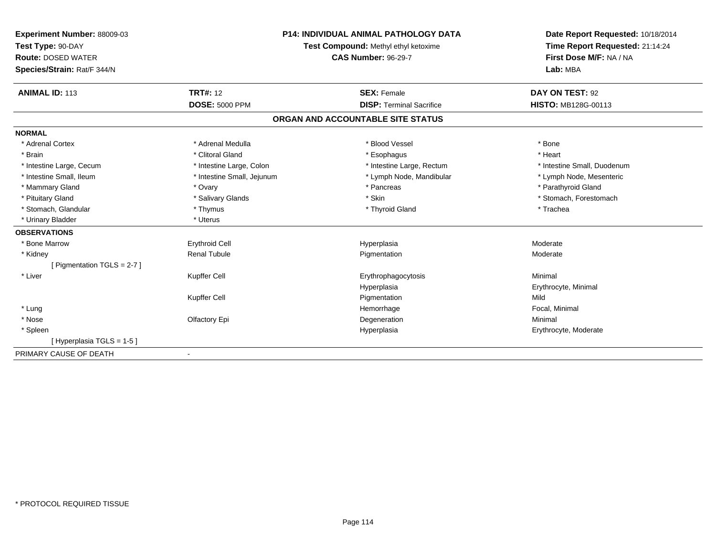| Experiment Number: 88009-03 | <b>P14: INDIVIDUAL ANIMAL PATHOLOGY DATA</b><br>Test Compound: Methyl ethyl ketoxime |                                   | Date Report Requested: 10/18/2014 |
|-----------------------------|--------------------------------------------------------------------------------------|-----------------------------------|-----------------------------------|
| Test Type: 90-DAY           |                                                                                      |                                   | Time Report Requested: 21:14:24   |
| <b>Route: DOSED WATER</b>   |                                                                                      | <b>CAS Number: 96-29-7</b>        | First Dose M/F: NA / NA           |
| Species/Strain: Rat/F 344/N |                                                                                      |                                   | Lab: MBA                          |
| <b>ANIMAL ID: 113</b>       | <b>TRT#: 12</b>                                                                      | <b>SEX: Female</b>                | DAY ON TEST: 92                   |
|                             | <b>DOSE: 5000 PPM</b>                                                                | <b>DISP: Terminal Sacrifice</b>   | <b>HISTO: MB128G-00113</b>        |
|                             |                                                                                      | ORGAN AND ACCOUNTABLE SITE STATUS |                                   |
| <b>NORMAL</b>               |                                                                                      |                                   |                                   |
| * Adrenal Cortex            | * Adrenal Medulla                                                                    | * Blood Vessel                    | * Bone                            |
| * Brain                     | * Clitoral Gland                                                                     | * Esophagus                       | * Heart                           |
| * Intestine Large, Cecum    | * Intestine Large, Colon                                                             | * Intestine Large, Rectum         | * Intestine Small, Duodenum       |
| * Intestine Small, Ileum    | * Intestine Small, Jejunum                                                           | * Lymph Node, Mandibular          | * Lymph Node, Mesenteric          |
| * Mammary Gland             | * Ovary                                                                              | * Pancreas                        | * Parathyroid Gland               |
| * Pituitary Gland           | * Salivary Glands                                                                    | * Skin                            | * Stomach, Forestomach            |
| * Stomach, Glandular        | * Thymus                                                                             | * Thyroid Gland                   | * Trachea                         |
| * Urinary Bladder           | * Uterus                                                                             |                                   |                                   |
| <b>OBSERVATIONS</b>         |                                                                                      |                                   |                                   |
| * Bone Marrow               | <b>Erythroid Cell</b>                                                                | Hyperplasia                       | Moderate                          |
| * Kidney                    | <b>Renal Tubule</b>                                                                  | Pigmentation                      | Moderate                          |
| [Pigmentation TGLS = 2-7]   |                                                                                      |                                   |                                   |
| * Liver                     | Kupffer Cell                                                                         | Erythrophagocytosis               | Minimal                           |
|                             |                                                                                      | Hyperplasia                       | Erythrocyte, Minimal              |
|                             | Kupffer Cell                                                                         | Pigmentation                      | Mild                              |
| * Lung                      |                                                                                      | Hemorrhage                        | Focal, Minimal                    |
| * Nose                      | Olfactory Epi                                                                        | Degeneration                      | Minimal                           |
| * Spleen                    |                                                                                      | Hyperplasia                       | Erythrocyte, Moderate             |
| [Hyperplasia TGLS = 1-5 ]   |                                                                                      |                                   |                                   |
| PRIMARY CAUSE OF DEATH      |                                                                                      |                                   |                                   |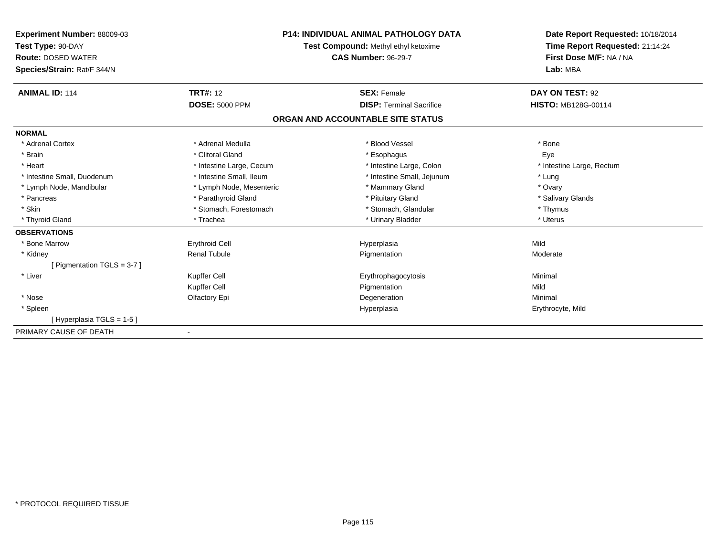| Experiment Number: 88009-03   | <b>P14: INDIVIDUAL ANIMAL PATHOLOGY DATA</b><br>Test Compound: Methyl ethyl ketoxime |                                   | Date Report Requested: 10/18/2014<br>Time Report Requested: 21:14:24 |
|-------------------------------|--------------------------------------------------------------------------------------|-----------------------------------|----------------------------------------------------------------------|
| Test Type: 90-DAY             |                                                                                      |                                   |                                                                      |
| <b>Route: DOSED WATER</b>     |                                                                                      | <b>CAS Number: 96-29-7</b>        | First Dose M/F: NA / NA                                              |
| Species/Strain: Rat/F 344/N   |                                                                                      |                                   | Lab: MBA                                                             |
| <b>ANIMAL ID: 114</b>         | <b>TRT#: 12</b>                                                                      | <b>SEX: Female</b>                | DAY ON TEST: 92                                                      |
|                               | <b>DOSE: 5000 PPM</b>                                                                | <b>DISP: Terminal Sacrifice</b>   | <b>HISTO: MB128G-00114</b>                                           |
|                               |                                                                                      | ORGAN AND ACCOUNTABLE SITE STATUS |                                                                      |
| <b>NORMAL</b>                 |                                                                                      |                                   |                                                                      |
| * Adrenal Cortex              | * Adrenal Medulla                                                                    | * Blood Vessel                    | * Bone                                                               |
| * Brain                       | * Clitoral Gland                                                                     | * Esophagus                       | Eye                                                                  |
| * Heart                       | * Intestine Large, Cecum                                                             | * Intestine Large, Colon          | * Intestine Large, Rectum                                            |
| * Intestine Small, Duodenum   | * Intestine Small. Ileum                                                             | * Intestine Small, Jejunum        | * Lung                                                               |
| * Lymph Node, Mandibular      | * Lymph Node, Mesenteric                                                             | * Mammary Gland                   | * Ovary                                                              |
| * Pancreas                    | * Parathyroid Gland                                                                  | * Pituitary Gland                 | * Salivary Glands                                                    |
| * Skin                        | * Stomach, Forestomach                                                               | * Stomach, Glandular              | * Thymus                                                             |
| * Thyroid Gland               | * Trachea                                                                            | * Urinary Bladder                 | * Uterus                                                             |
| <b>OBSERVATIONS</b>           |                                                                                      |                                   |                                                                      |
| * Bone Marrow                 | <b>Erythroid Cell</b>                                                                | Hyperplasia                       | Mild                                                                 |
| * Kidney                      | <b>Renal Tubule</b>                                                                  | Pigmentation                      | Moderate                                                             |
| [ Pigmentation TGLS = $3-7$ ] |                                                                                      |                                   |                                                                      |
| * Liver                       | Kupffer Cell                                                                         | Erythrophagocytosis               | Minimal                                                              |
|                               | Kupffer Cell                                                                         | Pigmentation                      | Mild                                                                 |
| * Nose                        | Olfactory Epi                                                                        | Degeneration                      | Minimal                                                              |
| * Spleen                      |                                                                                      | Hyperplasia                       | Erythrocyte, Mild                                                    |
| [Hyperplasia TGLS = 1-5]      |                                                                                      |                                   |                                                                      |
| PRIMARY CAUSE OF DEATH        |                                                                                      |                                   |                                                                      |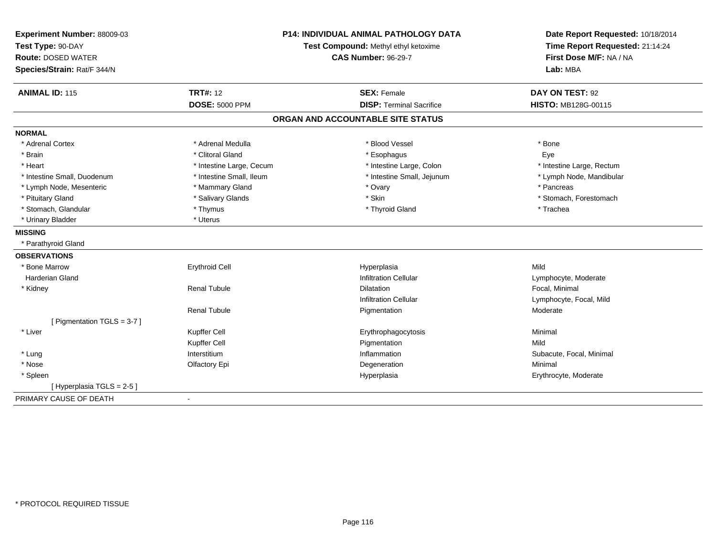| Experiment Number: 88009-03<br>Test Type: 90-DAY<br><b>Route: DOSED WATER</b><br>Species/Strain: Rat/F 344/N | <b>P14: INDIVIDUAL ANIMAL PATHOLOGY DATA</b><br>Test Compound: Methyl ethyl ketoxime<br><b>CAS Number: 96-29-7</b> |                                   | Date Report Requested: 10/18/2014<br>Time Report Requested: 21:14:24<br>First Dose M/F: NA / NA<br>Lab: MBA |
|--------------------------------------------------------------------------------------------------------------|--------------------------------------------------------------------------------------------------------------------|-----------------------------------|-------------------------------------------------------------------------------------------------------------|
| <b>ANIMAL ID: 115</b>                                                                                        | <b>TRT#: 12</b>                                                                                                    | <b>SEX: Female</b>                | DAY ON TEST: 92                                                                                             |
|                                                                                                              | <b>DOSE: 5000 PPM</b>                                                                                              | <b>DISP: Terminal Sacrifice</b>   | HISTO: MB128G-00115                                                                                         |
|                                                                                                              |                                                                                                                    | ORGAN AND ACCOUNTABLE SITE STATUS |                                                                                                             |
| <b>NORMAL</b>                                                                                                |                                                                                                                    |                                   |                                                                                                             |
| * Adrenal Cortex                                                                                             | * Adrenal Medulla                                                                                                  | * Blood Vessel                    | * Bone                                                                                                      |
| * Brain                                                                                                      | * Clitoral Gland                                                                                                   | * Esophagus                       | Eye                                                                                                         |
| * Heart                                                                                                      | * Intestine Large, Cecum                                                                                           | * Intestine Large, Colon          | * Intestine Large, Rectum                                                                                   |
| * Intestine Small, Duodenum                                                                                  | * Intestine Small, Ileum                                                                                           | * Intestine Small, Jejunum        | * Lymph Node, Mandibular                                                                                    |
| * Lymph Node, Mesenteric                                                                                     | * Mammary Gland                                                                                                    | * Ovary                           | * Pancreas                                                                                                  |
| * Pituitary Gland                                                                                            | * Salivary Glands                                                                                                  | * Skin                            | * Stomach, Forestomach                                                                                      |
| * Stomach, Glandular                                                                                         | * Thymus                                                                                                           | * Thyroid Gland                   | * Trachea                                                                                                   |
| * Urinary Bladder                                                                                            | * Uterus                                                                                                           |                                   |                                                                                                             |
| <b>MISSING</b>                                                                                               |                                                                                                                    |                                   |                                                                                                             |
| * Parathyroid Gland                                                                                          |                                                                                                                    |                                   |                                                                                                             |
| <b>OBSERVATIONS</b>                                                                                          |                                                                                                                    |                                   |                                                                                                             |
| * Bone Marrow                                                                                                | <b>Erythroid Cell</b>                                                                                              | Hyperplasia                       | Mild                                                                                                        |
| <b>Harderian Gland</b>                                                                                       |                                                                                                                    | <b>Infiltration Cellular</b>      | Lymphocyte, Moderate                                                                                        |
| * Kidney                                                                                                     | <b>Renal Tubule</b>                                                                                                | <b>Dilatation</b>                 | Focal, Minimal                                                                                              |
|                                                                                                              |                                                                                                                    | <b>Infiltration Cellular</b>      | Lymphocyte, Focal, Mild                                                                                     |
|                                                                                                              | <b>Renal Tubule</b>                                                                                                | Pigmentation                      | Moderate                                                                                                    |
| [ Pigmentation TGLS = 3-7 ]                                                                                  |                                                                                                                    |                                   |                                                                                                             |
| * Liver                                                                                                      | Kupffer Cell                                                                                                       | Erythrophagocytosis               | Minimal                                                                                                     |
|                                                                                                              | Kupffer Cell                                                                                                       | Pigmentation                      | Mild                                                                                                        |
| * Lung                                                                                                       | Interstitium                                                                                                       | Inflammation                      | Subacute, Focal, Minimal                                                                                    |
| * Nose                                                                                                       | Olfactory Epi                                                                                                      | Degeneration                      | Minimal                                                                                                     |
| * Spleen                                                                                                     |                                                                                                                    | Hyperplasia                       | Erythrocyte, Moderate                                                                                       |
| [Hyperplasia TGLS = 2-5]                                                                                     |                                                                                                                    |                                   |                                                                                                             |
| PRIMARY CAUSE OF DEATH                                                                                       |                                                                                                                    |                                   |                                                                                                             |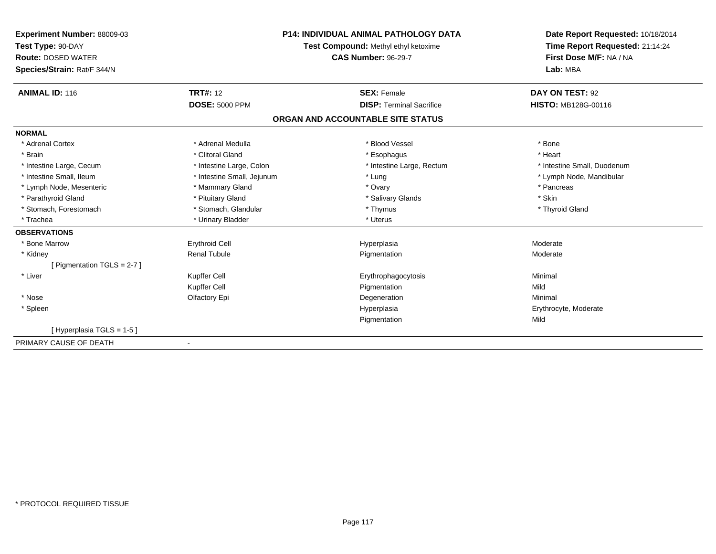| <b>Experiment Number: 88009-03</b><br>Test Type: 90-DAY<br><b>Route: DOSED WATER</b><br>Species/Strain: Rat/F 344/N | <b>P14: INDIVIDUAL ANIMAL PATHOLOGY DATA</b><br>Test Compound: Methyl ethyl ketoxime<br><b>CAS Number: 96-29-7</b> |                                   | Date Report Requested: 10/18/2014<br>Time Report Requested: 21:14:24<br>First Dose M/F: NA / NA<br>Lab: MBA |  |
|---------------------------------------------------------------------------------------------------------------------|--------------------------------------------------------------------------------------------------------------------|-----------------------------------|-------------------------------------------------------------------------------------------------------------|--|
| <b>ANIMAL ID: 116</b>                                                                                               | <b>TRT#: 12</b>                                                                                                    | <b>SEX: Female</b>                | DAY ON TEST: 92                                                                                             |  |
|                                                                                                                     | <b>DOSE: 5000 PPM</b>                                                                                              | <b>DISP: Terminal Sacrifice</b>   | HISTO: MB128G-00116                                                                                         |  |
|                                                                                                                     |                                                                                                                    | ORGAN AND ACCOUNTABLE SITE STATUS |                                                                                                             |  |
| <b>NORMAL</b>                                                                                                       |                                                                                                                    |                                   |                                                                                                             |  |
| * Adrenal Cortex                                                                                                    | * Adrenal Medulla                                                                                                  | * Blood Vessel                    | * Bone                                                                                                      |  |
| * Brain                                                                                                             | * Clitoral Gland                                                                                                   | * Esophagus                       | * Heart                                                                                                     |  |
| * Intestine Large, Cecum                                                                                            | * Intestine Large, Colon                                                                                           | * Intestine Large, Rectum         | * Intestine Small, Duodenum                                                                                 |  |
| * Intestine Small, Ileum                                                                                            | * Intestine Small, Jejunum                                                                                         | * Lung                            | * Lymph Node, Mandibular                                                                                    |  |
| * Lymph Node, Mesenteric                                                                                            | * Mammary Gland                                                                                                    | * Ovary                           | * Pancreas                                                                                                  |  |
| * Parathyroid Gland                                                                                                 | * Pituitary Gland                                                                                                  | * Salivary Glands                 | * Skin                                                                                                      |  |
| * Stomach, Forestomach                                                                                              | * Stomach, Glandular                                                                                               | * Thymus                          | * Thyroid Gland                                                                                             |  |
| * Trachea                                                                                                           | * Urinary Bladder                                                                                                  | * Uterus                          |                                                                                                             |  |
| <b>OBSERVATIONS</b>                                                                                                 |                                                                                                                    |                                   |                                                                                                             |  |
| * Bone Marrow                                                                                                       | <b>Erythroid Cell</b>                                                                                              | Hyperplasia                       | Moderate                                                                                                    |  |
| * Kidney                                                                                                            | <b>Renal Tubule</b>                                                                                                | Pigmentation                      | Moderate                                                                                                    |  |
| [ Pigmentation TGLS = 2-7 ]                                                                                         |                                                                                                                    |                                   |                                                                                                             |  |
| * Liver                                                                                                             | Kupffer Cell                                                                                                       | Erythrophagocytosis               | Minimal                                                                                                     |  |
|                                                                                                                     | Kupffer Cell                                                                                                       | Pigmentation                      | Mild                                                                                                        |  |
| * Nose                                                                                                              | Olfactory Epi                                                                                                      | Degeneration                      | Minimal                                                                                                     |  |
| * Spleen                                                                                                            |                                                                                                                    | Hyperplasia                       | Erythrocyte, Moderate                                                                                       |  |
|                                                                                                                     |                                                                                                                    | Pigmentation                      | Mild                                                                                                        |  |
| [Hyperplasia TGLS = 1-5]                                                                                            |                                                                                                                    |                                   |                                                                                                             |  |
| PRIMARY CAUSE OF DEATH                                                                                              |                                                                                                                    |                                   |                                                                                                             |  |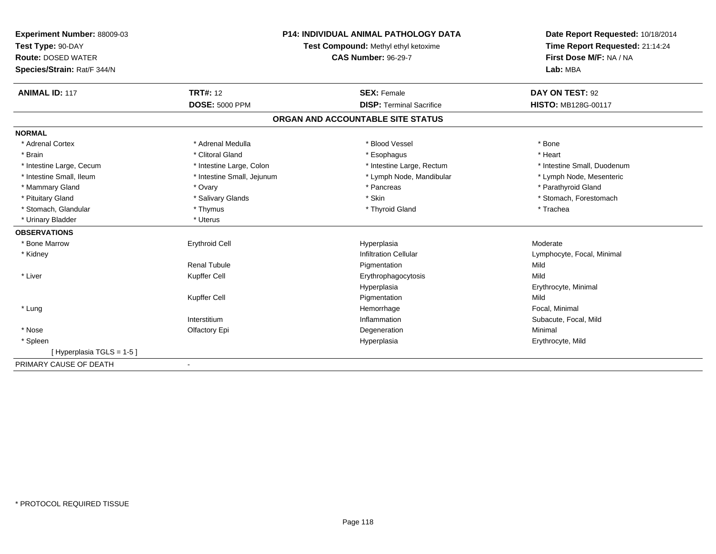| Experiment Number: 88009-03 | P14: INDIVIDUAL ANIMAL PATHOLOGY DATA |                                   | Date Report Requested: 10/18/2014 |
|-----------------------------|---------------------------------------|-----------------------------------|-----------------------------------|
| Test Type: 90-DAY           | Test Compound: Methyl ethyl ketoxime  | Time Report Requested: 21:14:24   |                                   |
| <b>Route: DOSED WATER</b>   |                                       | <b>CAS Number: 96-29-7</b>        | First Dose M/F: NA / NA           |
| Species/Strain: Rat/F 344/N |                                       |                                   | Lab: MBA                          |
| <b>ANIMAL ID: 117</b>       | <b>TRT#: 12</b>                       | <b>SEX: Female</b>                | DAY ON TEST: 92                   |
|                             | <b>DOSE: 5000 PPM</b>                 | <b>DISP:</b> Terminal Sacrifice   | <b>HISTO: MB128G-00117</b>        |
|                             |                                       | ORGAN AND ACCOUNTABLE SITE STATUS |                                   |
| <b>NORMAL</b>               |                                       |                                   |                                   |
| * Adrenal Cortex            | * Adrenal Medulla                     | * Blood Vessel                    | * Bone                            |
| * Brain                     | * Clitoral Gland                      | * Esophagus                       | * Heart                           |
| * Intestine Large, Cecum    | * Intestine Large, Colon              | * Intestine Large, Rectum         | * Intestine Small, Duodenum       |
| * Intestine Small, Ileum    | * Intestine Small, Jejunum            | * Lymph Node, Mandibular          | * Lymph Node, Mesenteric          |
| * Mammary Gland             | * Ovary                               | * Pancreas                        | * Parathyroid Gland               |
| * Pituitary Gland           | * Salivary Glands                     | * Skin                            | * Stomach, Forestomach            |
| * Stomach, Glandular        | * Thymus                              | * Thyroid Gland                   | * Trachea                         |
| * Urinary Bladder           | * Uterus                              |                                   |                                   |
| <b>OBSERVATIONS</b>         |                                       |                                   |                                   |
| * Bone Marrow               | <b>Erythroid Cell</b>                 | Hyperplasia                       | Moderate                          |
| * Kidney                    |                                       | <b>Infiltration Cellular</b>      | Lymphocyte, Focal, Minimal        |
|                             | <b>Renal Tubule</b>                   | Pigmentation                      | Mild                              |
| * Liver                     | Kupffer Cell                          | Erythrophagocytosis               | Mild                              |
|                             |                                       | Hyperplasia                       | Erythrocyte, Minimal              |
|                             | Kupffer Cell                          | Pigmentation                      | Mild                              |
| * Lung                      |                                       | Hemorrhage                        | Focal, Minimal                    |
|                             | Interstitium                          | Inflammation                      | Subacute, Focal, Mild             |
| * Nose                      | Olfactory Epi                         | Degeneration                      | Minimal                           |
| * Spleen                    |                                       | Hyperplasia                       | Erythrocyte, Mild                 |
| [Hyperplasia TGLS = 1-5]    |                                       |                                   |                                   |
| PRIMARY CAUSE OF DEATH      |                                       |                                   |                                   |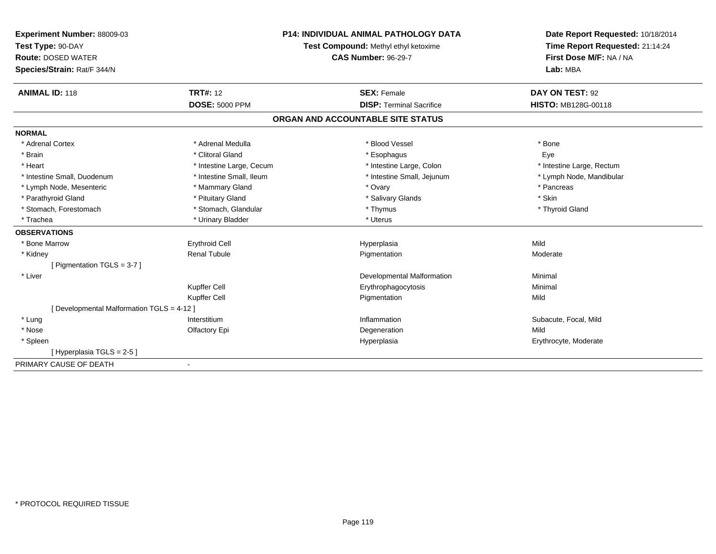| <b>Experiment Number: 88009-03</b>         | <b>P14: INDIVIDUAL ANIMAL PATHOLOGY DATA</b><br>Test Compound: Methyl ethyl ketoxime<br><b>CAS Number: 96-29-7</b> |                                   | Date Report Requested: 10/18/2014                          |  |
|--------------------------------------------|--------------------------------------------------------------------------------------------------------------------|-----------------------------------|------------------------------------------------------------|--|
| Test Type: 90-DAY                          |                                                                                                                    |                                   | Time Report Requested: 21:14:24<br>First Dose M/F: NA / NA |  |
| <b>Route: DOSED WATER</b>                  |                                                                                                                    |                                   |                                                            |  |
| Species/Strain: Rat/F 344/N                |                                                                                                                    |                                   | Lab: MBA                                                   |  |
| <b>ANIMAL ID: 118</b>                      | <b>TRT#: 12</b>                                                                                                    | <b>SEX: Female</b>                | DAY ON TEST: 92                                            |  |
|                                            | <b>DOSE: 5000 PPM</b>                                                                                              | <b>DISP: Terminal Sacrifice</b>   | <b>HISTO: MB128G-00118</b>                                 |  |
|                                            |                                                                                                                    | ORGAN AND ACCOUNTABLE SITE STATUS |                                                            |  |
| <b>NORMAL</b>                              |                                                                                                                    |                                   |                                                            |  |
| * Adrenal Cortex                           | * Adrenal Medulla                                                                                                  | * Blood Vessel                    | * Bone                                                     |  |
| * Brain                                    | * Clitoral Gland                                                                                                   | * Esophagus                       | Eye                                                        |  |
| * Heart                                    | * Intestine Large, Cecum                                                                                           | * Intestine Large, Colon          | * Intestine Large, Rectum                                  |  |
| * Intestine Small, Duodenum                | * Intestine Small, Ileum                                                                                           | * Intestine Small, Jejunum        | * Lymph Node, Mandibular                                   |  |
| * Lymph Node, Mesenteric                   | * Mammary Gland                                                                                                    | * Ovary                           | * Pancreas                                                 |  |
| * Parathyroid Gland                        | * Pituitary Gland                                                                                                  | * Salivary Glands                 | * Skin                                                     |  |
| * Stomach, Forestomach                     | * Stomach, Glandular                                                                                               | * Thymus                          | * Thyroid Gland                                            |  |
| * Trachea                                  | * Urinary Bladder                                                                                                  | * Uterus                          |                                                            |  |
| <b>OBSERVATIONS</b>                        |                                                                                                                    |                                   |                                                            |  |
| * Bone Marrow                              | <b>Erythroid Cell</b>                                                                                              | Hyperplasia                       | Mild                                                       |  |
| * Kidney                                   | <b>Renal Tubule</b>                                                                                                | Pigmentation                      | Moderate                                                   |  |
| [ Pigmentation TGLS = 3-7 ]                |                                                                                                                    |                                   |                                                            |  |
| * Liver                                    |                                                                                                                    | Developmental Malformation        | Minimal                                                    |  |
|                                            | Kupffer Cell                                                                                                       | Erythrophagocytosis               | Minimal                                                    |  |
|                                            | Kupffer Cell                                                                                                       | Pigmentation                      | Mild                                                       |  |
| [ Developmental Malformation TGLS = 4-12 ] |                                                                                                                    |                                   |                                                            |  |
| * Lung                                     | Interstitium                                                                                                       | Inflammation                      | Subacute, Focal, Mild                                      |  |
| * Nose                                     | Olfactory Epi                                                                                                      | Degeneration                      | Mild                                                       |  |
| * Spleen                                   |                                                                                                                    | Hyperplasia                       | Erythrocyte, Moderate                                      |  |
| [Hyperplasia TGLS = 2-5]                   |                                                                                                                    |                                   |                                                            |  |
| PRIMARY CAUSE OF DEATH                     |                                                                                                                    |                                   |                                                            |  |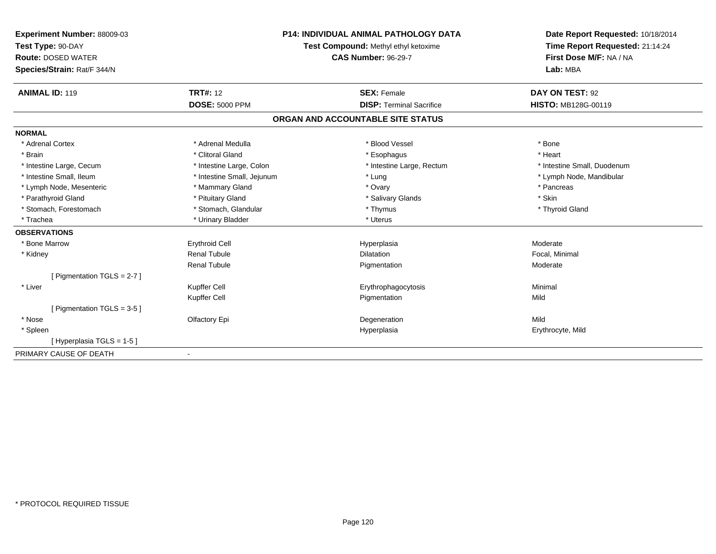| Experiment Number: 88009-03   | <b>P14: INDIVIDUAL ANIMAL PATHOLOGY DATA</b><br>Test Compound: Methyl ethyl ketoxime |                                   | Date Report Requested: 10/18/2014 |
|-------------------------------|--------------------------------------------------------------------------------------|-----------------------------------|-----------------------------------|
| Test Type: 90-DAY             |                                                                                      |                                   | Time Report Requested: 21:14:24   |
| <b>Route: DOSED WATER</b>     |                                                                                      | <b>CAS Number: 96-29-7</b>        | First Dose M/F: NA / NA           |
| Species/Strain: Rat/F 344/N   |                                                                                      |                                   | Lab: MBA                          |
| <b>ANIMAL ID: 119</b>         | <b>TRT#: 12</b>                                                                      | <b>SEX: Female</b>                | DAY ON TEST: 92                   |
|                               | <b>DOSE: 5000 PPM</b>                                                                | <b>DISP: Terminal Sacrifice</b>   | <b>HISTO: MB128G-00119</b>        |
|                               |                                                                                      | ORGAN AND ACCOUNTABLE SITE STATUS |                                   |
| <b>NORMAL</b>                 |                                                                                      |                                   |                                   |
| * Adrenal Cortex              | * Adrenal Medulla                                                                    | * Blood Vessel                    | * Bone                            |
| * Brain                       | * Clitoral Gland                                                                     | * Esophagus                       | * Heart                           |
| * Intestine Large, Cecum      | * Intestine Large, Colon                                                             | * Intestine Large, Rectum         | * Intestine Small, Duodenum       |
| * Intestine Small, Ileum      | * Intestine Small, Jejunum                                                           | * Lung                            | * Lymph Node, Mandibular          |
| * Lymph Node, Mesenteric      | * Mammary Gland                                                                      | * Ovary                           | * Pancreas                        |
| * Parathyroid Gland           | * Pituitary Gland                                                                    | * Salivary Glands                 | * Skin                            |
| * Stomach, Forestomach        | * Stomach, Glandular                                                                 | * Thymus                          | * Thyroid Gland                   |
| * Trachea                     | * Urinary Bladder                                                                    | * Uterus                          |                                   |
| <b>OBSERVATIONS</b>           |                                                                                      |                                   |                                   |
| * Bone Marrow                 | <b>Erythroid Cell</b>                                                                | Hyperplasia                       | Moderate                          |
| * Kidney                      | <b>Renal Tubule</b>                                                                  | <b>Dilatation</b>                 | Focal, Minimal                    |
|                               | <b>Renal Tubule</b>                                                                  | Pigmentation                      | Moderate                          |
| [ Pigmentation TGLS = 2-7 ]   |                                                                                      |                                   |                                   |
| * Liver                       | Kupffer Cell                                                                         | Erythrophagocytosis               | Minimal                           |
|                               | Kupffer Cell                                                                         | Pigmentation                      | Mild                              |
| [ Pigmentation TGLS = $3-5$ ] |                                                                                      |                                   |                                   |
| * Nose                        | Olfactory Epi                                                                        | Degeneration                      | Mild                              |
| * Spleen                      |                                                                                      | Hyperplasia                       | Erythrocyte, Mild                 |
| [Hyperplasia TGLS = 1-5]      |                                                                                      |                                   |                                   |
| PRIMARY CAUSE OF DEATH        |                                                                                      |                                   |                                   |